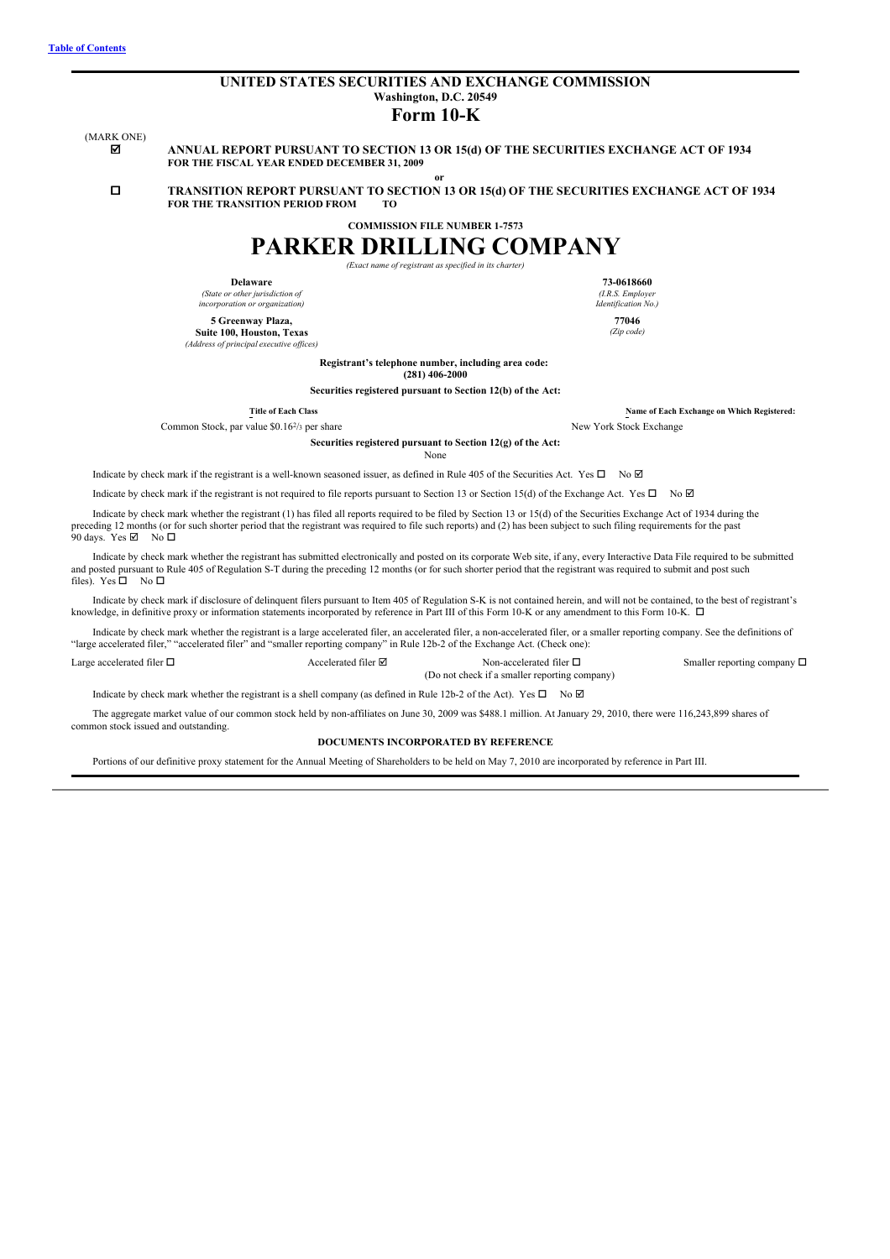# **UNITED STATES SECURITIES AND EXCHANGE COMMISSION Washington, D.C. 20549 Form 10-K**

(MARK ONE)

þ **ANNUAL REPORT PURSUANT TO SECTION 13 OR 15(d) OF THE SECURITIES EXCHANGE ACT OF 1934 FOR THE FISCAL YEAR ENDED DECEMBER 31, 2009**

**or** o **TRANSITION REPORT PURSUANT TO SECTION 13 OR 15(d) OF THE SECURITIES EXCHANGE ACT OF 1934 FOR THE TRANSITION PERIOD FROM TO**

**COMMISSION FILE NUMBER 1-7573**

# **PARKER DRILLING COMPANY**

*(Exact name of registrant as specified in its charter)*

**Delaware 73-0618660**

*(State or other jurisdiction of incorporation or organization)*

**5 Greenway Plaza, Suite 100, Houston, Texas**

*(Address of principal executive of ices)*

**Registrant's telephone number, including area code: (281) 406-2000**

**Securities registered pursuant to Section 12(b) of the Act:**

Common Stock, par value \$0.16 2

**Title of Each Class Name of Each Exchange on Which Registered:**

New York Stock Exchange

*(I.R.S. Employer Identification No.)*

**77046** *(Zip code)*

**Securities registered pursuant to Section 12(g) of the Act:** None

Indicate by check mark if the registrant is a well-known seasoned issuer, as defined in Rule 405 of the Securities Act. Yes  $\Box$  No  $\Box$ 

Indicate by check mark if the registrant is not required to file reports pursuant to Section 13 or Section 15(d) of the Exchange Act. Yes  $\square$  No  $\square$ 

Indicate by check mark whether the registrant (1) has filed all reports required to be filed by Section 13 or 15(d) of the Securities Exchange Act of 1934 during the preceding 12 months (or for such shorter period that the registrant was required to file such reports) and (2) has been subject to such filing requirements for the past 90 days. Yes  $\boxtimes$  No  $\Box$ 90 days. Yes  $\boxtimes$ 

Indicate by check mark whether the registrant has submitted electronically and posted on its corporate Web site, if any, every Interactive Data File required to be submitted and posted pursuant to Rule 405 of Regulation S-T during the preceding 12 months (or for such shorter period that the registrant was required to submit and post such files). Yes  $\square$  No  $\square$ 

Indicate by check mark if disclosure of delinquent filers pursuant to Item 405 of Regulation S-K is not contained herein, and will not be contained, to the best of registrant's knowledge, in definitive proxy or information statements incorporated by reference in Part III of this Form 10-K or any amendment to this Form 10-K.  $\square$ 

Indicate by check mark whether the registrant is a large accelerated filer, an accelerated filer, a non-accelerated filer, or a smaller reporting company. See the definitions of "large accelerated filer," "accelerated filer" and "smaller reporting company" in Rule 12b-2 of the Exchange Act. (Check one):

Large accelerated filer  $\square$ <br>Accelerated filer  $\square$  Non-accelerated filer  $\square$  Smaller reporting company  $\square$ 

(Do not check if a smaller reporting company)

Indicate by check mark whether the registrant is a shell company (as defined in Rule 12b-2 of the Act). Yes  $\square$  No  $\square$ 

The aggregate market value of our common stock held by non-affiliates on June 30, 2009 was \$488.1 million. At January 29, 2010, there were 116,243,899 shares of common stock issued and outstanding.

## **DOCUMENTS INCORPORATED BY REFERENCE**

Portions of our definitive proxy statement for the Annual Meeting of Shareholders to be held on May 7, 2010 are incorporated by reference in Part III.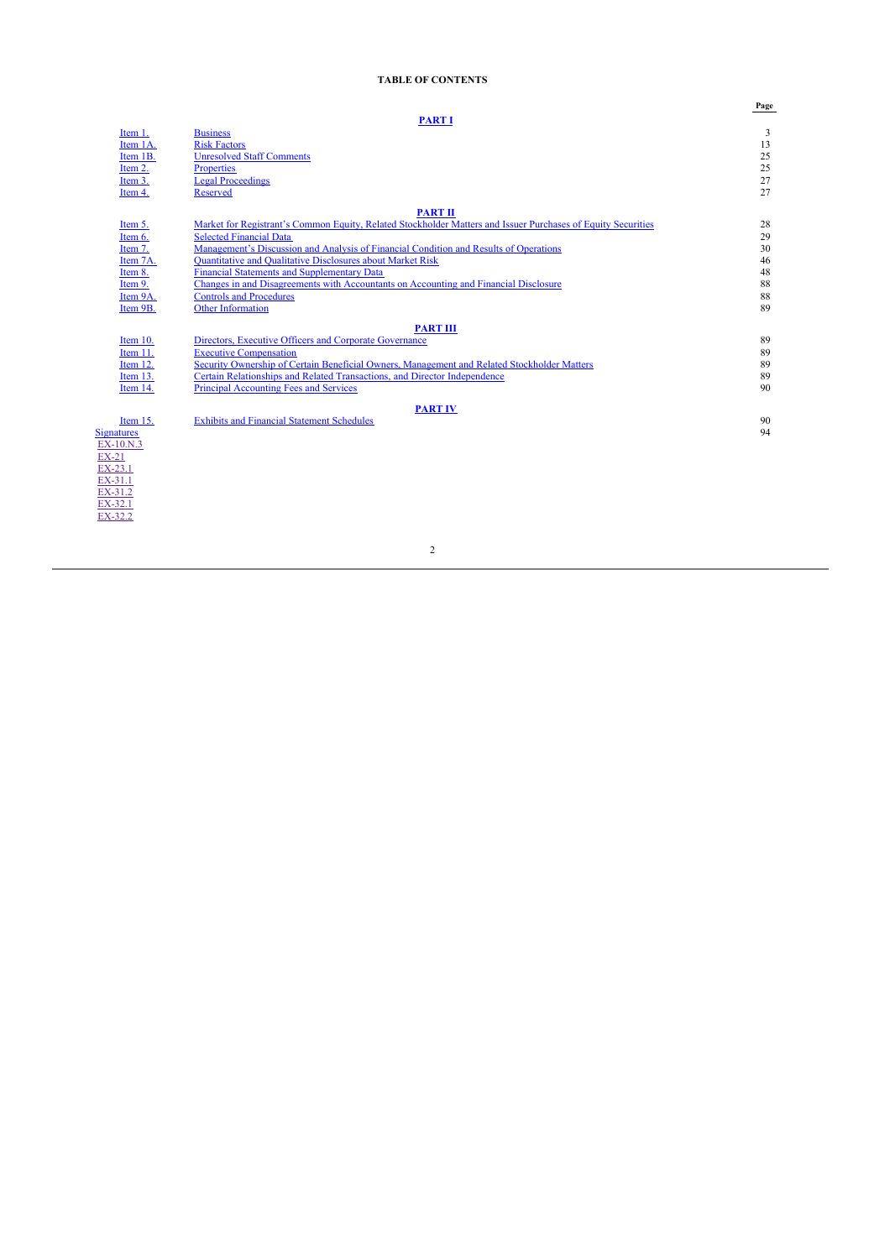# **TABLE OF CONTENTS**

|                   |                                                                                                              | Page |
|-------------------|--------------------------------------------------------------------------------------------------------------|------|
|                   | <b>PART I</b>                                                                                                |      |
| Item 1.           | <b>Business</b>                                                                                              | 3    |
| Item 1A.          | <b>Risk Factors</b>                                                                                          | 13   |
| Item 1B.          | <b>Unresolved Staff Comments</b>                                                                             | 25   |
| Item 2.           | Properties                                                                                                   | 25   |
| Item 3.           | <b>Legal Proceedings</b>                                                                                     | 27   |
| Item 4.           | Reserved                                                                                                     | 27   |
|                   | <b>PART II</b>                                                                                               |      |
| Item 5.           | Market for Registrant's Common Equity, Related Stockholder Matters and Issuer Purchases of Equity Securities | 28   |
| Item 6.           | <b>Selected Financial Data</b>                                                                               | 29   |
| Item 7.           | Management's Discussion and Analysis of Financial Condition and Results of Operations                        | 30   |
| Item 7A.          | <b>Quantitative and Qualitative Disclosures about Market Risk</b>                                            | 46   |
| Item 8.           | <b>Financial Statements and Supplementary Data</b>                                                           | 48   |
| Item 9.           | Changes in and Disagreements with Accountants on Accounting and Financial Disclosure                         | 88   |
| Item 9A.          | <b>Controls and Procedures</b>                                                                               | 88   |
| Item 9B.          | Other Information                                                                                            | 89   |
|                   | <b>PART III</b>                                                                                              |      |
| Item 10.          | Directors, Executive Officers and Corporate Governance                                                       | 89   |
| Item 11.          | <b>Executive Compensation</b>                                                                                | 89   |
| Item 12.          | Security Ownership of Certain Beneficial Owners, Management and Related Stockholder Matters                  | 89   |
| Item $13$ .       | Certain Relationships and Related Transactions, and Director Independence                                    | 89   |
| Item 14.          | <b>Principal Accounting Fees and Services</b>                                                                | 90   |
|                   | <b>PART IV</b>                                                                                               |      |
| Item 15.          | <b>Exhibits and Financial Statement Schedules</b>                                                            | 90   |
| <b>Signatures</b> |                                                                                                              | 94   |
| EX-10.N.3         |                                                                                                              |      |
| $EX-21$           |                                                                                                              |      |
| $EX-23.1$         |                                                                                                              |      |
| EX-31.1           |                                                                                                              |      |
| EX-31.2           |                                                                                                              |      |
| EX-32.1           |                                                                                                              |      |
| EX-32.2           |                                                                                                              |      |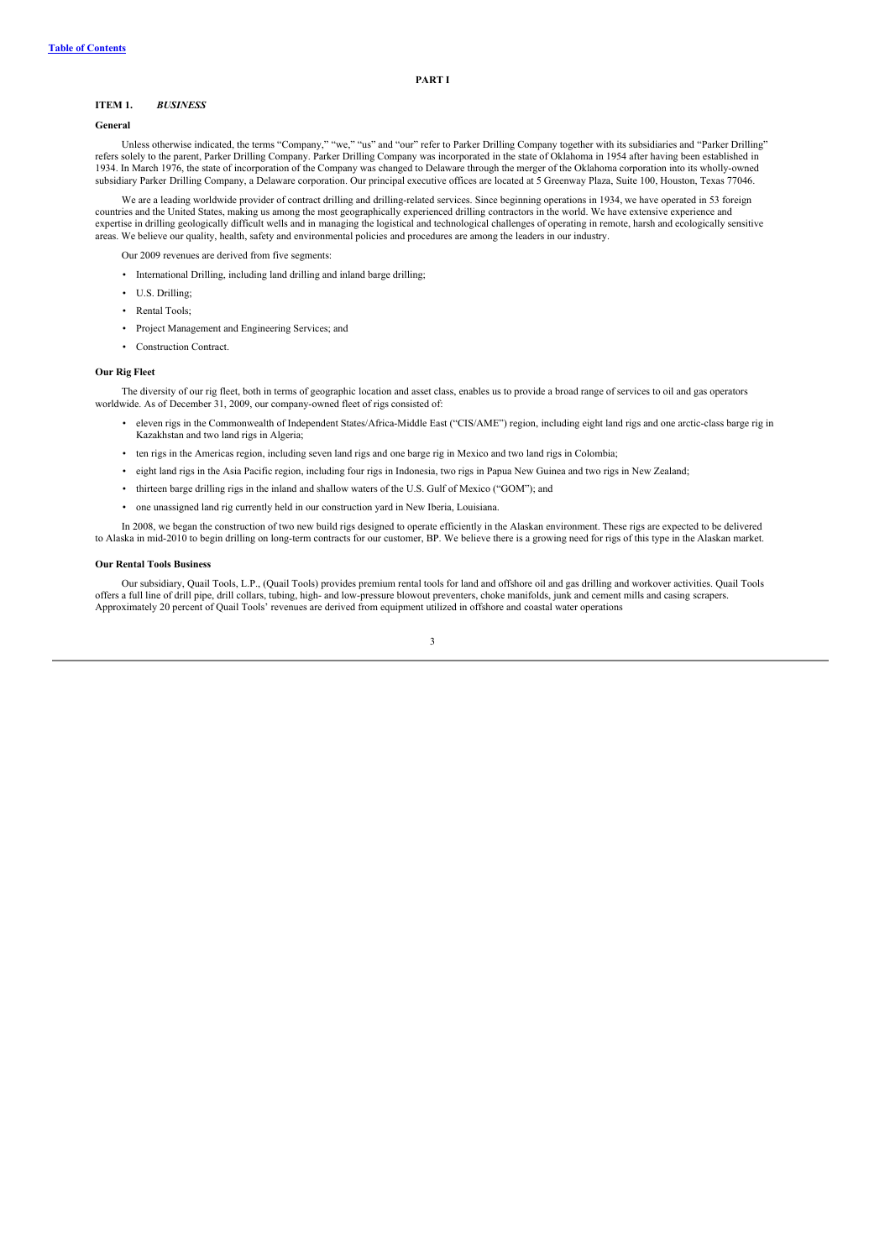#### **PART I**

## **ITEM 1.** *BUSINESS*

# **General**

Unless otherwise indicated, the terms "Company," "we," "us" and "our" refer to Parker Drilling Company together with its subsidiaries and "Parker Drilling" refers solely to the parent, Parker Drilling Company. Parker Drilling Company was incorporated in the state of Oklahoma in 1954 after having been established in<br>1934. In March 1976, the state of incorporation of the Compan subsidiary Parker Drilling Company, a Delaware corporation. Our principal executive offices are located at 5 Greenway Plaza, Suite 100, Houston, Texas 77046.

We are a leading worldwide provider of contract drilling and drilling-related services. Since beginning operations in 1934, we have operated in 53 foreign countries and the United States, making us among the most geographically experienced drilling contractors in the world. We have extensive experience and<br>expertise in drilling geologically difficult wells and in managing th areas. We believe our quality, health, safety and environmental policies and procedures are among the leaders in our industry.

Our 2009 revenues are derived from five segments:

- International Drilling, including land drilling and inland barge drilling;
- U.S. Drilling;
- Rental Tools;
- Project Management and Engineering Services; and
- Construction Contract.

#### **Our Rig Fleet**

The diversity of our rig fleet, both in terms of geographic location and asset class, enables us to provide a broad range of services to oil and gas operators worldwide. As of December 31, 2009, our company-owned fleet of

- eleven rigs in the Commonwealth of Independent States/Africa-Middle East ("CIS/AME") region, including eight land rigs and one arctic-class barge rig in Kazakhstan and two land rigs in Algeria;
- ten rigs in the Americas region, including seven land rigs and one barge rig in Mexico and two land rigs in Colombia;
- eight land rigs in the Asia Pacific region, including four rigs in Indonesia, two rigs in Papua New Guinea and two rigs in New Zealand;
- thirteen barge drilling rigs in the inland and shallow waters of the U.S. Gulf of Mexico ("GOM"); and
- one unassigned land rig currently held in our construction yard in New Iberia, Louisiana.

In 2008, we began the construction of two new build rigs designed to operate efficiently in the Alaskan environment. These rigs are expected to be delivered to Alaska in mid-2010 to begin drilling on long-term contracts for our customer, BP. We believe there is a growing need for rigs of this type in the Alaskan market.

#### **Our Rental Tools Business**

Our subsidiary, Quail Tools, L.P., (Quail Tools) provides premium rental tools for land and offshore oil and gas drilling and workover activities. Quail Tools offers a full line of drill pipe, drill collars, tubing, high- and low-pressure blowout preventers, choke manifolds, junk and cement mills and casing scrapers. Approximately 20 percent of Quail Tools' revenues are derived from equipment utilized in offshore and coastal water operations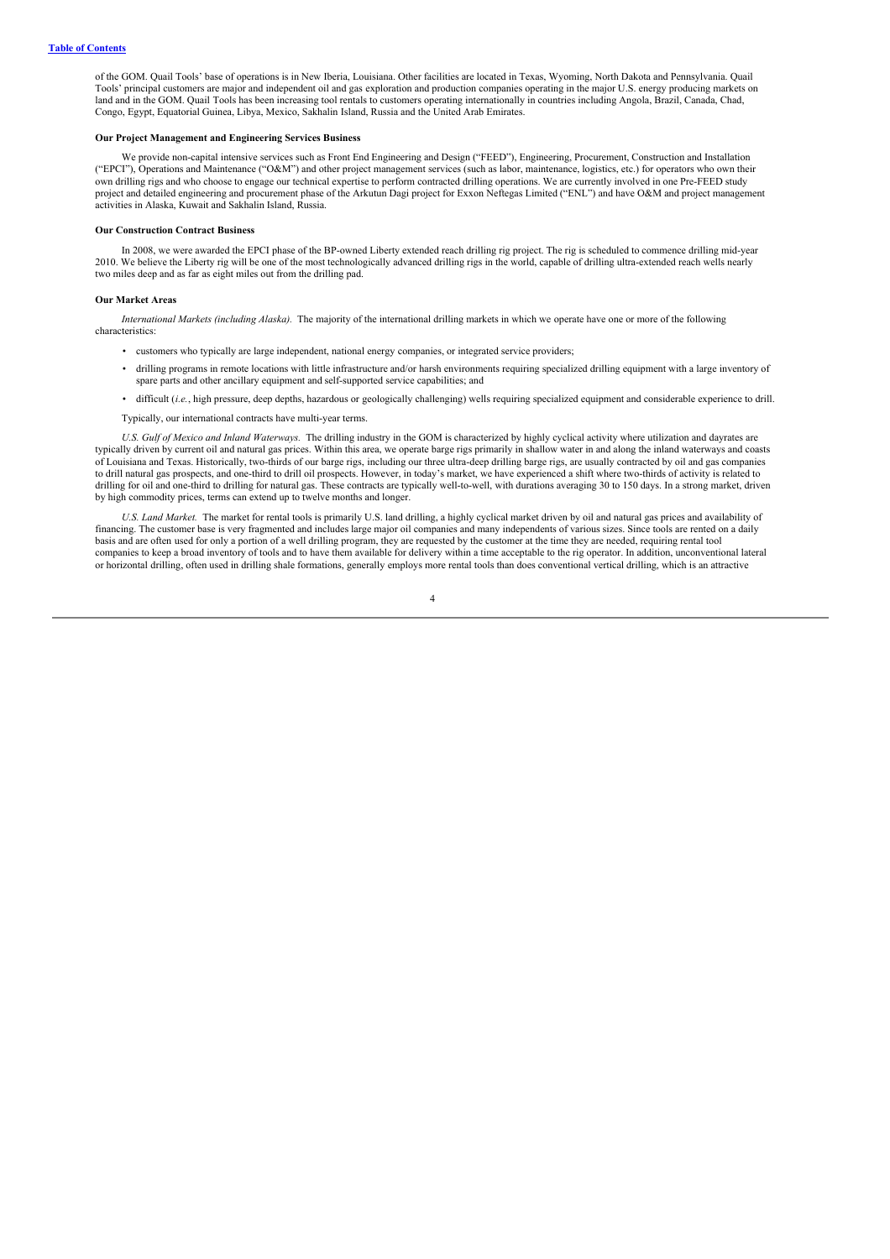of the GOM. Quail Tools' base of operations is in New Iberia, Louisiana. Other facilities are located in Texas, Wyoming, North Dakota and Pennsylvania. Quail Tools' principal customers are major and independent oil and gas exploration and production companies operating in the major U.S. energy producing markets on land and in the GOM. Quail Tools has been increasing tool rentals to customers operating internationally in countries including Angola, Brazil, Canada, Chad, Congo, Egypt, Equatorial Guinea, Libya, Mexico, Sakhalin Island, Russia and the United Arab Emirates.

## **Our Project Management and Engineering Services Business**

We provide non-capital intensive services such as Front End Engineering and Design ("FEED"), Engineering, Procurement, Construction and Installation ("EPCI"), Operations and Maintenance ("O&M") and other project management services (such as labor, maintenance, logistics, etc.) for operators who own their own drilling rigs and who choose to engage our technical expertise to perform contracted drilling operations. We are currently involved in one Pre-FEED study project and detailed engineering and procurement phase of the Arkutun Dagi project for Exxon Neftegas Limited ("ENL") and have O&M and project management activities in Alaska, Kuwait and Sakhalin Island, Russia.

#### **Our Construction Contract Business**

In 2008, we were awarded the EPCI phase of the BP-owned Liberty extended reach drilling rig project. The rig is scheduled to commence drilling mid-year 2010. We believe the Liberty rig will be one of the most technologically advanced drilling rigs in the world, capable of drilling ultra-extended reach wells nearly two miles deep and as far as eight miles out from the drilling pad.

#### **Our Market Areas**

*International Markets (including Alaska).* The majority of the international drilling markets in which we operate have one or more of the following characteristics:

- customers who typically are large independent, national energy companies, or integrated service providers;
- drilling programs in remote locations with little infrastructure and/or harsh environments requiring specialized drilling equipment with a large inventory of spare parts and other ancillary equipment and self-supported service capabilities; and
- difficult (*i.e.*, high pressure, deep depths, hazardous or geologically challenging) wells requiring specialized equipment and considerable experience to drill.
- Typically, our international contracts have multi-year terms.

U.S. Gulf of Mexico and Inland Waterways. The drilling industry in the GOM is characterized by highly cyclical activity where utilization and dayrates are typically driven by current oil and natural gas prices. Within this of Louisiana and Texas. Historically, two-thirds of our barge rigs, including our three ultra-deep drilling barge rigs, are usually contracted by oil and gas companies to drill natural gas prospects, and one-third to drill oil prospects. However, in today's market, we have experienced a shift where two-thirds of activity is related to drilling for oil and one-third to drilling for natural gas. These contracts are typically well-to-well, with durations averaging 30 to 150 days. In a strong market, driven by high commodity prices, terms can extend up to twelve months and longer.

*U.S. Land Market.* The market for rental tools is primarily U.S. land drilling, a highly cyclical market driven by oil and natural gas prices and availability of financing. The customer base is very fragmented and includes large major oil companies and many independents of various sizes. Since tools are rented on a daily basis and are often used for only a portion of a well drilling program, they are requested by the customer at the time they are needed, requiring rental tool companies to keep a broad inventory of tools and to have them available for delivery within a time acceptable to the rig operator. In addition, unconventional lateral or horizontal drilling, often used in drilling shale formations, generally employs more rental tools than does conventional vertical drilling, which is an attractive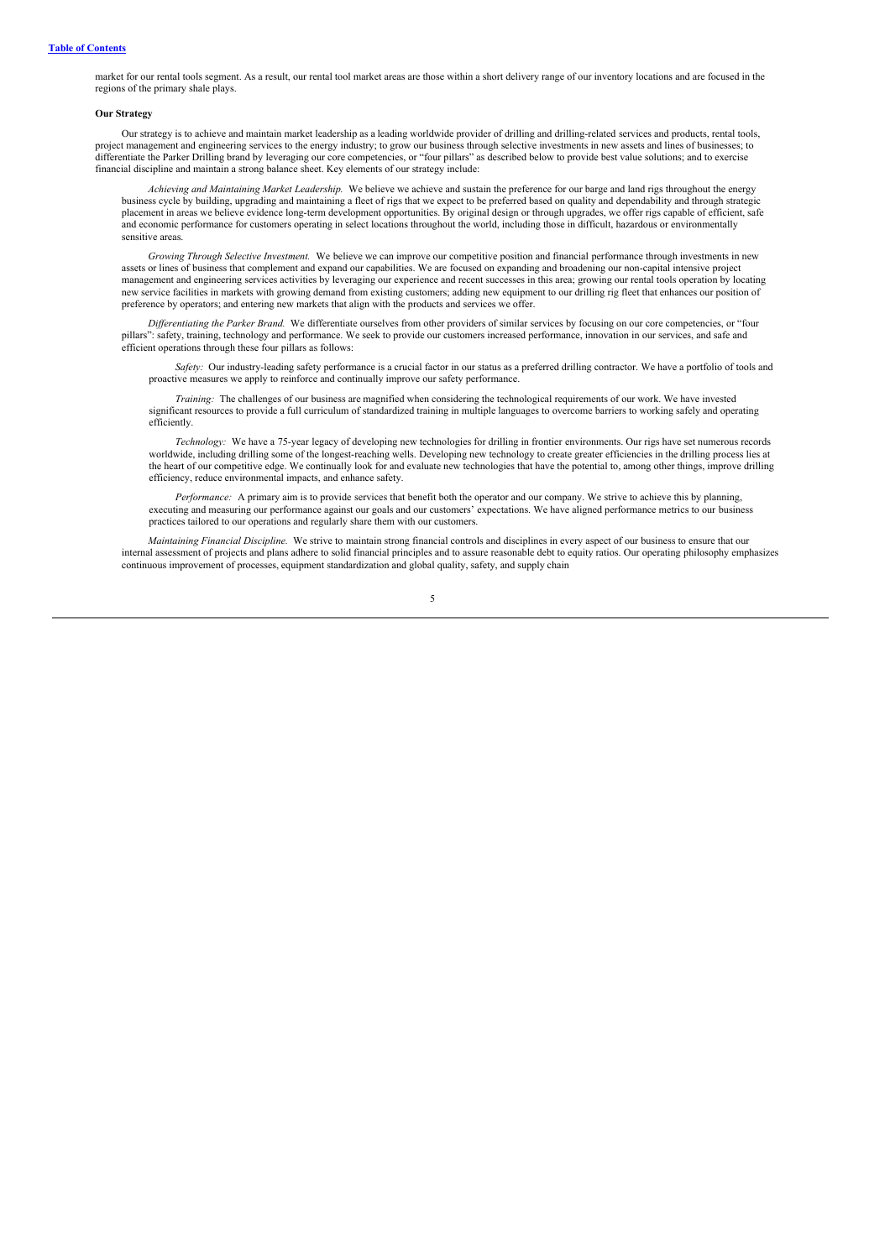market for our rental tools segment. As a result, our rental tool market areas are those within a short delivery range of our inventory locations and are focused in the regions of the primary shale plays.

#### **Our Strategy**

Our strategy is to achieve and maintain market leadership as a leading worldwide provider of drilling and drilling-related services and products, rental tools, project management and engineering services to the energy industry; to grow our business through selective investments in new assets and lines of businesses; to differentiate the Parker Drilling brand by leveraging our cor financial discipline and maintain a strong balance sheet. Key elements of our strategy include:

*Achieving and Maintaining Market Leadership.* We believe we achieve and sustain the preference for our barge and land rigs throughout the energy business cycle by building, upgrading and maintaining a fleet of rigs that we expect to be preferred based on quality and dependability and through strategic placement in areas we believe evidence long-term development opportunities. By original design or through upgrades, we offer rigs capable of efficient, safe and economic performance for customers operating in select locations throughout the world, including those in difficult, hazardous or environmentally sensitive areas.

*Growing Through Selective Investment.* We believe we can improve our competitive position and financial performance through investments in new assets or lines of business that complement and expand our capabilities. We are focused on expanding and broadening our non-capital intensive project management and engineering services activities by leveraging our experience and recent successes in this area; growing our rental tools operation by locating new service facilities in markets with growing demand from existing customers; adding new equipment to our drilling rig fleet that enhances our position of preference by operators; and entering new markets that align with the products and services we offer.

*Dif erentiating the Parker Brand.* We differentiate ourselves from other providers of similar services by focusing on our core competencies, or "four pillars": safety, training, technology and performance. We seek to provide our customers increased performance, innovation in our services, and safe and efficient operations through these four pillars as follows:

*Safety:* Our industry-leading safety performance is a crucial factor in our status as a preferred drilling contractor. We have a portfolio of tools and proactive measures we apply to reinforce and continually improve our safety performance.

*Training:* The challenges of our business are magnified when considering the technological requirements of our work. We have invested significant resources to provide a full curriculum of standardized training in multiple languages to overcome barriers to working safely and operating efficiently.

*Technology:* We have a 75-year legacy of developing new technologies for drilling in frontier environments. Our rigs have set numerous records worldwide, including drilling some of the longest-reaching wells. Developing new technology to create greater efficiencies in the drilling process lies at the heart of our competitive edge. We continually look for and evaluate new technologies that have the potential to, among other things, improve drilling efficiency, reduce environmental impacts, and enhance safety.

Performance: A primary aim is to provide services that benefit both the operator and our company. We strive to achieve this by planning, executing and measuring our performance against our goals and our customers' expectat practices tailored to our operations and regularly share them with our customers.

*Maintaining Financial Discipline.* We strive to maintain strong financial controls and disciplines in every aspect of our business to ensure that our internal assessment of projects and plans adhere to solid financial principles and to assure reasonable debt to equity ratios. Our operating philosophy emphasizes continuous improvement of processes, equipment standardization and global quality, safety, and supply chain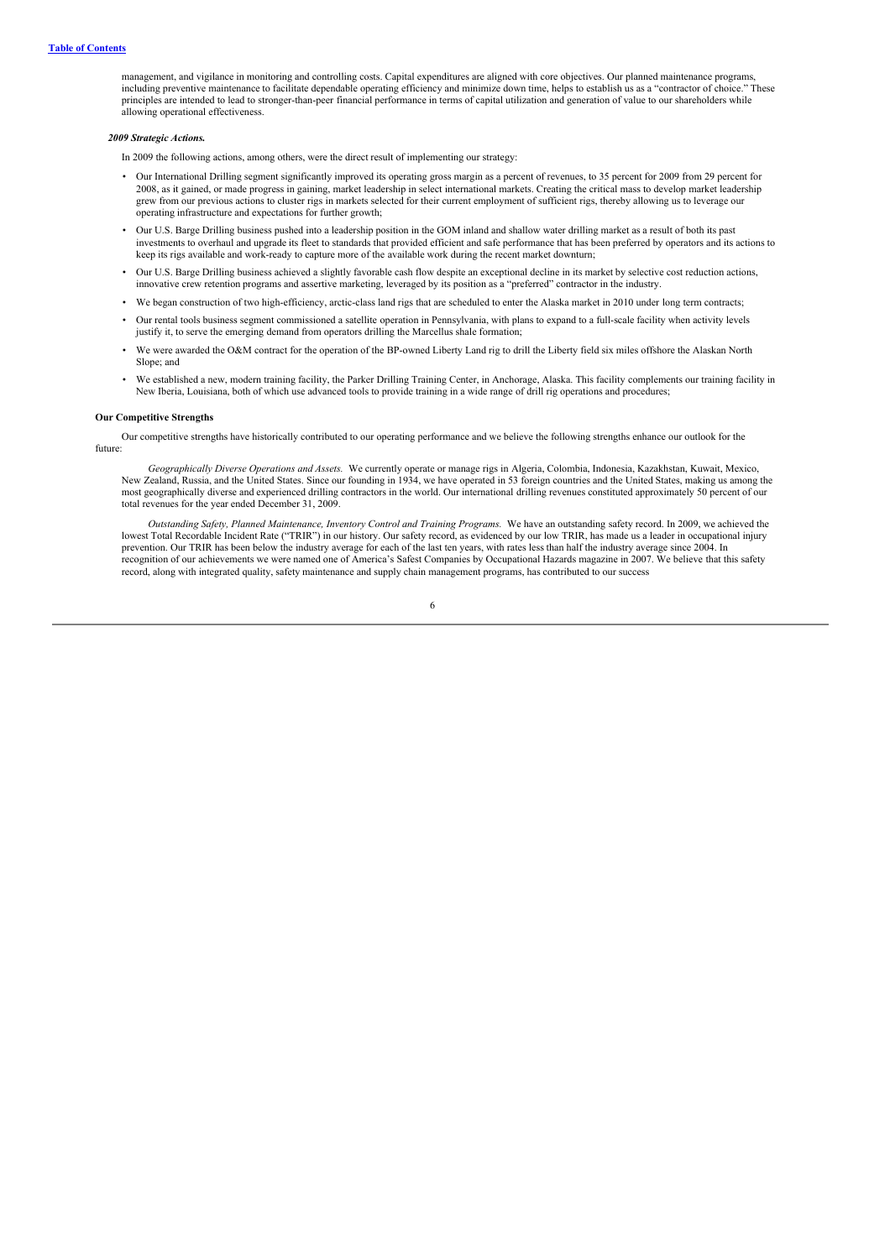management, and vigilance in monitoring and controlling costs. Capital expenditures are aligned with core objectives. Our planned maintenance programs, including preventive maintenance to facilitate dependable operating efficiency and minimize down time, helps to establish us as a "contractor of choice." These principles are intended to lead to stronger-than-peer financial performance in terms of capital utilization and generation of value to our shareholders while allowing operational effectiveness.

#### *2009 Strategic Actions.*

In 2009 the following actions, among others, were the direct result of implementing our strategy:

- Our International Drilling segment significantly improved its operating gross margin as a percent of revenues, to 35 percent for 2009 from 29 percent for 2008, as it gained, or made progress in gaining, market leadership in select international markets. Creating the critical mass to develop market leadership grew from our previous actions to cluster rigs in markets selected for their current employment of sufficient rigs, thereby allowing us to leverage our operating infrastructure and expectations for further growth;
- Our U.S. Barge Drilling business pushed into a leadership position in the GOM inland and shallow water drilling market as a result of both its past investments to overhaul and upgrade its fleet to standards that provided efficient and safe performance that has been preferred by operators and its actions to keep its rigs available and work-ready to capture more of the available work during the recent market downturn;
- Our U.S. Barge Drilling business achieved a slightly favorable cash flow despite an exceptional decline in its market by selective cost reduction actions, innovative crew retention programs and assertive marketing, leveraged by its position as a "preferred" contractor in the industry.
- We began construction of two high-efficiency, arctic-class land rigs that are scheduled to enter the Alaska market in 2010 under long term contracts;
- Our rental tools business segment commissioned a satellite operation in Pennsylvania, with plans to expand to a full-scale facility when activity levels justify it, to serve the emerging demand from operators drilling the Marcellus shale formation;
- We were awarded the O&M contract for the operation of the BP-owned Liberty Land rig to drill the Liberty field six miles offshore the Alaskan North Slope; and
- We established a new, modern training facility, the Parker Drilling Training Center, in Anchorage, Alaska. This facility complements our training facility in New Iberia, Louisiana, both of which use advanced tools to provide training in a wide range of drill rig operations and procedures;

#### **Our Competitive Strengths**

Our competitive strengths have historically contributed to our operating performance and we believe the following strengths enhance our outlook for the future:

*Geographically Diverse Operations and Assets.* We currently operate or manage rigs in Algeria, Colombia, Indonesia, Kazakhstan, Kuwait, Mexico, New Zealand, Russia, and the United States. Since our founding in 1934, we have operated in 53 foreign countries and the United States, making us among the most geographically diverse and experienced drilling contractors in the world. Our international drilling revenues constituted approximately 50 percent of our total revenues for the year ended December 31, 2009.

*Outstanding Safety, Planned Maintenance, Inventory Control and Training Programs.* We have an outstanding safety record. In 2009, we achieved the lowest Total Recordable Incident Rate ("TRIR") in our history. Our safety record, as evidenced by our low TRIR, has made us a leader in occupational injury prevention. Our TRIR has been below the industry average for each of the last ten years, with rates less than half the industry average since 2004. In<br>recognition of our achievements we were named one of America's Safest C record, along with integrated quality, safety maintenance and supply chain management programs, has contributed to our success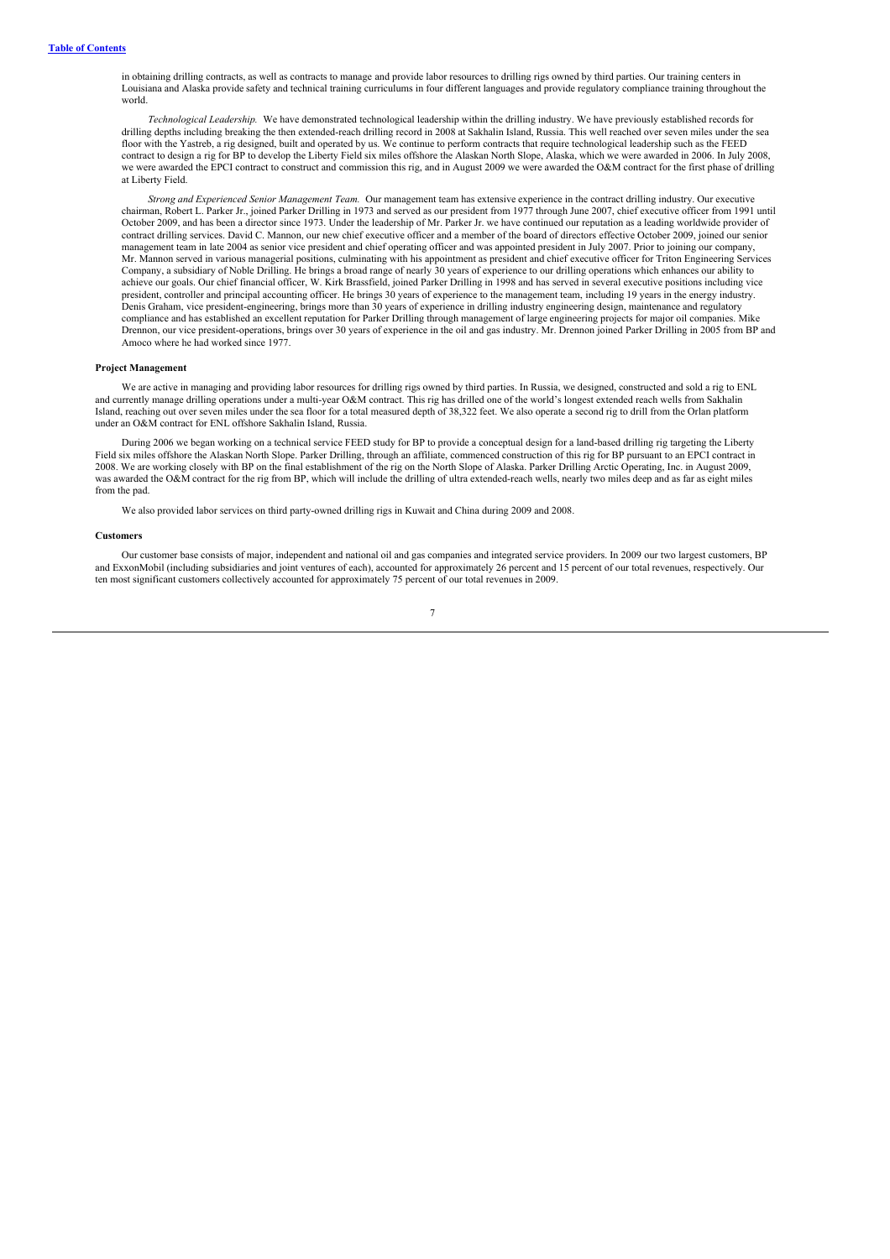in obtaining drilling contracts, as well as contracts to manage and provide labor resources to drilling rigs owned by third parties. Our training centers in Louisiana and Alaska provide safety and technical training curriculums in four different languages and provide regulatory compliance training throughout the world.

*Technological Leadership.* We have demonstrated technological leadership within the drilling industry. We have previously established records for drilling depths including breaking the then extended-reach drilling record in 2008 at Sakhalin Island, Russia. This well reached over seven miles under the sea floor with the Yastreb, a rig designed, built and operated by us. We continue to perform contracts that require technological leadership such as the FEED contract to design a rig for BP to develop the Liberty Field six miles offshore the Alaskan North Slope, Alaska, which we were awarded in 2006. In July 2008, we were awarded the EPCI contract to construct and commission this rig, and in August 2009 we were awarded the O&M contract for the first phase of drilling at Liberty Field.

*Strong and Experienced Senior Management Team.* Our management team has extensive experience in the contract drilling industry. Our executive chairman, Robert L. Parker Jr., joined Parker Drilling in 1973 and served as our president from 1977 through June 2007, chief executive officer from 1991 until October 2009, and has been a director since 1973. Under the leadership of Mr. Parker Jr. we have continued our reputation as a leading worldwide provider of contract drilling services. David C. Mannon, our new chief executive officer and a member of the board of directors effective October 2009, joined our senior management team in late 2004 as senior vice president and chief operating officer and was appointed president in July 2007. Prior to joining our company, Mr. Mannon served in various managerial positions, culminating with his appointment as president and chief executive officer for Triton Engineering Services Company, a subsidiary of Noble Drilling. He brings a broad range of nearly 30 years of experience to our drilling operations which enhances our ability to<br>achieve our goals. Our chief financial officer, W. Kirk Brassfield, president, controller and principal accounting officer. He brings 30 years of experience to the management team, including 19 years in the energy industry. Denis Graham, vice president-engineering, brings more than 30 years of experience in drilling industry engineering design, maintenance and regulatory compliance and has established an excellent reputation for Parker Drilling through management of large engineering projects for major oil companies. Mike Drennon, our vice president-operations, brings over 30 years of experience in the oil and gas industry. Mr. Drennon joined Parker Drilling in 2005 from BP and Amoco where he had worked since 1977.

#### **Project Management**

We are active in managing and providing labor resources for drilling rigs owned by third parties. In Russia, we designed, constructed and sold a rig to ENL and currently manage drilling operations under a multi-year O&M contract. This rig has drilled one of the world's longest extended reach wells from Sakhalin and currently manage drilling operations under a multi-year O&M c Island, reaching out over seven miles under the sea floor for a total measured depth of 38,322 feet. We also operate a second rig to drill from the Orlan platform under an O&M contract for ENL offshore Sakhalin Island, Russia.

During 2006 we began working on a technical service FEED study for BP to provide a conceptual design for a land-based drilling rig targeting the Liberty Field six miles offshore the Alaskan North Slope. Parker Drilling, through an affiliate, commenced construction of this rig for BP pursuant to an EPCI contract in<br>2008. We are working closely with BP on the final establish was awarded the O&M contract for the rig from BP, which will include the drilling of ultra extended-reach wells, nearly two miles deep and as far as eight miles from the pad.

We also provided labor services on third party-owned drilling rigs in Kuwait and China during 2009 and 2008.

#### **Customers**

Our customer base consists of major, independent and national oil and gas companies and integrated service providers. In 2009 our two largest customers, BP<br>and ExxonMobil (including subsidiaries and joint ventures of each) ten most significant customers collectively accounted for approximately 75 percent of our total revenues in 2009.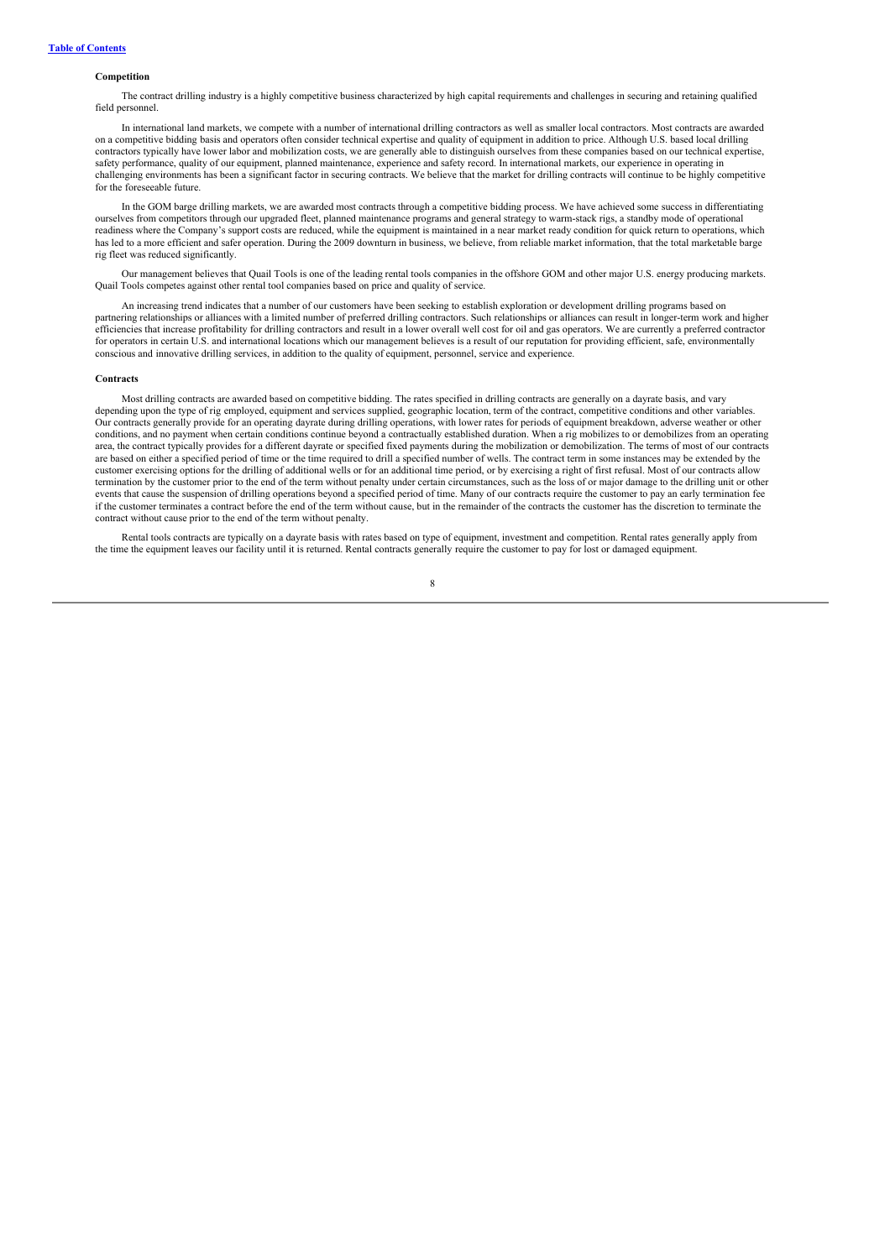#### **Competition**

The contract drilling industry is a highly competitive business characterized by high capital requirements and challenges in securing and retaining qualified field personnel.

In international land markets, we compete with a number of international drilling contractors as well as smaller local contractors. Most contracts are awarded<br>on a competitive bidding basis and operators often consider tec contractors typically have lower labor and mobilization costs, we are generally able to distinguish ourselves from these companies based on our technical expertise, safety performance, quality of our equipment, planned maintenance, experience and safety record. In international markets, our experience in operating in challenging environments has been a significant factor in securing contracts. We believe that the market for drilling contracts will continue to be highly competitive for the foreseeable future.

In the GOM barge drilling markets, we are awarded most contracts through a competitive bidding process. We have achieved some success in differentiating ourselves from competitors through our upgraded fleet, planned maintenance programs and general strategy to warm-stack rigs, a standby mode of operational readiness where the Company's support costs are reduced, while the equipment is maintained in a near market ready condition for quick return to operations, which has led to a more efficient and safer operation. During the 2009 downturn in business, we believe, from reliable market information, that the total marketable barge rig fleet was reduced significantly.

Our management believes that Quail Tools is one of the leading rental tools companies in the offshore GOM and other major U.S. energy producing markets. Quail Tools competes against other rental tool companies based on price and quality of service.

An increasing trend indicates that a number of our customers have been seeking to establish exploration or development drilling programs based on partnering relationships or alliances with a limited number of preferred drilling contractors. Such relationships or alliances can result in longer-term work and higher efficiencies that increase profitability for drilling contractors and result in a lower overall well cost for oil and gas operators. We are currently a preferred contractor for operators in certain U.S. and international locations which our management believes is a result of our reputation for providing efficient, safe, environmentally conscious and innovative drilling services, in addition to the quality of equipment, personnel, service and experience.

#### **Contracts**

Most drilling contracts are awarded based on competitive bidding. The rates specified in drilling contracts are generally on a dayrate basis, and vary depending upon the type of rig employed, equipment and services supplied, geographic location, term of the contract, competitive conditions and other variables. Our contracts generally provide for an operating dayrate during drilling operations, with lower rates for periods of equipment breakdown, adverse weather or other conditions, and no payment when certain conditions continue beyond a contractually established duration. When a rig mobilizes to or demobilizes from an operating area, the contract typically provides for a different dayrate or specified fixed payments during the mobilization or demobilization. The terms of most of our contracts are based on either a specified period of time or the time required to drill a specified number of wells. The contract term in some instances may be extended by the customer exercising options for the drilling of additional wells or for an additional time period, or by exercising a right of first refusal. Most of our contracts allow termination by the customer prior to the end of the term without penalty under certain circumstances, such as the loss of or major damage to the drilling unit or other events that cause the suspension of drilling operations beyond a specified period of time. Many of our contracts require the customer to pay an early termination fee if the customer terminates a contract before the end of the term without cause, but in the remainder of the contracts the customer has the discretion to terminate the contract without cause prior to the end of the term without penalty.

Rental tools contracts are typically on a dayrate basis with rates based on type of equipment, investment and competition. Rental rates generally apply from the time the equipment leaves our facility until it is returned. Rental contracts generally require the customer to pay for lost or damaged equipment.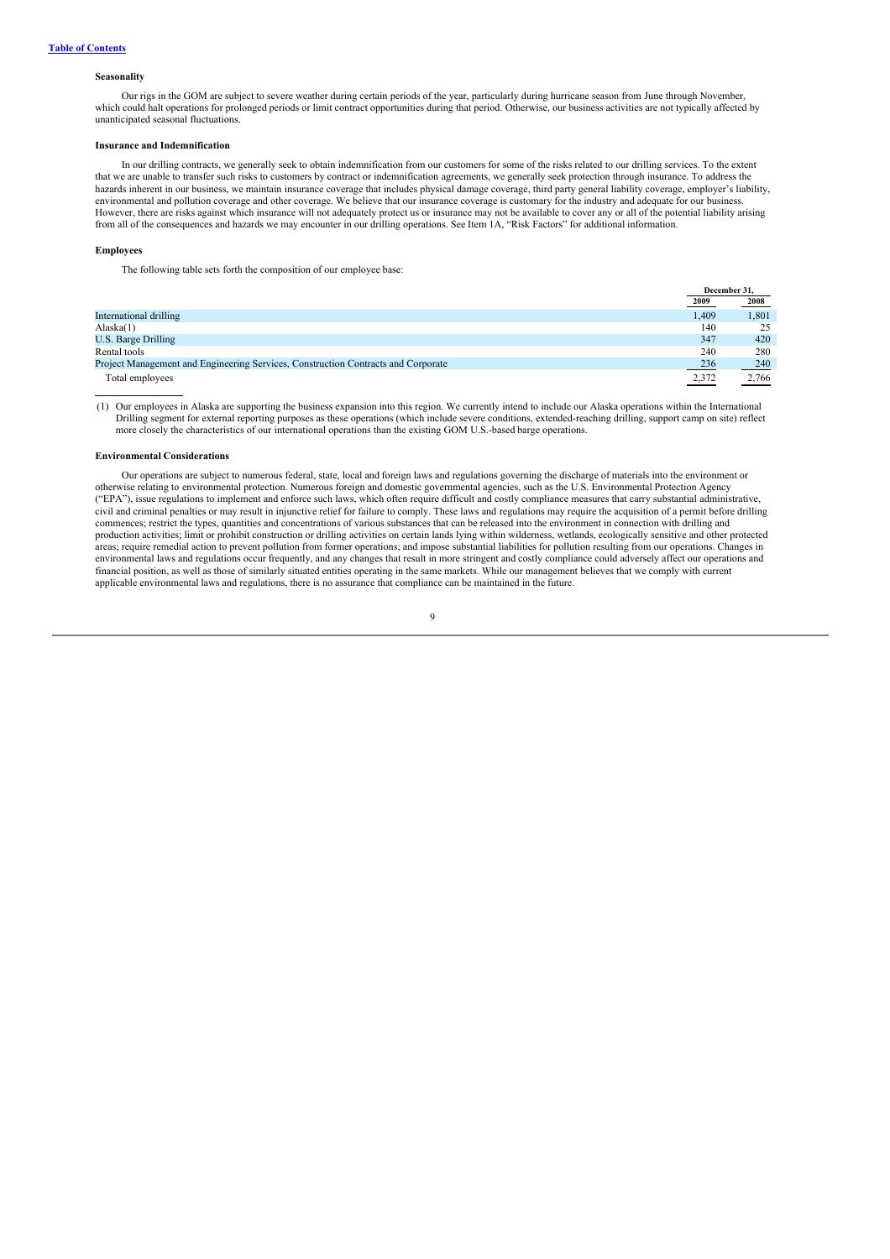#### **Seasonality**

Our rigs in the GOM are subject to severe weather during certain periods of the year, particularly during hurricane season from June through November, which could halt operations for prolonged periods or limit contract opportunities during that period. Otherwise, our business activities are not typically affected by unanticipated seasonal fluctuations.

#### **Insurance and Indemnification**

In our drilling contracts, we generally seek to obtain indemnification from our customers for some of the risks related to our drilling services. To the extent that we are unable to transfer such risks to customers by contract or indemnification agreements, we generally seek protection through insurance. To address the hazards inherent in our business, we maintain insurance coverage that includes physical damage coverage, third party general liability coverage, employer's liability, environmental and pollution coverage and other coverage. We believe that our insurance coverage is customary for the industry and adequate for our business. However, there are risks against which insurance will not adequately protect us or insurance may not be available to cover any or all of the potential liability arising from all of the consequences and hazards we may encounter in our drilling operations. See Item 1A, "Risk Factors" for additional information.

#### **Employees**

The following table sets forth the composition of our employee base:

|                                                                                   | December 31. |             |
|-----------------------------------------------------------------------------------|--------------|-------------|
|                                                                                   | 2009         | <b>2008</b> |
| International drilling                                                            | 1,409        | 1,801       |
| Alaska(1)                                                                         | 140          | 25          |
| U.S. Barge Drilling                                                               | 347          | 420         |
| Rental tools                                                                      | 240          | 280         |
| Project Management and Engineering Services, Construction Contracts and Corporate | 236          | 240         |
| Total employees                                                                   | 2,372        | 2,766       |

(1) Our employees in Alaska are supporting the business expansion into this region. We currently intend to include our Alaska operations within the International Drilling segment for external reporting purposes as these operations (which include severe conditions, extended-reaching drilling, support camp on site) reflect more closely the characteristics of our international operations than the existing GOM U.S.-based barge operations.

#### **Environmental Considerations**

Our operations are subject to numerous federal, state, local and foreign laws and regulations governing the discharge of materials into the environment or otherwise relating to environmental protection. Numerous foreign and domestic governmental agencies, such as the U.S. Environmental Protection Agency ("EPA"), issue regulations to implement and enforce such laws, which often require difficult and costly compliance measures that carry substantial administrative, civil and criminal penalties or may result in injunctive relief for failure to comply. These laws and regulations may require the acquisition of a permit before drilling commences; restrict the types, quantities and concentrations of various substances that can be released into the environment in connection with drilling and production activities; limit or prohibit construction or drilling activities on certain lands lying within wilderness, wetlands, ecologically sensitive and other protected areas; require remedial action to prevent pollution from former operations; and impose substantial liabilities for pollution resulting from our operations. Changes in environmental laws and regulations occur frequently, and any changes that result in more stringent and costly compliance could adversely affect our operations and financial position, as well as those of similarly situated entities operating in the same markets. While our management believes that we comply with current applicable environmental laws and regulations, there is no assurance that compliance can be maintained in the future.

#### $\alpha$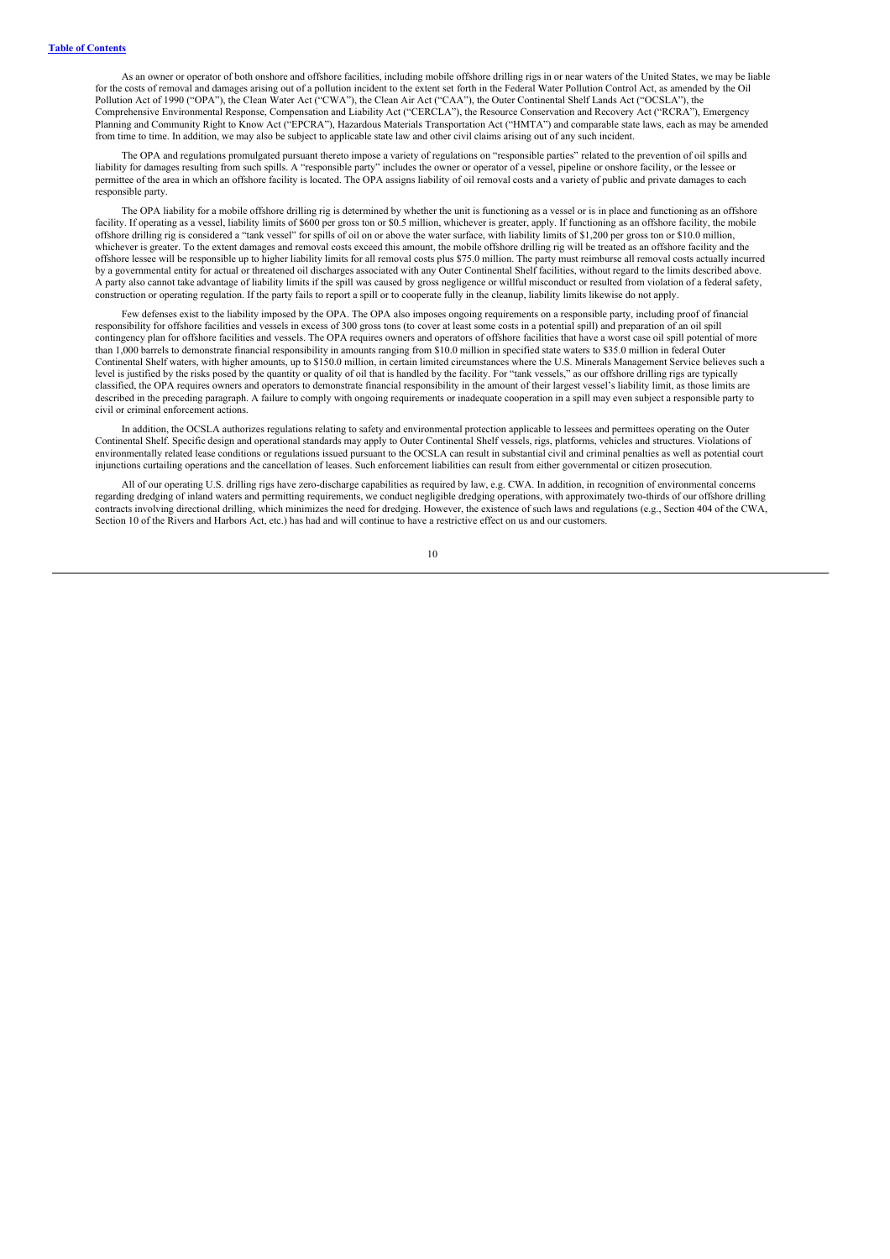As an owner or operator of both onshore and offshore facilities, including mobile offshore drilling rigs in or near waters of the United States, we may be liable for the costs of removal and damages arising out of a pollution incident to the extent set forth in the Federal Water Pollution Control Act, as amended by the Oil Pollution Act of 1990 ("OPA"), the Clean Water Act ("CWA"), the Clean Air Act ("CAA"), the Outer Continental Shelf Lands Act ("OCSLA"), the Comprehensive Environmental Response, Compensation and Liability Act ("CERCLA"), the Resource Conservation and Recovery Act ("RCRA"), Emergency Planning and Community Right to Know Act ("EPCRA"), Hazardous Materials Transportation Act ("HMTA") and comparable state laws, each as may be amended from time to time. In addition, we may also be subject to applicable state law and other civil claims arising out of any such incident.

The OPA and regulations promulgated pursuant thereto impose a variety of regulations on "responsible parties" related to the prevention of oil spills and liability for damages resulting from such spills. A "responsible party" includes the owner or operator of a vessel, pipeline or onshore facility, or the lessee or permittee of the area in which an offshore facility is located. The OPA assigns liability of oil removal costs and a variety of public and private damages to each responsible party.

The OPA liability for a mobile offshore drilling rig is determined by whether the unit is functioning as a vessel or is in place and functioning as an offshore facility. If operating as a vessel, liability limits of \$600 per gross ton or \$0.5 million, whichever is greater, apply. If functioning as an offshore facility, the mobile offshore drilling rig is considered a "tank vessel" for spills of oil on or above the water surface, with liability limits of \$1,200 per gross ton or \$10.0 million, whichever is greater. To the extent damages and removal costs exceed this amount, the mobile offshore drilling rig will be treated as an offshore facility and the offshore lessee will be responsible up to higher liability limits for all removal costs plus \$75.0 million. The party must reimburse all removal costs actually incurred by a governmental entity for actual or threatened oil discharges associated with any Outer Continental Shelf facilities, without regard to the limits described above. A party also cannot take advantage of liability limits if the spill was caused by gross negligence or willful misconduct or resulted from violation of a federal safety, construction or operating regulation. If the party fails to report a spill or to cooperate fully in the cleanup, liability limits likewise do not apply.

Few defenses exist to the liability imposed by the OPA. The OPA also imposes ongoing requirements on a responsible party, including proof of financial responsibility for offshore facilities and vessels in excess of 300 gross tons (to cover at least some costs in a potential spill) and preparation of an oil spill contingency plan for offshore facilities and vessels. The OPA requires owners and operators of offshore facilities that have a worst case oil spill potential of more than 1,000 barrels to demonstrate financial responsibility in amounts ranging from \$10.0 million in specified state waters to \$35.0 million in federal Outer Continental Shelf waters, with higher amounts, up to \$150.0 million, in certain limited circumstances where the U.S. Minerals Management Service believes such a level is justified by the risks posed by the quantity or quality of oil that is handled by the facility. For "tank vessels," as our offshore drilling rigs are typically classified, the OPA requires owners and operators to demonstrate financial responsibility in the amount of their largest vessel's liability limit, as those limits are described in the preceding paragraph. A failure to comply with ongoing requirements or inadequate cooperation in a spill may even subject a responsible party to civil or criminal enforcement actions.

In addition, the OCSLA authorizes regulations relating to safety and environmental protection applicable to lessees and permittees operating on the Outer Continental Shelf. Specific design and operational standards may apply to Outer Continental Shelf vessels, rigs, platforms, vehicles and structures. Violations of environmentally related lease conditions or regulations issued pursuant to the OCSLA can result in substantial civil and criminal penalties as well as potential court injunctions curtailing operations and the cancellation of leases. Such enforcement liabilities can result from either governmental or citizen prosecution.

All of our operating U.S. drilling rigs have zero-discharge capabilities as required by law, e.g. CWA. In addition, in recognition of environmental concerns regarding dredging of inland waters and permitting requirements, we conduct negligible dredging operations, with approximately two-thirds of our offshore drilling contracts involving directional drilling, which minimizes the need for dredging. However, the existence of such laws and regulations (e.g., Section 404 of the CWA, Section 10 of the Rivers and Harbors Act, etc.) has had and will continue to have a restrictive effect on us and our customers.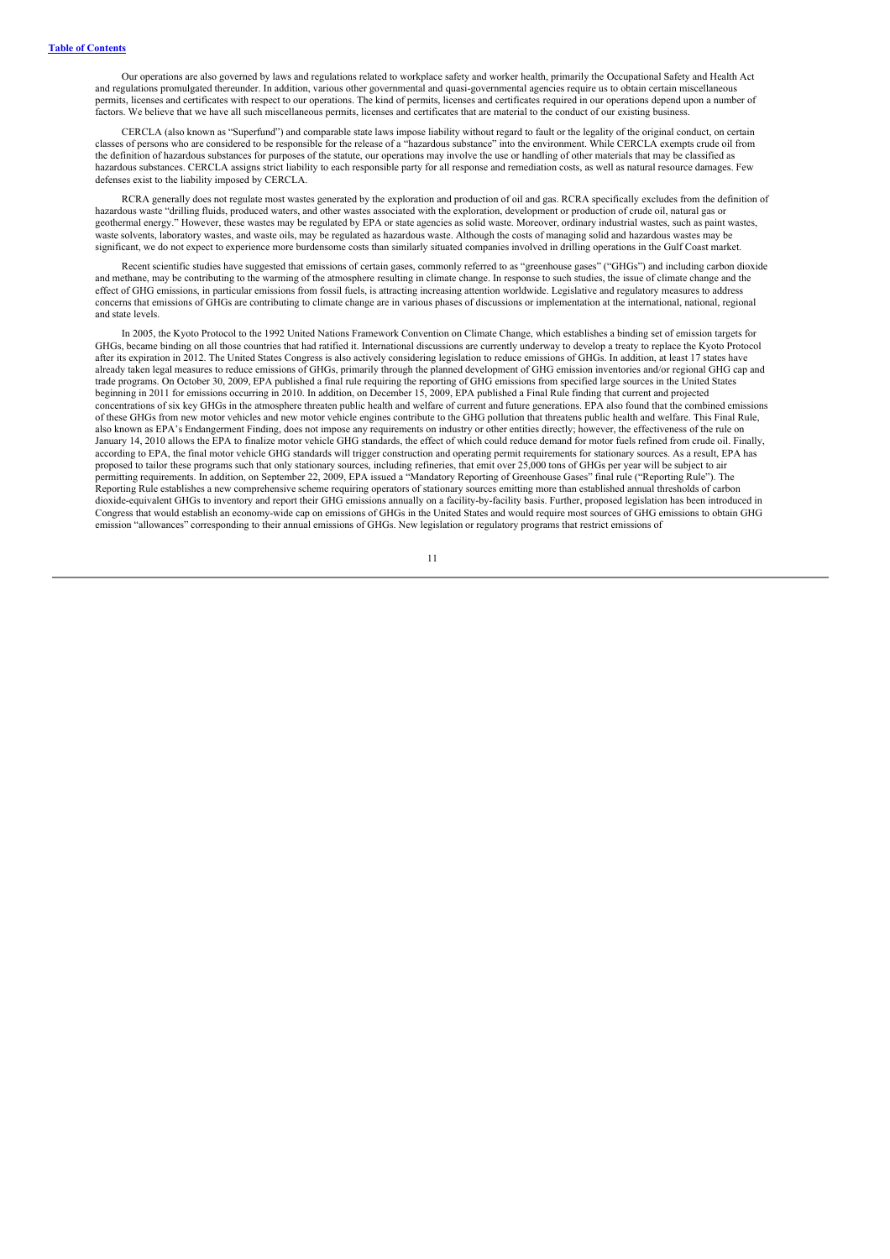Our operations are also governed by laws and regulations related to workplace safety and worker health, primarily the Occupational Safety and Health Act and regulations promulgated thereunder. In addition, various other governmental and quasi-governmental agencies require us to obtain certain miscellaneous permits, licenses and certificates with respect to our operations. The kind of permits, licenses and certificates required in our operations depend upon a number of factors. We believe that we have all such miscellaneous permits, licenses and certificates that are material to the conduct of our existing business.

CERCLA (also known as "Superfund") and comparable state laws impose liability without regard to fault or the legality of the original conduct, on certain classes of persons who are considered to be responsible for the release of a "hazardous substance" into the environment. While CERCLA exempts crude oil from the definition of hazardous substances for purposes of the statute, our operations may involve the use or handling of other materials that may be classified as hazardous substances. CERCLA assigns strict liability to each responsible party for all response and remediation costs, as well as natural resource damages. Few defenses exist to the liability imposed by CERCLA.

RCRA generally does not regulate most wastes generated by the exploration and production of oil and gas. RCRA specifically excludes from the definition of hazardous waste "drilling fluids, produced waters, and other wastes associated with the exploration, development or production of crude oil, natural gas or geothermal energy." However, these wastes may be regulated by EPA or state agencies as solid waste. Moreover, ordinary industrial wastes, such as paint wastes, waste solvents, laboratory wastes, and waste oils, may be regulated as hazardous waste. Although the costs of managing solid and hazardous wastes may be significant, we do not expect to experience more burdensome costs than similarly situated companies involved in drilling operations in the Gulf Coast market.

Recent scientific studies have suggested that emissions of certain gases, commonly referred to as "greenhouse gases" ("GHGs") and including carbon dioxide and methane, may be contributing to the warming of the atmosphere resulting in climate change. In response to such studies, the issue of climate change and the effect of GHG emissions, in particular emissions from fossil fuels, is attracting increasing attention worldwide. Legislative and regulatory measures to address concerns that emissions of GHGs are contributing to climate change are in various phases of discussions or implementation at the international, national, regional and state levels.

In 2005, the Kyoto Protocol to the 1992 United Nations Framework Convention on Climate Change, which establishes a binding set of emission targets for GHGs, became binding on all those countries that had ratified it. International discussions are currently underway to develop a treaty to replace the Kyoto Protocol after its expiration in 2012. The United States Congress is also actively considering legislation to reduce emissions of GHGs. In addition, at least 17 states have already taken legal measures to reduce emissions of GHGs, primarily through the planned development of GHG emission inventories and/or regional GHG cap and trade programs. On October 30, 2009, EPA published a final rule requiring the reporting of GHG emissions from specified large sources in the United States beginning in 2011 for emissions occurring in 2010. In addition, on December 15, 2009, EPA published a Final Rule finding that current and projected concentrations of six key GHGs in the atmosphere threaten public health and welfare of current and future generations. EPA also found that the combined emissions of these GHGs from new motor vehicles and new motor vehicle engines contribute to the GHG pollution that threatens public health and welfare. This Final Rule, also known as EPA's Endangerment Finding, does not impose any requirements on industry or other entities directly; however, the effectiveness of the rule on January 14, 2010 allows the EPA to finalize motor vehicle GHG standards, the effect of which could reduce demand for motor fuels refined from crude oil. Finally, according to EPA, the final motor vehicle GHG standards will trigger construction and operating permit requirements for stationary sources. As a result, EPA has proposed to tailor these programs such that only stationary sources, including refineries, that emit over 25,000 tons of GHGs per year will be subject to air permitting requirements. In addition, on September 22, 2009, EPA issued a "Mandatory Reporting of Greenhouse Gases" final rule ("Reporting Rule"). The Reporting Rule establishes a new comprehensive scheme requiring operators of stationary sources emitting more than established annual thresholds of carbon dioxide-equivalent GHGs to inventory and report their GHG emissions annually on a facility-by-facility basis. Further, proposed legislation has been introduced in Congress that would establish an economy-wide cap on emissions of GHGs in the United States and would require most sources of GHG emissions to obtain GHG<br>emission "allowances" corresponding to their annual emissions of GHG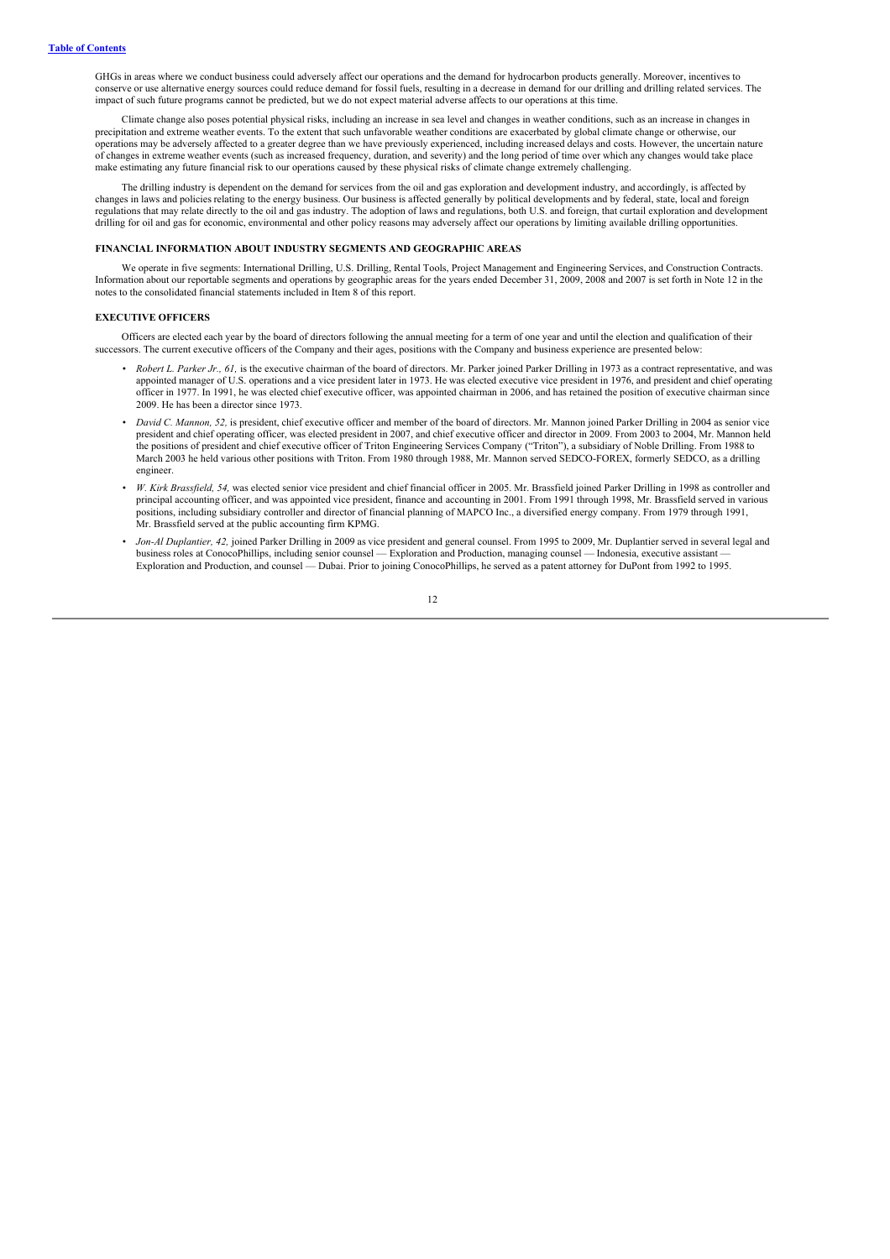GHGs in areas where we conduct business could adversely affect our operations and the demand for hydrocarbon products generally. Moreover, incentives to conserve or use alternative energy sources could reduce demand for fossil fuels, resulting in a decrease in demand for our drilling and drilling related services. The impact of such future programs cannot be predicted, but we do not expect material adverse affects to our operations at this time.

Climate change also poses potential physical risks, including an increase in sea level and changes in weather conditions, such as an increase in changes in precipitation and extreme weather events. To the extent that such unfavorable weather conditions are exacerbated by global climate change or otherwise, our operations may be adversely affected to a greater degree than we have previously experienced, including increased delays and costs. However, the uncertain nature of changes in extreme weather events (such as increased frequency, duration, and severity) and the long period of time over which any changes would take place make estimating any future financial risk to our operations caused by these physical risks of climate change extremely challenging.

The drilling industry is dependent on the demand for services from the oil and gas exploration and development industry, and accordingly, is affected by changes in laws and policies relating to the energy business. Our business is affected generally by political developments and by federal, state, local and foreign<br>regulations that may relate directly to the oil and gas in drilling for oil and gas for economic, environmental and other policy reasons may adversely affect our operations by limiting available drilling opportunities.

#### **FINANCIAL INFORMATION ABOUT INDUSTRY SEGMENTS AND GEOGRAPHIC AREAS**

We operate in five segments: International Drilling, U.S. Drilling, Rental Tools, Project Management and Engineering Services, and Construction Contracts. Information about our reportable segments and operations by geographic areas for the years ended December 31, 2009, 2008 and 2007 is set forth in Note 12 in the notes to the consolidated financial statements included in Item 8 of this report.

## **EXECUTIVE OFFICERS**

Officers are elected each year by the board of directors following the annual meeting for a term of one year and until the election and qualification of their successors. The current executive officers of the Company and their ages, positions with the Company and business experience are presented below:

- *Robert L. Parker Jr., 61,* is the executive chairman of the board of directors. Mr. Parker joined Parker Drilling in 1973 as a contract representative, and was appointed manager of U.S. operations and a vice president later in 1973. He was elected executive vice president in 1976, and president and chief operating officer in 1977. In 1991, he was elected chief executive officer, was appointed chairman in 2006, and has retained the position of executive chairman since 2009. He has been a director since 1973.
- *David C. Mannon, 52,* is president, chief executive officer and member of the board of directors. Mr. Mannon joined Parker Drilling in 2004 as senior vice president and chief operating officer, was elected president in 2007, and chief executive officer and director in 2009. From 2003 to 2004, Mr. Mannon held the positions of president and chief executive officer of Triton Engineering Services Company ("Triton"), a subsidiary of Noble Drilling. From 1988 to March 2003 he held various other positions with Triton. From 1980 through 1988, Mr. Mannon served SEDCO-FOREX, formerly SEDCO, as a drilling engineer
- *W. Kirk Brassfield, 54,* was elected senior vice president and chief financial officer in 2005. Mr. Brassfield joined Parker Drilling in 1998 as controller and principal accounting officer, and was appointed vice president, finance and accounting in 2001. From 1991 through 1998, Mr. Brassfield served in various positions, including subsidiary controller and director of financial planning of MAPCO Inc., a diversified energy company. From 1979 through 1991, Mr. Brassfield served at the public accounting firm KPMG.
- *Jon-Al Duplantier, 42,* joined Parker Drilling in 2009 as vice president and general counsel. From 1995 to 2009, Mr. Duplantier served in several legal and business roles at ConocoPhillips, including senior counsel — Exploration and Production, managing counsel — Indonesia, executive assistant Exploration and Production, and counsel — Dubai. Prior to joining ConocoPhillips, he served as a patent attorney for DuPont from 1992 to 1995.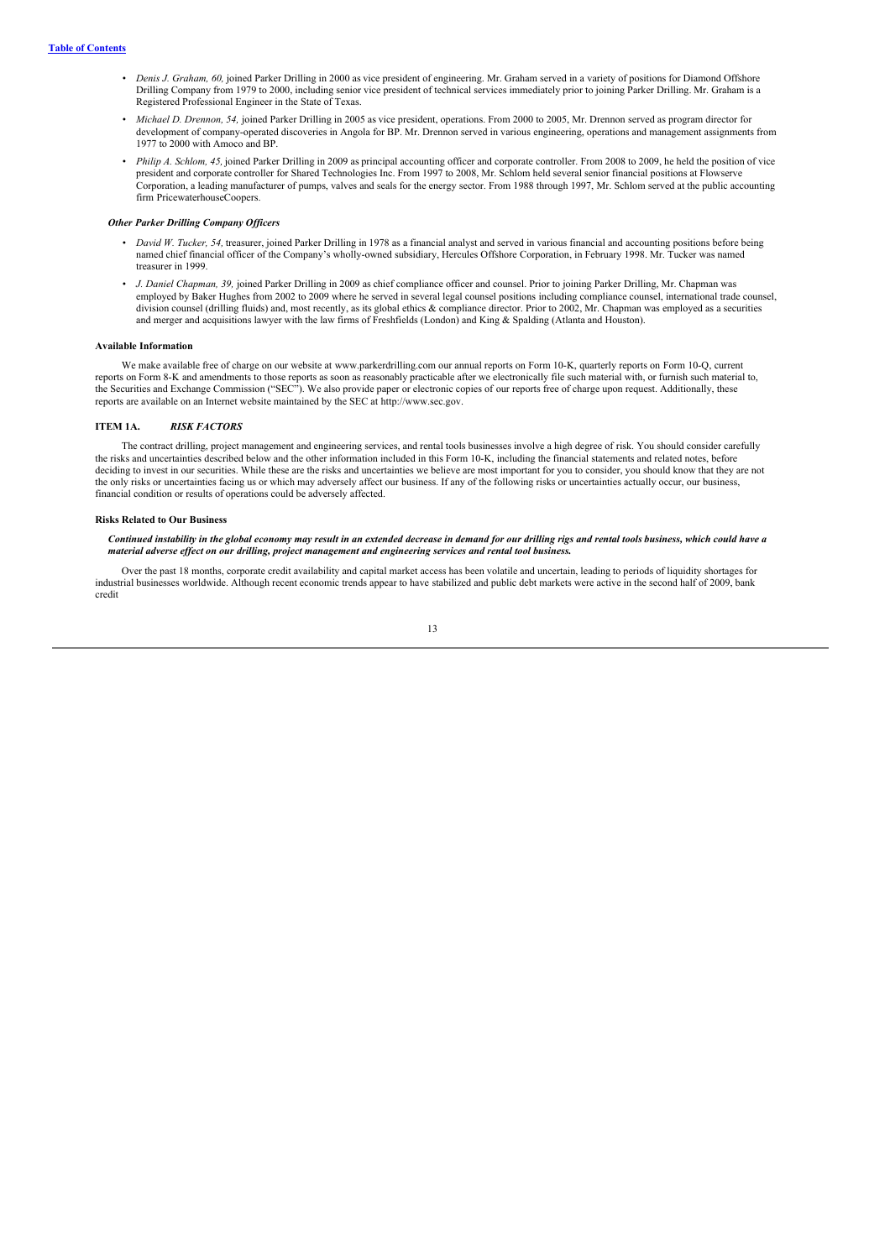- *Denis J. Graham, 60,* joined Parker Drilling in 2000 as vice president of engineering. Mr. Graham served in a variety of positions for Diamond Offshore Drilling Company from 1979 to 2000, including senior vice president of technical services immediately prior to joining Parker Drilling. Mr. Graham is a Registered Professional Engineer in the State of Texas.
- *Michael D. Drennon, 54,* joined Parker Drilling in 2005 as vice president, operations. From 2000 to 2005, Mr. Drennon served as program director for development of company-operated discoveries in Angola for BP. Mr. Drennon served in various engineering, operations and management assignments from 1977 to 2000 with Amoco and BP.
- · Philip A. Schlom, 45, joined Parker Drilling in 2009 as principal accounting officer and corporate controller. From 2008 to 2009, he held the position of vice president and corporate controller for Shared Technologies In Corporation, a leading manufacturer of pumps, valves and seals for the energy sector. From 1988 through 1997, Mr. Schlom served at the public accounting firm PricewaterhouseCoopers.

## *Other Parker Drilling Company Of icers*

- *David W. Tucker, 54,* treasurer, joined Parker Drilling in 1978 as a financial analyst and served in various financial and accounting positions before being named chief financial officer of the Company's wholly-owned subsidiary, Hercules Offshore Corporation, in February 1998. Mr. Tucker was named treasurer in 1999.
- *J. Daniel Chapman, 39,* joined Parker Drilling in 2009 as chief compliance officer and counsel. Prior to joining Parker Drilling, Mr. Chapman was employed by Baker Hughes from 2002 to 2009 where he served in several legal counsel positions including compliance counsel, international trade counsel, division counsel (drilling fluids) and, most recently, as its global ethics & compliance director. Prior to 2002, Mr. Chapman was employed as a securities and merger and acquisitions lawyer with the law firms of Freshfields (London) and King & Spalding (Atlanta and Houston).

#### **Available Information**

We make available free of charge on our website at www.parkerdrilling.com our annual reports on Form 10-K, quarterly reports on Form 10-Q, current reports on Form 8-K and amendments to those reports as soon as reasonably practicable after we electronically file such material with, or furnish such material to, the Securities and Exchange Commission ("SEC"). We also provide paper or electronic copies of our reports free of charge upon request. Additionally, these reports are available on an Internet website maintained by the SEC at http://www.sec.gov.

## **ITEM 1A.** *RISK FACTORS*

The contract drilling, project management and engineering services, and rental tools businesses involve a high degree of risk. You should consider carefully the risks and uncertainties described below and the other information included in this Form 10-K, including the financial statements and related notes, before deciding to invest in our securities. While these are the risks and uncertainties we believe are most important for you to consider, you should know that they are not the only risks or uncertainties facing us or which may adversely affect our business. If any of the following risks or uncertainties actually occur, our business, financial condition or results of operations could be adversely affected.

#### **Risks Related to Our Business**

Continued instability in the global economy may result in an extended decrease in demand for our drilling rigs and rental tools business, which could have a *material adverse ef ect on our drilling, project management and engineering services and rental tool business.*

Over the past 18 months, corporate credit availability and capital market access has been volatile and uncertain, leading to periods of liquidity shortages for industrial businesses worldwide. Although recent economic trends appear to have stabilized and public debt markets were active in the second half of 2009, bank credit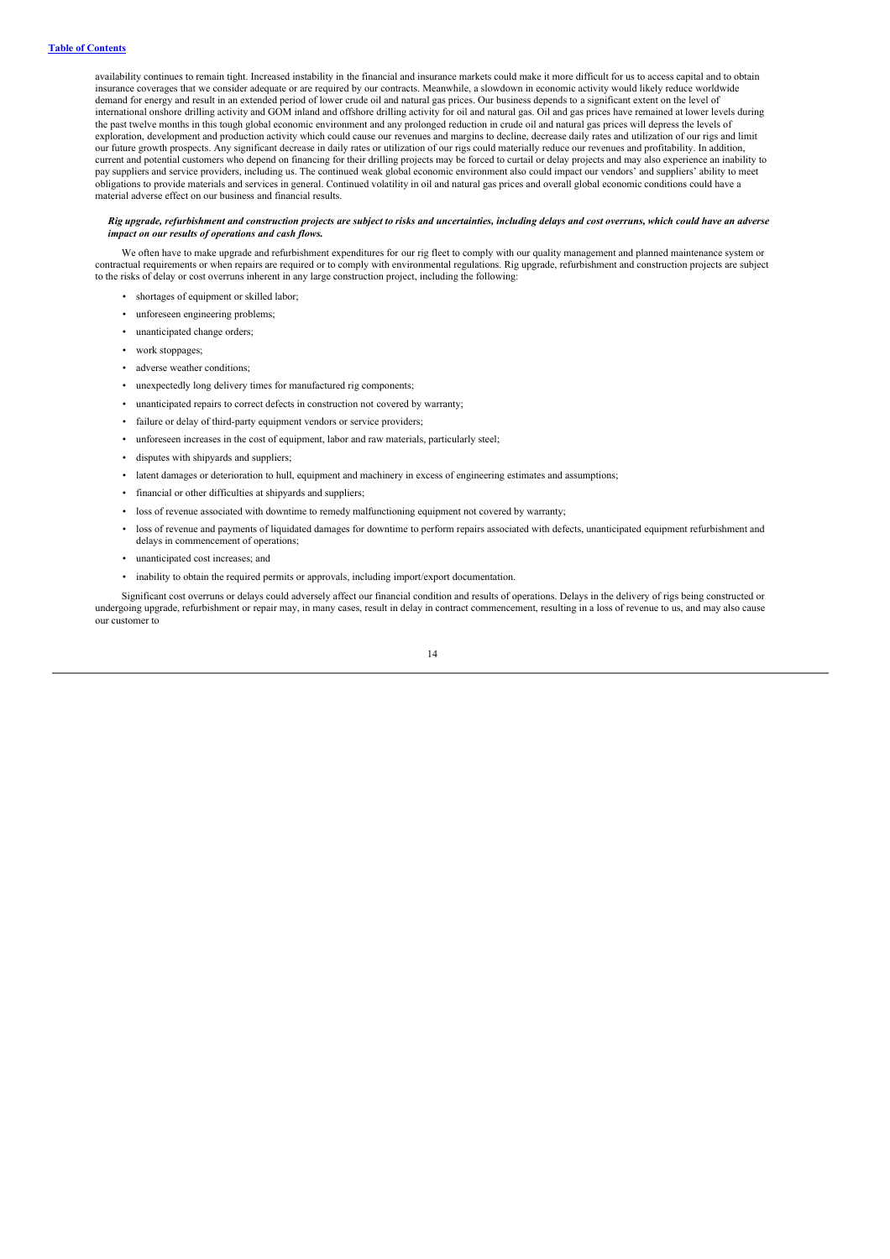availability continues to remain tight. Increased instability in the financial and insurance markets could make it more difficult for us to access capital and to obtain insurance coverages that we consider adequate or are required by our contracts. Meanwhile, a slowdown in economic activity would likely reduce worldwide demand for energy and result in an extended period of lower crude oil and natural gas prices. Our business depends to a significant extent on the level of international onshore drilling activity and GOM inland and offshore drilling activity for oil and natural gas. Oil and gas prices have remained at lower levels during the past twelve months in this tough global economic environment and any prolonged reduction in crude oil and natural gas prices will depress the levels of exploration, development and production activity which could cause our revenues and margins to decline, decrease daily rates and utilization of our rigs and limit our future growth prospects. Any significant decrease in daily rates or utilization of our rigs could materially reduce our revenues and profitability. In addition, current and potential customers who depend on financing for their drilling projects may be forced to curtail or delay projects and may also experience an inability to pay suppliers and service providers, including us. The continued weak global economic environment also could impact our vendors' and suppliers' ability to meet obligations to provide materials and services in general. Continued volatility in oil and natural gas prices and overall global economic conditions could have a material adverse effect on our business and financial results.

#### Rig upgrade, refurbishment and construction projects are subject to risks and uncertainties, including delays and cost overruns, which could have an adverse *impact on our results of operations and cash flows.*

We often have to make upgrade and refurbishment expenditures for our rig fleet to comply with our quality management and planned maintenance system or<br>contractual requirements or when repairs are required or to comply with to the risks of delay or cost overruns inherent in any large construction project, including the following:

- shortages of equipment or skilled labor;
- unforeseen engineering problems;
- unanticipated change orders;
- work stoppages:
- adverse weather conditions;
- unexpectedly long delivery times for manufactured rig components;
- unanticipated repairs to correct defects in construction not covered by warranty;
- failure or delay of third-party equipment vendors or service providers;
- unforeseen increases in the cost of equipment, labor and raw materials, particularly steel;
- disputes with shipyards and suppliers;
- latent damages or deterioration to hull, equipment and machinery in excess of engineering estimates and assumptions;
- financial or other difficulties at shipyards and suppliers;
- loss of revenue associated with downtime to remedy malfunctioning equipment not covered by warranty;
- loss of revenue and payments of liquidated damages for downtime to perform repairs associated with defects, unanticipated equipment refurbishment and delays in commencement of operations;
- unanticipated cost increases; and
- inability to obtain the required permits or approvals, including import/export documentation.

Significant cost overruns or delays could adversely affect our financial condition and results of operations. Delays in the delivery of rigs being constructed or undergoing upgrade, refurbishment or repair may, in many cases, result in delay in contract commencement, resulting in a loss of revenue to us, and may also cause our customer t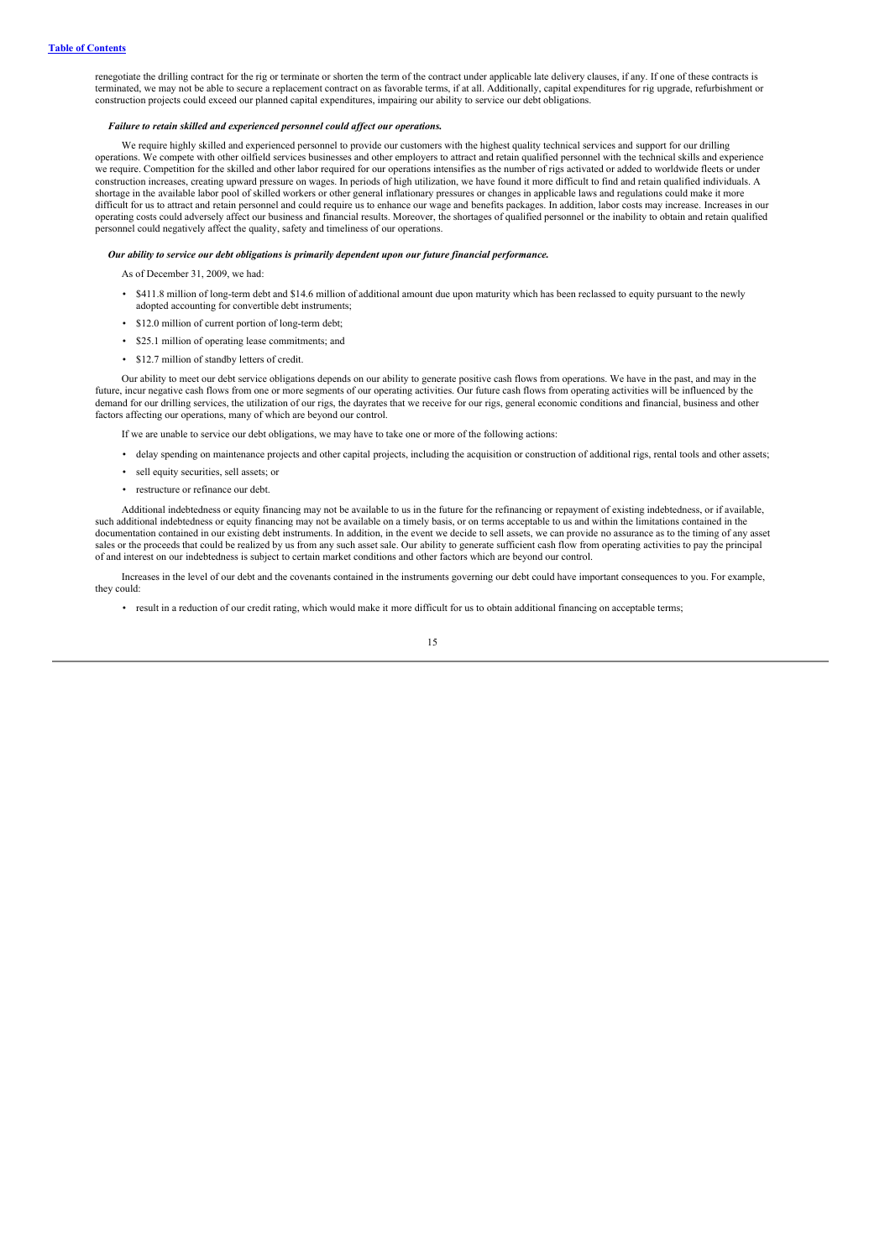renegotiate the drilling contract for the rig or terminate or shorten the term of the contract under applicable late delivery clauses, if any. If one of these contracts is terminated, we may not be able to secure a replacement contract on as favorable terms, if at all. Additionally, capital expenditures for rig upgrade, refurbishment or construction projects could exceed our planned capital expenditures, impairing our ability to service our debt obligations.

#### *Failure to retain skilled and experienced personnel could af ect our operations.*

We require highly skilled and experienced personnel to provide our customers with the highest quality technical services and support for our drilling operations. We compete with other oilfield services businesses and other employers to attract and retain qualified personnel with the technical skills and experience we require. Competition for the skilled and other labor required for our operations intensifies as the number of rigs activated or added to worldwide fleets or under construction increases, creating upward pressure on wages. In periods of high utilization, we have found it more difficult to find and retain qualified individuals. A shortage in the available labor pool of skilled workers or other general inflationary pressures or changes in applicable laws and regulations could make it more difficult for us to attract and retain personnel and could require us to enhance our wage and benefits packages. In addition, labor costs may increase. Increases in our operating costs could adversely affect our business and financial results. Moreover, the shortages of qualified personnel or the inability to obtain and retain qualified personnel could negatively affect the quality, safety and timeliness of our operations.

## *Our ability to service our debt obligations is primarily dependent upon our future financial performance.*

As of December 31, 2009, we had:

- \$411.8 million of long-term debt and \$14.6 million of additional amount due upon maturity which has been reclassed to equity pursuant to the newly adopted accounting for convertible debt instruments;
- \$12.0 million of current portion of long-term debt:
- \$25.1 million of operating lease commitments; and
- \$12.7 million of standby letters of credit.

Our ability to meet our debt service obligations depends on our ability to generate positive cash flows from operations. We have in the past, and may in the future, incur negative cash flows from one or more segments of our operating activities. Our future cash flows from operating activities will be influenced by the demand for our drilling services, the utilization of our rigs, the dayrates that we receive for our rigs, general economic conditions and financial, business and other factors affecting our operations, many of which are beyond our control.

If we are unable to service our debt obligations, we may have to take one or more of the following actions:

- delay spending on maintenance projects and other capital projects, including the acquisition or construction of additional rigs, rental tools and other assets;
- sell equity securities, sell assets; or
- restructure or refinance our debt.

Additional indebtedness or equity financing may not be available to us in the future for the refinancing or repayment of existing indebtedness, or if available, such additional indebtedness or equity financing may not be available on a timely basis, or on terms acceptable to us and within the limitations contained in the documentation contained in our existing debt instruments. In addition, in the event we decide to sell assets, we can provide no assurance as to the timing of any asset sales or the proceeds that could be realized by us from any such asset sale. Our ability to generate sufficient cash flow from operating activities to pay the principal of and interest on our indebtedness is subject to certain market conditions and other factors which are beyond our control.

Increases in the level of our debt and the covenants contained in the instruments governing our debt could have important consequences to you. For example, they could:

• result in a reduction of our credit rating, which would make it more difficult for us to obtain additional financing on acceptable terms;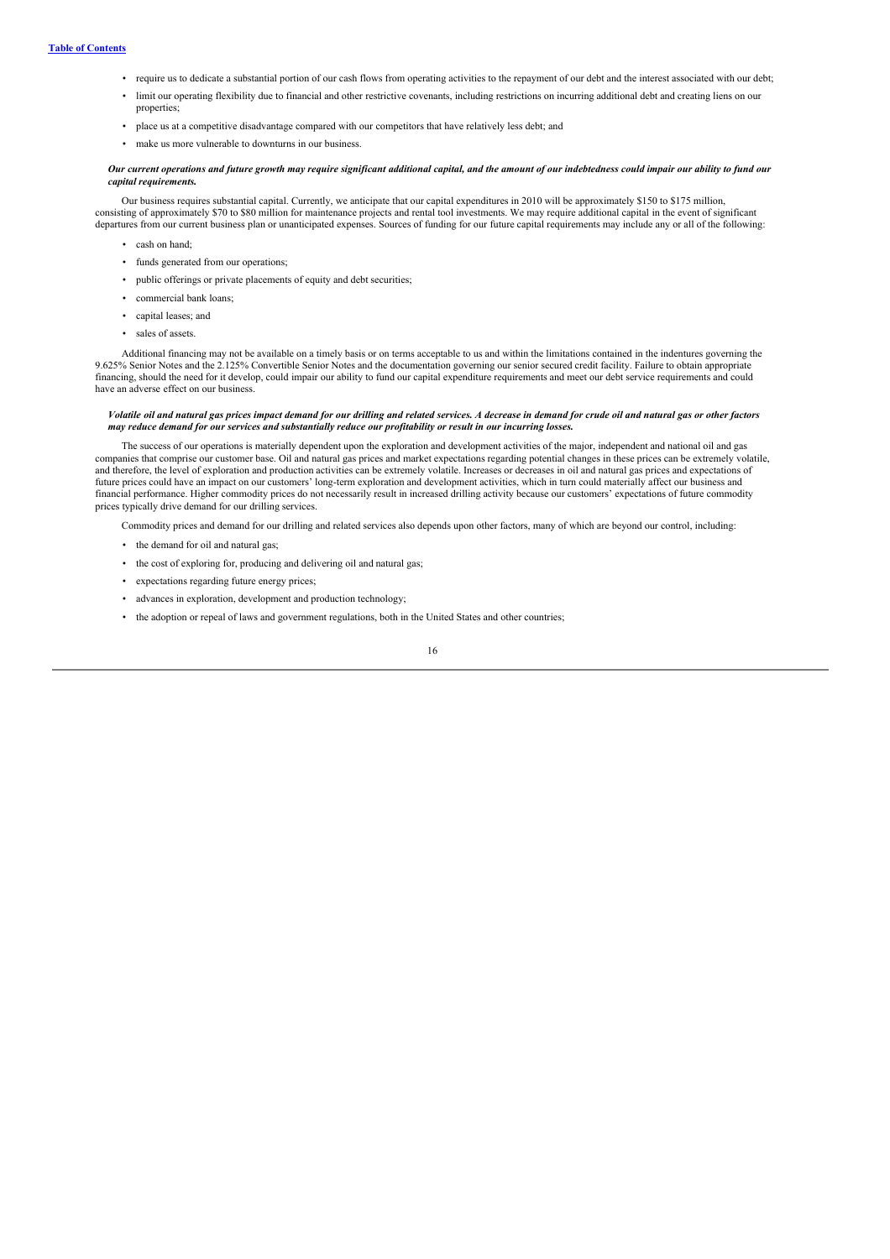- require us to dedicate a substantial portion of our cash flows from operating activities to the repayment of our debt and the interest associated with our debt;
- limit our operating flexibility due to financial and other restrictive covenants, including restrictions on incurring additional debt and creating liens on our properties;
- place us at a competitive disadvantage compared with our competitors that have relatively less debt; and
- make us more vulnerable to downturns in our business.

## Our current operations and future growth may require significant additional capital, and the amount of our indebtedness could impair our ability to fund our *capital requirements.*

Our business requires substantial capital. Currently, we anticipate that our capital expenditures in 2010 will be approximately \$150 to \$175 million, consisting of approximately \$70 to \$80 million for maintenance projects and rental tool investments. We may require additional capital in the event of significant departures from our current business plan or unanticipated expenses. Sources of funding for our future capital requirements may include any or all of the following:

- cash on hand;
- funds generated from our operations;
- public offerings or private placements of equity and debt securities;
- commercial bank loans;
- capital leases; and
- sales of assets.

Additional financing may not be available on a timely basis or on terms acceptable to us and within the limitations contained in the indentures governing the 9.625% Senior Notes and the 2.125% Convertible Senior Notes and the documentation governing our senior secured credit facility. Failure to obtain appropriate financing, should the need for it develop, could impair our ability to fund our capital expenditure requirements and meet our debt service requirements and could have an adverse effect on our business.

### Volatile oil and natural gas prices impact demand for our drilling and related services. A decrease in demand for crude oil and natural gas or other factors may reduce demand for our services and substantially reduce our profitability or result in our incurring losses.

The success of our operations is materially dependent upon the exploration and development activities of the major, independent and national oil and gas companies that comprise our customer base. Oil and natural gas prices and market expectations regarding potential changes in these prices can be extremely volatile, and therefore, the level of exploration and production activities can be extremely volatile. Increases or decreases in oil and natural gas prices and expectations of future prices could have an impact on our customers' long-term exploration and development activities, which in turn could materially affect our business and financial performance. Higher commodity prices do not necessarily result in increased drilling activity because our customers' expectations of future commodity prices typically drive demand for our drilling services.

Commodity prices and demand for our drilling and related services also depends upon other factors, many of which are beyond our control, including:

- the demand for oil and natural gas;
- the cost of exploring for, producing and delivering oil and natural gas;
- expectations regarding future energy prices;
- advances in exploration, development and production technology;
- the adoption or repeal of laws and government regulations, both in the United States and other countries;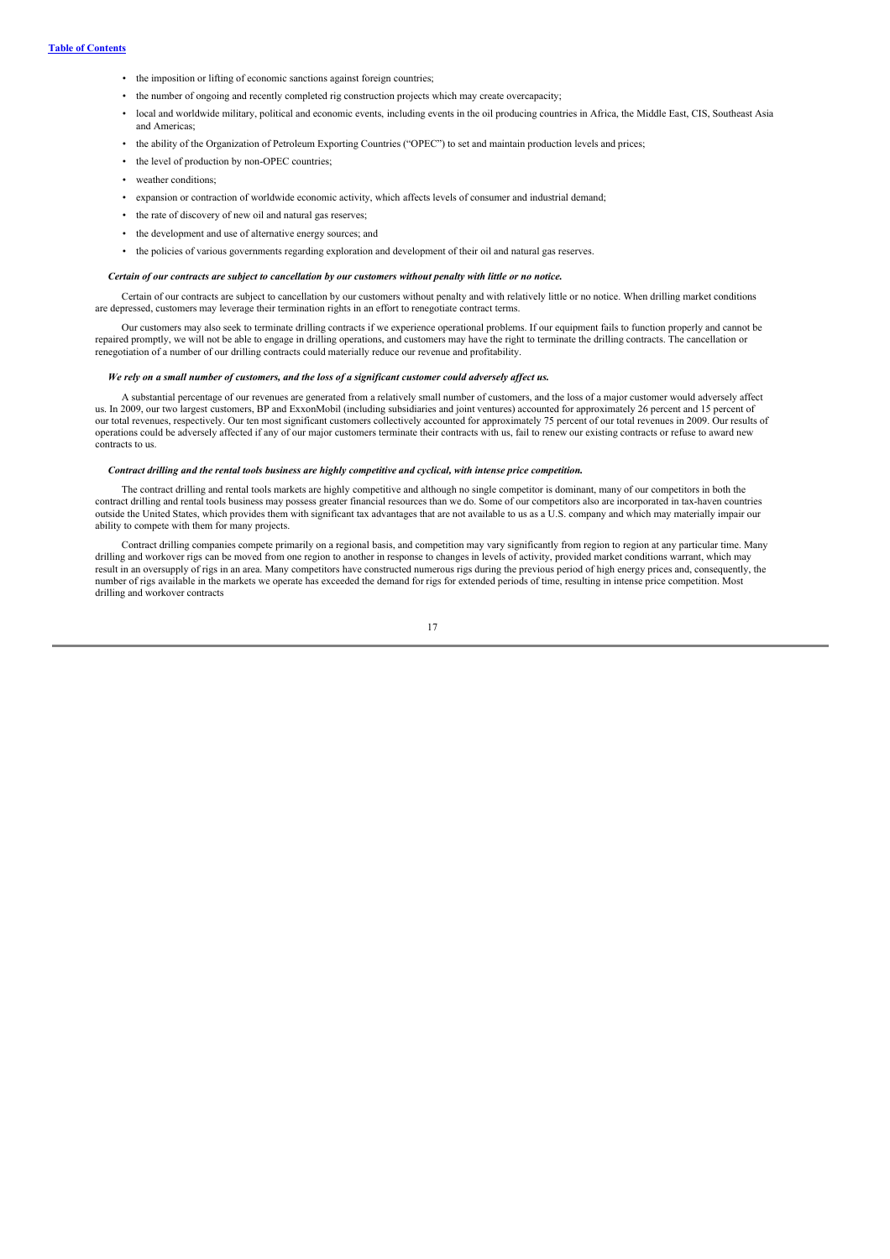- the imposition or lifting of economic sanctions against foreign countries;
- the number of ongoing and recently completed rig construction projects which may create overcapacity;
- local and worldwide military, political and economic events, including events in the oil producing countries in Africa, the Middle East, CIS, Southeast Asia and Americas;
- the ability of the Organization of Petroleum Exporting Countries ("OPEC") to set and maintain production levels and prices;
- the level of production by non-OPEC countries:
- weather conditions:
- expansion or contraction of worldwide economic activity, which affects levels of consumer and industrial demand;
- the rate of discovery of new oil and natural gas reserves;
- the development and use of alternative energy sources; and
- the policies of various governments regarding exploration and development of their oil and natural gas reserves.

#### Certain of our contracts are subject to cancellation by our customers without penalty with little or no notice.

Certain of our contracts are subject to cancellation by our customers without penalty and with relatively little or no notice. When drilling market conditions are depressed, customers may leverage their termination rights in an effort to renegotiate contract terms.

Our customers may also seek to terminate drilling contracts if we experience operational problems. If our equipment fails to function properly and cannot be repaired promptly, we will not be able to engage in drilling operations, and customers may have the right to terminate the drilling contracts. The cancellation or renegotiation of a number of our drilling contracts could materially reduce our revenue and profitability.

#### We rely on a small number of customers, and the loss of a significant customer could adversely affect us.

A substantial percentage of our revenues are generated from a relatively small number of customers, and the loss of a major customer would adversely affect us. In 2009, our two largest customers, BP and ExxonMobil (including subsidiaries and joint ventures) accounted for approximately 26 percent and 15 percent of<br>our total revenues, respectively. Our ten most significant cust operations could be adversely affected if any of our major customers terminate their contracts with us, fail to renew our existing contracts or refuse to award new contracts to us.

#### Contract drilling and the rental tools business are highly competitive and cyclical, with intense price competition.

The contract drilling and rental tools markets are highly competitive and although no single competitor is dominant, many of our competitors in both the contract drilling and rental tools business may possess greater financial resources than we do. Some of our competitors also are incorporated in tax-haven countries<br>outside the United States, which provides them with signi ability to compete with them for many projects.

Contract drilling companies compete primarily on a regional basis, and competition may vary significantly from region to region at any particular time. Many drilling and workover rigs can be moved from one region to another in response to changes in levels of activity, provided market conditions warrant, which may result in an oversupply of rigs in an area. Many competitors have constructed numerous rigs during the previous period of high energy prices and, consequently, the number of rigs available in the markets we operate has exceeded the demand for rigs for extended periods of time, resulting in intense price competition. Most drilling and workover contracts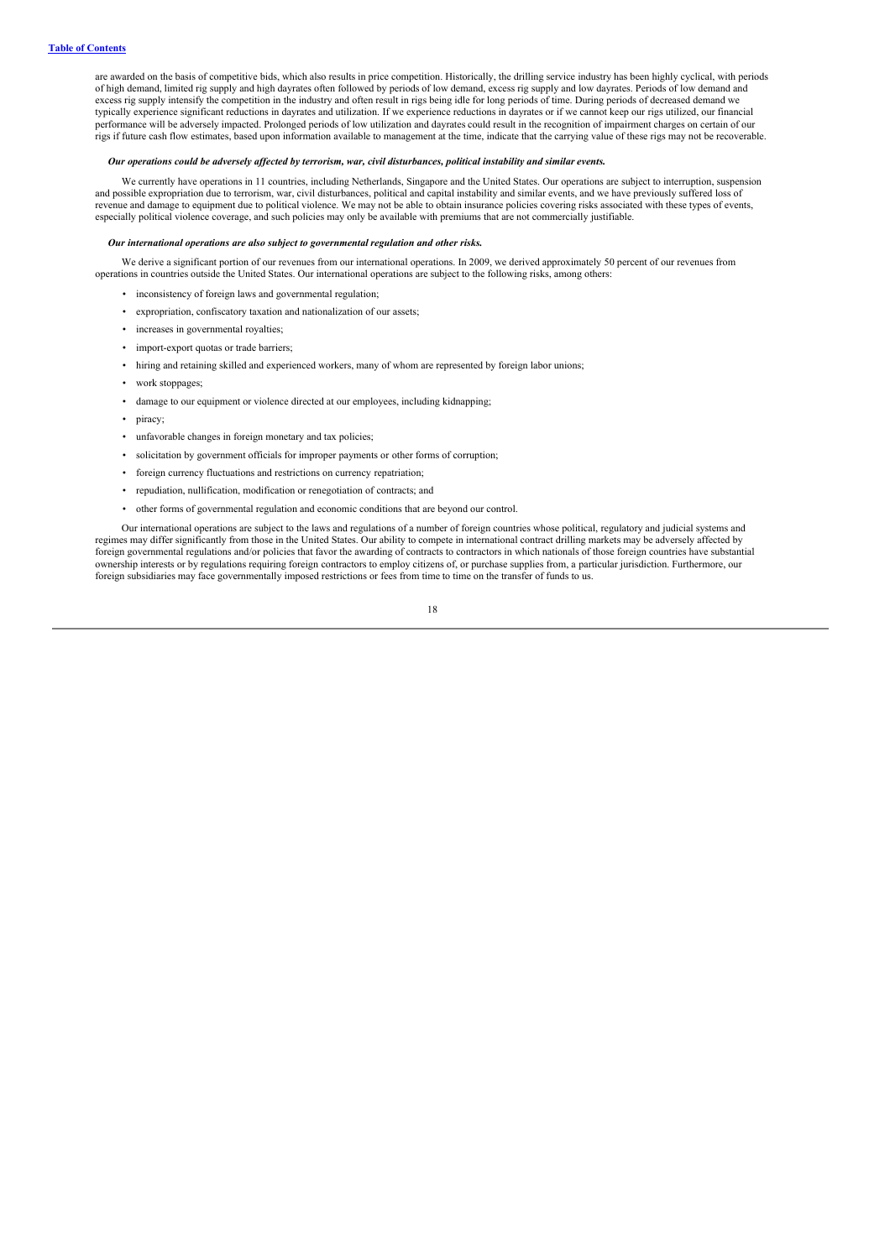are awarded on the basis of competitive bids, which also results in price competition. Historically, the drilling service industry has been highly cyclical, with periods of high demand, limited rig supply and high dayrates often followed by periods of low demand, excess rig supply and low dayrates. Periods of low demand and excess rig supply intensify the competition in the industry and often result in rigs being idle for long periods of time. During periods of decreased demand we typically experience significant reductions in dayrates and utilization. If we experience reductions in dayrates or if we cannot keep our rigs utilized, our financial performance will be adversely impacted. Prolonged periods of low utilization and dayrates could result in the recognition of impairment charges on certain of our<br>rigs if future cash flow estimates, based upon information a

#### Our operations could be adversely affected by terrorism, war, civil disturbances, political instability and similar events,

We currently have operations in 11 countries, including Netherlands, Singapore and the United States. Our operations are subject to interruption, suspension and possible expropriation due to terrorism, war, civil disturbances, political and capital instability and similar events, and we have previously suffered loss of revenue and damage to equipment due to political violence. We may not be able to obtain insurance policies covering risks associated with these types of events, especially political violence coverage, and such policies may only be available with premiums that are not commercially justifiable.

#### *Our international operations are also subject to governmental regulation and other risks.*

We derive a significant portion of our revenues from our international operations. In 2009, we derived approximately 50 percent of our revenues from operations in countries outside the United States. Our international operations are subject to the following risks, among others:

- inconsistency of foreign laws and governmental regulation;
- expropriation, confiscatory taxation and nationalization of our assets:
- increases in governmental royalties;
- import-export quotas or trade barriers;
- hiring and retaining skilled and experienced workers, many of whom are represented by foreign labor unions;
- work stoppages:
- damage to our equipment or violence directed at our employees, including kidnapping;
- piracy;
- unfavorable changes in foreign monetary and tax policies:
- solicitation by government officials for improper payments or other forms of corruption;
- foreign currency fluctuations and restrictions on currency repatriation;
- repudiation, nullification, modification or renegotiation of contracts; and
- other forms of governmental regulation and economic conditions that are beyond our control.

Our international operations are subject to the laws and regulations of a number of foreign countries whose political, regulatory and judicial systems and regimes may differ significantly from those in the United States. Our ability to compete in international contract drilling markets may be adversely affected by foreign governmental regulations and/or policies that favor the awarding of contracts to contractors in which nationals of those foreign countries have substantial ownership interests or by regulations requiring foreign contractors to employ citizens of, or purchase supplies from, a particular jurisdiction. Furthermore, our foreign subsidiaries may face governmentally imposed restrictions or fees from time to time on the transfer of funds to us.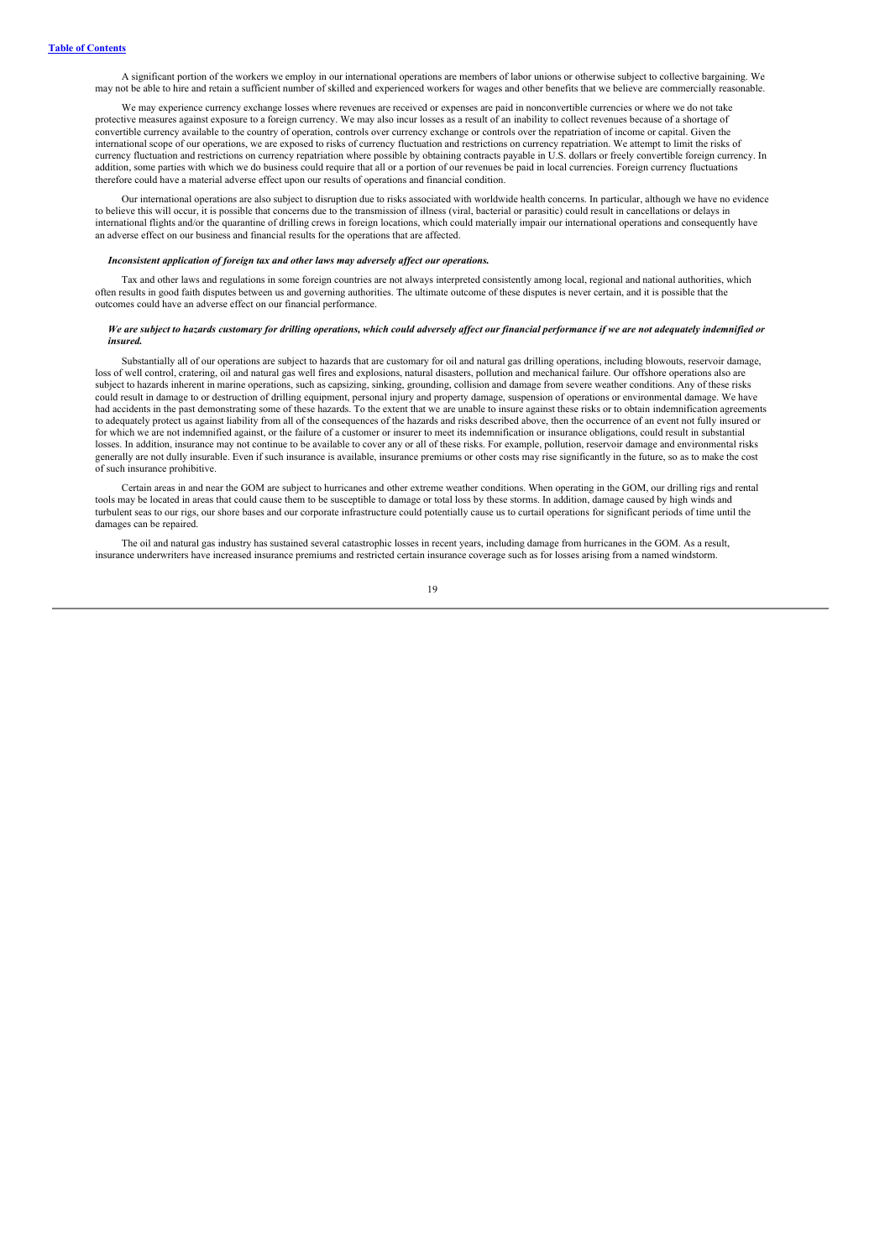A significant portion of the workers we employ in our international operations are members of labor unions or otherwise subject to collective bargaining. We may not be able to hire and retain a sufficient number of skilled and experienced workers for wages and other benefits that we believe are commercially reasonable.

We may experience currency exchange losses where revenues are received or expenses are paid in nonconvertible currencies or where we do not take protective measures against exposure to a foreign currency. We may also incur losses as a result of an inability to collect revenues because of a shortage of convertible currency available to the country of operation, controls over currency exchange or controls over the repatriation of income or capital. Given the international scope of our operations, we are exposed to risks o currency fluctuation and restrictions on currency repatriation where possible by obtaining contracts payable in U.S. dollars or freely convertible foreign currency. In addition, some parties with which we do business could require that all or a portion of our revenues be paid in local currencies. Foreign currency fluctuations therefore could have a material adverse effect upon our results of operations and financial condition.

Our international operations are also subject to disruption due to risks associated with worldwide health concerns. In particular, although we have no evidence to believe this will occur, it is possible that concerns due to the transmission of illness (viral, bacterial or parasitic) could result in cancellations or delays in international flights and/or the quarantine of drilling crews in foreign locations, which could materially impair our international operations and consequently have an adverse effect on our business and financial results for the operations that are affected.

#### *Inconsistent application of foreign tax and other laws may adversely af ect our operations.*

Tax and other laws and regulations in some foreign countries are not always interpreted consistently among local, regional and national authorities, which often results in good faith disputes between us and governing authorities. The ultimate outcome of these disputes is never certain, and it is possible that the outcomes could have an adverse effect on our financial performance.

#### We are subject to hazards customary for drilling operations, which could adversely affect our financial performance if we are not adequately indemnified or *insured.*

Substantially all of our operations are subject to hazards that are customary for oil and natural gas drilling operations, including blowouts, reservoir damage, loss of well control, cratering, oil and natural gas well fires and explosions, natural disasters, pollution and mechanical failure. Our offshore operations also are subject to hazards inherent in marine operations, such as capsizing, sinking, grounding, collision and damage from severe weather conditions. Any of these risks could result in damage to or destruction of drilling equipment, personal injury and property damage, suspension of operations or environmental damage. We have had accidents in the past demonstrating some of these hazards. To the extent that we are unable to insure against these risks or to obtain indemnification agreements to adequately protect us against liability from all of the consequences of the hazards and risks described above, then the occurrence of an event not fully insured or for which we are not indemnified against, or the failure of a customer or insurer to meet its indemnification or insurance obligations, could result in substantial losses. In addition, insurance may not continue to be available to cover any or all of these risks. For example, pollution, reservoir damage and environmental risks generally are not dully insurable. Even if such insurance is available, insurance premiums or other costs may rise significantly in the future, so as to make the cost of such insurance prohibitive.

Certain areas in and near the GOM are subject to hurricanes and other extreme weather conditions. When operating in the GOM, our drilling rigs and rental tools may be located in areas that could cause them to be susceptible to damage or total loss by these storms. In addition, damage caused by high winds and turbulent seas to our rigs, our shore bases and our corporate infrastructure could potentially cause us to curtail operations for significant periods of time until the damages can be repaired.

The oil and natural gas industry has sustained several catastrophic losses in recent years, including damage from hurricanes in the GOM. As a result, insurance underwriters have increased insurance premiums and restricted certain insurance coverage such as for losses arising from a named windstorm.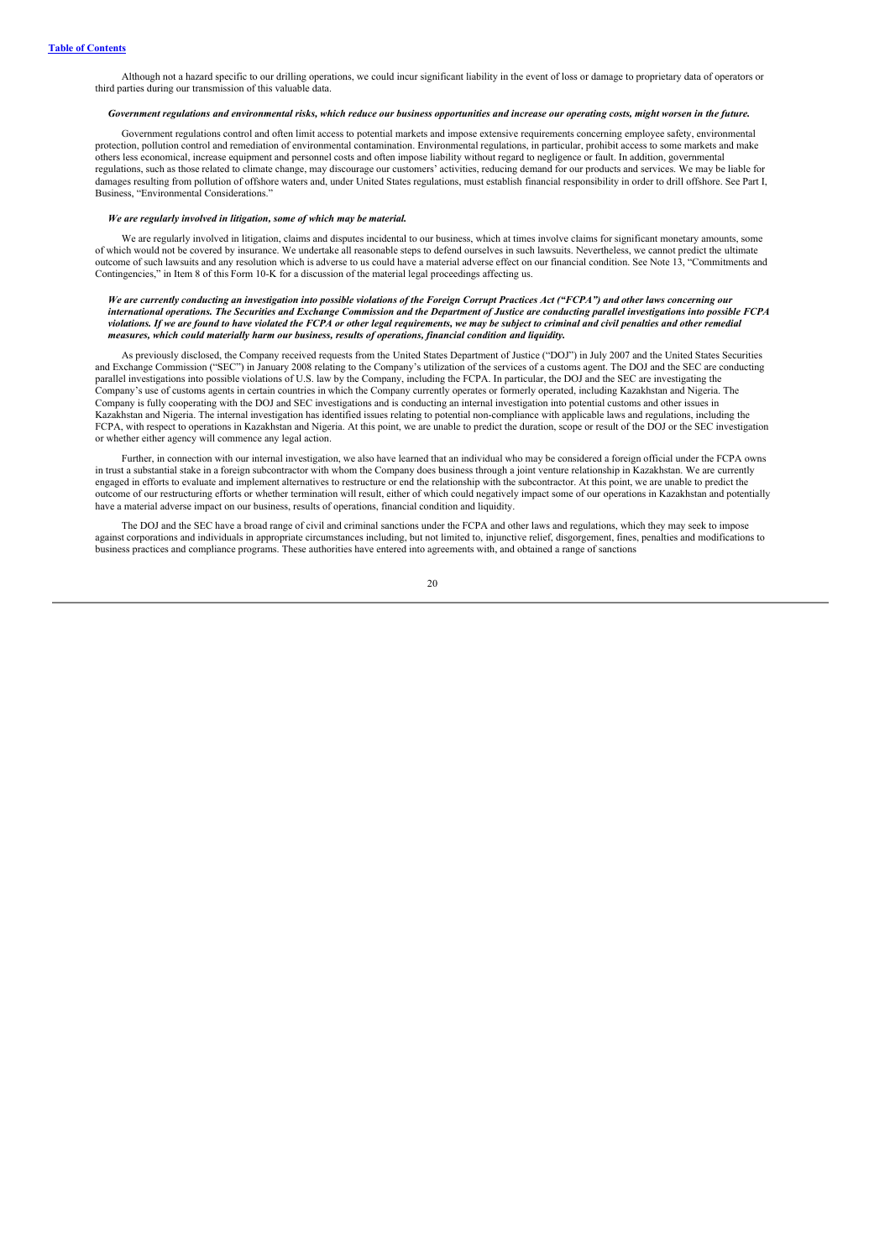Although not a hazard specific to our drilling operations, we could incur significant liability in the event of loss or damage to proprietary data of operators or third parties during our transmission of this valuable data.

#### Government regulations and environmental risks, which reduce our business opportunities and increase our operating costs, might worsen in the future.

Government regulations control and often limit access to potential markets and impose extensive requirements concerning employee safety, environmental protection, pollution control and remediation of environmental contamination. Environmental regulations, in particular, prohibit access to some markets and make others less economical, increase equipment and personnel costs and often impose liability without regard to negligence or fault. In addition, governmental regulations, such as those related to climate change, may discourage our customers' activities, reducing demand for our products and services. We may be liable for damages resulting from pollution of offshore waters and, under United States regulations, must establish financial responsibility in order to drill offshore. See Part I, Business, "Environmental Considerations."

## *We are regularly involved in litigation, some of which may be material.*

We are regularly involved in litigation, claims and disputes incidental to our business, which at times involve claims for significant monetary amounts, some of which would not be covered by insurance. We undertake all reasonable steps to defend ourselves in such lawsuits. Nevertheless, we cannot predict the ultimate outcome of such lawsuits and any resolution which is adverse to us could have a material adverse effect on our financial condition. See Note 13, "Commitments and Contingencies," in Item 8 of this Form 10-K for a discussion of the material legal proceedings affecting us.

#### We are currently conducting an investigation into possible violations of the Foreign Corrupt Practices Act ("FCPA") and other laws concerning our international operations. The Securities and Exchange Commission and the Department of Justice are conducting parallel investigations into possible FCPA violations. If we are found to have violated the FCPA or other legal requirements, we may be subject to criminal and civil penalties and other remedial *measures, which could materially harm our business, results of operations, financial condition and liquidity.*

As previously disclosed, the Company received requests from the United States Department of Justice ("DOJ") in July 2007 and the United States Securities and Exchange Commission ("SEC") in January 2008 relating to the Company's utilization of the services of a customs agent. The DOJ and the SEC are conducting parallel investigations into possible violations of U.S. law by the Company, including the FCPA. In particular, the DOJ and the SEC are investigating the Company's use of customs agents in certain countries in which the Company currently operates or formerly operated, including Kazakhstan and Nigeria. The Company is fully cooperating with the DOJ and SEC investigations and is conducting an internal investigation into potential customs and other issues in Kazakhstan and Nigeria. The internal investigation has identified issues relating to potential non-compliance with applicable laws and regulations, including the FCPA, with respect to operations in Kazakhstan and Nigeria. At this point, we are unable to predict the duration, scope or result of the DOJ or the SEC investigation or whether either agency will commence any legal action.

Further, in connection with our internal investigation, we also have learned that an individual who may be considered a foreign official under the FCPA owns in trust a substantial stake in a foreign subcontractor with whom the Company does business through a joint venture relationship in Kazakhstan. We are currently engaged in efforts to evaluate and implement alternatives to restructure or end the relationship with the subcontractor. At this point, we are unable to predict the outcome of our restructuring efforts or whether termination will result, either of which could negatively impact some of our operations in Kazakhstan and potentially have a material adverse impact on our business, results of operations, financial condition and liquidity.

The DOJ and the SEC have a broad range of civil and criminal sanctions under the FCPA and other laws and regulations, which they may seek to impose against corporations and individuals in appropriate circumstances including, but not limited to, injunctive relief, disgorgement, fines, penalties and modifications to business practices and compliance programs. These authorities have entered into agreements with, and obtained a range of sanctions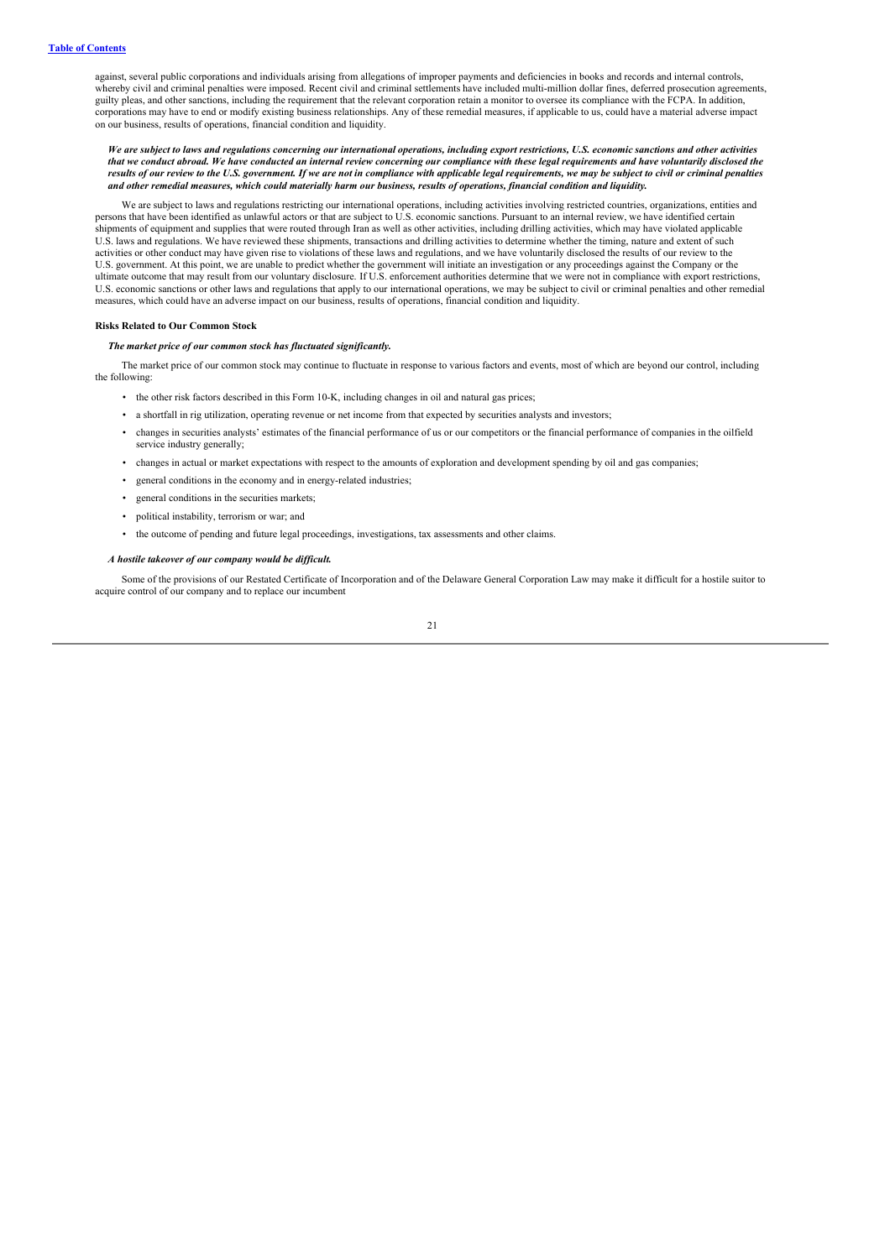against, several public corporations and individuals arising from allegations of improper payments and deficiencies in books and records and internal controls, whereby civil and criminal penalties were imposed. Recent civil and criminal settlements have included multi-million dollar fines, deferred prosecution agreements, guilty pleas, and other sanctions, including the requirement that the relevant corporation retain a monitor to oversee its compliance with the FCPA. In addition, corporations may have to end or modify existing business relationships. Any of these remedial measures, if applicable to us, could have a material adverse impact on our business, results of operations, financial condition and liquidity.

#### We are subject to laws and regulations concerning our international operations, including export restrictions, U.S. economic sanctions and other activities that we conduct abroad. We have conducted an internal review concerning our compliance with these legal requirements and have voluntarily disclosed the results of our review to the U.S. government. If we are not in compliance with applicable legal requirements, we may be subject to civil or criminal penalties and other remedial measures, which could materially harm our business, results of operations, financial condition and liquidity.

We are subject to laws and regulations restricting our international operations, including activities involving restricted countries, organizations, entities and persons that have been identified as unlawful actors or that are subject to U.S. economic sanctions. Pursuant to an internal review, we have identified certain shipments of equipment and supplies that were routed through Iran as well as other activities, including drilling activities, which may have violated applicable U.S. laws and regulations. We have reviewed these shipments, transactions and drilling activities to determine whether the timing, nature and extent of such activities or other conduct may have given rise to violations of these laws and regulations, and we have voluntarily disclosed the results of our review to the U.S. government. At this point, we are unable to predict whether the government will initiate an investigation or any proceedings against the Company or the ultimate outcome that may result from our voluntary disclosure. If U.S. enforcement authorities determine that we were not in compliance with export restrictions, U.S. economic sanctions or other laws and regulations that apply to our international operations, we may be subject to civil or criminal penalties and other remedial measures, which could have an adverse impact on our business, results of operations, financial condition and liquidity.

#### **Risks Related to Our Common Stock**

#### *The market price of our common stock has fluctuated significantly.*

The market price of our common stock may continue to fluctuate in response to various factors and events, most of which are beyond our control, including the following:

- the other risk factors described in this Form 10-K, including changes in oil and natural gas prices;
- a shortfall in rig utilization, operating revenue or net income from that expected by securities analysts and investors;
- changes in securities analysts' estimates of the financial performance of us or our competitors or the financial performance of companies in the oilfield service industry generally;
- changes in actual or market expectations with respect to the amounts of exploration and development spending by oil and gas companies;
- general conditions in the economy and in energy-related industries;
- general conditions in the securities markets;
- political instability, terrorism or war; and
- the outcome of pending and future legal proceedings, investigations, tax assessments and other claims.

#### *A hostile takeover of our company would be dif icult.*

Some of the provisions of our Restated Certificate of Incorporation and of the Delaware General Corporation Law may make it difficult for a hostile suitor to acquire control of our company and to replace our incumbent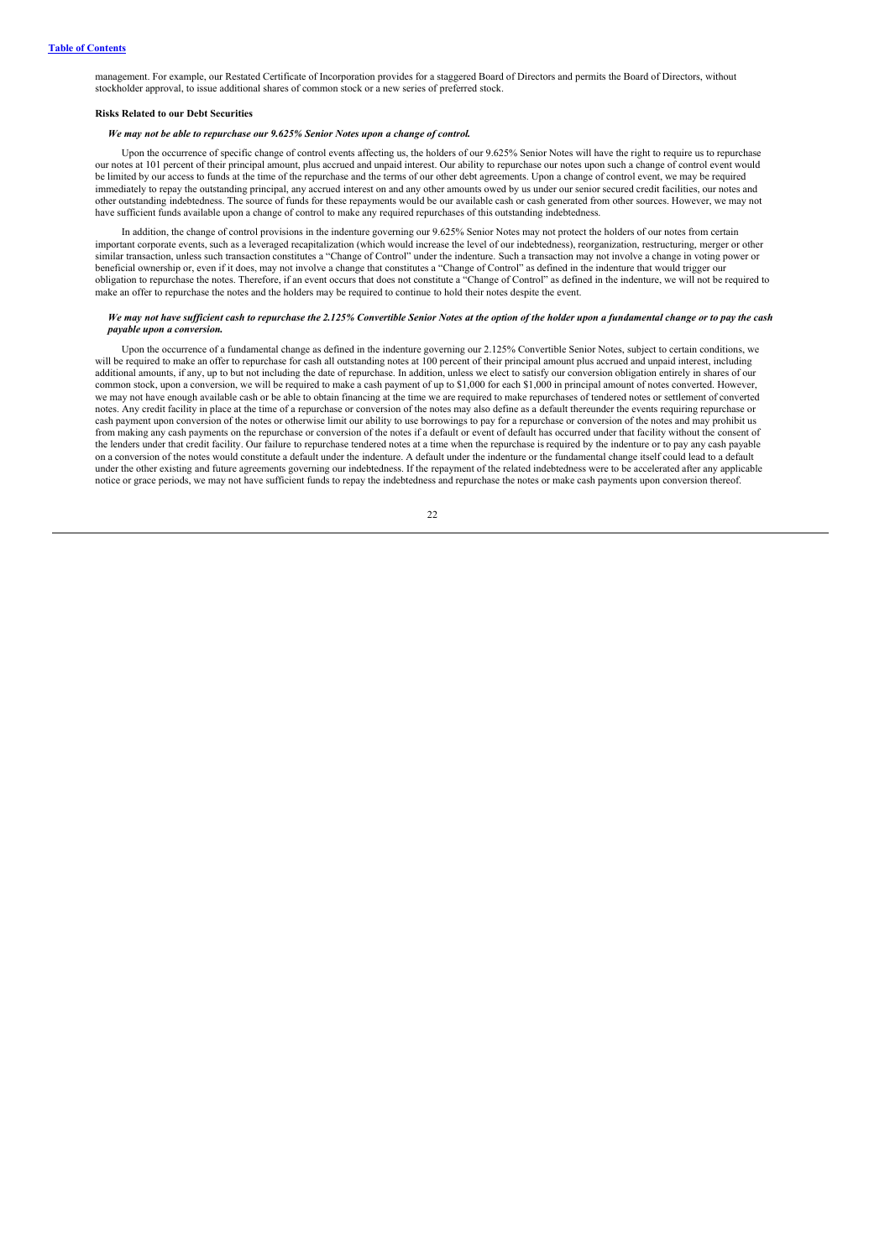management. For example, our Restated Certificate of Incorporation provides for a staggered Board of Directors and permits the Board of Directors, without stockholder approval, to issue additional shares of common stock or a new series of preferred stock.

#### **Risks Related to our Debt Securities**

#### *We may not be able to repurchase our 9.625% Senior Notes upon a change of control.*

Upon the occurrence of specific change of control events affecting us, the holders of our 9.625% Senior Notes will have the right to require us to repurchase our notes at 101 percent of their principal amount, plus accrued and unpaid interest. Our ability to repurchase our notes upon such a change of control event would be limited by our access to funds at the time of the repurchase and the terms of our other debt agreements. Upon a change of control event, we may be required immediately to repay the outstanding principal, any accrued interest on and any other amounts owed by us under our senior secured credit facilities, our notes and other outstanding indebtedness. The source of funds for these repayments would be our available cash or cash generated from other sources. However, we may not have sufficient funds available upon a change of control to make any required repurchases of this outstanding indebtedness.

In addition, the change of control provisions in the indenture governing our 9.625% Senior Notes may not protect the holders of our notes from certain important corporate events, such as a leveraged recapitalization (which would increase the level of our indebtedness), reorganization, restructuring, merger or other similar transaction, unless such transaction constitutes a "Change of Control" under the indenture. Such a transaction may not involve a change in voting power or beneficial ownership or, even if it does, may not involve a change that constitutes a "Change of Control" as defined in the indenture that would trigger our obligation to repurchase the notes. Therefore, if an event occurs that does not constitute a "Change of Control" as defined in the indenture, we will not be required to make an offer to repurchase the notes and the holders may be required to continue to hold their notes despite the event.

### We may not have sufficient cash to repurchase the 2.125% Convertible Senior Notes at the option of the holder upon a fundamental change or to pay the cash *payable upon a conversion.*

Upon the occurrence of a fundamental change as defined in the indenture governing our 2.125% Convertible Senior Notes, subject to certain conditions, we will be required to make an offer to repurchase for cash all outstanding notes at 100 percent of their principal amount plus accrued and unpaid interest, including additional amounts, if any, up to but not including the date of repurchase. In addition, unless we elect to satisfy our conversion obligation entirely in shares of our common stock, upon a conversion, we will be required to make a cash payment of up to \$1,000 for each \$1,000 in principal amount of notes converted. However, we may not have enough available cash or be able to obtain financing at the time we are required to make repurchases of tendered notes or settlement of converted notes. Any credit facility in place at the time of a repurchase or conversion of the notes may also define as a default thereunder the events requiring repurchase or cash payment upon conversion of the notes or otherwise limit our ability to use borrowings to pay for a repurchase or conversion of the notes and may prohibit us from making any cash payments on the repurchase or conversion of the notes if a default or event of default has occurred under that facility without the consent of the lenders under that credit facility. Our failure to repurchase tendered notes at a time when the repurchase is required by the indenture or to pay any cash payable on a conversion of the notes would constitute a default under the indenture. A default under the indenture or the fundamental change itself could lead to a default under the other existing and future agreements governing our indebtedness. If the repayment of the related indebtedness were to be accelerated after any applicable notice or grace periods, we may not have sufficient funds to repay the indebtedness and repurchase the notes or make cash payments upon conversion thereof.

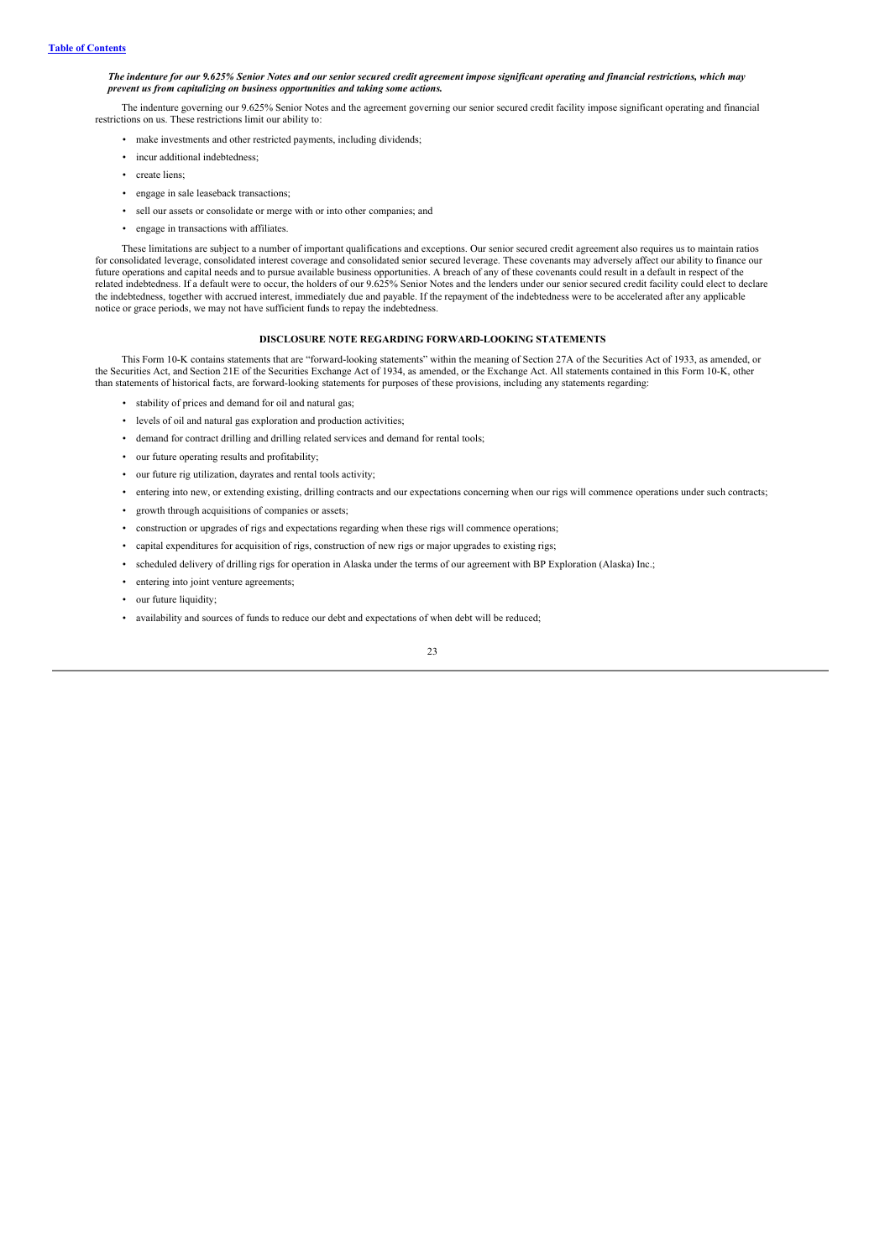The indenture for our 9.625% Senior Notes and our senior secured credit agreement impose significant operating and financial restrictions, which may *prevent us from capitalizing on business opportunities and taking some actions.*

The indenture governing our 9.625% Senior Notes and the agreement governing our senior secured credit facility impose significant operating and financial restrictions on us. These restrictions limit our ability to:

- make investments and other restricted payments, including dividends;
- incur additional indebtedness:
- create liens;
- engage in sale leaseback transactions;
- sell our assets or consolidate or merge with or into other companies; and
- engage in transactions with affiliates.

These limitations are subject to a number of important qualifications and exceptions. Our senior secured credit agreement also requires us to maintain ratios for consolidated leverage, consolidated interest coverage and consolidated senior secured leverage. These covenants may adversely affect our ability to finance our future operations and capital needs and to pursue available business opportunities. A breach of any of these covenants could result in a default in respect of the related indebtedness. If a default were to occur, the holders of our 9.625% Senior Notes and the lenders under our senior secured credit facility could elect to declare the indebtedness, together with accrued interest, immediately due and payable. If the repayment of the indebtedness were to be accelerated after any applicable notice or grace periods, we may not have sufficient funds to repay the indebtedness.

#### **DISCLOSURE NOTE REGARDING FORWARD-LOOKING STATEMENTS**

This Form 10-K contains statements that are "forward-looking statements" within the meaning of Section 27A of the Securities Act of 1933, as amended, or the Securities Act, and Section 21E of the Securities Exchange Act of 1934, as amended, or the Exchange Act. All statements contained in this Form 10-K, other than statements of historical facts, are forward-looking statements for purposes of these provisions, including any statements regarding:

- stability of prices and demand for oil and natural gas;
- levels of oil and natural gas exploration and production activities;
- demand for contract drilling and drilling related services and demand for rental tools;
- our future operating results and profitability;
- our future rig utilization, dayrates and rental tools activity;
- entering into new, or extending existing, drilling contracts and our expectations concerning when our rigs will commence operations under such contracts;
- growth through acquisitions of companies or assets;
- construction or upgrades of rigs and expectations regarding when these rigs will commence operations;
- capital expenditures for acquisition of rigs, construction of new rigs or major upgrades to existing rigs;
- scheduled delivery of drilling rigs for operation in Alaska under the terms of our agreement with BP Exploration (Alaska) Inc.;
- entering into joint venture agreements;
- our future liquidity;
- availability and sources of funds to reduce our debt and expectations of when debt will be reduced;

 $2<sup>2</sup>$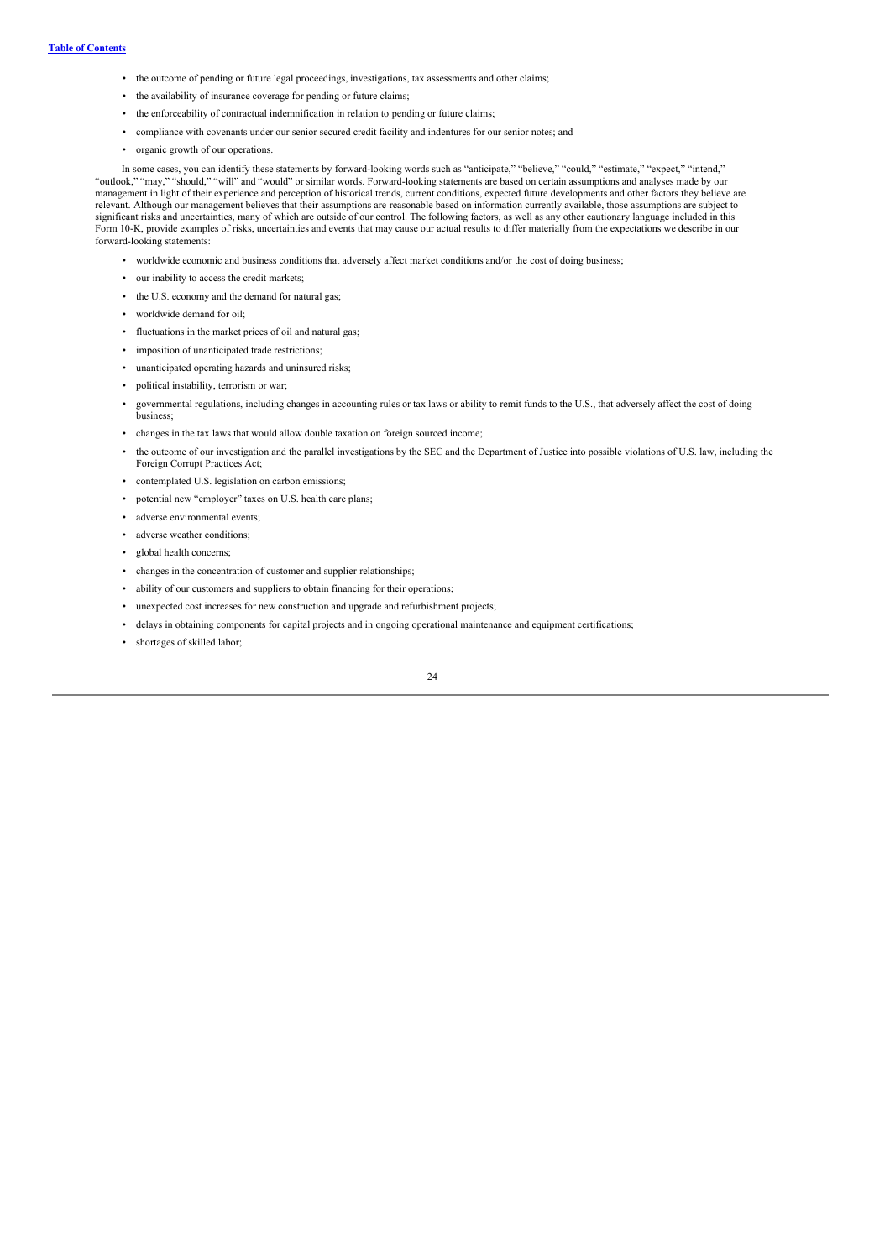- the outcome of pending or future legal proceedings, investigations, tax assessments and other claims;
- the availability of insurance coverage for pending or future claims;
- the enforceability of contractual indemnification in relation to pending or future claims;
- compliance with covenants under our senior secured credit facility and indentures for our senior notes; and
- organic growth of our operations.

In some cases, you can identify these statements by forward-looking words such as "anticipate," "believe," "could," "estimate," "expect," "intend," "outlook," "may," "should," "will" and "would" or similar words. Forward-looking statements are based on certain assumptions and analyses made by our management in light of their experience and perception of historical trends, current conditions, expected future developments and other factors they believe are relevant. Although our management believes that their assumptions are reasonable based on information currently available, those assumptions are subject to significant risks and uncertainties, many of which are outside of our control. The following factors, as well as any other cautionary language included in this Form 10-K, provide examples of risks, uncertainties and events that may cause our actual results to differ materially from the expectations we describe in our forward-looking statements:

- worldwide economic and business conditions that adversely affect market conditions and/or the cost of doing business;
- our inability to access the credit markets;
- the U.S. economy and the demand for natural gas;
- worldwide demand for oil;
- fluctuations in the market prices of oil and natural gas;
- imposition of unanticipated trade restrictions;
- unanticipated operating hazards and uninsured risks;
- political instability, terrorism or war;
- governmental regulations, including changes in accounting rules or tax laws or ability to remit funds to the U.S., that adversely affect the cost of doing business;
- changes in the tax laws that would allow double taxation on foreign sourced income;
- the outcome of our investigation and the parallel investigations by the SEC and the Department of Justice into possible violations of U.S. law, including the Foreign Corrupt Practices Act;
- contemplated U.S. legislation on carbon emissions;
- potential new "employer" taxes on U.S. health care plans;
- adverse environmental events;
- adverse weather conditions:
- global health concerns;
- changes in the concentration of customer and supplier relationships;
- ability of our customers and suppliers to obtain financing for their operations;
- unexpected cost increases for new construction and upgrade and refurbishment projects;
- delays in obtaining components for capital projects and in ongoing operational maintenance and equipment certifications;
- shortages of skilled labor;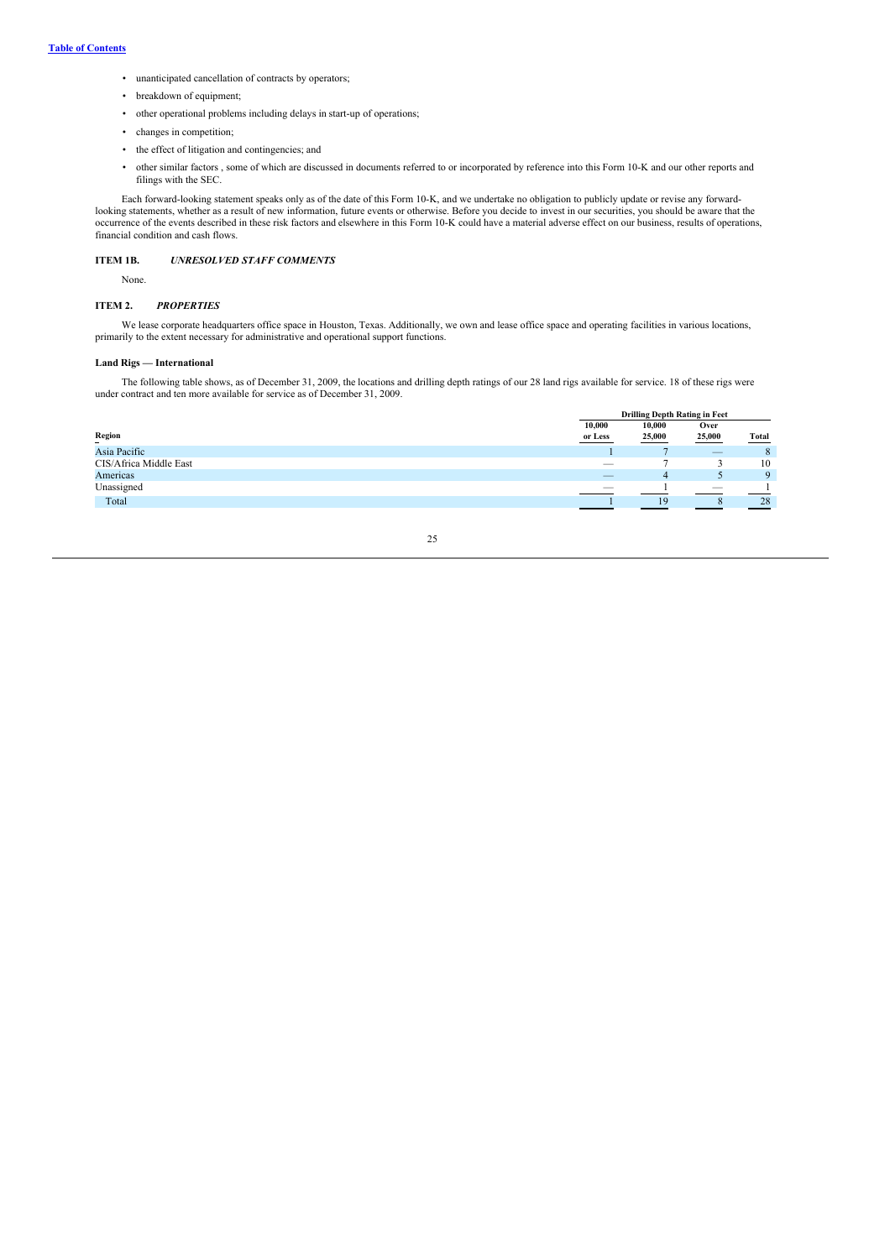- unanticipated cancellation of contracts by operators;
- breakdown of equipment;
- other operational problems including delays in start-up of operations;
- changes in competition;
- the effect of litigation and contingencies; and
- other similar factors , some of which are discussed in documents referred to or incorporated by reference into this Form 10-K and our other reports and filings with the SEC.

Each forward-looking statement speaks only as of the date of this Form 10-K, and we undertake no obligation to publicly update or revise any forward-looking statements, whether as a result of new information, future events occurrence of the events described in these risk factors and elsewhere in this Form 10-K could have a material adverse effect on our business, results of operations, financial condition and cash flows.

## **ITEM 1B.** *UNRESOLVED STAFF COMMENTS*

None.

# **ITEM 2.** *PROPERTIES*

We lease corporate headquarters office space in Houston, Texas. Additionally, we own and lease office space and operating facilities in various locations, primarily to the extent necessary for administrative and operational support functions.

#### **Land Rigs — International**

The following table shows, as of December 31, 2009, the locations and drilling depth ratings of our 28 land rigs available for service. 18 of these rigs were under contract and ten more available for service as of December 31, 2009.

|                        |                          | <b>Drilling Depth Rating in Feet</b> |                          |          |  |
|------------------------|--------------------------|--------------------------------------|--------------------------|----------|--|
|                        | 10,000                   | 10,000                               | Over                     |          |  |
| Region                 | or Less                  | 25,000                               | 25,000                   | Total    |  |
| Asia Pacific           |                          |                                      | $\overline{\phantom{m}}$ | 8        |  |
| CIS/Africa Middle East | $\overline{\phantom{a}}$ |                                      |                          | 10       |  |
| Americas               | _                        | 4                                    |                          | $\Omega$ |  |
| Unassigned             | __                       |                                      |                          |          |  |
| Total                  |                          | 19                                   |                          | 28       |  |
|                        |                          |                                      |                          |          |  |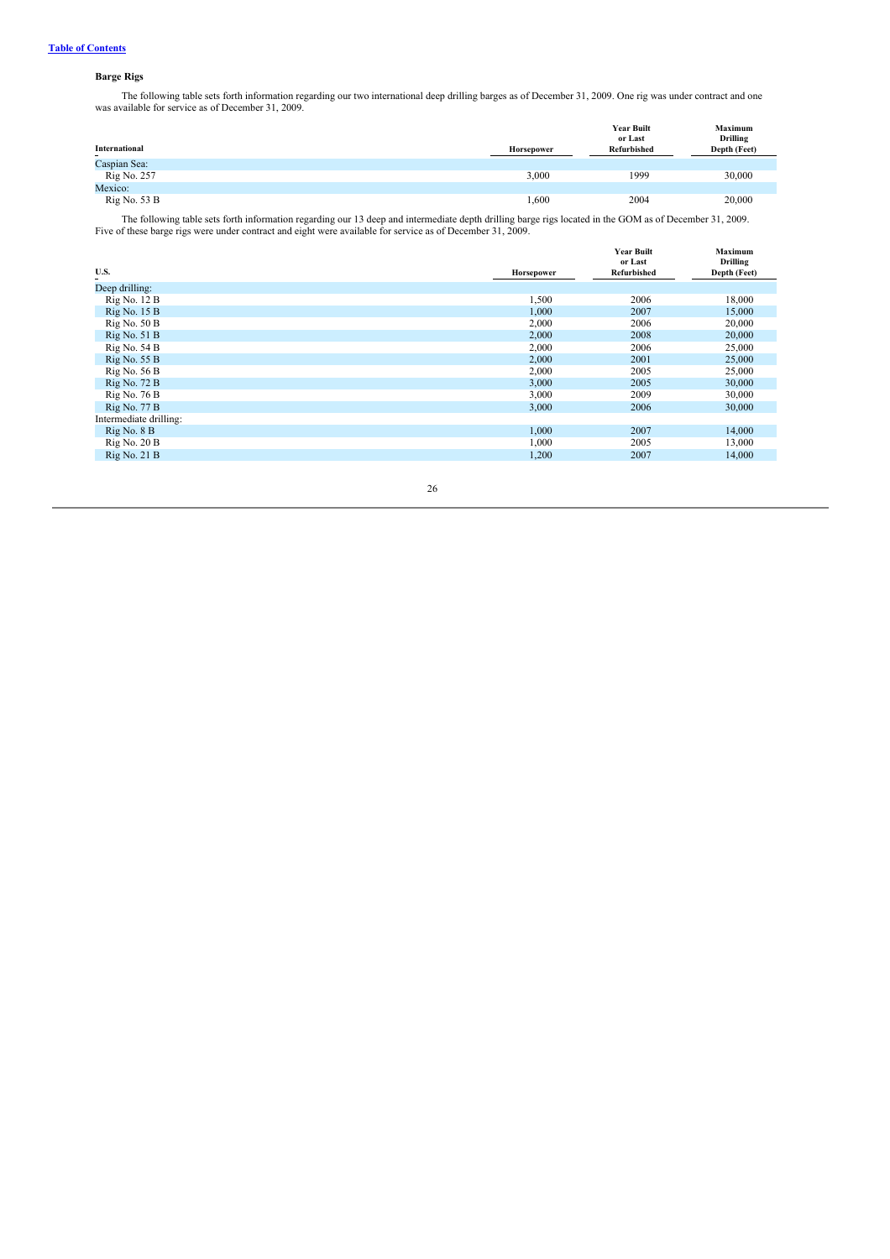# **Barge Rigs**

The following table sets forth information regarding our two international deep drilling barges as of December 31, 2009. One rig was under contract and one was available for service as of December 31, 2009.

| International            | Horsepower | <b>Year Built</b><br>or Last<br>Refurbished | Maximum<br><b>Drilling</b><br>Depth (Feet) |
|--------------------------|------------|---------------------------------------------|--------------------------------------------|
| $\overline{\phantom{0}}$ |            |                                             |                                            |
| Caspian Sea:             |            |                                             |                                            |
| Rig No. 257              | 3,000      | 1999                                        | 30,000                                     |
| Mexico:                  |            |                                             |                                            |
| $Rig$ No. 53 B           | 1,600      | 2004                                        | 20,000                                     |

The following table sets forth information regarding our 13 deep and intermediate depth drilling barge rigs located in the GOM as of December 31, 2009.<br>Five of these barge rigs were under contract and eight were available

|                                              |                   | <b>Year Built</b><br>or Last | Maximum<br><b>Drilling</b> |
|----------------------------------------------|-------------------|------------------------------|----------------------------|
| U.S.                                         | <b>Horsepower</b> | Refurbished                  | Depth (Feet)               |
| Deep drilling:                               |                   |                              |                            |
| Rig No. 12 B                                 | 1,500             | 2006                         | 18,000                     |
| Rig No. 15 B                                 | 1,000             | 2007                         | 15,000                     |
| Rig No. 50 B                                 | 2,000             | 2006                         | 20,000                     |
| Rig No. 51 B                                 | 2,000             | 2008                         | 20,000                     |
| Rig No. 54 B                                 | 2,000             | 2006                         | 25,000                     |
| $\mathrm{Rig}\,\mathrm{No.}$ 55 $\mathrm{B}$ | 2,000             | 2001                         | 25,000                     |
| Rig No. 56 B                                 | 2,000             | 2005                         | 25,000                     |
| Rig No. 72 B                                 | 3,000             | 2005                         | 30,000                     |
| Rig No. 76 B                                 | 3,000             | 2009                         | 30,000                     |
| Rig No. 77 B                                 | 3,000             | 2006                         | 30,000                     |
| Intermediate drilling:                       |                   |                              |                            |
| Rig No. 8 B                                  | 1,000             | 2007                         | 14,000                     |
| $Rig$ No. 20 $B$                             | 1,000             | 2005                         | 13,000                     |
| $Rig$ No. 21 $B$                             | 1,200             | 2007                         | 14,000                     |
|                                              |                   |                              |                            |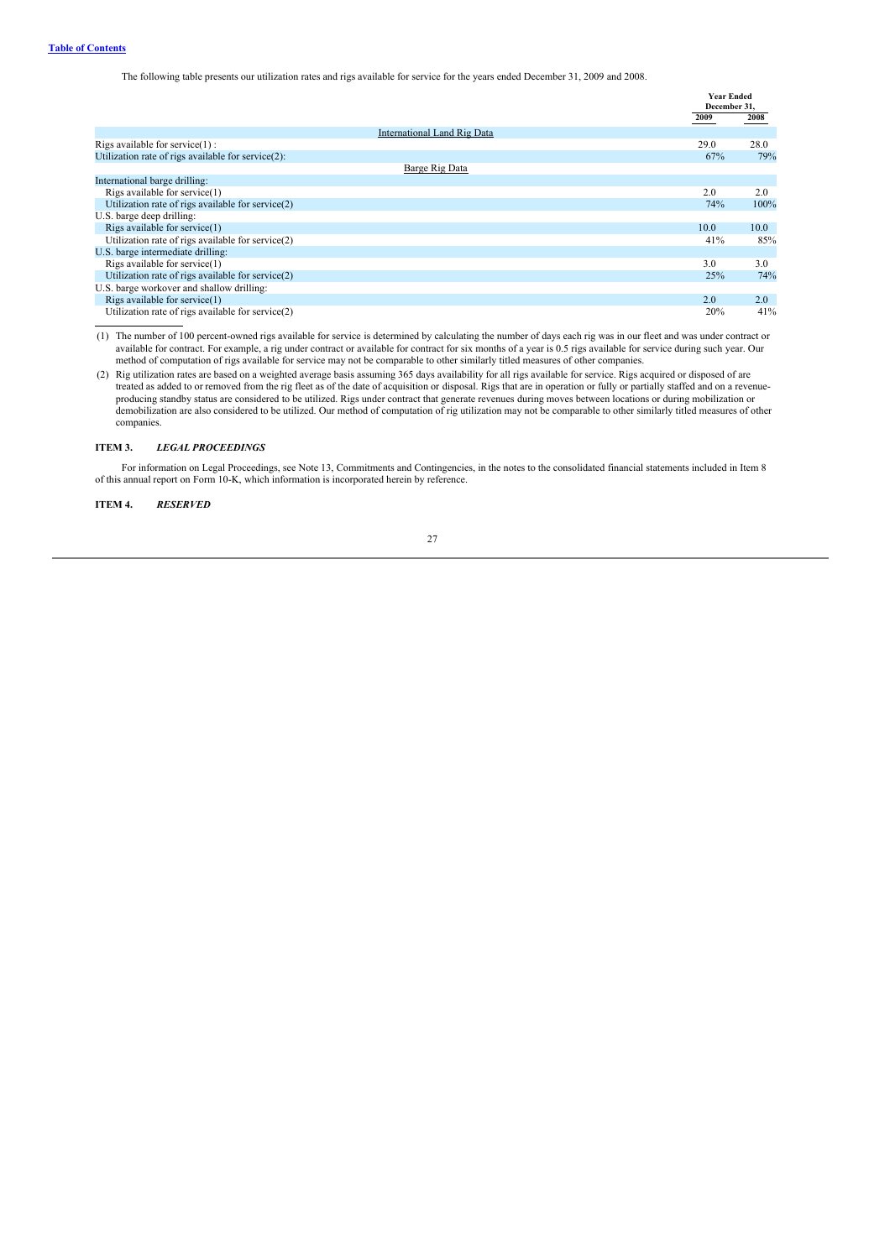The following table presents our utilization rates and rigs available for service for the years ended December 31, 2009 and 2008.

|                                                    | <b>Year Ended</b> |      |
|----------------------------------------------------|-------------------|------|
|                                                    | December 31,      |      |
|                                                    | 2009              | 2008 |
| <b>International Land Rig Data</b>                 |                   |      |
| Rigs available for service $(1)$ :                 | 29.0              | 28.0 |
| Utilization rate of rigs available for service(2): | 67%               | 79%  |
| Barge Rig Data                                     |                   |      |
| International barge drilling:                      |                   |      |
| Rigs available for service $(1)$                   | 2.0               | 2.0  |
| Utilization rate of rigs available for service(2)  | 74%               | 100% |
| U.S. barge deep drilling:                          |                   |      |
| Rigs available for service $(1)$                   | 10.0              | 10.0 |
| Utilization rate of rigs available for service(2)  | 41%               | 85%  |
| U.S. barge intermediate drilling:                  |                   |      |
| Rigs available for service $(1)$                   | 3.0               | 3.0  |
| Utilization rate of rigs available for service(2)  | 25%               | 74%  |
| U.S. barge workover and shallow drilling:          |                   |      |
| Rigs available for service $(1)$                   | 2.0               | 2.0  |
| Utilization rate of rigs available for service(2)  | 20%               | 41%  |

(1) The number of 100 percent-owned rigs available for service is determined by calculating the number of days each rig was in our fleet and was under contract or available for contract. For example, a rig under contract or available for contract for six months of a year is 0.5 rigs available for service during such year. Our method of computation of rigs available for service may not be comparable to other similarly titled measures of other companies.

(2) Rig utilization rates are based on a weighted average basis assuming 365 days availability for all rigs available for service. Rigs acquired or disposed of are treated as added to or removed from the rig fleet as of th producing standby status are considered to be utilized. Rigs under contract that generate revenues during moves between locations or during mobilization or<br>demobilization are also considered to be utilized. Our method of c companies.

# **ITEM 3.** *LEGAL PROCEEDINGS*

For information on Legal Proceedings, see Note 13, Commitments and Contingencies, in the notes to the consolidated financial statements included in Item 8 of this annual report on Form 10-K, which information is incorporated herein by reference.

# **ITEM 4.** *RESERVED*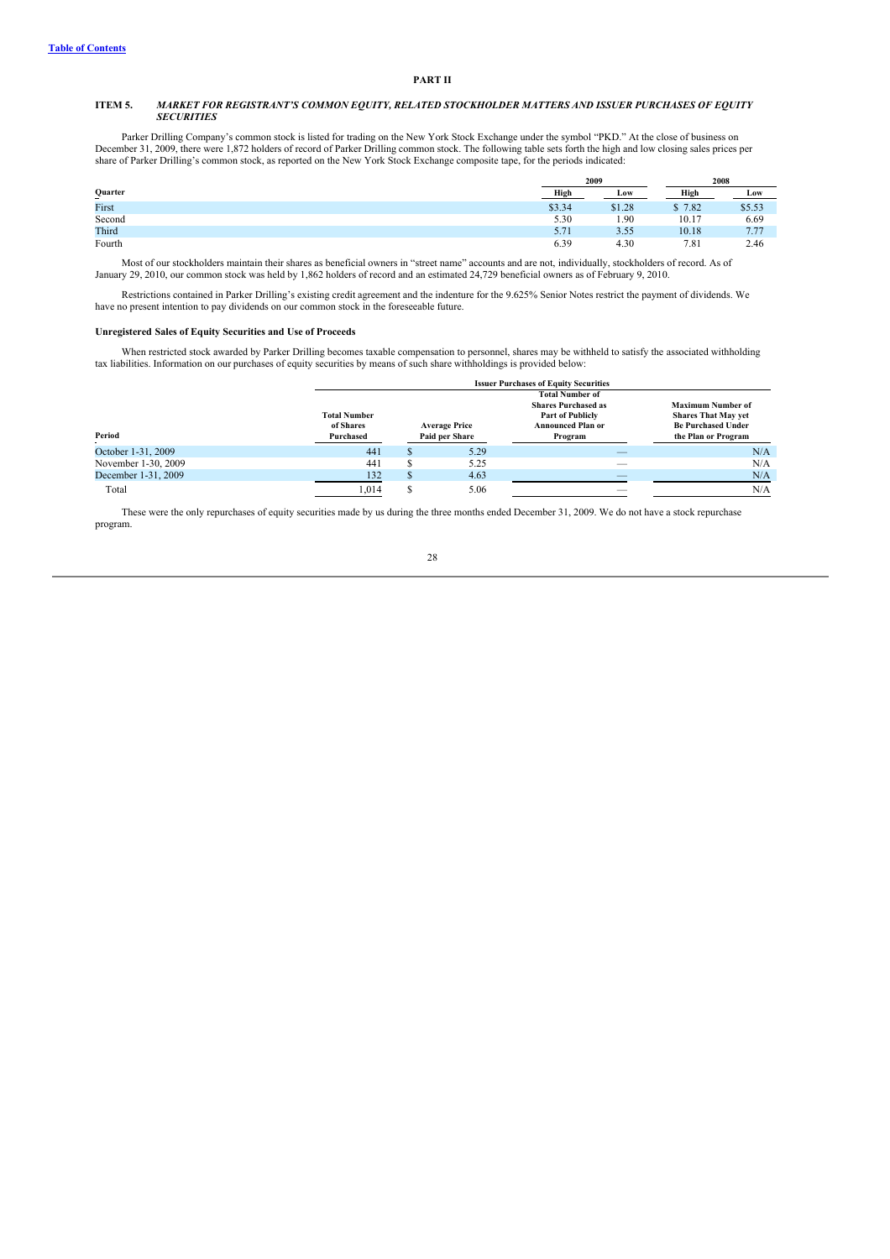#### **PART II**

## **ITEM 5.** *MARKET FOR REGISTRANT'S COMMON EQUITY, RELATED STOCKHOLDER MATTERS AND ISSUER PURCHASES OF EQUITY SECURITIES*

Parker Drilling Company's common stock is listed for trading on the New York Stock Exchange under the symbol "PKD." At the close of business on December 31, 2009, there were 1,872 holders of record of Parker Drilling common stock. The following table sets forth the high and low closing sales prices per<br>share of Parker Drilling's common stock, as reported on the Ne

|                            |        | 2009   |        | 2008   |
|----------------------------|--------|--------|--------|--------|
| Quarter<br>$\qquad \qquad$ | High   | Low    | High   | Low    |
| First                      | \$3.34 | \$1.28 | \$7.82 | \$5.53 |
| Second                     | 5.30   | 1.90   | 10.17  | 6.69   |
| Third                      | 5.71   | 3.55   | 10.18  | 7.77   |
| Fourth                     | 6.39   | 4.30   | 7.81   | 2.46   |

Most of our stockholders maintain their shares as beneficial owners in "street name" accounts and are not, individually, stockholders of record. As of<br>January 29, 2010, our common stock was held by 1,862 holders of record

Restrictions contained in Parker Drilling's existing credit agreement and the indenture for the 9.625% Senior Notes restrict the payment of dividends. We have no present intention to pay dividends on our common stock in the foreseeable future.

## **Unregistered Sales of Equity Securities and Use of Proceeds**

When restricted stock awarded by Parker Drilling becomes taxable compensation to personnel, shares may be withheld to satisfy the associated withholding tax liabilities. Information on our purchases of equity securities by means of such share withholdings is provided below:

|                     | <b>Issuer Purchases of Equity Securities</b> |                                                        |                      |                          |                            |  |  |  |
|---------------------|----------------------------------------------|--------------------------------------------------------|----------------------|--------------------------|----------------------------|--|--|--|
|                     |                                              |                                                        |                      | <b>Total Number of</b>   |                            |  |  |  |
|                     |                                              | <b>Shares Purchased as</b><br><b>Maximum Number of</b> |                      |                          |                            |  |  |  |
|                     | <b>Total Number</b>                          |                                                        |                      | <b>Part of Publicly</b>  | <b>Shares That May yet</b> |  |  |  |
|                     | of Shares                                    |                                                        | <b>Average Price</b> | <b>Announced Plan or</b> | <b>Be Purchased Under</b>  |  |  |  |
| Period              | Purchased                                    |                                                        | Paid per Share       | Program                  | the Plan or Program        |  |  |  |
| October 1-31, 2009  | 441                                          |                                                        | 5.29                 |                          | N/A                        |  |  |  |
| November 1-30, 2009 | 441                                          |                                                        | 5.25                 |                          | N/A                        |  |  |  |
| December 1-31, 2009 | 132                                          |                                                        | 4.63                 |                          | N/A                        |  |  |  |
| Total               | 1,014                                        |                                                        | 5.06                 |                          | N/A                        |  |  |  |

These were the only repurchases of equity securities made by us during the three months ended December 31, 2009. We do not have a stock repurchase program.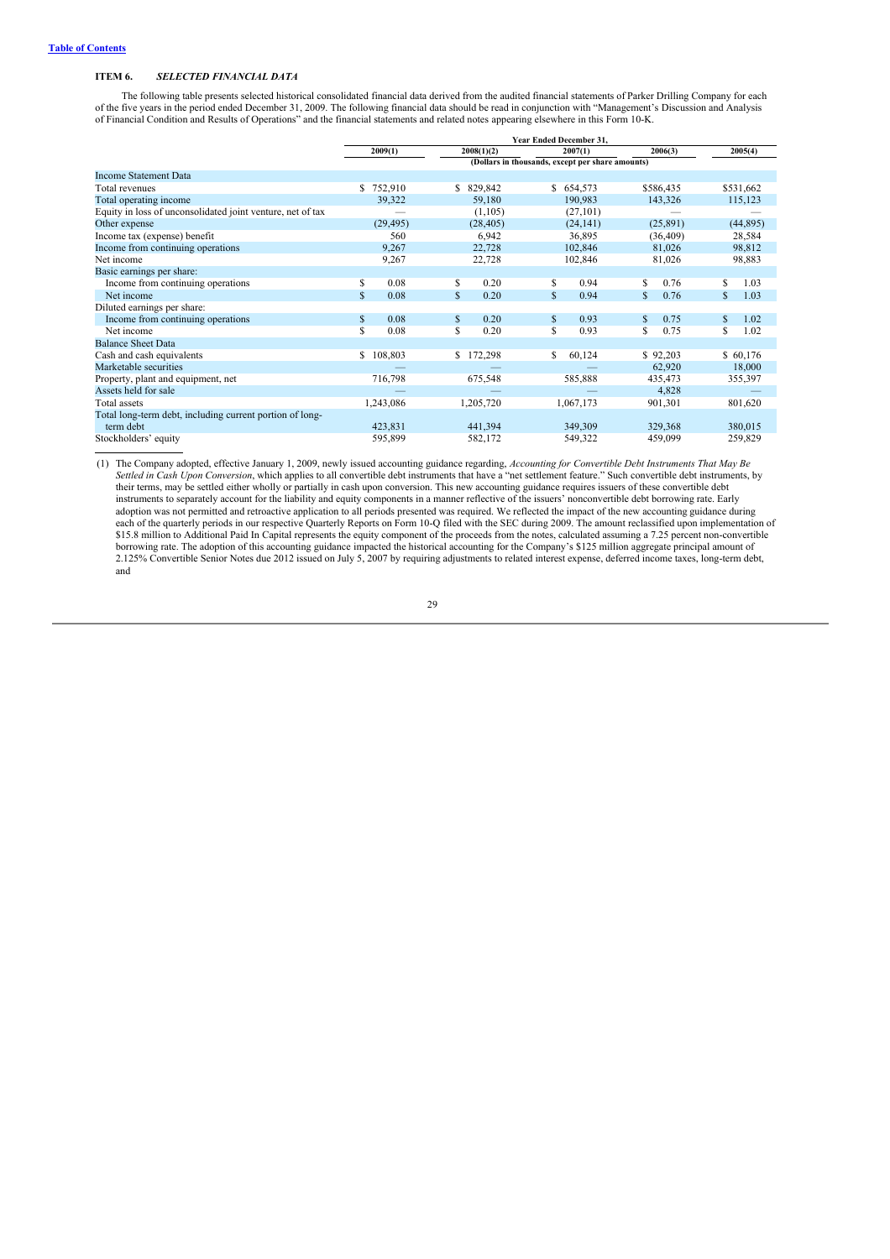# **ITEM 6.** *SELECTED FINANCIAL DATA*

The following table presents selected historical consolidated financial data derived from the audited financial statements of Parker Drilling Company for each of the five years in the period ended December 31, 2009. The fo of Financial Condition and Results of Operations" and the financial statements and related notes appearing elsewhere in this Form 10-K.

|                                                            | Year Ended December 31,         |            |                                                  |            |            |  |  |  |
|------------------------------------------------------------|---------------------------------|------------|--------------------------------------------------|------------|------------|--|--|--|
|                                                            | 2009(1)                         | 2008(1)(2) | 2007(1)                                          | 2006(3)    | 2005(4)    |  |  |  |
|                                                            |                                 |            | (Dollars in thousands, except per share amounts) |            |            |  |  |  |
| <b>Income Statement Data</b>                               |                                 |            |                                                  |            |            |  |  |  |
| Total revenues                                             | 752,910<br>\$                   | \$ 829,842 | \$654,573                                        | \$586,435  | \$531,662  |  |  |  |
| Total operating income                                     | 39,322                          | 59,180     | 190,983                                          | 143,326    | 115,123    |  |  |  |
| Equity in loss of unconsolidated joint venture, net of tax |                                 | (1,105)    | (27, 101)                                        |            |            |  |  |  |
| Other expense                                              | (29, 495)                       | (28, 405)  | (24, 141)                                        | (25, 891)  | (44, 895)  |  |  |  |
| Income tax (expense) benefit                               | 560                             | 6,942      | 36,895                                           | (36, 409)  | 28,584     |  |  |  |
| Income from continuing operations                          | 9,267                           | 22,728     | 102,846                                          | 81,026     | 98,812     |  |  |  |
| Net income                                                 | 9,267                           | 22,728     | 102,846                                          | 81,026     | 98,883     |  |  |  |
| Basic earnings per share:                                  |                                 |            |                                                  |            |            |  |  |  |
| Income from continuing operations                          | 0.08<br>S                       | \$<br>0.20 | \$<br>0.94                                       | \$<br>0.76 | 1.03<br>Ś  |  |  |  |
| Net income                                                 | $\overline{\mathbf{s}}$<br>0.08 | \$<br>0.20 | \$<br>0.94                                       | \$<br>0.76 | \$<br>1.03 |  |  |  |
| Diluted earnings per share:                                |                                 |            |                                                  |            |            |  |  |  |
| Income from continuing operations                          | \$<br>0.08                      | \$<br>0.20 | \$<br>0.93                                       | \$<br>0.75 | \$<br>1.02 |  |  |  |
| Net income                                                 | $\mathbf S$<br>0.08             | \$<br>0.20 | \$<br>0.93                                       | \$<br>0.75 | Ŝ.<br>1.02 |  |  |  |
| <b>Balance Sheet Data</b>                                  |                                 |            |                                                  |            |            |  |  |  |
| Cash and cash equivalents                                  | \$<br>108,803                   | \$172,298  | \$<br>60,124                                     | \$92,203   | \$60,176   |  |  |  |
| Marketable securities                                      |                                 |            |                                                  | 62,920     | 18,000     |  |  |  |
| Property, plant and equipment, net                         | 716,798                         | 675,548    | 585,888                                          | 435,473    | 355,397    |  |  |  |
| Assets held for sale                                       |                                 |            |                                                  | 4,828      |            |  |  |  |
| Total assets                                               | 1,243,086                       | 1,205,720  | 1,067,173                                        | 901,301    | 801,620    |  |  |  |
| Total long-term debt, including current portion of long-   |                                 |            |                                                  |            |            |  |  |  |
| term debt                                                  | 423,831                         | 441,394    | 349,309                                          | 329,368    | 380,015    |  |  |  |
| Stockholders' equity                                       | 595,899                         | 582,172    | 549,322                                          | 459,099    | 259,829    |  |  |  |

(1) The Company adopted, effective January 1, 2009, newly issued accounting guidance regarding, Accounting for Convertible Debt Instruments That May Be<br>Settled in Cash Upon Conversion, which applies to all convertible debt their terms, may be settled either wholly or partially in cash upon conversion. This new accounting guidance requires issuers of these convertible debt<br>instruments to separately account for the liability and equity compone adoption was not permitted and retroactive application to all periods presented was required. We reflected the impact of the new accounting guidance during each of the quarterly periods in our respective Quarterly Reports on Form 10-Q filed with the SEC during 2009. The amount reclassified upon implementation of<br>b15.8 million to Additional Paid In Capital represents the equit and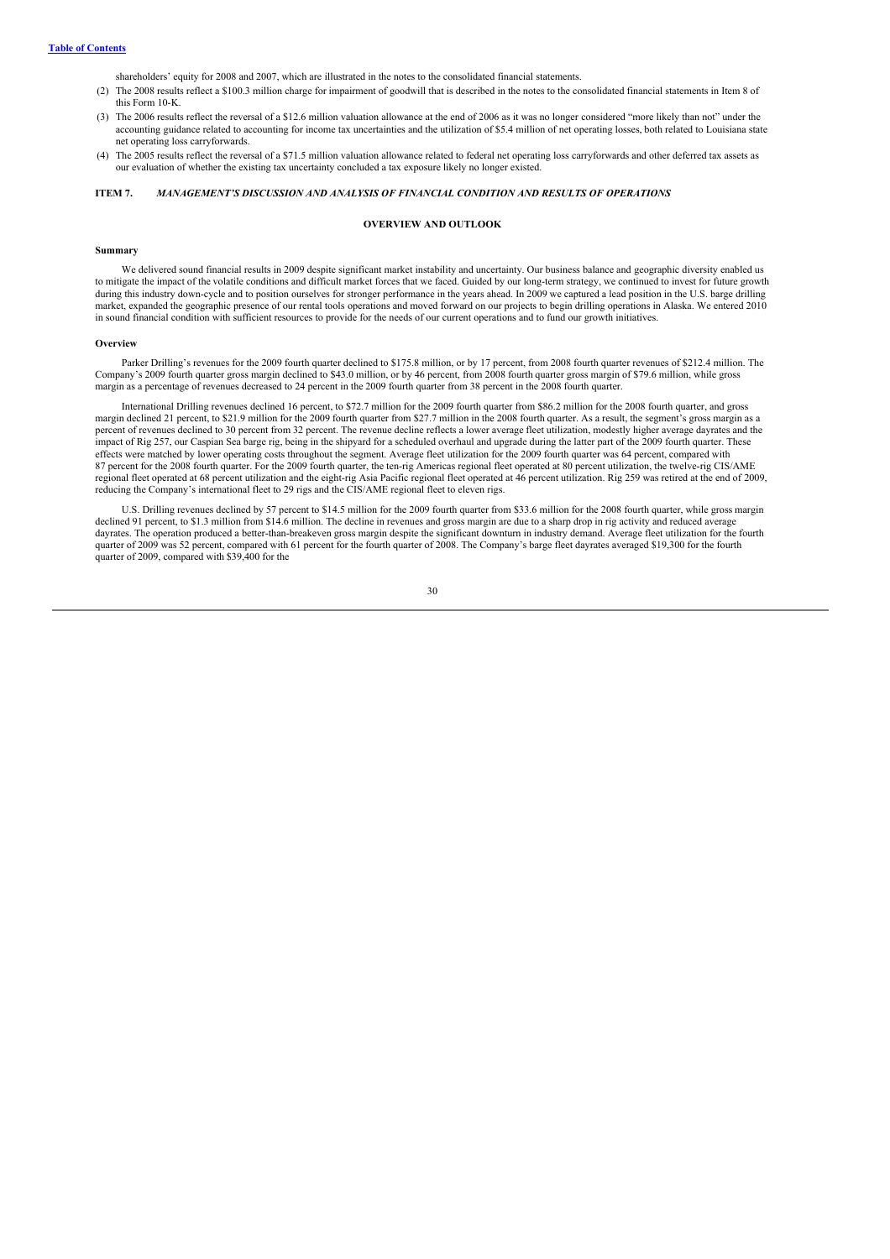shareholders' equity for 2008 and 2007, which are illustrated in the notes to the consolidated financial statements.

- (2) The 2008 results reflect a \$100.3 million charge for impairment of goodwill that is described in the notes to the consolidated financial statements in Item 8 of this Form 10-K.
- (3) The 2006 results reflect the reversal of a \$12.6 million valuation allowance at the end of 2006 as it was no longer considered "more likely than not" under the accounting guidance related to accounting for income tax uncertainties and the utilization of \$5.4 million of net operating losses, both related to Louisiana state net operating loss carryforwards.
- (4) The 2005 results reflect the reversal of a \$71.5 million valuation allowance related to federal net operating loss carryforwards and other deferred tax assets as our evaluation of whether the existing tax uncertainty concluded a tax exposure likely no longer existed.

## **ITEM 7.** *MANAGEMENT'S DISCUSSION AND ANALYSIS OF FINANCIAL CONDITION AND RESULTS OF OPERATIONS*

#### **OVERVIEW AND OUTLOOK**

## **Summary**

We delivered sound financial results in 2009 despite significant market instability and uncertainty. Our business balance and geographic diversity enabled us to mitigate the impact of the volatile conditions and difficult market forces that we faced. Guided by our long-term strategy, we continued to invest for future growth during this industry down-cycle and to position ourselves for stronger performance in the years ahead. In 2009 we captured a lead position in the U.S. barge drilling market, expanded the geographic presence of our rental tools operations and moved forward on our projects to begin drilling operations in Alaska. We entered 2010 in sound financial condition with sufficient resources to provide for the needs of our current operations and to fund our growth initiatives.

#### **Overview**

Parker Drilling's revenues for the 2009 fourth quarter declined to \$175.8 million, or by 17 percent, from 2008 fourth quarter revenues of \$212.4 million. The Company's 2009 fourth quarter gross margin of \$79.6 million, whi margin as a percentage of revenues decreased to 24 percent in the 2009 fourth quarter from 38 percent in the 2008 fourth quarter.

International Drilling revenues declined 16 percent, to \$72.7 million for the 2009 fourth quarter from \$86.2 million for the 2008 fourth quarter, and gross margin declined 21 percent, to \$21.9 million for the 2009 fourth quarter from \$27.7 million in the 2008 fourth quarter. As a result, the segment's gross margin as a percent of revenues declined to 30 percent from 32 percent. The revenue decline reflects a lower average fleet utilization, modestly higher average dayrates and the impact of Rig 257, our Caspian Sea barge rig, being in th effects were matched by lower operating costs throughout the segment. Average fleet utilization for the 2009 fourth quarter was 64 percent, compared with 87 percent for the 2008 fourth quarter. For the 2009 fourth quarter, the ten-rig Americas regional fleet operated at 80 percent utilization, the twelve-rig CIS/AME regional fleet operated at 68 percent utilization and the eight-rig Asia Pacific regional fleet operated at 46 percent utilization. Rig 259 was retired at the end of 2009, reducing the Company's international fleet to 29 rigs and the CIS/AME regional fleet to eleven rigs.

U.S. Drilling revenues declined by 57 percent to \$14.5 million for the 2009 fourth quarter from \$33.6 million for the 2008 fourth quarter, while gross margin declined 91 percent, to \$1.3 million from \$14.6 million. The decline in revenues and gross margin are due to a sharp drop in rig activity and reduced average dayrates. The operation produced a better-than-breakeven gross margin despite the significant downturn in industry demand. Average fleet utilization for the fourth quarter of 2009 was 52 percent, compared with 61 percent for the fourth quarter of 2008. The Company's barge fleet dayrates averaged \$19,300 for the fourth quarter of 2009, compared with \$39,400 for the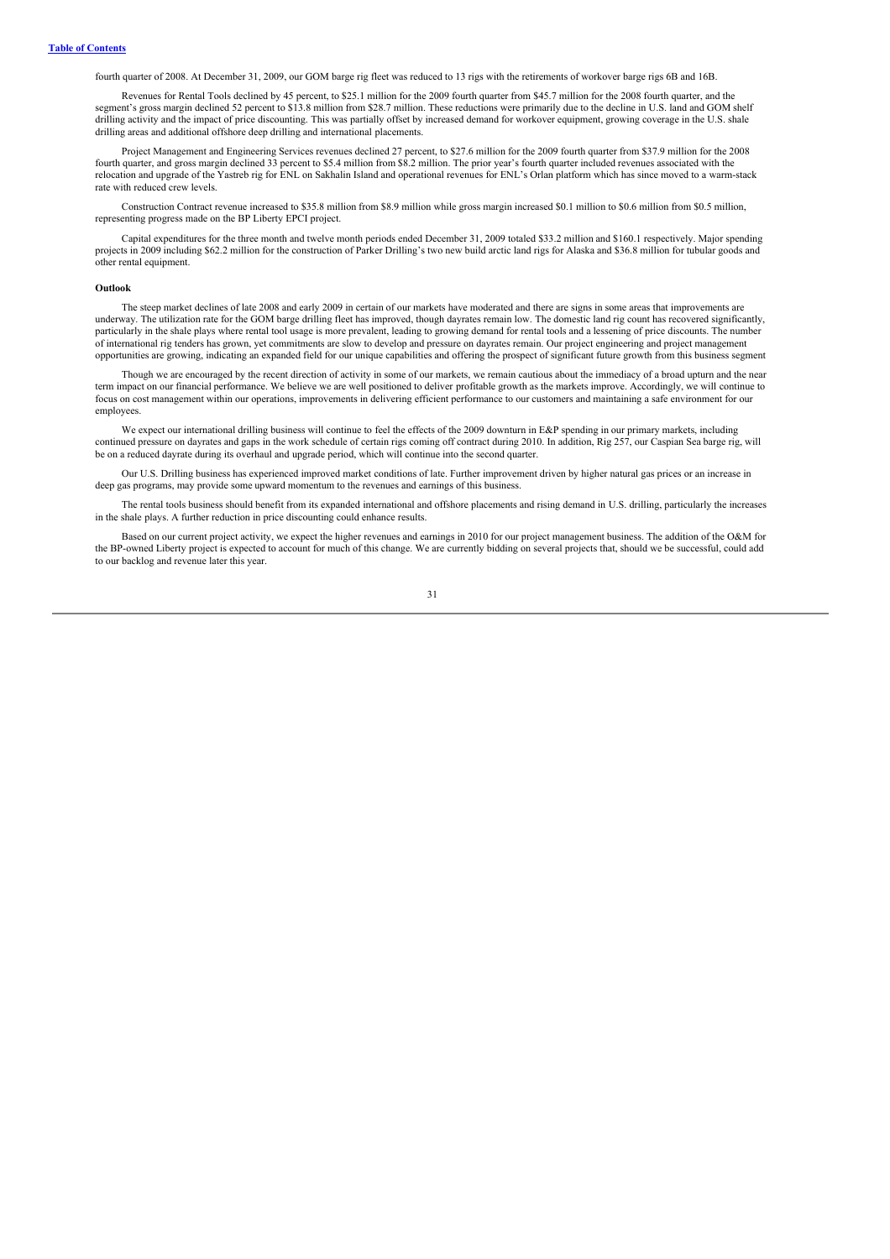fourth quarter of 2008. At December 31, 2009, our GOM barge rig fleet was reduced to 13 rigs with the retirements of workover barge rigs 6B and 16B.

Revenues for Rental Tools declined by 45 percent, to \$25.1 million for the 2009 fourth quarter from \$45.7 million for the 2008 fourth quarter, and the segment's gross margin declined 52 percent to \$13.8 million from \$28.7 million. These reductions were primarily due to the decline in U.S. land and GOM shelf drilling activity and the impact of price discounting. This was partially offset by increased demand for workover equipment, growing coverage in the U.S. shale drilling areas and additional offshore deep drilling and international placements.

Project Management and Engineering Services revenues declined 27 percent, to \$27.6 million for the 2009 fourth quarter from \$37.9 million for the 2008 fourth quarter, and gross margin declined 33 percent to \$5.4 million from \$8.2 million. The prior year's fourth quarter included revenues associated with the relocation and upgrade of the Yastreb rig for ENL on Sakhalin Island and operational revenues for ENL's Orlan platform which has since moved to a warm-stack rate with reduced crew levels.

Construction Contract revenue increased to \$35.8 million from \$8.9 million while gross margin increased \$0.1 million to \$0.6 million from \$0.5 million, representing progress made on the BP Liberty EPCI project.

Capital expenditures for the three month and twelve month periods ended December 31, 2009 totaled \$33.2 million and \$160.1 respectively. Major spending projects in 2009 including \$62.2 million for the construction of Parker Drilling's two new build arctic land rigs for Alaska and \$36.8 million for tubular goods and other rental equipment.

#### **Outlook**

The steep market declines of late 2008 and early 2009 in certain of our markets have moderated and there are signs in some areas that improvements are underway. The utilization rate for the GOM barge drilling fleet has improved, though dayrates remain low. The domestic land rig count has recovered significantly, particularly in the shale plays where rental tool usage is more prevalent, leading to growing demand for rental tools and a lessening of price discounts. The number of international rig tenders has grown, yet commitments are slow to develop and pressure on dayrates remain. Our project engineering and project management opportunities are growing, indicating an expanded field for our unique capabilities and offering the prospect of significant future growth from this business segment

Though we are encouraged by the recent direction of activity in some of our markets, we remain cautious about the immediacy of a broad upturn and the near term impact on our financial performance. We believe we are well positioned to deliver profitable growth as the markets improve. Accordingly, we will continue to focus on cost management within our operations, improvements in delivering efficient performance to our customers and maintaining a safe environment for our employees.

We expect our international drilling business will continue to feel the effects of the 2009 downturn in E&P spending in our primary markets, including continued pressure on dayrates and gaps in the work schedule of certain be on a reduced dayrate during its overhaul and upgrade period, which will continue into the second quarter.

Our U.S. Drilling business has experienced improved market conditions of late. Further improvement driven by higher natural gas prices or an increase in deep gas programs, may provide some upward momentum to the revenues and earnings of this business.

The rental tools business should benefit from its expanded international and offshore placements and rising demand in U.S. drilling, particularly the increases in the shale plays. A further reduction in price discounting could enhance results.

Based on our current project activity, we expect the higher revenues and earnings in 2010 for our project management business. The addition of the O&M for the BP-owned Liberty project is expected to account for much of this change. We are currently bidding on several projects that, should we be successful, could add to our backlog and revenue later this year.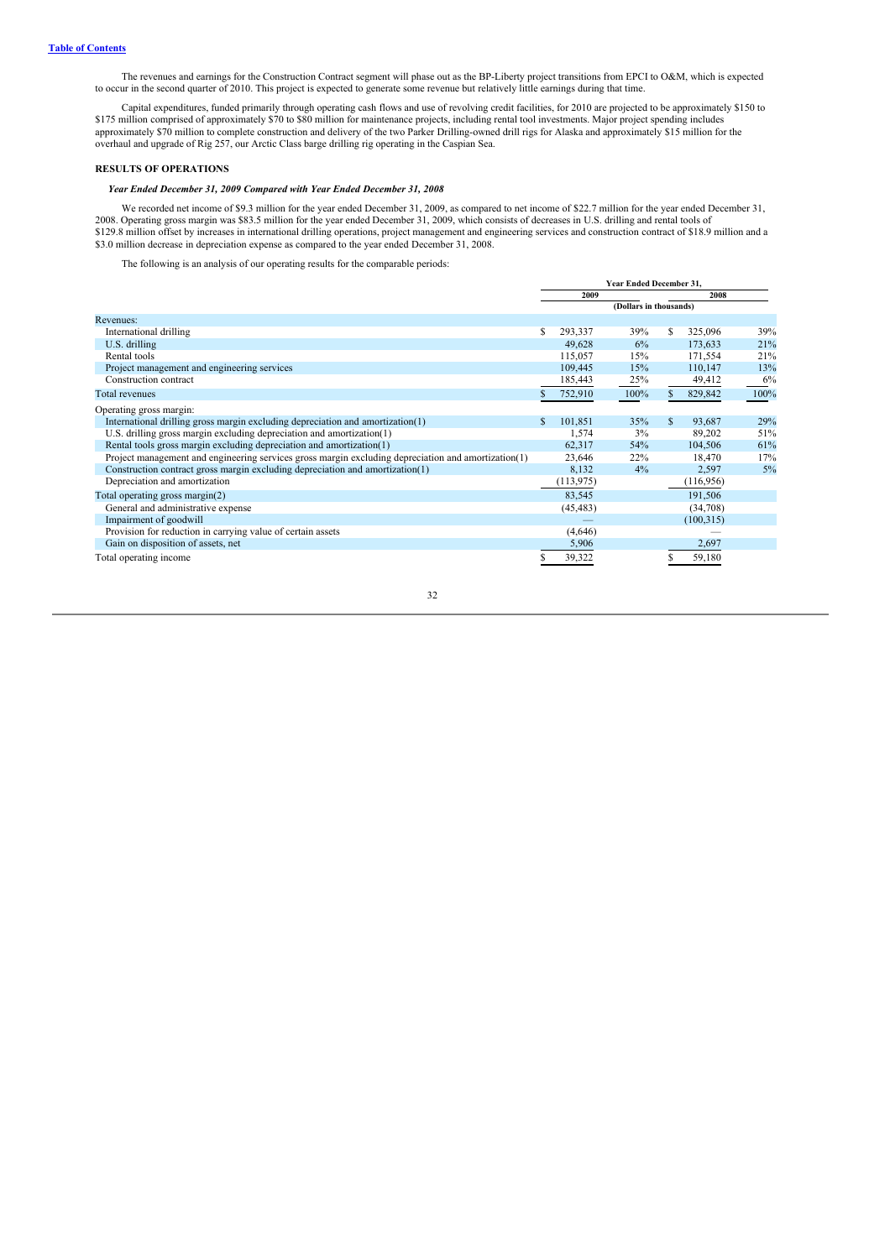The revenues and earnings for the Construction Contract segment will phase out as the BP-Liberty project transitions from EPCI to O&M, which is expected to occur in the second quarter of 2010. This project is expected to generate some revenue but relatively little earnings during that time.

Capital expenditures, funded primarily through operating cash flows and use of revolving credit facilities, for 2010 are projected to be approximately \$150 to \$175 million comprised of approximately \$70 to \$80 million for maintenance projects, including rental tool investments. Major project spending includes approximately \$70 million to complete construction and delivery of the two Parker Drilling-owned drill rigs for Alaska and approximately \$15 million for the<br>overhaul and upgrade of Rig 257, our Arctic Class barge drilling

## **RESULTS OF OPERATIONS**

# *Year Ended December 31, 2009 Compared with Year Ended December 31, 2008*

We recorded net income of \$9.3 million for the year ended December 31, 2009, as compared to net income of \$22.7 million for the year ended December 31, 2008. Operating gross margin was \$83.5 million for the year ended December 31, 2009, which consists of decreases in U.S. drilling and rental tools of<br>\$129.8 million offset by increases in international drilling operations,

The following is an analysis of our operating results for the comparable periods:

|                                                                                                     |                        | Year Ended December 31, |      |     |            |       |
|-----------------------------------------------------------------------------------------------------|------------------------|-------------------------|------|-----|------------|-------|
|                                                                                                     |                        | 2009                    |      |     | 2008       |       |
|                                                                                                     | (Dollars in thousands) |                         |      |     |            |       |
| Revenues:                                                                                           |                        |                         |      |     |            |       |
| International drilling                                                                              | S                      | 293,337                 | 39%  | S   | 325,096    | 39%   |
| U.S. drilling                                                                                       |                        | 49.628                  | 6%   |     | 173,633    | 21%   |
| Rental tools                                                                                        |                        | 115,057                 | 15%  |     | 171,554    | 21%   |
| Project management and engineering services                                                         |                        | 109,445                 | 15%  |     | 110,147    | 13%   |
| Construction contract                                                                               |                        | 185,443                 | 25%  |     | 49,412     | 6%    |
| Total revenues                                                                                      |                        | 752,910                 | 100% |     | 829,842    | 100%  |
| Operating gross margin:                                                                             |                        |                         |      |     |            |       |
| International drilling gross margin excluding depreciation and amortization(1)                      |                        | 101,851                 | 35%  | \$. | 93,687     | 29%   |
| U.S. drilling gross margin excluding depreciation and amortization(1)                               |                        | 1,574                   | 3%   |     | 89,202     | 51%   |
| Rental tools gross margin excluding depreciation and amortization(1)                                |                        | 62,317                  | 54%  |     | 104,506    | 61%   |
| Project management and engineering services gross margin excluding depreciation and amortization(1) |                        | 23,646                  | 22%  |     | 18,470     | 17%   |
| Construction contract gross margin excluding depreciation and amortization(1)                       |                        | 8,132                   | 4%   |     | 2,597      | $5\%$ |
| Depreciation and amortization                                                                       |                        | (113, 975)              |      |     | (116,956)  |       |
| Total operating gross margin(2)                                                                     |                        | 83,545                  |      |     | 191,506    |       |
| General and administrative expense                                                                  |                        | (45, 483)               |      |     | (34,708)   |       |
| Impairment of goodwill                                                                              |                        |                         |      |     | (100, 315) |       |
| Provision for reduction in carrying value of certain assets                                         |                        | (4,646)                 |      |     |            |       |
| Gain on disposition of assets, net                                                                  |                        | 5,906                   |      |     | 2,697      |       |
| Total operating income                                                                              |                        | 39,322                  |      |     | 59,180     |       |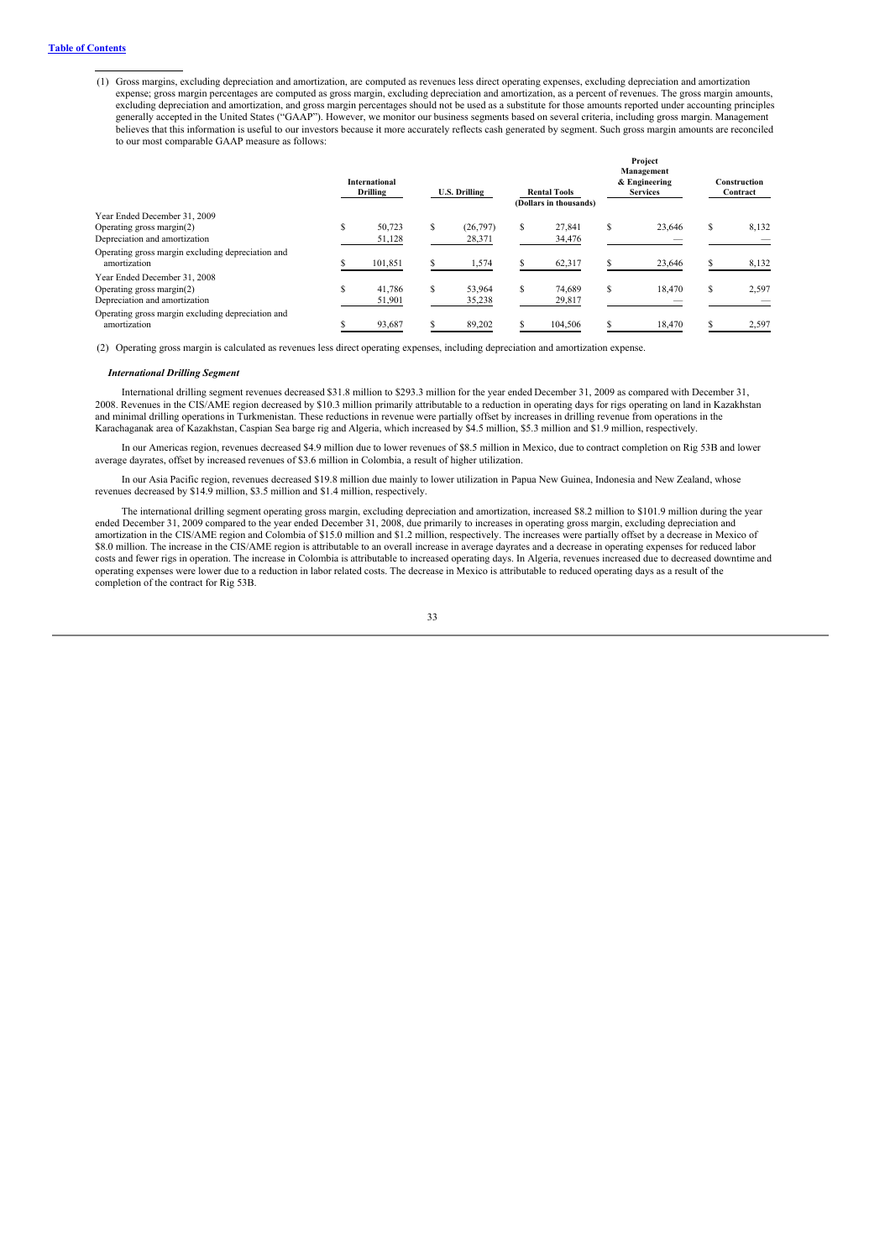(1) Gross margins, excluding depreciation and amortization, are computed as revenues less direct operating expenses, excluding depreciation and amortization expense; gross margin percentages are computed as gross margin, excluding depreciation and amortization, as a percent of revenues. The gross margin amounts, excluding depreciation and amortization, and gross margin percentages should not be used as a substitute for those amounts reported under accounting principles generally accepted in the United States ("GAAP"). However, we monitor our business segments based on several criteria, including gross margin. Management believes that this information is useful to our investors because it more accurately reflects cash generated by segment. Such gross margin amounts are reconciled to our most comparable GAAP measure as follows:

|                                                   | <b>International</b><br><b>Drilling</b><br><b>U.S. Drilling</b> |         | <b>Rental Tools</b><br>(Dollars in thousands) |    | Project<br>Management<br>& Engineering<br><b>Services</b> |   | Construction<br>Contract |   |       |
|---------------------------------------------------|-----------------------------------------------------------------|---------|-----------------------------------------------|----|-----------------------------------------------------------|---|--------------------------|---|-------|
| Year Ended December 31, 2009                      |                                                                 |         |                                               |    |                                                           |   |                          |   |       |
| Operating gross margin(2)                         | ъ                                                               | 50.723  | \$<br>(26.797)                                | S  | 27.841                                                    | S | 23,646                   | S | 8,132 |
| Depreciation and amortization                     |                                                                 | 51,128  | 28,371                                        |    | 34,476                                                    |   | $\overline{\phantom{a}}$ |   |       |
| Operating gross margin excluding depreciation and |                                                                 |         |                                               |    |                                                           |   |                          |   |       |
| amortization                                      |                                                                 | 101,851 | 1,574                                         |    | 62,317                                                    |   | 23,646                   |   | 8,132 |
| Year Ended December 31, 2008                      |                                                                 |         |                                               |    |                                                           |   |                          |   |       |
| Operating gross margin(2)                         |                                                                 | 41.786  | \$<br>53,964                                  | \$ | 74.689                                                    | S | 18,470                   | S | 2,597 |
| Depreciation and amortization                     |                                                                 | 51,901  | 35,238                                        |    | 29,817                                                    |   | $\overline{\phantom{a}}$ |   |       |
| Operating gross margin excluding depreciation and |                                                                 |         |                                               |    |                                                           |   |                          |   |       |
| amortization                                      |                                                                 | 93,687  | 89.202                                        |    | 104.506                                                   |   | 18.470                   |   | 2,597 |

(2) Operating gross margin is calculated as revenues less direct operating expenses, including depreciation and amortization expense.

## *International Drilling Segment*

International drilling segment revenues decreased \$31.8 million to \$293.3 million for the year ended December 31, 2009 as compared with December 31, 2008. Revenues in the CIS/AME region decreased by \$10.3 million primarily attributable to a reduction in operating days for rigs operating on land in Kazakhstan and minimal drilling operations in Turkmenistan. These reductions in revenue were partially offset by increases in drilling revenue from operations in the Karachaganak area of Kazakhstan, Caspian Sea barge rig and Algeria, which increased by \$4.5 million, \$5.3 million and \$1.9 million, respectively.

In our Americas region, revenues decreased \$4.9 million due to lower revenues of \$8.5 million in Mexico, due to contract completion on Rig 53B and lower average dayrates, offset by increased revenues of \$3.6 million in Colombia, a result of higher utilization.

In our Asia Pacific region, revenues decreased \$19.8 million due mainly to lower utilization in Papua New Guinea, Indonesia and New Zealand, whose revenues decreased by \$14.9 million, \$3.5 million and \$1.4 million, respectively.

The international drilling segment operating gross margin, excluding depreciation and amortization, increased \$8.2 million to \$101.9 million during the year ended December 31, 2009 compared to the year ended December 31, 2008, due primarily to increases in operating gross margin, excluding depreciation and amortization in the CIS/AME region and Colombia of \$15.0 million and \$1.2 million, respectively. The increases were partially offset by a decrease in Mexico of \$8.0 million. The increase in the CIS/AME region is attributable to an overall increase in average dayrates and a decrease in operating expenses for reduced labor costs and fewer rigs in operation. The increase in Colombia is attributable to increased operating days. In Algeria, revenues increased due to decreased downtime and operating expenses were lower due to a reduction in labor related costs. The decrease in Mexico is attributable to reduced operating days as a result of the completion of the contract for Rig 53B.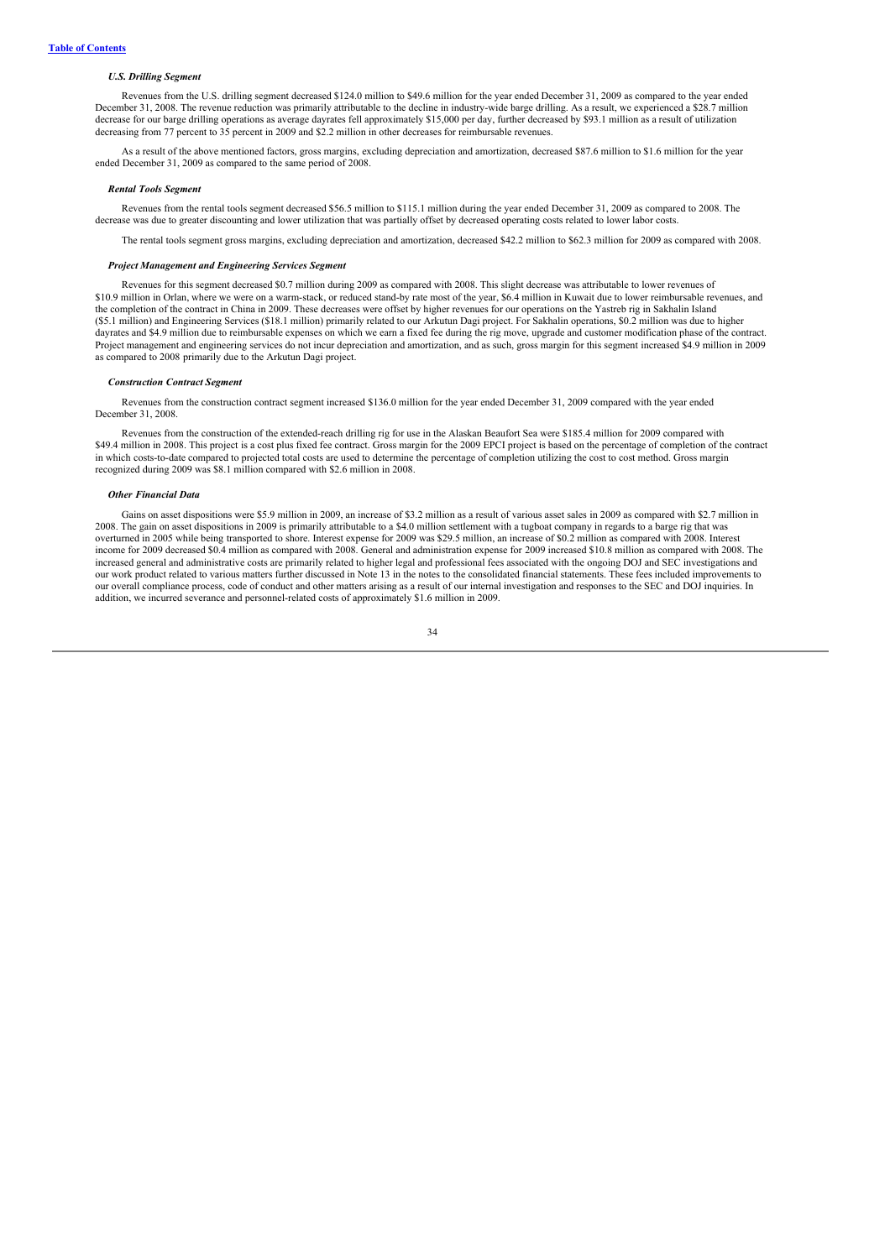# *U.S. Drilling Segment*

Revenues from the U.S. drilling segment decreased \$124.0 million to \$49.6 million for the year ended December 31, 2009 as compared to the year ended December 31, 2008. The revenue reduction was primarily attributable to the decline in industry-wide barge drilling. As a result, we experienced a \$28.7 million decrease for our barge drilling operations as average dayrates fell approximately \$15,000 per day, further decreased by \$93.1 million as a result of utilization decreasing from 77 percent to 35 percent in 2009 and \$2.2 million in other decreases for reimbursable revenues.

As a result of the above mentioned factors, gross margins, excluding depreciation and amortization, decreased \$87.6 million to \$1.6 million for the year ended December 31, 2009 as compared to the same period of 2008.

#### *Rental Tools Segment*

Revenues from the rental tools segment decreased \$56.5 million to \$115.1 million during the year ended December 31, 2009 as compared to 2008. The decrease was due to greater discounting and lower utilization that was partially offset by decreased operating costs related to lower labor costs.

The rental tools segment gross margins, excluding depreciation and amortization, decreased \$42.2 million to \$62.3 million for 2009 as compared with 2008.

#### *Project Management and Engineering Services Segment*

Revenues for this segment decreased \$0.7 million during 2009 as compared with 2008. This slight decrease was attributable to lower revenues of \$10.9 million in Orlan, where we were on a warm-stack, or reduced stand-by rate most of the year, \$6.4 million in Kuwait due to lower reimbursable revenues, and the completion of the contract in China in 2009. These decreases were offset by higher revenues for our operations on the Yastreb rig in Sakhalin Island (\$5.1 million) and Engineering Services (\$18.1 million) primarily related to our Arkutun Dagi project. For Sakhalin operations, \$0.2 million was due to higher dayrates and \$4.9 million due to reimbursable expenses on which we earn a fixed fee during the rig move, upgrade and customer modification phase of the contract. Project management and engineering services do not incur depreciation and amortization, and as such, gross margin for this segment increased \$4.9 million in 2009 as compared to 2008 primarily due to the Arkutun Dagi project.

## *Construction Contract Segment*

Revenues from the construction contract segment increased \$136.0 million for the year ended December 31, 2009 compared with the year ended December 31, 2008.

Revenues from the construction of the extended-reach drilling rig for use in the Alaskan Beaufort Sea were \$185.4 million for 2009 compared with \$49.4 million in 2008. This project is a cost plus fixed fee contract. Gross margin for the 2009 EPCI project is based on the percentage of completion of the contract in which costs-to-date compared to projected total costs are used to determine the percentage of completion utilizing the cost to cost method. Gross margin recognized during 2009 was \$8.1 million compared with \$2.6 million in 2008.

#### *Other Financial Data*

Gains on asset dispositions were \$5.9 million in 2009, an increase of \$3.2 million as a result of various asset sales in 2009 as compared with \$2.7 million in 2008. The gain on asset dispositions in 2009 is primarily attributable to a \$4.0 million settlement with a tugboat company in regards to a barge rig that was overturned in 2005 while being transported to shore. Interest expense for 2009 was \$29.5 million, an increase of \$0.2 million as compared with 2008. Interest income for 2009 decreased \$0.4 million as compared with 2008. General and administration expense for 2009 increased \$10.8 million as compared with 2008. The increased general and administrative costs are primarily related to higher legal and professional fees associated with the ongoing DOJ and SEC investigations and our work product related to various matters further discussed in Note 13 in the notes to the consolidated financial statements. These fees included improvements to our overall compliance process, code of conduct and other matters arising as a result of our internal investigation and responses to the SEC and DOJ inquiries. In addition, we incurred severance and personnel-related costs of approximately \$1.6 million in 2009.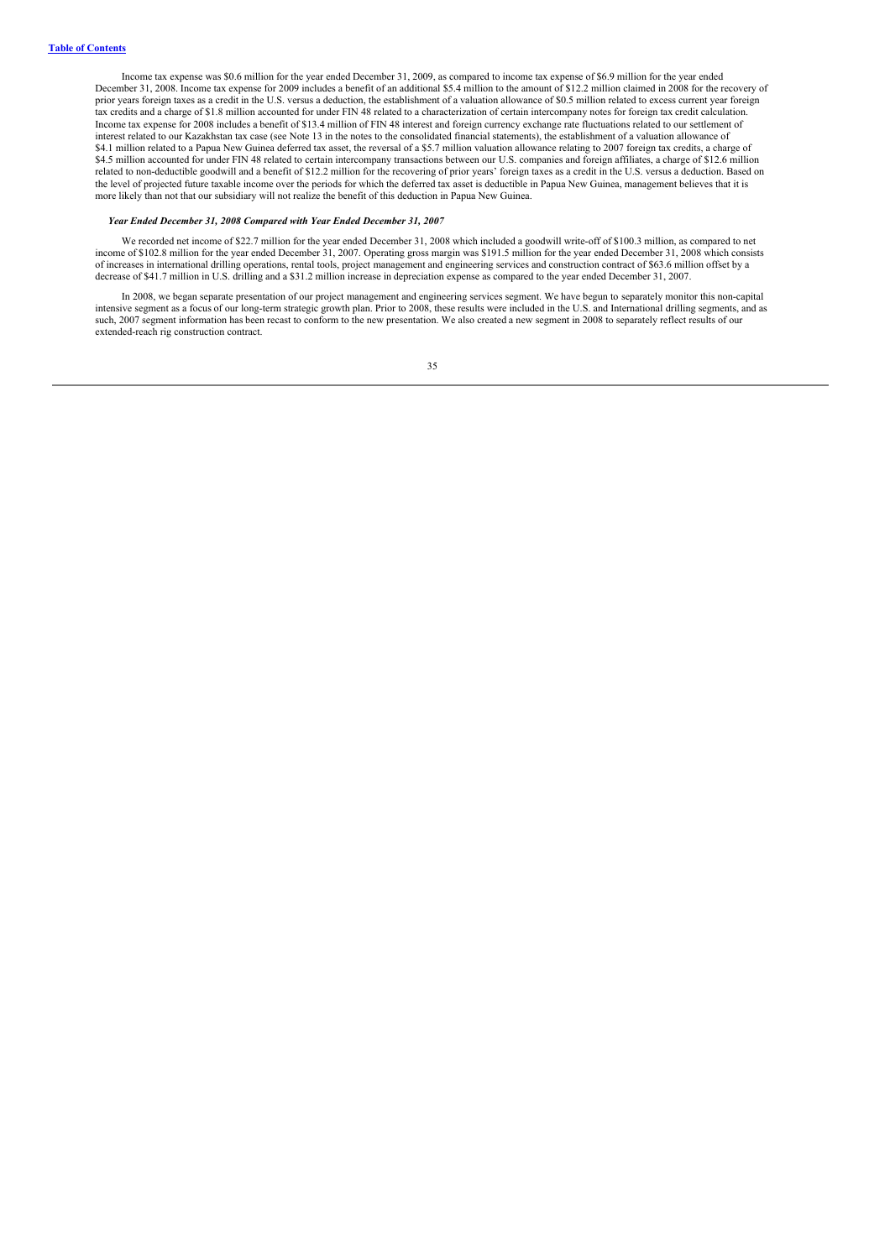Income tax expense was \$0.6 million for the year ended December 31, 2009, as compared to income tax expense of \$6.9 million for the year ended December 31, 2008. Income tax expense for 2009 includes a benefit of an additional \$5.4 million to the amount of \$12.2 million claimed in 2008 for the recovery of prior years foreign taxes as a credit in the U.S. versus a deduction, the establishment of a valuation allowance of \$0.5 million related to excess current year foreign tax credits and a charge of \$1.8 million accounted for under FIN 48 related to a characterization of certain intercompany notes for foreign tax credit calculation. Income tax expense for 2008 includes a benefit of \$13.4 million of FIN 48 interest and foreign currency exchange rate fluctuations related to our settlement of interest related to our Kazakhstan tax case (see Note 13 in the notes to the consolidated financial statements), the establishment of a valuation allowance of \$4.1 million related to a Papua New Guinea deferred tax asset, the reversal of a \$5.7 million valuation allowance relating to 2007 foreign tax credits, a charge of \$4.5 million accounted for under FIN 48 related to certain intercompany transactions between our U.S. companies and foreign affiliates, a charge of \$12.6 million related to non-deductible goodwill and a benefit of \$12.2 million for the recovering of prior years' foreign taxes as a credit in the U.S. versus a deduction. Based on the level of projected future taxable income over the periods for which the deferred tax asset is deductible in Papua New Guinea, management believes that it is more likely than not that our subsidiary will not realize the benefit of this deduction in Papua New Guinea.

## *Year Ended December 31, 2008 Compared with Year Ended December 31, 2007*

We recorded net income of \$22.7 million for the year ended December 31, 2008 which included a goodwill write-off of \$100.3 million, as compared to net income of \$102.8 million for the year ended December 31, 2007. Operating gross margin was \$191.5 million for the year ended December 31, 2008 which consists of increases in international drilling operations, rental tools, project management and engineering services and construction contract of \$63.6 million offset by a decrease of \$41.7 million in U.S. drilling and a \$31.2 million increase in depreciation expense as compared to the year ended December 31, 2007.

In 2008, we began separate presentation of our project management and engineering services segment. We have begun to separately monitor this non-capital intensive segment as a focus of our long-term strategic growth plan. Prior to 2008, these results were included in the U.S. and International drilling segments, and as such, 2007 segment information has been recast to conform to the new presentation. We also created a new segment in 2008 to separately reflect results of our extended-reach rig construction contract.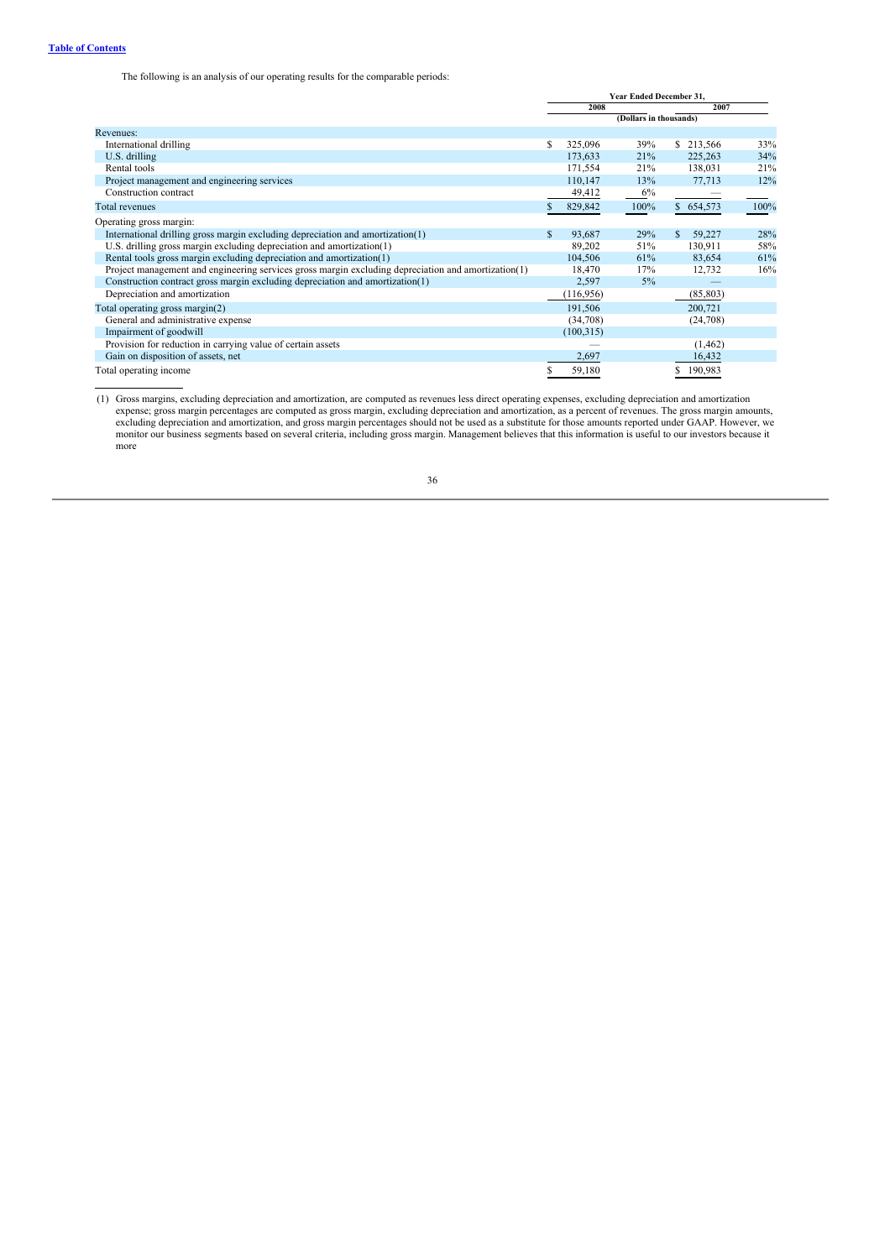The following is an analysis of our operating results for the comparable periods:

|                                                                                                     |   | Year Ended December 31, |                        |               |      |
|-----------------------------------------------------------------------------------------------------|---|-------------------------|------------------------|---------------|------|
|                                                                                                     |   | 2008                    |                        | 2007          |      |
|                                                                                                     |   |                         | (Dollars in thousands) |               |      |
| Revenues:                                                                                           |   |                         |                        |               |      |
| International drilling                                                                              | S | 325,096                 | 39%                    | 213,566<br>S. | 33%  |
| U.S. drilling                                                                                       |   | 173,633                 | 21%                    | 225,263       | 34%  |
| Rental tools                                                                                        |   | 171,554                 | 21%                    | 138,031       | 21%  |
| Project management and engineering services                                                         |   | 110,147                 | 13%                    | 77,713        | 12%  |
| Construction contract                                                                               |   | 49,412                  | 6%                     |               |      |
| <b>Total revenues</b>                                                                               |   | 829,842                 | 100%                   | \$654,573     | 100% |
| Operating gross margin:                                                                             |   |                         |                        |               |      |
| International drilling gross margin excluding depreciation and amortization(1)                      | S | 93,687                  | 29%                    | S.<br>59,227  | 28%  |
| U.S. drilling gross margin excluding depreciation and amortization(1)                               |   | 89,202                  | 51%                    | 130,911       | 58%  |
| Rental tools gross margin excluding depreciation and amortization(1)                                |   | 104,506                 | 61%                    | 83,654        | 61%  |
| Project management and engineering services gross margin excluding depreciation and amortization(1) |   | 18,470                  | 17%                    | 12,732        | 16%  |
| Construction contract gross margin excluding depreciation and amortization(1)                       |   | 2,597                   | $5\%$                  |               |      |
| Depreciation and amortization                                                                       |   | (116,956)               |                        | (85, 803)     |      |
| Total operating gross margin $(2)$                                                                  |   | 191,506                 |                        | 200,721       |      |
| General and administrative expense                                                                  |   | (34,708)                |                        | (24,708)      |      |
| Impairment of goodwill                                                                              |   | (100, 315)              |                        |               |      |
| Provision for reduction in carrying value of certain assets                                         |   |                         |                        | (1, 462)      |      |
| Gain on disposition of assets, net                                                                  |   | 2,697                   |                        | 16,432        |      |
| Total operating income                                                                              |   | 59,180                  |                        | 190,983       |      |

(1) Gross margins, excluding depreciation and amortization, are computed as revenues less direct operating expenses, excluding depreciation and amortization expense; gross margin percentages are computed as gross margin, e excluding depreciation and amortization, and gross margin percentages should not be used as a substitute for those amounts reported under GAAP. However, we monitor our business segments based on several criteria, including gross margin. Management believes that this information is useful to our investors because it more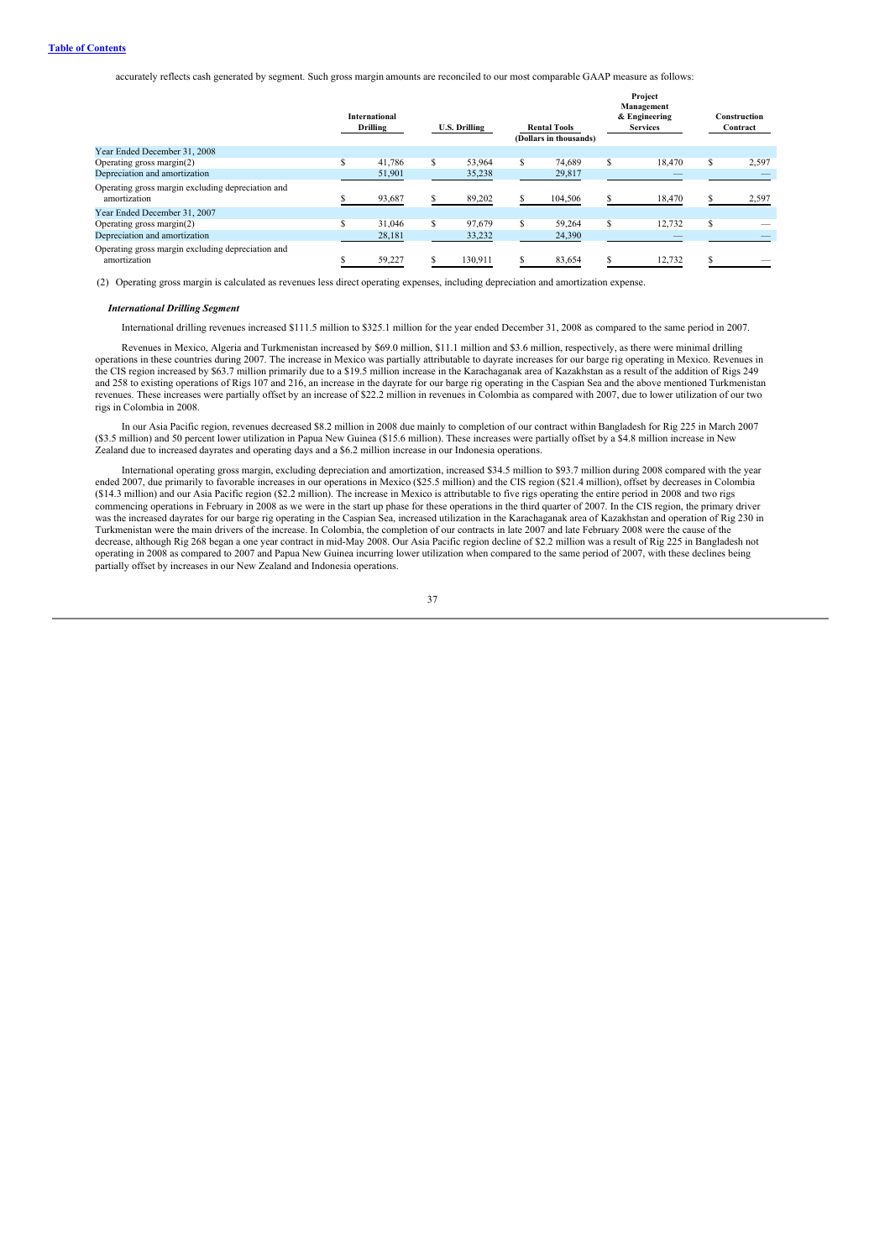accurately reflects cash generated by segment. Such gross margin amounts are reconciled to our most comparable GAAP measure as follows:

|                                                                   |    | <b>International</b><br><b>Drilling</b> |   | <b>U.S. Drilling</b> |   | <b>Rental Tools</b><br>(Dollars in thousands) |     | Project<br>Management<br>& Engineering<br><b>Services</b> |   | Construction<br>Contract |
|-------------------------------------------------------------------|----|-----------------------------------------|---|----------------------|---|-----------------------------------------------|-----|-----------------------------------------------------------|---|--------------------------|
| Year Ended December 31, 2008                                      |    |                                         |   |                      |   |                                               |     |                                                           |   |                          |
| Operating gross margin(2)                                         | ъ. | 41.786                                  | ъ | 53.964               | ь | 74.689                                        | \$. | 18,470                                                    | S | 2,597                    |
| Depreciation and amortization                                     |    | 51,901                                  |   | 35,238               |   | 29,817                                        |     |                                                           |   |                          |
| Operating gross margin excluding depreciation and                 |    |                                         |   |                      |   |                                               |     |                                                           |   |                          |
| amortization                                                      |    | 93,687                                  |   | 89,202               |   | 104,506                                       |     | 18,470                                                    |   | 2,597                    |
| Year Ended December 31, 2007                                      |    |                                         |   |                      |   |                                               |     |                                                           |   |                          |
| Operating gross margin(2)                                         | \$ | 31.046                                  |   | 97,679               |   | 59.264                                        | Ś   | 12,732                                                    | S |                          |
| Depreciation and amortization                                     |    | 28,181                                  |   | 33,232               |   | 24,390                                        |     | $\overline{\phantom{a}}$                                  |   |                          |
| Operating gross margin excluding depreciation and<br>amortization |    | 59,227                                  |   | 130.911              |   | 83,654                                        |     | 12,732                                                    |   |                          |

(2) Operating gross margin is calculated as revenues less direct operating expenses, including depreciation and amortization expense.

#### *International Drilling Segment*

International drilling revenues increased \$111.5 million to \$325.1 million for the year ended December 31, 2008 as compared to the same period in 2007.

Revenues in Mexico, Algeria and Turkmenistan increased by \$69.0 million, \$11.1 million and \$3.6 million, respectively, as there were minimal drilling operations in these countries during 2007. The increase in Mexico was partially attributable to dayrate increases for our barge rig operating in Mexico. Revenues in the CIS region increased by \$63.7 million primarily due to a \$19.5 million increase in the Karachaganak area of Kazakhstan as a result of the addition of Rigs 249 and 258 to existing operations of Rigs 107 and 216, an increase in the dayrate for our barge rig operating in the Caspian Sea and the above mentioned Turkmenistan revenues. These increases were partially offset by an increase of \$22.2 million in revenues in Colombia as compared with 2007, due to lower utilization of our two rigs in Colombia in 2008.

In our Asia Pacific region, revenues decreased \$8.2 million in 2008 due mainly to completion of our contract within Bangladesh for Rig 225 in March 2007 (\$3.5 million) and 50 percent lower utilization in Papua New Guinea (\$15.6 million). These increases were partially offset by a \$4.8 million increase in New Zealand due to increased dayrates and operating days and a \$6.2 million increase in our Indonesia operations.

International operating gross margin, excluding depreciation and amortization, increased \$34.5 million to \$93.7 million during 2008 compared with the year ended 2007, due primarily to favorable increases in our operations in Mexico (\$25.5 million) and the CIS region (\$21.4 million), offset by decreases in Colombia (\$14.3 million) and our Asia Pacific region (\$2.2 million). The increase in Mexico is attributable to five rigs operating the entire period in 2008 and two rigs commencing operations in February in 2008 as we were in the start up phase for these operations in the third quarter of 2007. In the CIS region, the primary driver was the increased dayrates for our barge rig operating in the Caspian Sea, increased utilization in the Karachaganak area of Kazakhstan and operation of Rig 230 in Turkmenistan were the main drivers of the increase. In Colombia, the completion of our contracts in late 2007 and late February 2008 were the cause of the<br>decrease, although Rig 268 began a one year contract in mid-May 200 operating in 2008 as compared to 2007 and Papua New Guinea incurring lower utilization when compared to the same period of 2007, with these declines being partially offset by increases in our New Zealand and Indonesia operations.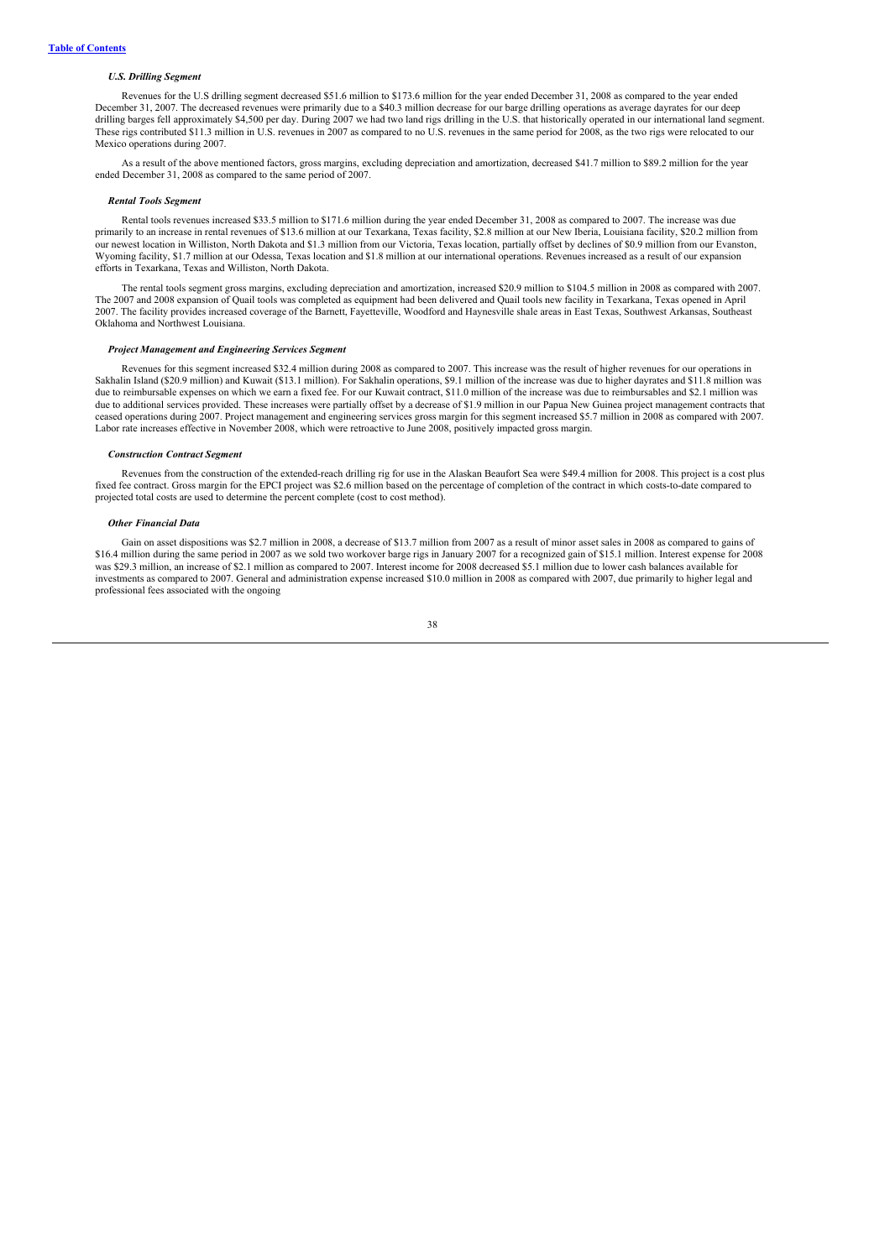### *U.S. Drilling Segment*

Revenues for the U.S drilling segment decreased \$51.6 million to \$173.6 million for the year ended December 31, 2008 as compared to the year ended December 31, 2007. The decreased revenues were primarily due to a \$40.3 million decrease for our barge drilling operations as average dayrates for our deep drilling barges fell approximately \$4,500 per day. During 2007 we had two land rigs drilling in the U.S. that historically operated in our international land segment. These rigs contributed \$11.3 million in U.S. revenues in 2007 as compared to no U.S. revenues in the same period for 2008, as the two rigs were relocated to our Mexico operations during 2007.

As a result of the above mentioned factors, gross margins, excluding depreciation and amortization, decreased \$41.7 million to \$89.2 million for the year ended December 31, 2008 as compared to the same period of 2007.

#### *Rental Tools Segment*

Rental tools revenues increased \$33.5 million to \$171.6 million during the year ended December 31, 2008 as compared to 2007. The increase was due<br>primarily to an increase in rental revenues of \$13.6 million at our Texarkan our newest location in Williston, North Dakota and \$1.3 million from our Victoria, Texas location, partially offset by declines of \$0.9 million from our Evanston, Wyoming facility, \$1.7 million at our Odessa, Texas location and \$1.8 million at our international operations. Revenues increased as a result of our expansion efforts in Texarkana, Texas and Williston, North Dakota.

The rental tools segment gross margins, excluding depreciation and amortization, increased \$20.9 million to \$104.5 million in 2008 as compared with 2007. The 2007 and 2008 expansion of Quail tools was completed as equipment had been delivered and Quail tools new facility in Texarkana, Texas opened in April 2007. The facility provides increased coverage of the Barnett, Fayetteville, Woodford and Haynesville shale areas in East Texas, Southwest Arkansas, Southeast Oklahoma and Northwest Louisiana.

#### *Project Management and Engineering Services Segment*

Revenues for this segment increased \$32.4 million during 2008 as compared to 2007. This increase was the result of higher revenues for our operations in Sakhalin Island (\$20.9 million) and Kuwait (\$13.1 million). For Sakhalin operations, \$9.1 million of the increase was due to higher dayrates and \$11.8 million was due to reimbursable expenses on which we earn a fixed fee. For our Kuwait contract, \$11.0 million of the increase was due to reimbursables and \$2.1 million was due to additional services provided. These increases were partially offset by a decrease of \$1.9 million in our Papua New Guinea project management contracts that ceased operations during 2007. Project management and engineering services gross margin for this segment increased \$5.7 million in 2008 as compared with 2007.<br>Labor rate increases effective in November 2008, which were ret

#### *Construction Contract Segment*

Revenues from the construction of the extended-reach drilling rig for use in the Alaskan Beaufort Sea were \$49.4 million for 2008. This project is a cost plus fixed fee contract. Gross margin for the EPCI project was \$2.6 million based on the percentage of completion of the contract in which costs-to-date compared to projected total costs are used to determine the percent complete (cost to cost method).

#### *Other Financial Data*

Gain on asset dispositions was \$2.7 million in 2008, a decrease of \$13.7 million from 2007 as a result of minor asset sales in 2008 as compared to gains of \$16.4 million during the same period in 2007 as we sold two workover barge rigs in January 2007 for a recognized gain of \$15.1 million. Interest expense for 2008 was \$29.3 million, an increase of \$2.1 million as compared to 2007. Interest income for 2008 decreased \$5.1 million due to lower cash balances available for investments as compared to 2007. General and administration expense increased \$10.0 million in 2008 as compared with 2007, due primarily to higher legal and professional fees associated with the ongoing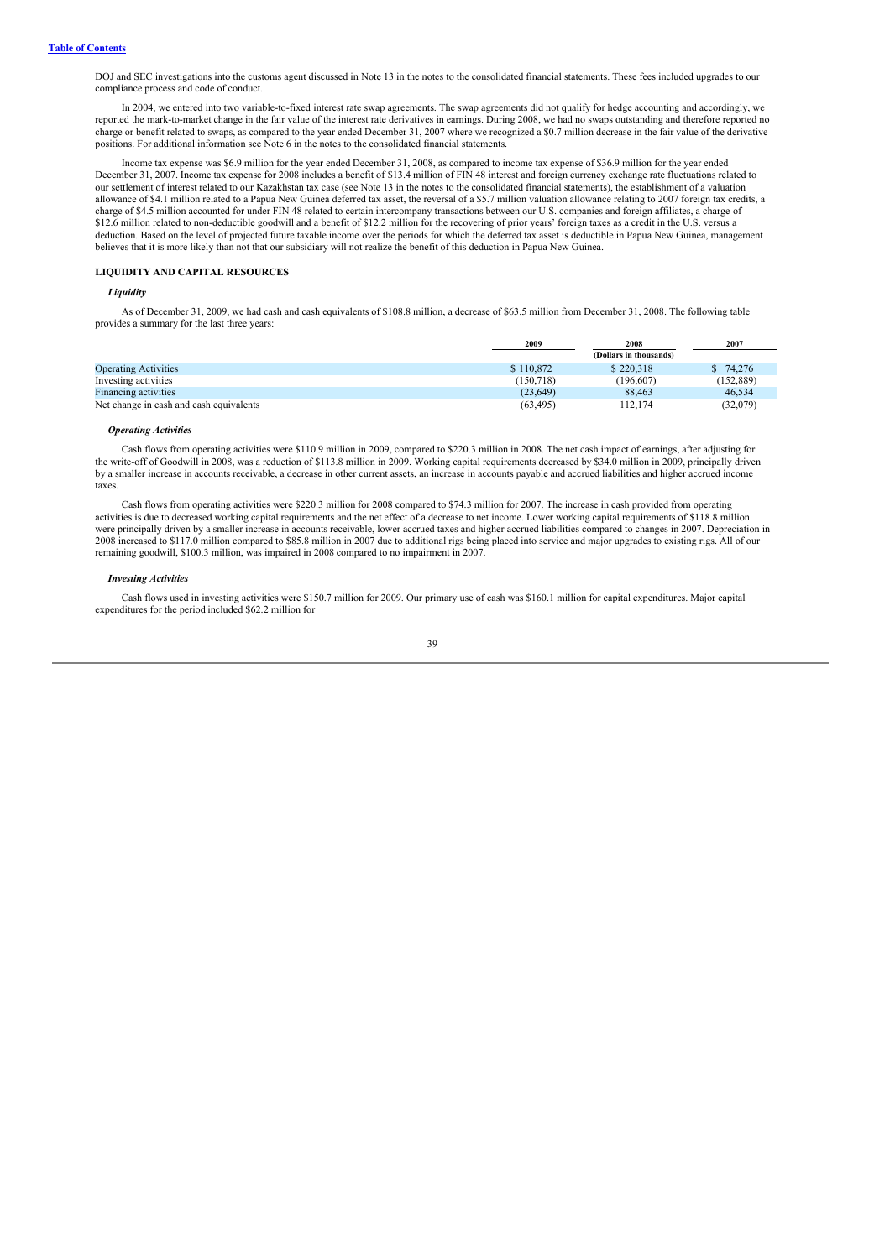DOJ and SEC investigations into the customs agent discussed in Note 13 in the notes to the consolidated financial statements. These fees included upgrades to our compliance process and code of conduct.

In 2004, we entered into two variable-to-fixed interest rate swap agreements. The swap agreements did not qualify for hedge accounting and accordingly, we reported the mark-to-market change in the fair value of the interest rate derivatives in earnings. During 2008, we had no swaps outstanding and therefore reported no charge or benefit related to swaps, as compared to the year ended December 31, 2007 where we recognized a \$0.7 million decrease in the fair value of the derivative positions. For additional information see Note 6 in the notes to the consolidated financial statements.

Income tax expense was \$6.9 million for the year ended December 31, 2008, as compared to income tax expense of \$36.9 million for the year ended December 31, 2007. Income tax expense for 2008 includes a benefit of \$13.4 million of FIN 48 interest and foreign currency exchange rate fluctuations related to our settlement of interest related to our Kazakhstan tax case (see Note 13 in the notes to the consolidated financial statements), the establishment of a valuation allowance of \$4.1 million related to a Papua New Guinea deferred tax asset, the reversal of a \$5.7 million valuation allowance relating to 2007 foreign tax credits, a charge of \$4.5 million accounted for under FIN 48 related to certain intercompany transactions between our U.S. companies and foreign affiliates, a charge of \$12.6 million related to non-deductible goodwill and a benefit of \$12.2 million for the recovering of prior years' foreign taxes as a credit in the U.S. versus a deduction. Based on the level of projected future taxable income over the periods for which the deferred tax asset is deductible in Papua New Guinea, management believes that it is more likely than not that our subsidiary will not realize the benefit of this deduction in Papua New Guinea.

## **LIQUIDITY AND CAPITAL RESOURCES**

## *Liquidity*

As of December 31, 2009, we had cash and cash equivalents of \$108.8 million, a decrease of \$63.5 million from December 31, 2008. The following table provides a summary for the last three years:

|                                         | 2009      | 2008                   | 2007       |
|-----------------------------------------|-----------|------------------------|------------|
|                                         |           | (Dollars in thousands) |            |
| <b>Operating Activities</b>             | \$110,872 | \$220,318              | \$74.276   |
| Investing activities                    | (150.718) | (196, 607)             | (152, 889) |
| <b>Financing activities</b>             | (23, 649) | 88,463                 | 46.534     |
| Net change in cash and cash equivalents | (63, 495) | 112.174                | (32,079)   |

#### *Operating Activities*

Cash flows from operating activities were \$110.9 million in 2009, compared to \$220.3 million in 2008. The net cash impact of earnings, after adjusting for the write-off of Goodwill in 2008, was a reduction of \$113.8 million in 2009. Working capital requirements decreased by \$34.0 million in 2009, principally driven by a smaller increase in accounts receivable, a decrease in other current assets, an increase in accounts payable and accrued liabilities and higher accrued income taxes.

Cash flows from operating activities were \$220.3 million for 2008 compared to \$74.3 million for 2007. The increase in cash provided from operating activities is due to decreased working capital requirements and the net eff were principally driven by a smaller increase in accounts receivable, lower accrued taxes and higher accrued liabilities compared to changes in 2007. Depreciation in 2008 increased to \$117.0 million compared to \$85.8 million in 2007 due to additional rigs being placed into service and major upgrades to existing rigs. All of our remaining goodwill, \$100.3 million, was impaired in 2008 compared to no impairment in 2007.

#### *Investing Activities*

Cash flows used in investing activities were \$150.7 million for 2009. Our primary use of cash was \$160.1 million for capital expenditures. Major capital expenditures for the period included \$62.2 million for

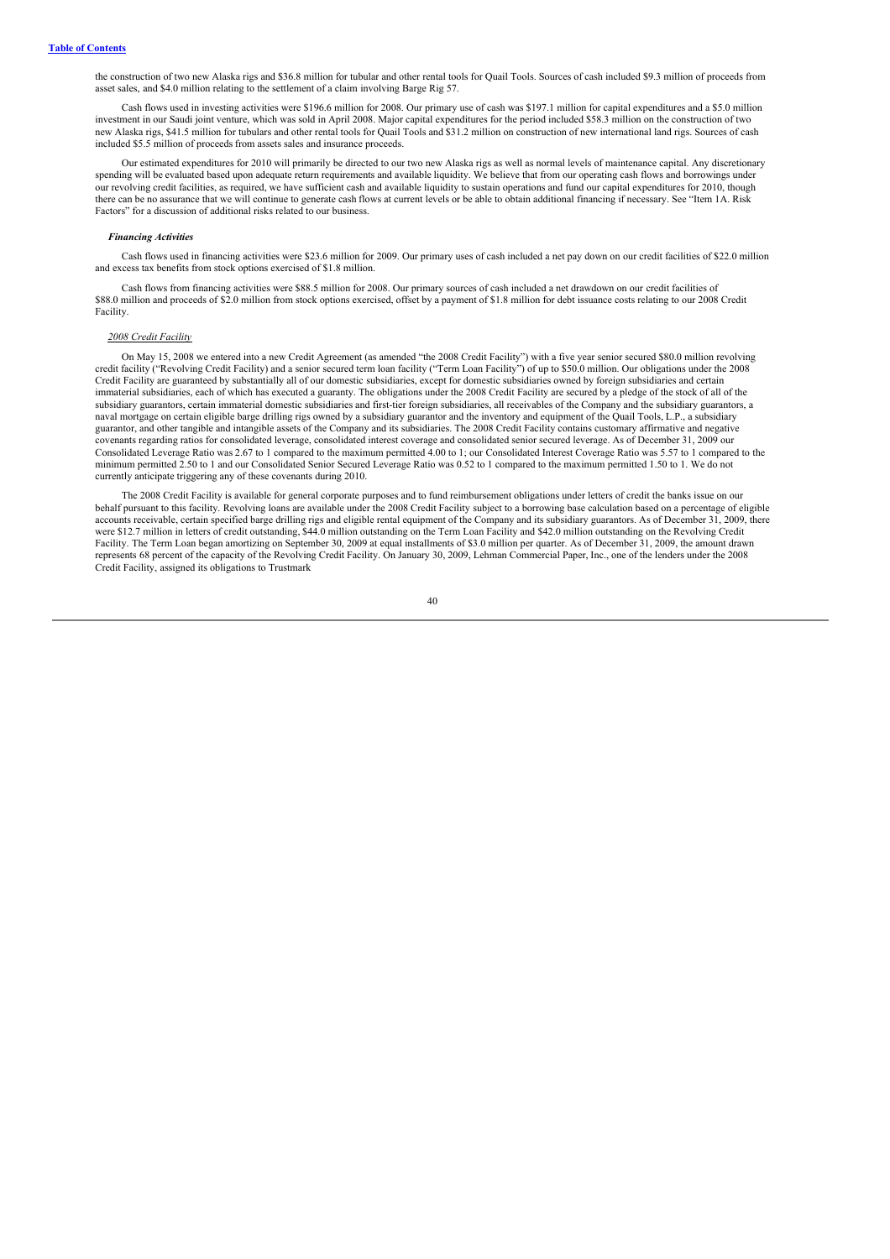the construction of two new Alaska rigs and \$36.8 million for tubular and other rental tools for Quail Tools. Sources of cash included \$9.3 million of proceeds from asset sales, and \$4.0 million relating to the settlement of a claim involving Barge Rig 57.

Cash flows used in investing activities were \$196.6 million for 2008. Our primary use of cash was \$197.1 million for capital expenditures and a \$5.0 million investment in our Saudi joint venture, which was sold in April 2008. Major capital expenditures for the period included \$58.3 million on the construction of two new Alaska rigs, \$41.5 million for tubulars and other rental tools for Quail Tools and \$31.2 million on construction of new international land rigs. Sources of cash included \$5.5 million of proceeds from assets sales and insurance proceeds.

Our estimated expenditures for 2010 will primarily be directed to our two new Alaska rigs as well as normal levels of maintenance capital. Any discretionary spending will be evaluated based upon adequate return requirements and available liquidity. We believe that from our operating cash flows and borrowings under our revolving credit facilities, as required, we have sufficient cash and available liquidity to sustain operations and fund our capital expenditures for 2010, though there can be no assurance that we will continue to generate cash flows at current levels or be able to obtain additional financing if necessary. See "Item 1A. Risk Factors" for a discussion of additional risks related to our business.

#### *Financing Activities*

Cash flows used in financing activities were \$23.6 million for 2009. Our primary uses of cash included a net pay down on our credit facilities of \$22.0 million and excess tax benefits from stock options exercised of \$1.8 million.

Cash flows from financing activities were \$88.5 million for 2008. Our primary sources of cash included a net drawdown on our credit facilities of \$8.0 million and proceeds of \$2.0 million from stock options exercised, offs Facility.

#### *2008 Credit Facility*

On May 15, 2008 we entered into a new Credit Agreement (as amended "the 2008 Credit Facility") with a five year senior secured \$80.0 million revolving credit facility ("Revolving Credit Facility) and a senior secured term loan facility ("Term Loan Facility") of up to \$50.0 million. Our obligations under the 2008 Credit Facility are guaranteed by substantially all of our domestic subsidiaries, except for domestic subsidiaries owned by foreign subsidiaries and certain immaterial subsidiaries, each of which has executed a guaranty. The obligations under the 2008 Credit Facility are secured by a pledge of the stock of all of the subsidiary guarantors, certain immaterial domestic subsidiaries and first-tier foreign subsidiaries, all receivables of the Company and the subsidiary guarantors, a naval mortgage on certain eligible barge drilling rigs owned by a subsidiary guarantor and the inventory and equipment of the Quail Tools, L.P., a subsidiary<br>guarantor, and other tangible and intangible assets of the Compa covenants regarding ratios for consolidated leverage, consolidated interest coverage and consolidated senior secured leverage. As of December 31, 2009 our Consolidated Leverage Ratio was 2.67 to 1 compared to the maximum permitted 4.00 to 1; our Consolidated Interest Coverage Ratio was 5.57 to 1 compared to the minimum permitted 2.50 to 1 and our Consolidated Senior Secured Leverage Ratio was 0.52 to 1 compared to the maximum permitted 1.50 to 1. We do not currently anticipate triggering any of these covenants during 2010.

The 2008 Credit Facility is available for general corporate purposes and to fund reimbursement obligations under letters of credit the banks issue on our behalf pursuant to this facility. Revolving loans are available under the 2008 Credit Facility subject to a borrowing base calculation based on a percentage of eligible accounts receivable, certain specified barge drilling rigs and eligible rental equipment of the Company and its subsidiary guarantors. As of December 31, 2009, there were \$12.7 million in letters of credit outstanding, \$44.0 million outstanding on the Term Loan Facility and \$42.0 million outstanding on the Revolving Credit Facility. The Term Loan began amortizing on September 30, 2009 at equal installments of \$3.0 million per quarter. As of December 31, 2009, the amount drawn represents 68 percent of the capacity of the Revolving Credit Facility. On January 30, 2009, Lehman Commercial Paper, Inc., one of the lenders under the 2008 Credit Facility, assigned its obligations to Trustmark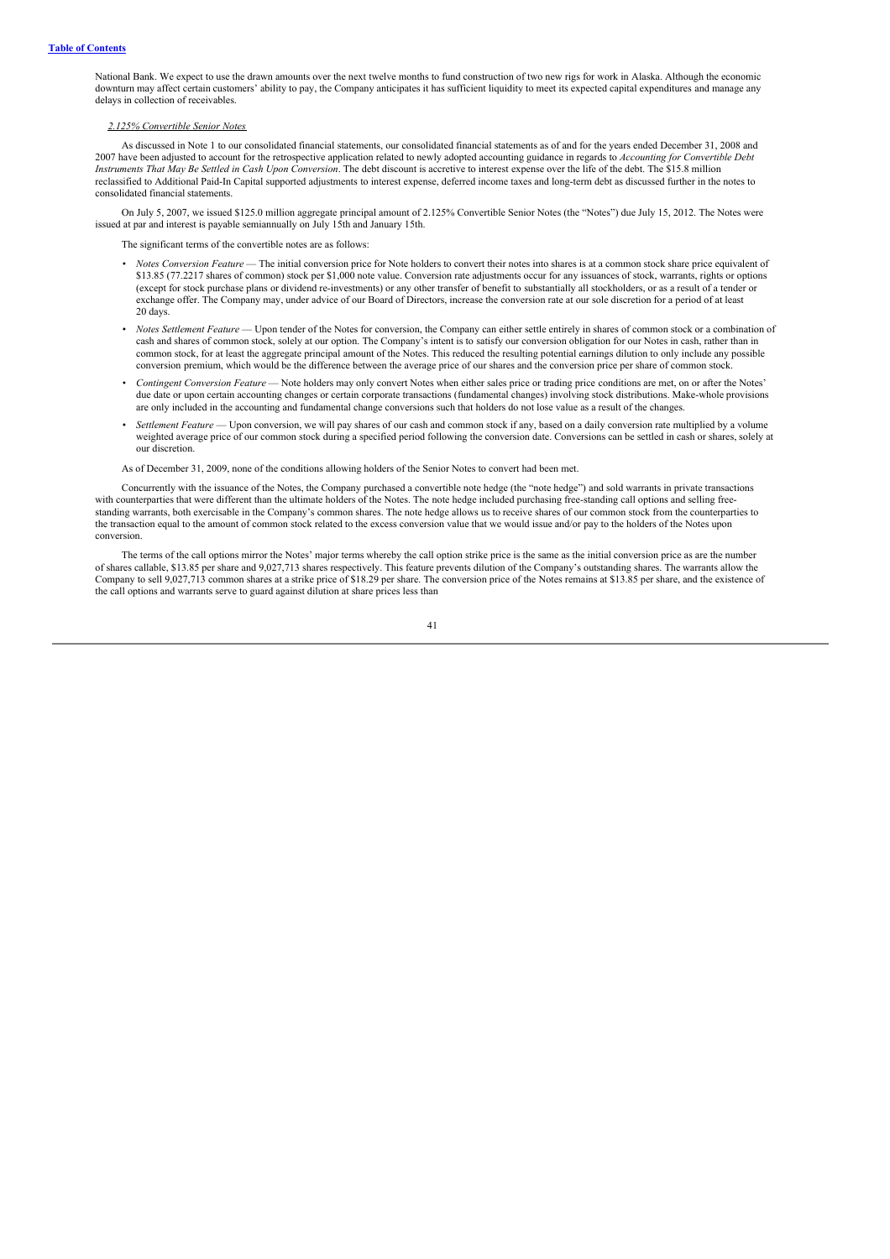National Bank. We expect to use the drawn amounts over the next twelve months to fund construction of two new rigs for work in Alaska. Although the economic downturn may affect certain customers' ability to pay, the Company anticipates it has sufficient liquidity to meet its expected capital expenditures and manage any delays in collection of receivables.

#### *2.125% Convertible Senior Notes*

As discussed in Note 1 to our consolidated financial statements, our consolidated financial statements as of and for the years ended December 31, 2008 and 2007 have been adjusted to account for the retrospective application related to newly adopted accounting guidance in regards to *Accounting for Convertible Debt Instruments That May Be Settled in Cash Upon Conversion*. The debt discount is accretive to interest expense over the life of the debt. The \$15.8 million reclassified to Additional Paid-In Capital supported adjustments to interest expense, deferred income taxes and long-term debt as discussed further in the notes to consolidated financial statements.

On July 5, 2007, we issued \$125.0 million aggregate principal amount of 2.125% Convertible Senior Notes (the "Notes") due July 15, 2012. The Notes were issued at par and interest is payable semiannually on July 15th and January 15th.

The significant terms of the convertible notes are as follows:

- *Notes Conversion Feature* The initial conversion price for Note holders to convert their notes into shares is at a common stock share price equivalent of \$13.85 (77.2217 shares of common) stock per \$1,000 note value. Conversion rate adjustments occur for any issuances of stock, warrants, rights or options (except for stock purchase plans or dividend re-investments) or any other transfer of benefit to substantially all stockholders, or as a result of a tender or exchange offer. The Company may, under advice of our Board of D 20 days.
- *Notes Settlement Feature* Upon tender of the Notes for conversion, the Company can either settle entirely in shares of common stock or a combination of cash and shares of common stock, solely at our option. The Company's intent is to satisfy our conversion obligation for our Notes in cash, rather than in common stock, for at least the aggregate principal amount of the Notes. This reduced the resulting potential earnings dilution to only include any possible conversion premium, which would be the difference between the average price of our shares and the conversion price per share of common stock.
- *Contingent Conversion Feature* Note holders may only convert Notes when either sales price or trading price conditions are met, on or after the Notes' due date or upon certain accounting changes or certain corporate transactions (fundamental changes) involving stock distributions. Make-whole provisions are only included in the accounting and fundamental change conversions such that holders do not lose value as a result of the changes.
- *Settlement Feature* Upon conversion, we will pay shares of our cash and common stock if any, based on a daily conversion rate multiplied by a volume weighted average price of our common stock during a specified period following the conversion date. Conversions can be settled in cash or shares, solely at our discretion.

As of December 31, 2009, none of the conditions allowing holders of the Senior Notes to convert had been met.

Concurrently with the issuance of the Notes, the Company purchased a convertible note hedge (the "note hedge") and sold warrants in private transactions with counterparties that were different than the ultimate holders of the Notes. The note hedge included purchasing free-standing call options and selling freestanding warrants, both exercisable in the Company's common shares. The note hedge allows us to receive shares of our common stock from the counterparties to the transaction equal to the amount of common stock related to the excess conversion value that we would issue and/or pay to the holders of the Notes upon conversion.

The terms of the call options mirror the Notes' major terms whereby the call option strike price is the same as the initial conversion price as are the number of shares callable, \$13.85 per share and 9,027,713 shares respe Company to sell 9,027,713 common shares at a strike price of \$18.29 per share. The conversion price of the Notes remains at \$13.85 per share, and the existence of the call options and warrants serve to guard against dilution at share prices less than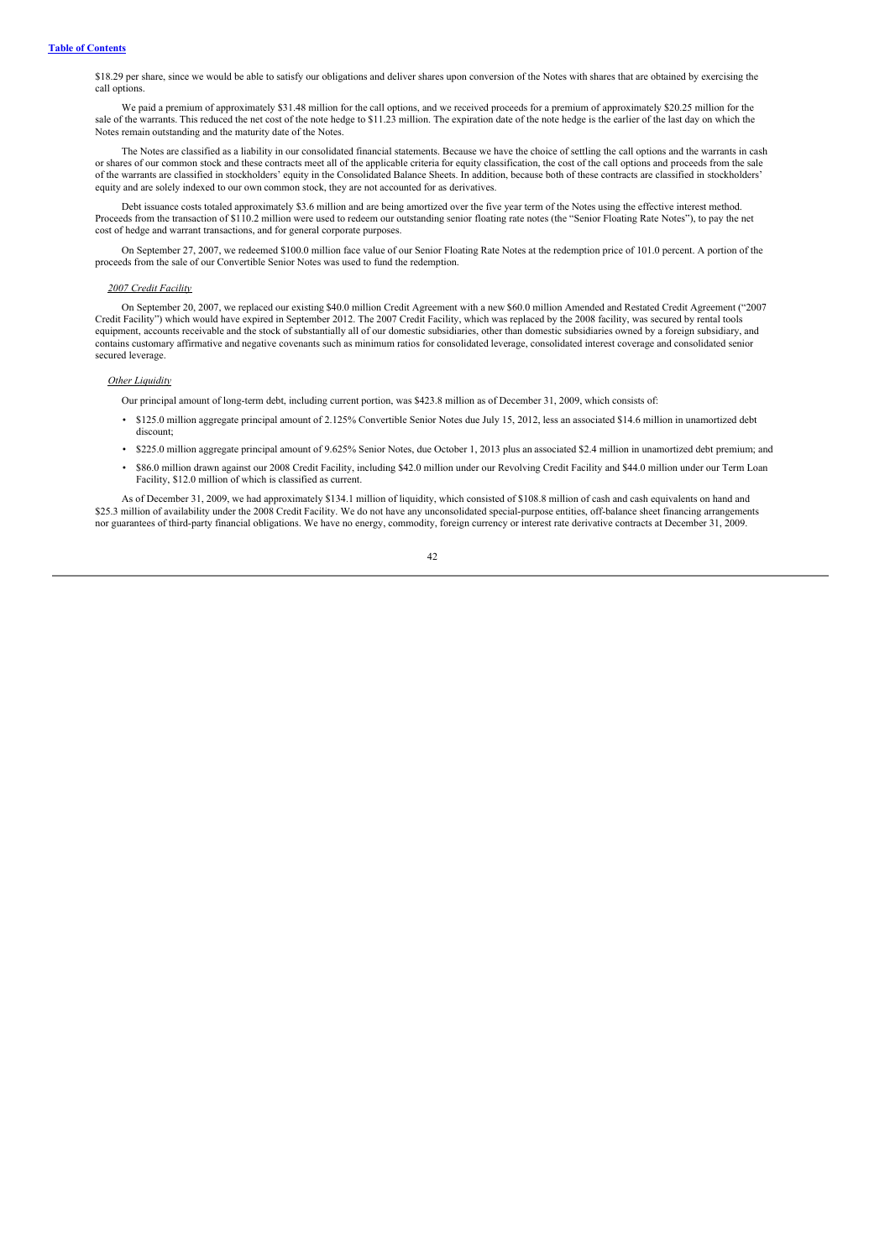\$18.29 per share, since we would be able to satisfy our obligations and deliver shares upon conversion of the Notes with shares that are obtained by exercising the call options.

We paid a premium of approximately \$31.48 million for the call options, and we received proceeds for a premium of approximately \$20.25 million for the sale of the warrants. This reduced the net cost of the note hedge to \$11.23 million. The expiration date of the note hedge is the earlier of the last day on which the Notes remain outstanding and the maturity date of the Notes.

The Notes are classified as a liability in our consolidated financial statements. Because we have the choice of settling the call options and the warrants in cash or shares of our common stock and these contracts meet all of the applicable criteria for equity classification, the cost of the call options and proceeds from the sale of the warrants are classified in stockholders' equity in the Consolidated Balance Sheets. In addition, because both of these contracts are classified in stockholders' equity and are solely indexed to our own common stock, they are not accounted for as derivatives.

Debt issuance costs totaled approximately \$3.6 million and are being amortized over the five year term of the Notes using the effective interest method. Proceeds from the transaction of \$110.2 million were used to redeem our outstanding senior floating rate notes (the "Senior Floating Rate Notes"), to pay the net cost of hedge and warrant transactions, and for general corporate purposes.

On September 27, 2007, we redeemed \$100.0 million face value of our Senior Floating Rate Notes at the redemption price of 101.0 percent. A portion of the proceeds from the sale of our Convertible Senior Notes was used to fund the redemption.

#### *2007 Credit Facility*

On September 20, 2007, we replaced our existing \$40.0 million Credit Agreement with a new \$60.0 million Amended and Restated Credit Agreement ("2007 Credit Facility") which would have expired in September 2012. The 2007 Credit Facility, which was replaced by the 2008 facility, was secured by rental tools equipment, accounts receivable and the stock of substantially all of our domestic subsidiaries, other than domestic subsidiaries owned by a foreign subsidiary, and contains customary affirmative and negative covenants such as minimum ratios for consolidated leverage, consolidated interest coverage and consolidated senior secured leverage.

#### *Other Liquidity*

Our principal amount of long-term debt, including current portion, was \$423.8 million as of December 31, 2009, which consists of:

- \$125.0 million aggregate principal amount of 2.125% Convertible Senior Notes due July 15, 2012, less an associated \$14.6 million in unamortized debt discount;
- \$225.0 million aggregate principal amount of 9.625% Senior Notes, due October 1, 2013 plus an associated \$2.4 million in unamortized debt premium; and
- \$86.0 million drawn against our 2008 Credit Facility, including \$42.0 million under our Revolving Credit Facility and \$44.0 million under our Term Loan Facility, \$12.0 million of which is classified as current.

As of December 31, 2009, we had approximately \$134.1 million of liquidity, which consisted of \$108.8 million of cash and cash equivalents on hand and \$25.3 million of availability under the 2008 Credit Facility. We do not have any unconsolidated special-purpose entities, off-balance sheet financing arrangements nor guarantees of third-party financial obligations. We have no energy, commodity, foreign currency or interest rate derivative contracts at December 31, 2009.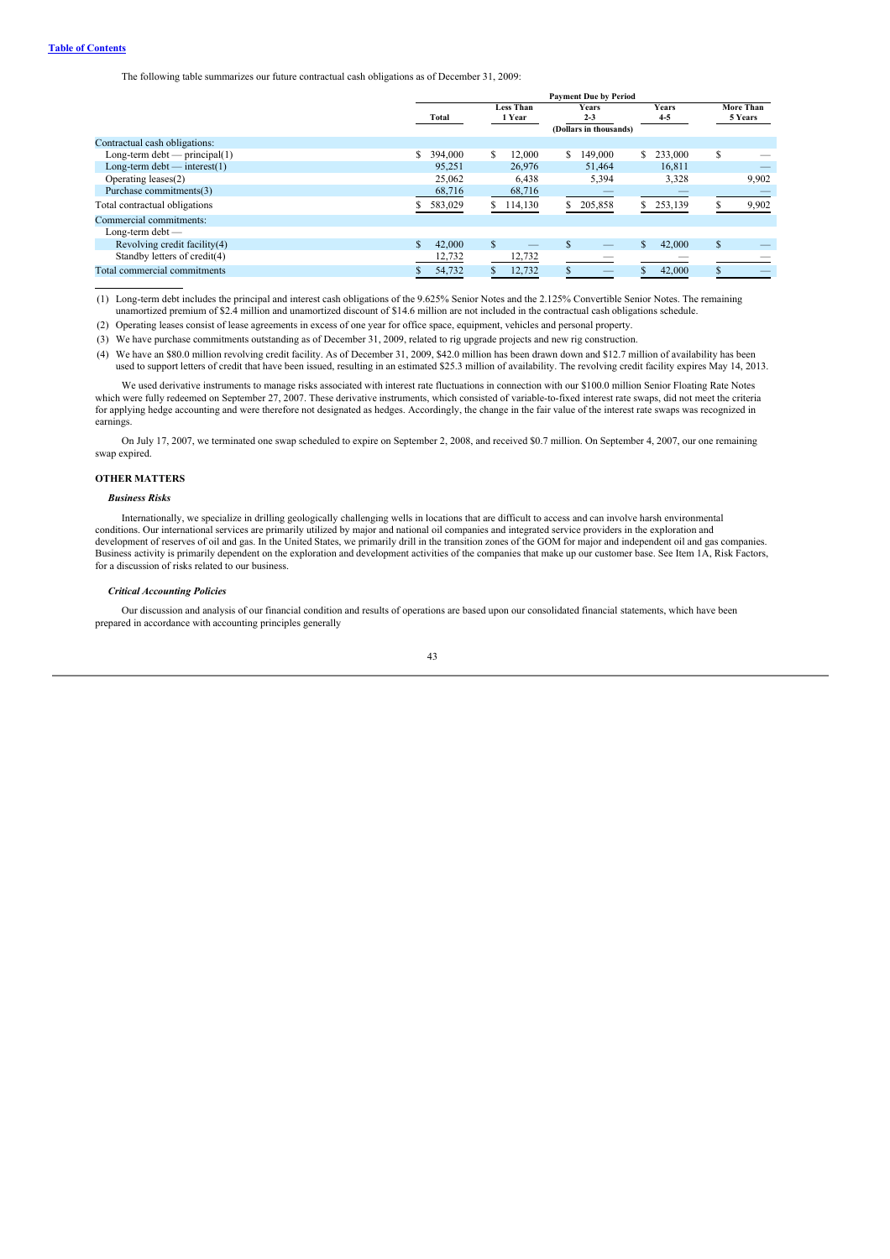The following table summarizes our future contractual cash obligations as of December 31, 2009:

|                                 | <b>Payment Due by Period</b> |                            |                                |                  |                             |  |  |  |
|---------------------------------|------------------------------|----------------------------|--------------------------------|------------------|-----------------------------|--|--|--|
|                                 | Total                        | <b>Less Than</b><br>1 Year | Years<br>$2 - 3$               | Years<br>$4 - 5$ | <b>More Than</b><br>5 Years |  |  |  |
|                                 |                              |                            | (Dollars in thousands)         |                  |                             |  |  |  |
| Contractual cash obligations:   |                              |                            |                                |                  |                             |  |  |  |
| Long-term $debt$ - principal(1) | 394,000<br>\$                | \$<br>12,000               | S.<br>149,000                  | 233,000<br>S.    | S                           |  |  |  |
| Long-term $debt$ — interest(1)  | 95.251                       | 26,976                     | 51.464                         | 16,811           |                             |  |  |  |
| Operating leases(2)             | 25,062                       | 6,438                      | 5,394                          | 3,328            | 9,902                       |  |  |  |
| Purchase commitments(3)         | 68,716                       | 68,716                     |                                |                  |                             |  |  |  |
| Total contractual obligations   | 583,029                      | 114,130                    | 205,858                        | 253,139          | 9,902                       |  |  |  |
| Commercial commitments:         |                              |                            |                                |                  |                             |  |  |  |
| Long-term debt $-$              |                              |                            |                                |                  |                             |  |  |  |
| Revolving credit facility(4)    | 42,000                       | \$.                        | \$<br>$\overline{\phantom{0}}$ | 42,000<br>ъ      | \$                          |  |  |  |
| Standby letters of credit(4)    | 12,732                       | 12,732                     |                                |                  |                             |  |  |  |
| Total commercial commitments    | 54,732                       | 12,732                     |                                | 42,000           |                             |  |  |  |

(1) Long-term debt includes the principal and interest cash obligations of the 9.625% Senior Notes and the 2.125% Convertible Senior Notes. The remaining unamortized premium of \$2.4 million and unamortized discount of \$14.6 million are not included in the contractual cash obligations schedule.

(2) Operating leases consist of lease agreements in excess of one year for office space, equipment, vehicles and personal property.

(3) We have purchase commitments outstanding as of December 31, 2009, related to rig upgrade projects and new rig construction.

(4) We have an \$80.0 million revolving credit facility. As of December 31, 2009, \$42.0 million has been drawn down and \$12.7 million of availability has been used to support letters of credit that have been issued, resulting in an estimated \$25.3 million of availability. The revolving credit facility expires May 14, 2013.

We used derivative instruments to manage risks associated with interest rate fluctuations in connection with our \$100.0 million Senior Floating Rate Notes which were fully redeemed on September 27, 2007. These derivative instruments, which consisted of variable-to-fixed interest rate swaps, did not meet the criteria for applying hedge accounting and were therefore not designated as hedges. Accordingly, the change in the fair value of the interest rate swaps was recognized in earnings.

On July 17, 2007, we terminated one swap scheduled to expire on September 2, 2008, and received \$0.7 million. On September 4, 2007, our one remaining swap expired.

#### **OTHER MATTERS**

#### *Business Risks*

Internationally, we specialize in drilling geologically challenging wells in locations that are difficult to access and can involve harsh environmental conditions. Our international services are primarily utilized by major and national oil companies and integrated service providers in the exploration and<br>development of reserves of oil and gas. In the United States, we pri Business activity is primarily dependent on the exploration and development activities of the companies that make up our customer base. See Item 1A, Risk Factors, for a discussion of risks related to our business.

#### *Critical Accounting Policies*

Our discussion and analysis of our financial condition and results of operations are based upon our consolidated financial statements, which have been prepared in accordance with accounting principles generally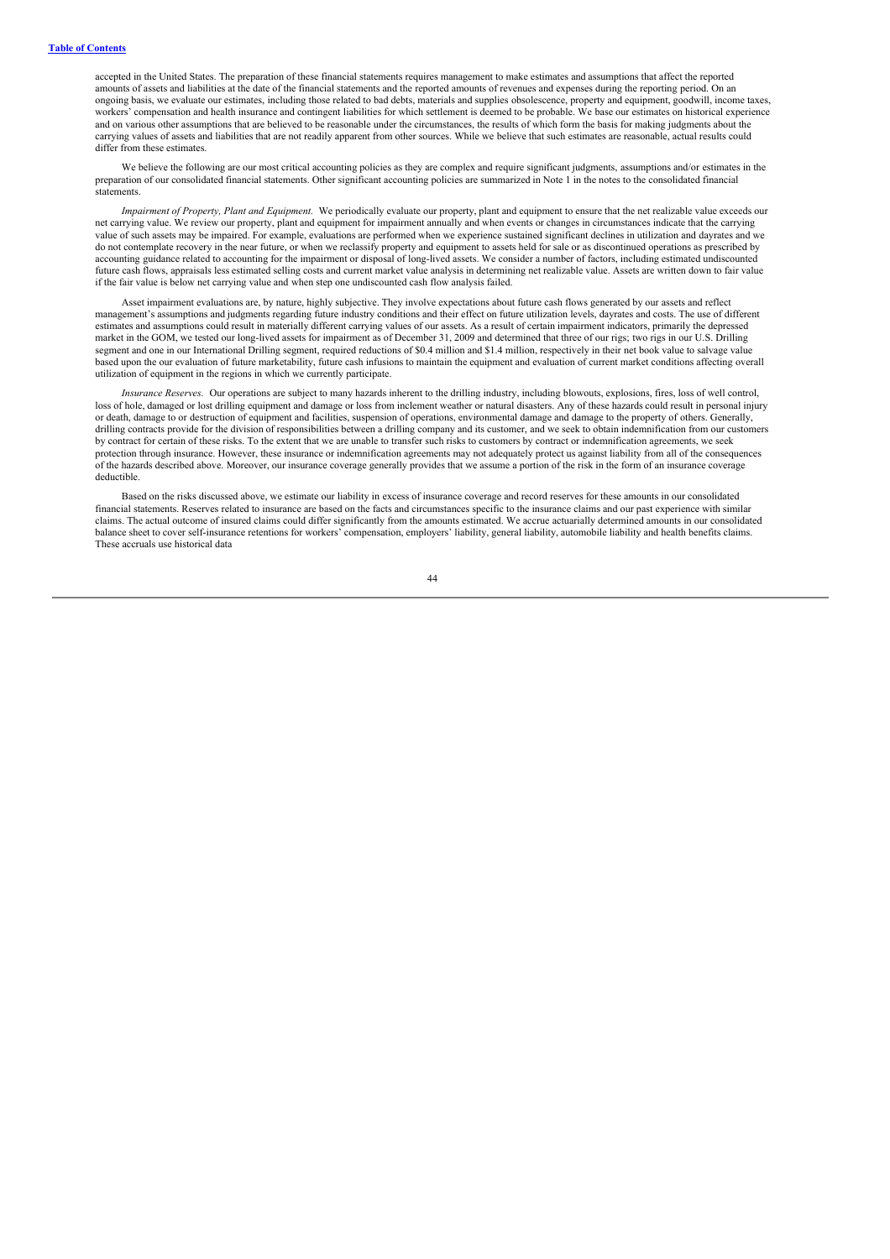accepted in the United States. The preparation of these financial statements requires management to make estimates and assumptions that affect the reported amounts of assets and liabilities at the date of the financial statements and the reported amounts of revenues and expenses during the reporting period. On an ongoing basis, we evaluate our estimates, including those related to bad debts, materials and supplies obsolescence, property and equipment, goodwill, income taxes, workers' compensation and health insurance and contingent liabilities for which settlement is deemed to be probable. We base our estimates on historical experience and on various other assumptions that are believed to be reasonable under the circumstances, the results of which form the basis for making judgments about the carrying values of assets and liabilities that are not readily apparent from other sources. While we believe that such estimates are reasonable, actual results could differ from these estimates.

We believe the following are our most critical accounting policies as they are complex and require significant judgments, assumptions and/or estimates in the preparation of our consolidated financial statements. Other significant accounting policies are summarized in Note 1 in the notes to the consolidated financial statements.

*Impairment of Property, Plant and Equipment.* We periodically evaluate our property, plant and equipment to ensure that the net realizable value exceeds our net carrying value. We review our property, plant and equipment for impairment annually and when events or changes in circumstances indicate that the carrying value of such assets may be impaired. For example, evaluations are performed when we experience sustained significant declines in utilization and dayrates and we do not contemplate recovery in the near future, or when we reclassify property and equipment to assets held for sale or as discontinued operations as prescribed by accounting guidance related to accounting for the impairment or disposal of long-lived assets. We consider a number of factors, including estimated undiscounted future cash flows, appraisals less estimated selling costs and current market value analysis in determining net realizable value. Assets are written down to fair value if the fair value is below net carrying value and when step one undiscounted cash flow analysis failed.

Asset impairment evaluations are, by nature, highly subjective. They involve expectations about future cash flows generated by our assets and reflect management's assumptions and judgments regarding future industry conditions and their effect on future utilization levels, dayrates and costs. The use of different estimates and assumptions could result in materially different carrying values of our assets. As a result of certain impairment indicators, primarily the depressed market in the GOM, we tested our long-lived assets for impairment as of December 31, 2009 and determined that three of our rigs; two rigs in our U.S. Drilling segment and one in our International Drilling segment, required reductions of \$0.4 million and \$1.4 million, respectively in their net book value to salvage value based upon the our evaluation of future marketability, future cash infusions to maintain the equipment and evaluation of current market conditions affecting overall utilization of equipment in the regions in which we currently participate.

*Insurance Reserves.* Our operations are subject to many hazards inherent to the drilling industry, including blowouts, explosions, fires, loss of well control, loss of hole, damaged or lost drilling equipment and damage or loss from inclement weather or natural disasters. Any of these hazards could result in personal injury or death, damage to or destruction of equipment and facilities, suspension of operations, environmental damage and damage to the property of others. Generally, drilling contracts provide for the division of responsibilities between a drilling company and its customer, and we seek to obtain indemnification from our customers by contract for certain of these risks. To the extent that we are unable to transfer such risks to customers by contract or indemnification agreements, we seek protection through insurance. However, these insurance or indemnification agreements may not adequately protect us against liability from all of the consequences of the hazards described above. Moreover, our insurance coverage generally provides that we assume a portion of the risk in the form of an insurance coverage deductible.

Based on the risks discussed above, we estimate our liability in excess of insurance coverage and record reserves for these amounts in our consolidated financial statements. Reserves related to insurance are based on the facts and circumstances specific to the insurance claims and our past experience with similar claims. The actual outcome of insured claims could differ significantly from the amounts estimated. We accrue actuarially determined amounts in our consolidated balance sheet to cover self-insurance retentions for workers' compensation, employers' liability, general liability, automobile liability and health benefits claims. These accruals use historical data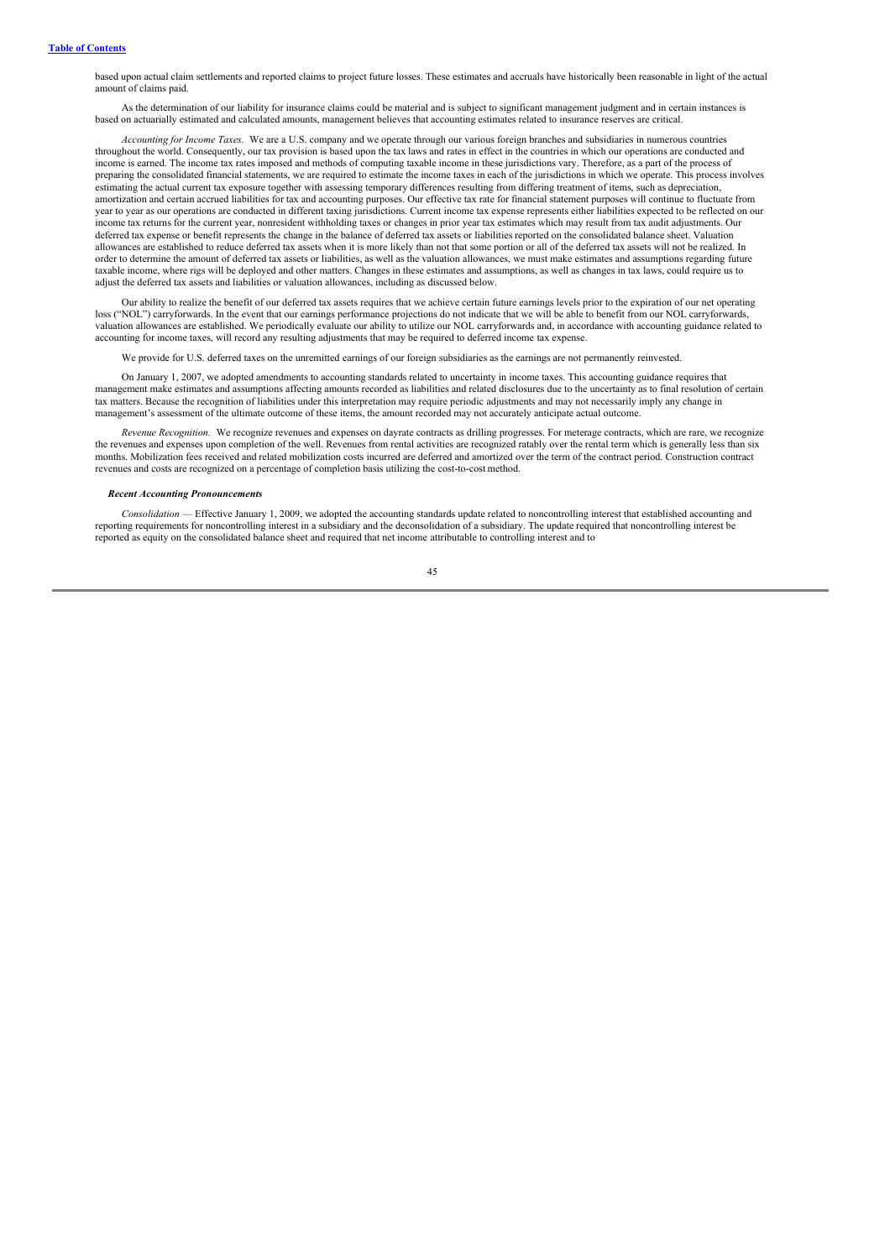based upon actual claim settlements and reported claims to project future losses. These estimates and accruals have historically been reasonable in light of the actual amount of claims paid.

As the determination of our liability for insurance claims could be material and is subject to significant management judgment and in certain instances is based on actuarially estimated and calculated amounts, management believes that accounting estimates related to insurance reserves are critical.

*Accounting for Income Taxes.* We are a U.S. company and we operate through our various foreign branches and subsidiaries in numerous countries throughout the world. Consequently, our tax provision is based upon the tax laws and rates in effect in the countries in which our operations are conducted and income is earned. The income tax rates imposed and methods of computing taxable income in these jurisdictions vary. Therefore, as a part of the process of preparing the consolidated financial statements, we are required to estimate the income taxes in each of the jurisdictions in which we operate. This process involves estimating the actual current tax exposure together with assessing temporary differences resulting from differing treatment of items, such as depreciation, amortization and certain accrued liabilities for tax and accounting purposes. Our effective tax rate for financial statement purposes will continue to fluctuate from year to year as our operations are conducted in different taxing jurisdictions. Current income tax expense represents either liabilities expected to be reflected on our income tax returns for the current year, nonresident withholding taxes or changes in prior year tax estimates which may result from tax audit adjustments. Our deferred tax expense or benefit represents the change in the balance of deferred tax assets or liabilities reported on the consolidated balance sheet. Valuation allowances are established to reduce deferred tax assets when it is more likely than not that some portion or all of the deferred tax assets will not be realized. In order to determine the amount of deferred tax assets or liabilities, as well as the valuation allowances, we must make estimates and assumptions regarding future taxable income, where rigs will be deployed and other matters. Changes in these estimates and assumptions, as well as changes in tax laws, could require us to adjust the deferred tax assets and liabilities or valuation allowances, including as discussed below.

Our ability to realize the benefit of our deferred tax assets requires that we achieve certain future earnings levels prior to the expiration of our net operating loss ("NOL") carryforwards. In the event that our earnings performance projections do not indicate that we will be able to benefit from our NOL carryforwards, valuation allowances are established. We periodically evaluate our ability to utilize our NOL carryforwards and, in accordance with accounting guidance related to accounting for income taxes, will record any resulting adjustments that may be required to deferred income tax expense.

We provide for U.S. deferred taxes on the unremitted earnings of our foreign subsidiaries as the earnings are not permanently reinvested.

On January 1, 2007, we adopted amendments to accounting standards related to uncertainty in income taxes. This accounting guidance requires that management make estimates and assumptions affecting amounts recorded as liabilities and related disclosures due to the uncertainty as to final resolution of certain tax matters. Because the recognition of liabilities under this interpretation may require periodic adjustments and may not necessarily imply any change in management's assessment of the ultimate outcome of these items, the amount recorded may not accurately anticipate actual outcome.

*Revenue Recognition.* We recognize revenues and expenses on dayrate contracts as drilling progresses. For meterage contracts, which are rare, we recognize the revenues and expenses upon completion of the well. Revenues from rental activities are recognized ratably over the rental term which is generally less than six months. Mobilization fees received and related mobilization costs incurred are deferred and amortized over the term of the contract period. Construction contract revenues and costs are recognized on a percentage of completion basis utilizing the cost-to-cost method.

#### *Recent Accounting Pronouncements*

*Consolidation* — Effective January 1, 2009, we adopted the accounting standards update related to noncontrolling interest that established accounting and reporting requirements for noncontrolling interest in a subsidiary and the deconsolidation of a subsidiary. The update required that noncontrolling interest be reported as equity on the consolidated balance sheet and required that net income attributable to controlling interest and to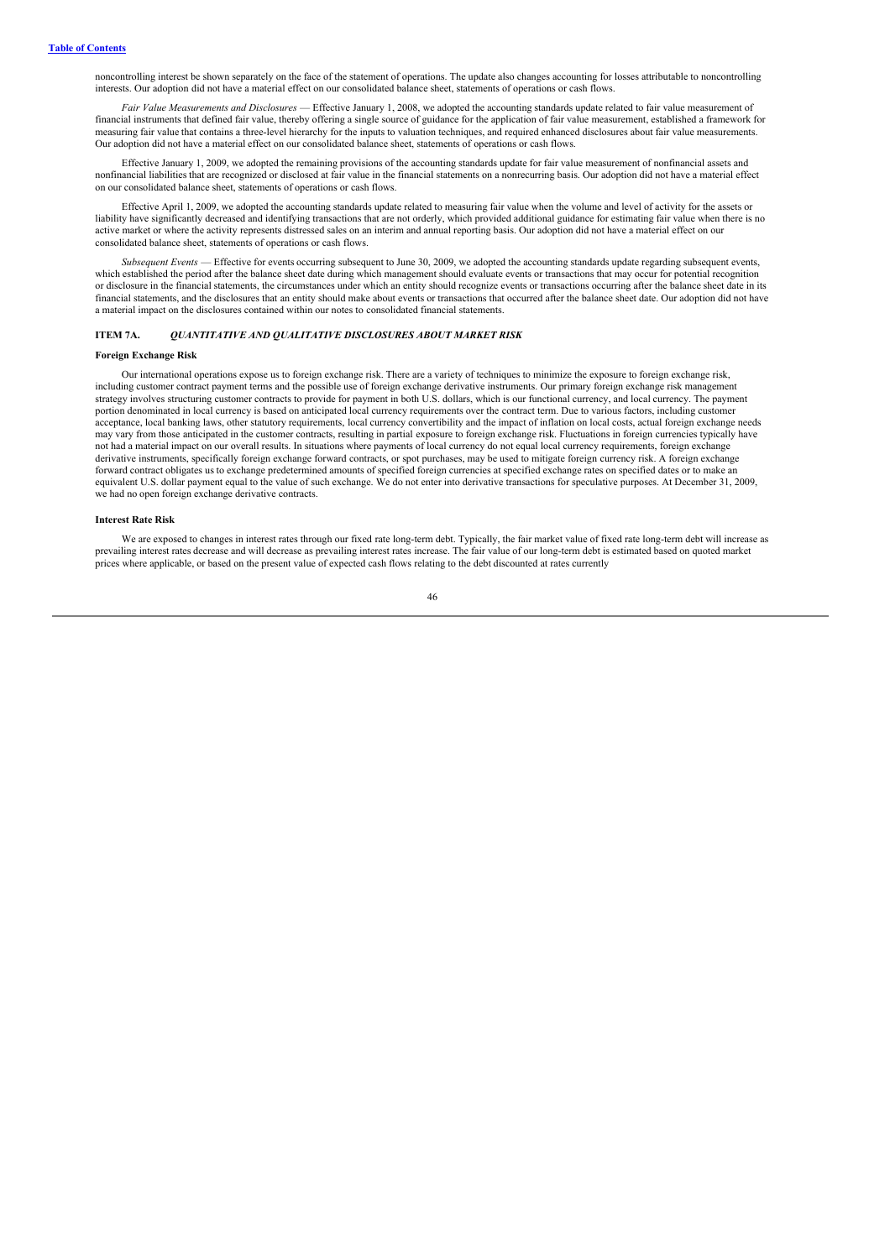noncontrolling interest be shown separately on the face of the statement of operations. The update also changes accounting for losses attributable to noncontrolling interests. Our adoption did not have a material effect on our consolidated balance sheet, statements of operations or cash flows.

*Fair Value Measurements and Disclosures* — Effective January 1, 2008, we adopted the accounting standards update related to fair value measurement of financial instruments that defined fair value, thereby offering a single source of guidance for the application of fair value measurement, established a framework for measuring fair value that contains a three-level hierarchy for the inputs to valuation techniques, and required enhanced disclosures about fair value measurements. Our adoption did not have a material effect on our consolidated balance sheet, statements of operations or cash flows.

Effective January 1, 2009, we adopted the remaining provisions of the accounting standards update for fair value measurement of nonfinancial assets and nonfinancial liabilities that are recognized or disclosed at fair value in the financial statements on a nonrecurring basis. Our adoption did not have a material effect on our consolidated balance sheet, statements of operations or cash flows.

Effective April 1, 2009, we adopted the accounting standards update related to measuring fair value when the volume and level of activity for the assets or liability have significantly decreased and identifying transactions that are not orderly, which provided additional guidance for estimating fair value when there is no active market or where the activity represents distressed sales on an interim and annual reporting basis. Our adoption did not have a material effect on our consolidated balance sheet, statements of operations or cash flows.

*Subsequent Events* — Effective for events occurring subsequent to June 30, 2009, we adopted the accounting standards update regarding subsequent events, which established the period after the balance sheet date during which management should evaluate events or transactions that may occur for potential recognition or disclosure in the financial statements, the circumstances under which an entity should recognize events or transactions occurring after the balance sheet date in its financial statements, and the disclosures that an entity should make about events or transactions that occurred after the balance sheet date. Our adoption did not have a material impact on the disclosures contained within our notes to consolidated financial statements.

#### **ITEM 7A.** *QUANTITATIVE AND QUALITATIVE DISCLOSURES ABOUT MARKET RISK*

#### **Foreign Exchange Risk**

Our international operations expose us to foreign exchange risk. There are a variety of techniques to minimize the exposure to foreign exchange risk, including customer contract payment terms and the possible use of foreign exchange derivative instruments. Our primary foreign exchange risk management strategy involves structuring customer contracts to provide for payment in both U.S. dollars, which is our functional currency, and local currency. The payment portion denominated in local currency is based on anticipated local currency requirements over the contract term. Due to various factors, including customer acceptance, local banking laws, other statutory requirements, local currency convertibility and the impact of inflation on local costs, actual foreign exchange needs may vary from those anticipated in the customer contracts, resulting in partial exposure to foreign exchange risk. Fluctuations in foreign currencies typically have not had a material impact on our overall results. In situations where payments of local currency do not equal local currency requirements, foreign exchange<br>derivative instruments, specifically foreign exchange forward cont forward contract obligates us to exchange predetermined amounts of specified foreign currencies at specified exchange rates on specified dates or to make an equivalent U.S. dollar payment equal to the value of such exchange. We do not enter into derivative transactions for speculative purposes. At December 31, 2009, we had no open foreign exchange derivative contracts.

#### **Interest Rate Risk**

We are exposed to changes in interest rates through our fixed rate long-term debt. Typically, the fair market value of fixed rate long-term debt will increase as prevailing interest rates decrease and will decrease as prevailing interest rates increase. The fair value of our long-term debt is estimated based on quoted market provaling inverse rates accrease and will decrease as provaling inverse rates increase. The language of each religion at rates currently prices where applicable, or based on the present value of expected cash flows relatin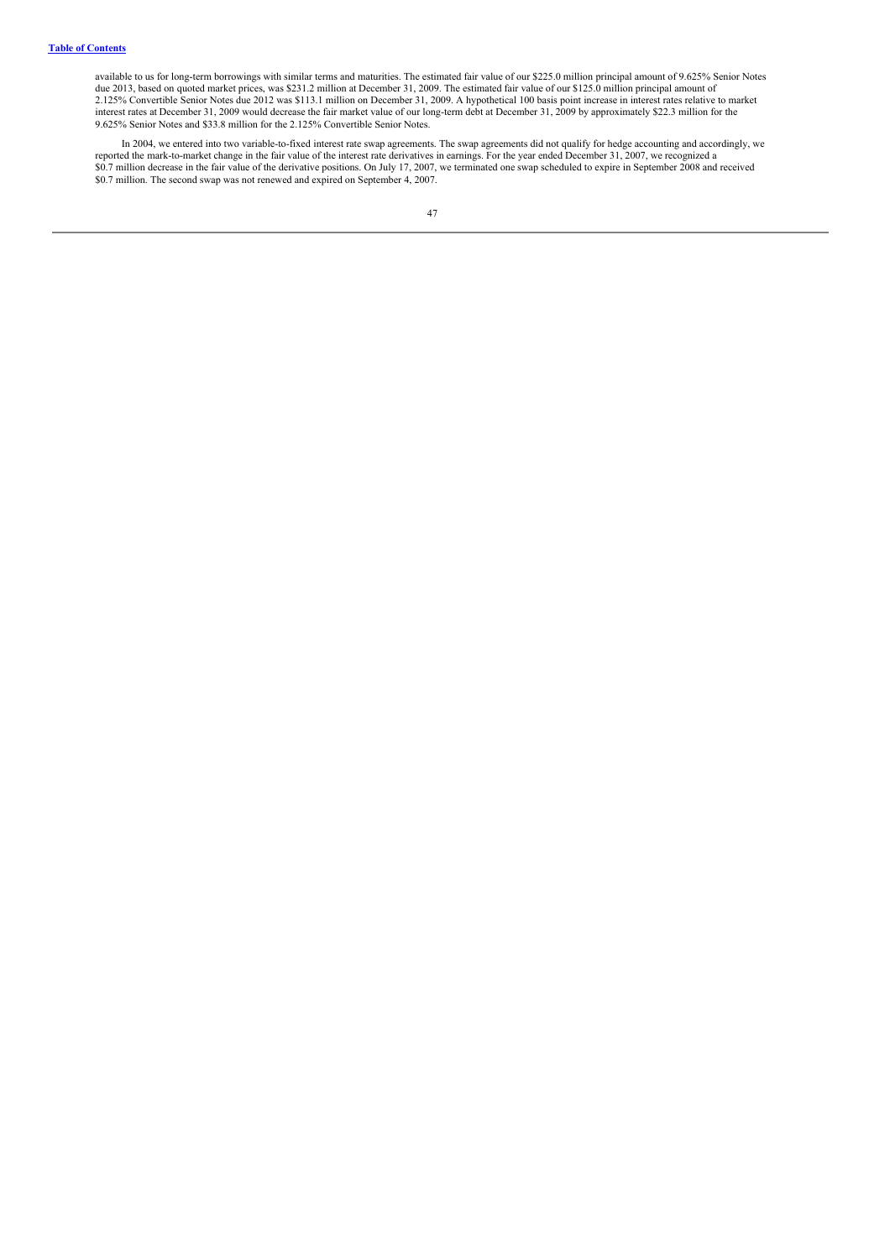available to us for long-term borrowings with similar terms and maturities. The estimated fair value of our \$225.0 million principal amount of 9.625% Senior Notes due 2013, based on quoted market prices, was \$231.2 million at December 31, 2009. The estimated fair value of our \$125.0 million principal amount of 2.125% Convertible Senior Notes due 2012 was \$113.1 million on December 31, 2009. A hypothetical 100 basis point increase in interest rates relative to market interest rates at December 31, 2009 would decrease the fair market value of our long-term debt at December 31, 2009 by approximately \$22.3 million for the 9.625% Senior Notes and \$33.8 million for the 2.125% Convertible Senior Notes.

In 2004, we entered into two variable-to-fixed interest rate swap agreements. The swap agreements did not qualify for hedge accounting and accordingly, we reported the mark-to-market change in the fair value of the interest rate derivatives in earnings. For the year ended December 31, 2007, we recognized a \$0.7 million decrease in the fair value of the derivative positions. On July 17, 2007, we terminated one swap scheduled to expire in September 2008 and received<br>\$0.7 million. The second swap was not renewed and expired on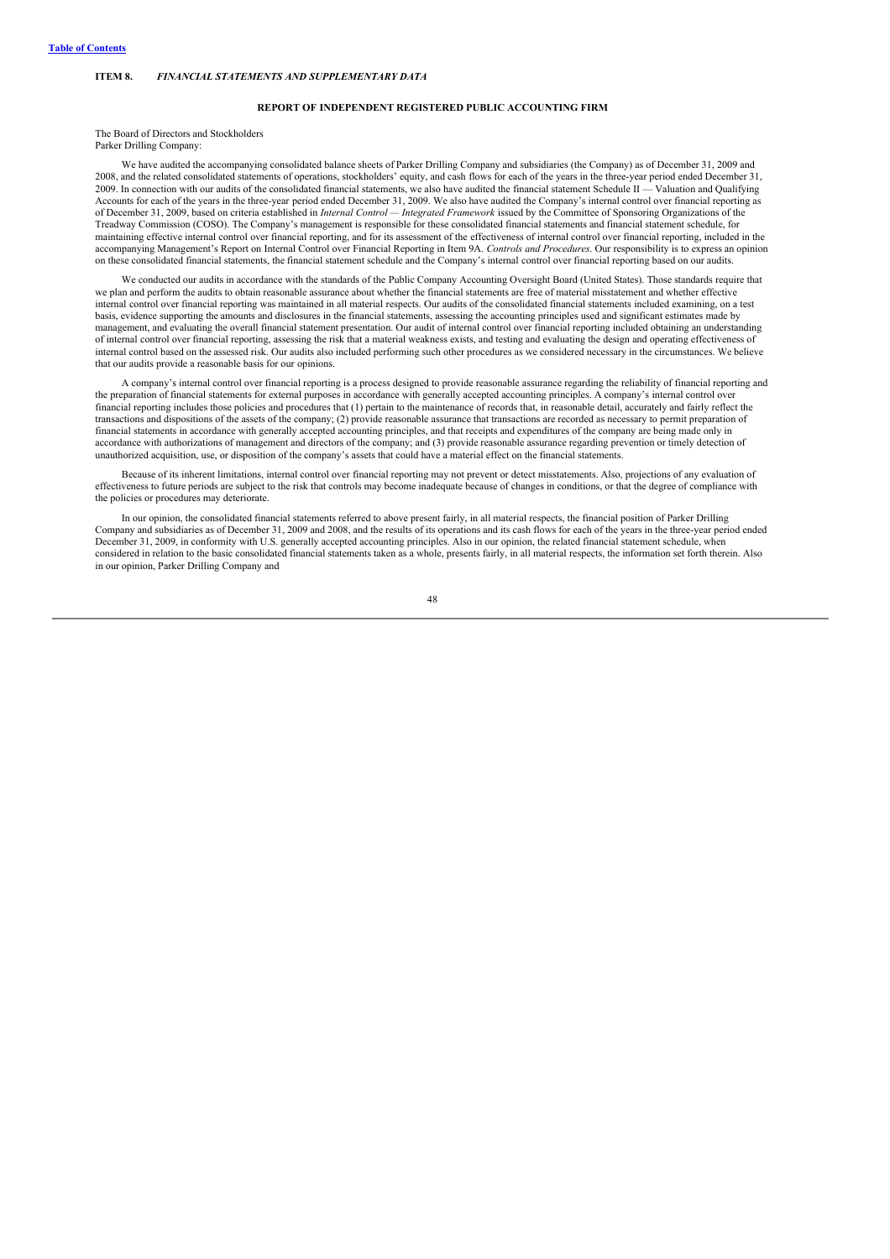#### **ITEM 8.** *FINANCIAL STATEMENTS AND SUPPLEMENTARY DATA*

#### **REPORT OF INDEPENDENT REGISTERED PUBLIC ACCOUNTING FIRM**

The Board of Directors and Stockholders Parker Drilling Company:

We have audited the accompanying consolidated balance sheets of Parker Drilling Company and subsidiaries (the Company) as of December 31, 2009 and 2008, and the related consolidated statements of operations, stockholders' equity, and cash flows for each of the years in the three-year period ended December 31, 2009. In connection with our audits of the consolidated financial statements, we also have audited the financial statement Schedule II — Valuation and Qualifying Accounts for each of the years in the three-year period ended December 31, 2009. We also have audited the Company's internal control over financial reporting as of December 31, 2009, based on criteria established in *Internal Control — Integrated Framework* issued by the Committee of Sponsoring Organizations of the Treadway Commission (COSO). The Company's management is responsible for these consolidated financial statements and financial statement schedule, for maintaining effective internal control over financial reporting, and for its assessment of the effectiveness of internal control over financial reporting, included in the accompanying Management's Report on Internal Control over Financial Reporting in Item 9A. *Controls and Procedures*. Our responsibility is to express an opinion on these consolidated financial statements, the financial statement schedule and the Company's internal control over financial reporting based on our audits.

We conducted our audits in accordance with the standards of the Public Company Accounting Oversight Board (United States). Those standards require that we plan and perform the audits to obtain reasonable assurance about whether the financial statements are free of material misstatement and whether effective internal control over financial reporting was maintained in all material respects. Our audits of the consolidated financial statements included examining, on a test basis, evidence supporting the amounts and disclosures in the financial statements, assessing the accounting principles used and significant estimates made by management, and evaluating the overall financial statement presentation. Our audit of internal control over financial reporting included obtaining an understanding of internal control over financial reporting, assessing the risk that a material weakness exists, and testing and evaluating the design and operating effectiveness of internal control based on the assessed risk. Our audits also included performing such other procedures as we considered necessary in the circumstances. We believe that our audits provide a reasonable basis for our opinions.

A company's internal control over financial reporting is a process designed to provide reasonable assurance regarding the reliability of financial reporting and the preparation of financial statements for external purposes in accordance with generally accepted accounting principles. A company's internal control over financial reporting includes those policies and procedures that (1) pertain to the maintenance of records that, in reasonable detail, accurately and fairly reflect the transactions and dispositions of the assets of the company; (2) provide reasonable assurance that transactions are recorded as necessary to permit preparation of financial statements in accordance with generally accepted accounting principles, and that receipts and expenditures of the company are being made only in accordance with authorizations of management and directors of the company; and (3) provide reasonable assurance regarding prevention or timely detection of unauthorized acquisition, use, or disposition of the company's assets that could have a material effect on the financial statements.

Because of its inherent limitations, internal control over financial reporting may not prevent or detect misstatements. Also, projections of any evaluation of effectiveness to future periods are subject to the risk that controls may become inadequate because of changes in conditions, or that the degree of compliance with the policies or procedures may deteriorate.

In our opinion, the consolidated financial statements referred to above present fairly, in all material respects, the financial position of Parker Drilling Company and subsidiaries as of December 31, 2009 and 2008, and the results of its operations and its cash flows for each of the years in the three-year period ended<br>December 31, 2009, in conformity with U.S. generally acce considered in relation to the basic consolidated financial statements taken as a whole, presents fairly, in all material respects, the information set forth therein. Also in our opinion, Parker Drilling Company and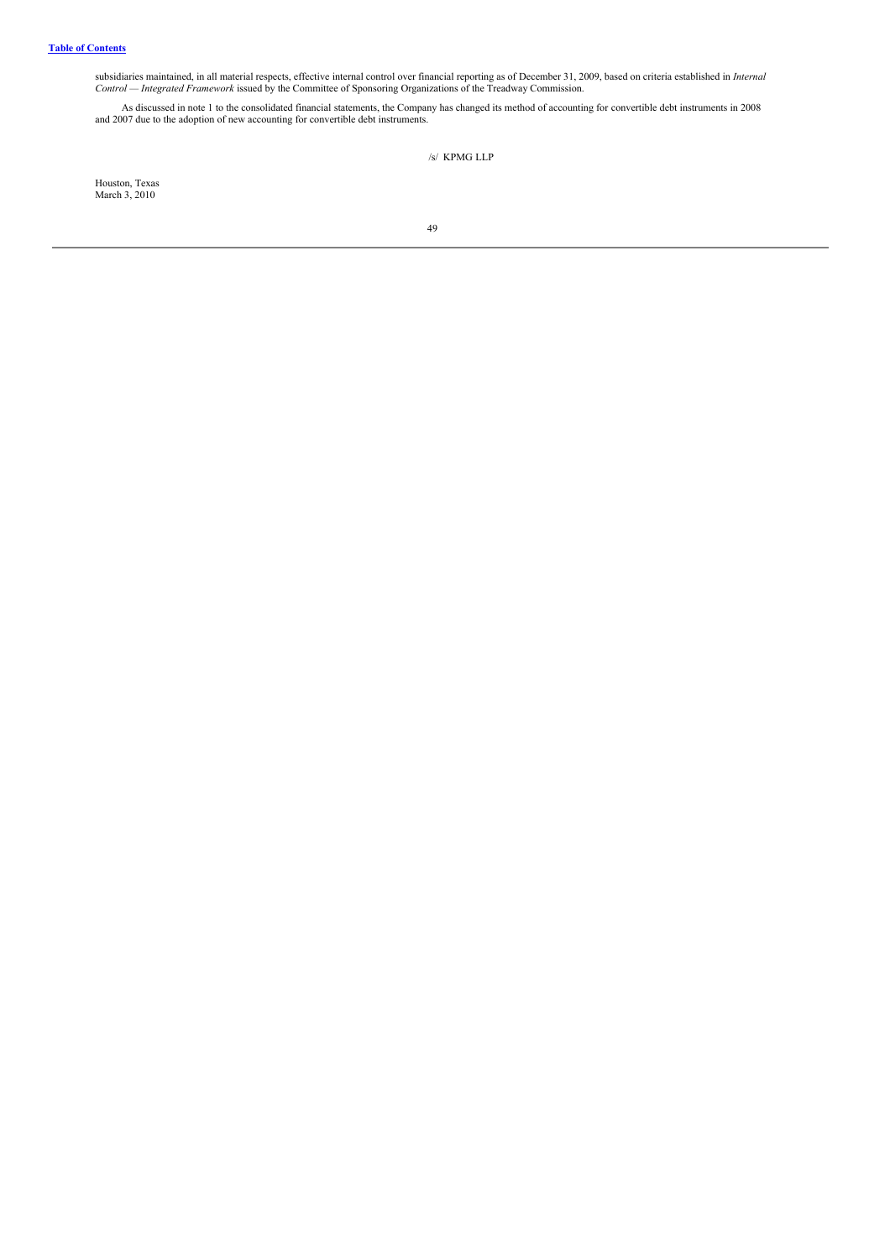subsidiaries maintained, in all material respects, effective internal control over financial reporting as of December 31, 2009, based on criteria established in *Internal* Control — Integrated Framework issued by the Commi

As discussed in note 1 to the consolidated financial statements, the Company has changed its method of accounting for convertible debt instruments in 2008 and 2007 due to the adoption of new accounting for convertible debt

/s/ KPMG LLP

Houston, Texas March 3, 2010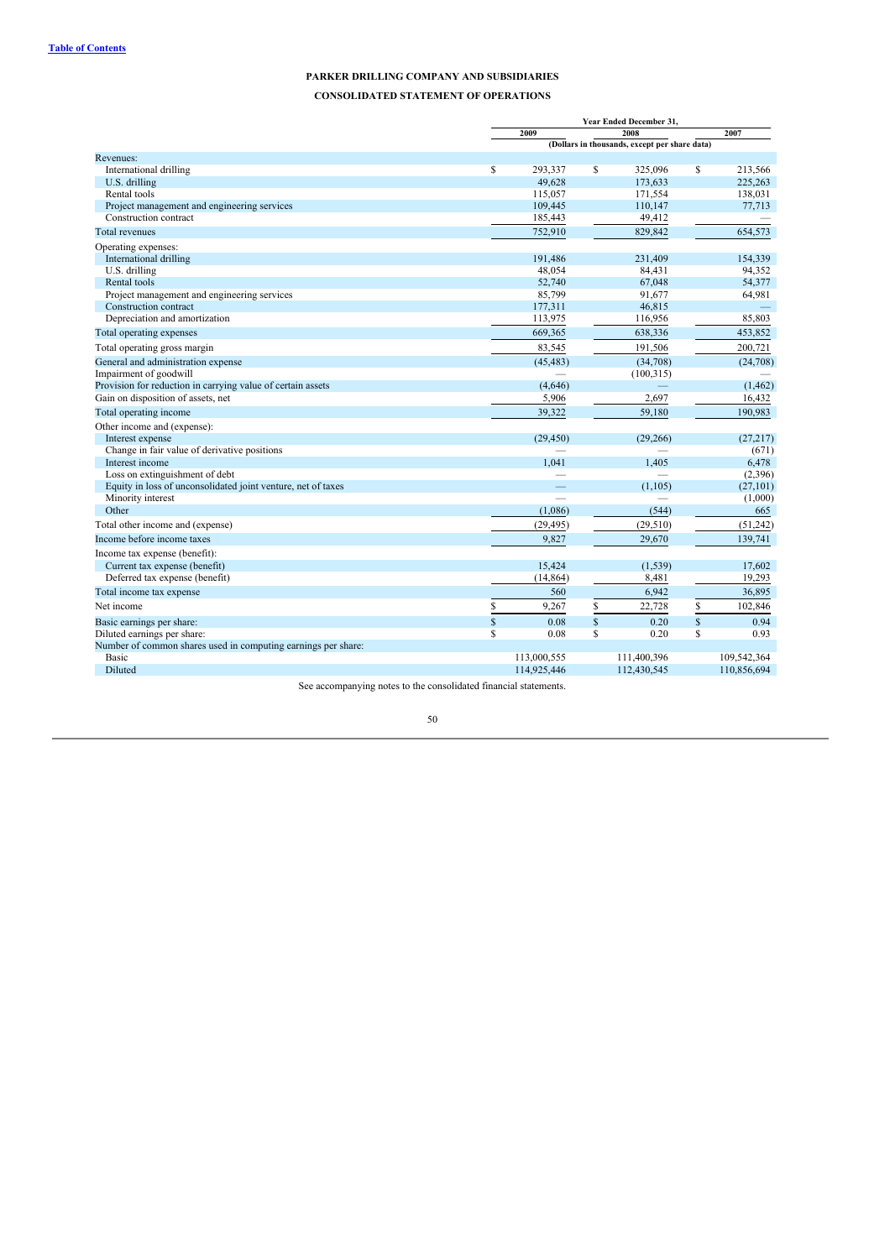## **CONSOLIDATED STATEMENT OF OPERATIONS**

|                                                               |    | Year Ended December 31, |              |                                               |    |             |
|---------------------------------------------------------------|----|-------------------------|--------------|-----------------------------------------------|----|-------------|
|                                                               |    | 2009<br>2008            |              |                                               |    | 2007        |
|                                                               |    |                         |              | (Dollars in thousands, except per share data) |    |             |
| Revenues:                                                     |    |                         |              |                                               |    |             |
| International drilling                                        | S  | 293.337                 | S            | 325,096                                       | \$ | 213,566     |
| U.S. drilling                                                 |    | 49,628                  |              | 173,633                                       |    | 225,263     |
| Rental tools                                                  |    | 115,057                 |              | 171,554                                       |    | 138,031     |
| Project management and engineering services                   |    | 109,445                 |              | 110,147                                       |    | 77,713      |
| Construction contract                                         |    | 185,443                 |              | 49,412                                        |    |             |
| <b>Total revenues</b>                                         |    | 752,910                 |              | 829,842                                       |    | 654,573     |
| Operating expenses:                                           |    |                         |              |                                               |    |             |
| International drilling                                        |    | 191,486                 |              | 231,409                                       |    | 154,339     |
| U.S. drilling                                                 |    | 48,054                  |              | 84,431                                        |    | 94,352      |
| Rental tools                                                  |    | 52,740                  |              | 67,048                                        |    | 54,377      |
| Project management and engineering services                   |    | 85,799                  |              | 91.677                                        |    | 64,981      |
| Construction contract                                         |    | 177,311                 |              | 46,815                                        |    |             |
| Depreciation and amortization                                 |    | 113,975                 |              | 116,956                                       |    | 85.803      |
| Total operating expenses                                      |    | 669,365                 |              | 638,336                                       |    | 453,852     |
| Total operating gross margin                                  |    | 83,545                  |              | 191,506                                       |    | 200,721     |
| General and administration expense                            |    | (45, 483)               |              | (34,708)                                      |    | (24,708)    |
| Impairment of goodwill                                        |    |                         |              | (100, 315)                                    |    |             |
| Provision for reduction in carrying value of certain assets   |    | (4,646)                 |              |                                               |    | (1, 462)    |
| Gain on disposition of assets, net                            |    | 5,906                   |              | 2,697                                         |    | 16,432      |
| Total operating income                                        |    | 39,322                  |              | 59,180                                        |    | 190,983     |
| Other income and (expense):                                   |    |                         |              |                                               |    |             |
| Interest expense                                              |    | (29, 450)               |              | (29, 266)                                     |    | (27, 217)   |
| Change in fair value of derivative positions                  |    |                         |              |                                               |    | (671)       |
| Interest income                                               |    | 1.041                   |              | 1.405                                         |    | 6,478       |
| Loss on extinguishment of debt                                |    |                         |              |                                               |    | (2,396)     |
| Equity in loss of unconsolidated joint venture, net of taxes  |    |                         |              | (1,105)                                       |    | (27, 101)   |
| Minority interest                                             |    |                         |              |                                               |    | (1,000)     |
| Other                                                         |    | (1,086)                 |              | (544)                                         |    | 665         |
| Total other income and (expense)                              |    | (29, 495)               |              | (29,510)                                      |    | (51,242)    |
| Income before income taxes                                    |    | 9,827                   |              | 29,670                                        |    | 139,741     |
| Income tax expense (benefit):                                 |    |                         |              |                                               |    |             |
| Current tax expense (benefit)                                 |    | 15,424                  |              | (1, 539)                                      |    | 17,602      |
| Deferred tax expense (benefit)                                |    | (14, 864)               |              | 8,481                                         |    | 19,293      |
| Total income tax expense                                      |    | 560                     |              | 6,942                                         |    | 36,895      |
| Net income                                                    | \$ | 9,267                   | s            | 22,728                                        | \$ | 102,846     |
| Basic earnings per share:                                     | \$ | 0.08                    | $\mathbb{S}$ | 0.20                                          | \$ | 0.94        |
| Diluted earnings per share:                                   | \$ | 0.08                    | S            | 0.20                                          | \$ | 0.93        |
| Number of common shares used in computing earnings per share: |    |                         |              |                                               |    |             |
| <b>Basic</b>                                                  |    | 113,000,555             |              | 111,400,396                                   |    | 109.542.364 |
| Diluted                                                       |    | 114,925,446             |              | 112,430,545                                   |    | 110,856,694 |

See accompanying notes to the consolidated financial statements.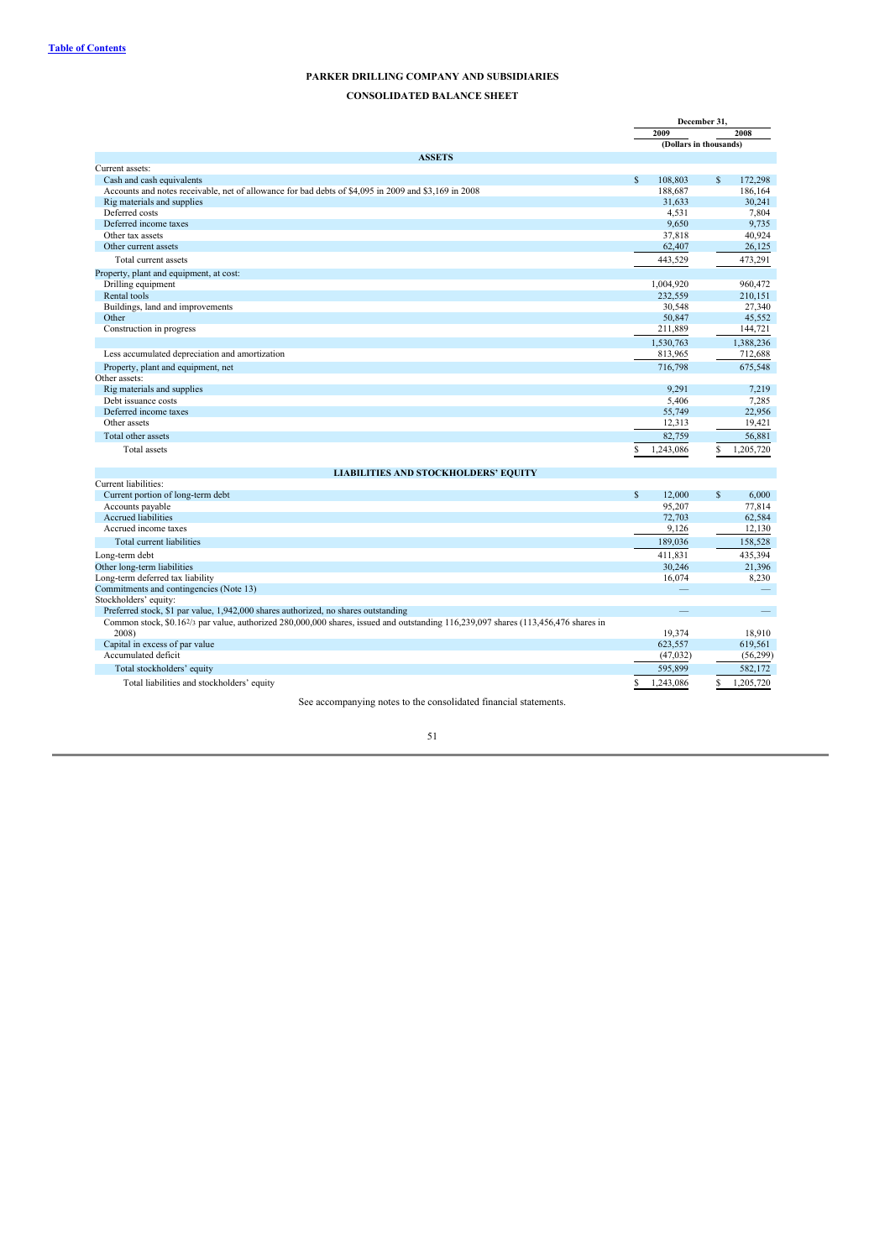## **CONSOLIDATED BALANCE SHEET**

|                                                                                                                                    | December 31. |                        |              |                   |  |
|------------------------------------------------------------------------------------------------------------------------------------|--------------|------------------------|--------------|-------------------|--|
|                                                                                                                                    | 2009         |                        |              | 2008              |  |
|                                                                                                                                    |              | (Dollars in thousands) |              |                   |  |
| <b>ASSETS</b>                                                                                                                      |              |                        |              |                   |  |
| Current assets:                                                                                                                    |              |                        |              |                   |  |
| Cash and cash equivalents                                                                                                          | \$           | 108,803                | \$           | 172.298           |  |
| Accounts and notes receivable, net of allowance for bad debts of \$4,095 in 2009 and \$3,169 in 2008                               |              | 188,687                |              | 186,164           |  |
| Rig materials and supplies                                                                                                         |              | 31,633                 |              | 30,241            |  |
| Deferred costs                                                                                                                     |              | 4,531                  |              | 7,804             |  |
| Deferred income taxes                                                                                                              |              | 9,650                  |              | 9,735             |  |
| Other tax assets                                                                                                                   |              | 37,818                 |              | 40,924            |  |
| Other current assets                                                                                                               |              | 62,407                 |              | 26,125            |  |
| Total current assets                                                                                                               |              | 443,529                |              | 473,291           |  |
| Property, plant and equipment, at cost:                                                                                            |              |                        |              |                   |  |
| Drilling equipment                                                                                                                 |              | 1,004,920              |              | 960,472           |  |
| Rental tools                                                                                                                       |              | 232,559                |              | 210,151           |  |
| Buildings, land and improvements                                                                                                   |              | 30,548                 |              | 27,340            |  |
| Other                                                                                                                              |              | 50,847                 |              | 45,552            |  |
| Construction in progress                                                                                                           |              | 211,889                |              | 144,721           |  |
|                                                                                                                                    |              | 1.530.763              |              | 1.388.236         |  |
| Less accumulated depreciation and amortization                                                                                     |              | 813,965                |              | 712,688           |  |
| Property, plant and equipment, net                                                                                                 |              | 716,798                |              | 675,548           |  |
| Other assets:                                                                                                                      |              |                        |              |                   |  |
| Rig materials and supplies                                                                                                         |              | 9.291                  |              | 7,219             |  |
| Debt issuance costs                                                                                                                |              | 5,406                  |              | 7,285             |  |
| Deferred income taxes                                                                                                              |              | 55,749                 |              | 22,956            |  |
| Other assets                                                                                                                       |              | 12,313                 |              | 19,421            |  |
| Total other assets                                                                                                                 |              | 82.759                 |              | 56.881            |  |
| Total assets                                                                                                                       |              | 1,243,086              |              | 1,205,720         |  |
|                                                                                                                                    |              |                        |              |                   |  |
| <b>LIABILITIES AND STOCKHOLDERS' EQUITY</b>                                                                                        |              |                        |              |                   |  |
| Current liabilities:                                                                                                               |              |                        |              |                   |  |
| Current portion of long-term debt                                                                                                  | $\mathbf S$  | 12,000                 | $\mathbf{s}$ | 6.000             |  |
| Accounts payable                                                                                                                   |              | 95,207                 |              | 77,814            |  |
| <b>Accrued</b> liabilities                                                                                                         |              | 72,703                 |              | 62,584            |  |
| Accrued income taxes                                                                                                               |              | 9,126                  |              | 12,130            |  |
| Total current liabilities                                                                                                          |              | 189,036                |              | 158,528           |  |
| Long-term debt                                                                                                                     |              | 411.831                |              | 435.394           |  |
| Other long-term liabilities                                                                                                        |              | 30,246                 |              | 21,396            |  |
| Long-term deferred tax liability                                                                                                   |              | 16.074                 |              | 8,230             |  |
| Commitments and contingencies (Note 13)                                                                                            |              |                        |              |                   |  |
| Stockholders' equity:                                                                                                              |              |                        |              |                   |  |
| Preferred stock, \$1 par value, 1,942,000 shares authorized, no shares outstanding                                                 |              |                        |              | $\qquad \qquad -$ |  |
| Common stock, \$0.162/3 par value, authorized 280,000,000 shares, issued and outstanding 116,239,097 shares (113,456,476 shares in |              |                        |              |                   |  |
| 2008)                                                                                                                              |              | 19,374                 |              | 18,910            |  |
| Capital in excess of par value                                                                                                     |              | 623,557                |              | 619,561           |  |
| Accumulated deficit                                                                                                                |              | (47, 032)              |              | (56, 299)         |  |
| Total stockholders' equity                                                                                                         |              | 595,899                |              | 582,172           |  |
| Total liabilities and stockholders' equity                                                                                         |              | 1,243,086              |              | 1,205,720         |  |

See accompanying notes to the consolidated financial statements.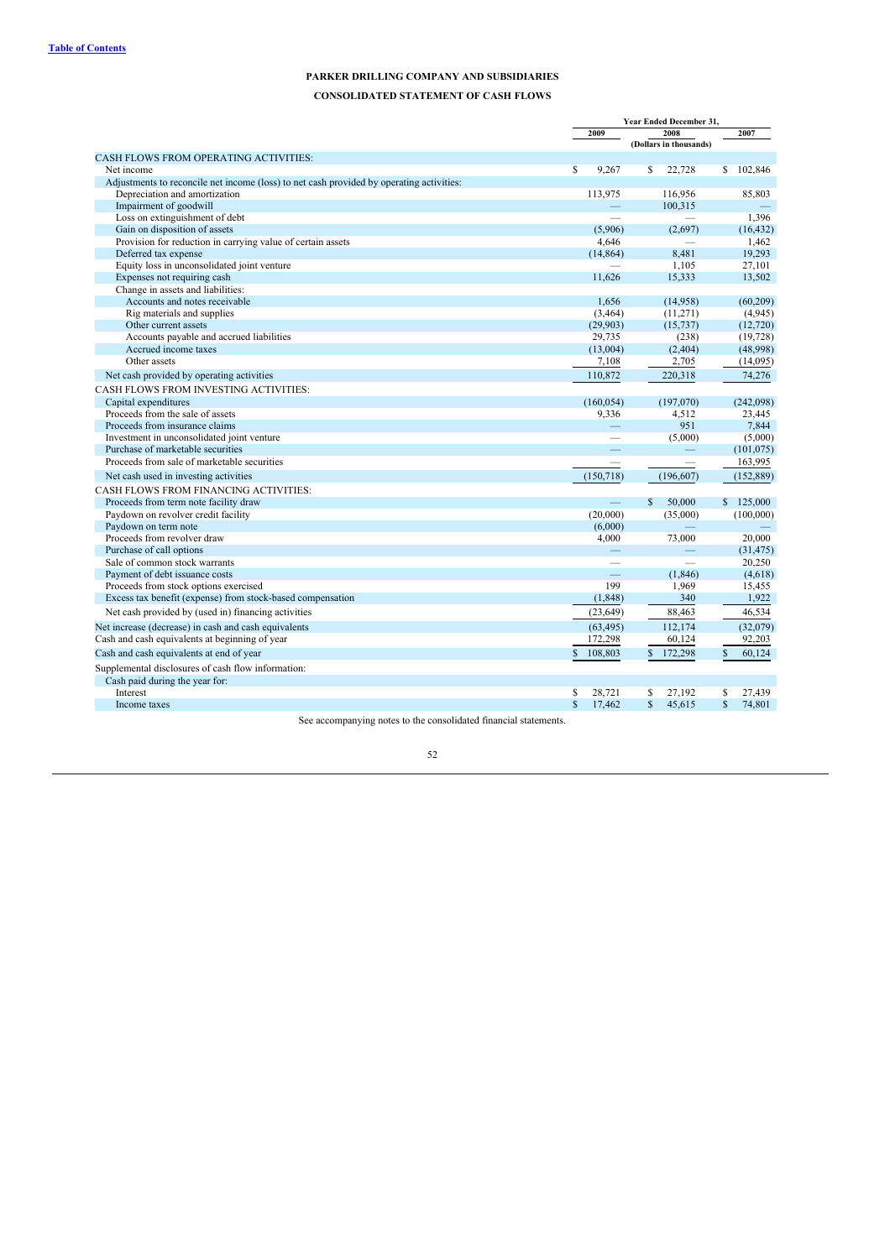## **CONSOLIDATED STATEMENT OF CASH FLOWS**

| 2009<br>2007<br>2008<br>(Dollars in thousands)<br>CASH FLOWS FROM OPERATING ACTIVITIES:<br>\$<br>9,267<br>102,846<br>Net income<br>\$<br>22,728<br>S.<br>Adjustments to reconcile net income (loss) to net cash provided by operating activities:<br>Depreciation and amortization<br>113,975<br>116,956<br>85,803<br>Impairment of goodwill<br>100,315<br>ш,<br>Loss on extinguishment of debt<br>1,396<br>Gain on disposition of assets<br>(5,906)<br>(2,697)<br>(16, 432)<br>Provision for reduction in carrying value of certain assets<br>4,646<br>1,462<br>Deferred tax expense<br>19,293<br>(14, 864)<br>8,481<br>Equity loss in unconsolidated joint venture<br>27,101<br>1,105<br>Expenses not requiring cash<br>11.626<br>15,333<br>13,502<br>Change in assets and liabilities:<br>Accounts and notes receivable<br>1,656<br>(14,958)<br>(60, 209)<br>(3, 464)<br>Rig materials and supplies<br>(11,271)<br>(4,945)<br>Other current assets<br>(29,903)<br>(15, 737)<br>(12,720)<br>Accounts payable and accrued liabilities<br>29,735<br>(19, 728)<br>(238)<br>Accrued income taxes<br>(13,004)<br>(48,998)<br>(2,404)<br>Other assets<br>7,108<br>2,705<br>(14,095)<br>110,872<br>220,318<br>74.276<br>Net cash provided by operating activities<br>CASH FLOWS FROM INVESTING ACTIVITIES:<br>Capital expenditures<br>(160, 054)<br>(197,070)<br>(242,098)<br>Proceeds from the sale of assets<br>4,512<br>9,336<br>23,445<br>Proceeds from insurance claims<br>951<br>7,844<br>Investment in unconsolidated joint venture<br>(5,000)<br>(5,000)<br>Purchase of marketable securities<br>(101, 075)<br>Proceeds from sale of marketable securities<br>163,995<br>$\qquad \qquad$<br>Net cash used in investing activities<br>(150, 718)<br>(196, 607)<br>(152, 889)<br>CASH FLOWS FROM FINANCING ACTIVITIES:<br>$\mathbb{S}$<br>\$125,000<br>Proceeds from term note facility draw<br>50,000<br>(20,000)<br>(35,000)<br>Paydown on revolver credit facility<br>(100,000)<br>Paydown on term note<br>(6,000)<br>Proceeds from revolver draw<br>73,000<br>20,000<br>4,000<br>Purchase of call options<br>(31, 475)<br>Sale of common stock warrants<br>20,250<br>Payment of debt issuance costs<br>(1, 846)<br>(4,618)<br>$\overline{\phantom{0}}$<br>199<br>Proceeds from stock options exercised<br>1,969<br>15,455<br>1,922<br>Excess tax benefit (expense) from stock-based compensation<br>(1, 848)<br>340<br>46,534<br>Net cash provided by (used in) financing activities<br>(23, 649)<br>88,463 |                                                      |           | Year Ended December 31. |          |  |  |
|------------------------------------------------------------------------------------------------------------------------------------------------------------------------------------------------------------------------------------------------------------------------------------------------------------------------------------------------------------------------------------------------------------------------------------------------------------------------------------------------------------------------------------------------------------------------------------------------------------------------------------------------------------------------------------------------------------------------------------------------------------------------------------------------------------------------------------------------------------------------------------------------------------------------------------------------------------------------------------------------------------------------------------------------------------------------------------------------------------------------------------------------------------------------------------------------------------------------------------------------------------------------------------------------------------------------------------------------------------------------------------------------------------------------------------------------------------------------------------------------------------------------------------------------------------------------------------------------------------------------------------------------------------------------------------------------------------------------------------------------------------------------------------------------------------------------------------------------------------------------------------------------------------------------------------------------------------------------------------------------------------------------------------------------------------------------------------------------------------------------------------------------------------------------------------------------------------------------------------------------------------------------------------------------------------------------------------------------------------------------------------------------------------------------------------------------------------------------------------------------------------------|------------------------------------------------------|-----------|-------------------------|----------|--|--|
|                                                                                                                                                                                                                                                                                                                                                                                                                                                                                                                                                                                                                                                                                                                                                                                                                                                                                                                                                                                                                                                                                                                                                                                                                                                                                                                                                                                                                                                                                                                                                                                                                                                                                                                                                                                                                                                                                                                                                                                                                                                                                                                                                                                                                                                                                                                                                                                                                                                                                                                  |                                                      |           |                         |          |  |  |
|                                                                                                                                                                                                                                                                                                                                                                                                                                                                                                                                                                                                                                                                                                                                                                                                                                                                                                                                                                                                                                                                                                                                                                                                                                                                                                                                                                                                                                                                                                                                                                                                                                                                                                                                                                                                                                                                                                                                                                                                                                                                                                                                                                                                                                                                                                                                                                                                                                                                                                                  |                                                      |           |                         |          |  |  |
|                                                                                                                                                                                                                                                                                                                                                                                                                                                                                                                                                                                                                                                                                                                                                                                                                                                                                                                                                                                                                                                                                                                                                                                                                                                                                                                                                                                                                                                                                                                                                                                                                                                                                                                                                                                                                                                                                                                                                                                                                                                                                                                                                                                                                                                                                                                                                                                                                                                                                                                  |                                                      |           |                         |          |  |  |
|                                                                                                                                                                                                                                                                                                                                                                                                                                                                                                                                                                                                                                                                                                                                                                                                                                                                                                                                                                                                                                                                                                                                                                                                                                                                                                                                                                                                                                                                                                                                                                                                                                                                                                                                                                                                                                                                                                                                                                                                                                                                                                                                                                                                                                                                                                                                                                                                                                                                                                                  |                                                      |           |                         |          |  |  |
|                                                                                                                                                                                                                                                                                                                                                                                                                                                                                                                                                                                                                                                                                                                                                                                                                                                                                                                                                                                                                                                                                                                                                                                                                                                                                                                                                                                                                                                                                                                                                                                                                                                                                                                                                                                                                                                                                                                                                                                                                                                                                                                                                                                                                                                                                                                                                                                                                                                                                                                  |                                                      |           |                         |          |  |  |
|                                                                                                                                                                                                                                                                                                                                                                                                                                                                                                                                                                                                                                                                                                                                                                                                                                                                                                                                                                                                                                                                                                                                                                                                                                                                                                                                                                                                                                                                                                                                                                                                                                                                                                                                                                                                                                                                                                                                                                                                                                                                                                                                                                                                                                                                                                                                                                                                                                                                                                                  |                                                      |           |                         |          |  |  |
|                                                                                                                                                                                                                                                                                                                                                                                                                                                                                                                                                                                                                                                                                                                                                                                                                                                                                                                                                                                                                                                                                                                                                                                                                                                                                                                                                                                                                                                                                                                                                                                                                                                                                                                                                                                                                                                                                                                                                                                                                                                                                                                                                                                                                                                                                                                                                                                                                                                                                                                  |                                                      |           |                         |          |  |  |
|                                                                                                                                                                                                                                                                                                                                                                                                                                                                                                                                                                                                                                                                                                                                                                                                                                                                                                                                                                                                                                                                                                                                                                                                                                                                                                                                                                                                                                                                                                                                                                                                                                                                                                                                                                                                                                                                                                                                                                                                                                                                                                                                                                                                                                                                                                                                                                                                                                                                                                                  |                                                      |           |                         |          |  |  |
|                                                                                                                                                                                                                                                                                                                                                                                                                                                                                                                                                                                                                                                                                                                                                                                                                                                                                                                                                                                                                                                                                                                                                                                                                                                                                                                                                                                                                                                                                                                                                                                                                                                                                                                                                                                                                                                                                                                                                                                                                                                                                                                                                                                                                                                                                                                                                                                                                                                                                                                  |                                                      |           |                         |          |  |  |
|                                                                                                                                                                                                                                                                                                                                                                                                                                                                                                                                                                                                                                                                                                                                                                                                                                                                                                                                                                                                                                                                                                                                                                                                                                                                                                                                                                                                                                                                                                                                                                                                                                                                                                                                                                                                                                                                                                                                                                                                                                                                                                                                                                                                                                                                                                                                                                                                                                                                                                                  |                                                      |           |                         |          |  |  |
|                                                                                                                                                                                                                                                                                                                                                                                                                                                                                                                                                                                                                                                                                                                                                                                                                                                                                                                                                                                                                                                                                                                                                                                                                                                                                                                                                                                                                                                                                                                                                                                                                                                                                                                                                                                                                                                                                                                                                                                                                                                                                                                                                                                                                                                                                                                                                                                                                                                                                                                  |                                                      |           |                         |          |  |  |
|                                                                                                                                                                                                                                                                                                                                                                                                                                                                                                                                                                                                                                                                                                                                                                                                                                                                                                                                                                                                                                                                                                                                                                                                                                                                                                                                                                                                                                                                                                                                                                                                                                                                                                                                                                                                                                                                                                                                                                                                                                                                                                                                                                                                                                                                                                                                                                                                                                                                                                                  |                                                      |           |                         |          |  |  |
|                                                                                                                                                                                                                                                                                                                                                                                                                                                                                                                                                                                                                                                                                                                                                                                                                                                                                                                                                                                                                                                                                                                                                                                                                                                                                                                                                                                                                                                                                                                                                                                                                                                                                                                                                                                                                                                                                                                                                                                                                                                                                                                                                                                                                                                                                                                                                                                                                                                                                                                  |                                                      |           |                         |          |  |  |
|                                                                                                                                                                                                                                                                                                                                                                                                                                                                                                                                                                                                                                                                                                                                                                                                                                                                                                                                                                                                                                                                                                                                                                                                                                                                                                                                                                                                                                                                                                                                                                                                                                                                                                                                                                                                                                                                                                                                                                                                                                                                                                                                                                                                                                                                                                                                                                                                                                                                                                                  |                                                      |           |                         |          |  |  |
|                                                                                                                                                                                                                                                                                                                                                                                                                                                                                                                                                                                                                                                                                                                                                                                                                                                                                                                                                                                                                                                                                                                                                                                                                                                                                                                                                                                                                                                                                                                                                                                                                                                                                                                                                                                                                                                                                                                                                                                                                                                                                                                                                                                                                                                                                                                                                                                                                                                                                                                  |                                                      |           |                         |          |  |  |
|                                                                                                                                                                                                                                                                                                                                                                                                                                                                                                                                                                                                                                                                                                                                                                                                                                                                                                                                                                                                                                                                                                                                                                                                                                                                                                                                                                                                                                                                                                                                                                                                                                                                                                                                                                                                                                                                                                                                                                                                                                                                                                                                                                                                                                                                                                                                                                                                                                                                                                                  |                                                      |           |                         |          |  |  |
|                                                                                                                                                                                                                                                                                                                                                                                                                                                                                                                                                                                                                                                                                                                                                                                                                                                                                                                                                                                                                                                                                                                                                                                                                                                                                                                                                                                                                                                                                                                                                                                                                                                                                                                                                                                                                                                                                                                                                                                                                                                                                                                                                                                                                                                                                                                                                                                                                                                                                                                  |                                                      |           |                         |          |  |  |
|                                                                                                                                                                                                                                                                                                                                                                                                                                                                                                                                                                                                                                                                                                                                                                                                                                                                                                                                                                                                                                                                                                                                                                                                                                                                                                                                                                                                                                                                                                                                                                                                                                                                                                                                                                                                                                                                                                                                                                                                                                                                                                                                                                                                                                                                                                                                                                                                                                                                                                                  |                                                      |           |                         |          |  |  |
|                                                                                                                                                                                                                                                                                                                                                                                                                                                                                                                                                                                                                                                                                                                                                                                                                                                                                                                                                                                                                                                                                                                                                                                                                                                                                                                                                                                                                                                                                                                                                                                                                                                                                                                                                                                                                                                                                                                                                                                                                                                                                                                                                                                                                                                                                                                                                                                                                                                                                                                  |                                                      |           |                         |          |  |  |
|                                                                                                                                                                                                                                                                                                                                                                                                                                                                                                                                                                                                                                                                                                                                                                                                                                                                                                                                                                                                                                                                                                                                                                                                                                                                                                                                                                                                                                                                                                                                                                                                                                                                                                                                                                                                                                                                                                                                                                                                                                                                                                                                                                                                                                                                                                                                                                                                                                                                                                                  |                                                      |           |                         |          |  |  |
|                                                                                                                                                                                                                                                                                                                                                                                                                                                                                                                                                                                                                                                                                                                                                                                                                                                                                                                                                                                                                                                                                                                                                                                                                                                                                                                                                                                                                                                                                                                                                                                                                                                                                                                                                                                                                                                                                                                                                                                                                                                                                                                                                                                                                                                                                                                                                                                                                                                                                                                  |                                                      |           |                         |          |  |  |
|                                                                                                                                                                                                                                                                                                                                                                                                                                                                                                                                                                                                                                                                                                                                                                                                                                                                                                                                                                                                                                                                                                                                                                                                                                                                                                                                                                                                                                                                                                                                                                                                                                                                                                                                                                                                                                                                                                                                                                                                                                                                                                                                                                                                                                                                                                                                                                                                                                                                                                                  |                                                      |           |                         |          |  |  |
|                                                                                                                                                                                                                                                                                                                                                                                                                                                                                                                                                                                                                                                                                                                                                                                                                                                                                                                                                                                                                                                                                                                                                                                                                                                                                                                                                                                                                                                                                                                                                                                                                                                                                                                                                                                                                                                                                                                                                                                                                                                                                                                                                                                                                                                                                                                                                                                                                                                                                                                  |                                                      |           |                         |          |  |  |
|                                                                                                                                                                                                                                                                                                                                                                                                                                                                                                                                                                                                                                                                                                                                                                                                                                                                                                                                                                                                                                                                                                                                                                                                                                                                                                                                                                                                                                                                                                                                                                                                                                                                                                                                                                                                                                                                                                                                                                                                                                                                                                                                                                                                                                                                                                                                                                                                                                                                                                                  |                                                      |           |                         |          |  |  |
|                                                                                                                                                                                                                                                                                                                                                                                                                                                                                                                                                                                                                                                                                                                                                                                                                                                                                                                                                                                                                                                                                                                                                                                                                                                                                                                                                                                                                                                                                                                                                                                                                                                                                                                                                                                                                                                                                                                                                                                                                                                                                                                                                                                                                                                                                                                                                                                                                                                                                                                  |                                                      |           |                         |          |  |  |
|                                                                                                                                                                                                                                                                                                                                                                                                                                                                                                                                                                                                                                                                                                                                                                                                                                                                                                                                                                                                                                                                                                                                                                                                                                                                                                                                                                                                                                                                                                                                                                                                                                                                                                                                                                                                                                                                                                                                                                                                                                                                                                                                                                                                                                                                                                                                                                                                                                                                                                                  |                                                      |           |                         |          |  |  |
|                                                                                                                                                                                                                                                                                                                                                                                                                                                                                                                                                                                                                                                                                                                                                                                                                                                                                                                                                                                                                                                                                                                                                                                                                                                                                                                                                                                                                                                                                                                                                                                                                                                                                                                                                                                                                                                                                                                                                                                                                                                                                                                                                                                                                                                                                                                                                                                                                                                                                                                  |                                                      |           |                         |          |  |  |
|                                                                                                                                                                                                                                                                                                                                                                                                                                                                                                                                                                                                                                                                                                                                                                                                                                                                                                                                                                                                                                                                                                                                                                                                                                                                                                                                                                                                                                                                                                                                                                                                                                                                                                                                                                                                                                                                                                                                                                                                                                                                                                                                                                                                                                                                                                                                                                                                                                                                                                                  |                                                      |           |                         |          |  |  |
|                                                                                                                                                                                                                                                                                                                                                                                                                                                                                                                                                                                                                                                                                                                                                                                                                                                                                                                                                                                                                                                                                                                                                                                                                                                                                                                                                                                                                                                                                                                                                                                                                                                                                                                                                                                                                                                                                                                                                                                                                                                                                                                                                                                                                                                                                                                                                                                                                                                                                                                  |                                                      |           |                         |          |  |  |
|                                                                                                                                                                                                                                                                                                                                                                                                                                                                                                                                                                                                                                                                                                                                                                                                                                                                                                                                                                                                                                                                                                                                                                                                                                                                                                                                                                                                                                                                                                                                                                                                                                                                                                                                                                                                                                                                                                                                                                                                                                                                                                                                                                                                                                                                                                                                                                                                                                                                                                                  |                                                      |           |                         |          |  |  |
|                                                                                                                                                                                                                                                                                                                                                                                                                                                                                                                                                                                                                                                                                                                                                                                                                                                                                                                                                                                                                                                                                                                                                                                                                                                                                                                                                                                                                                                                                                                                                                                                                                                                                                                                                                                                                                                                                                                                                                                                                                                                                                                                                                                                                                                                                                                                                                                                                                                                                                                  |                                                      |           |                         |          |  |  |
|                                                                                                                                                                                                                                                                                                                                                                                                                                                                                                                                                                                                                                                                                                                                                                                                                                                                                                                                                                                                                                                                                                                                                                                                                                                                                                                                                                                                                                                                                                                                                                                                                                                                                                                                                                                                                                                                                                                                                                                                                                                                                                                                                                                                                                                                                                                                                                                                                                                                                                                  |                                                      |           |                         |          |  |  |
|                                                                                                                                                                                                                                                                                                                                                                                                                                                                                                                                                                                                                                                                                                                                                                                                                                                                                                                                                                                                                                                                                                                                                                                                                                                                                                                                                                                                                                                                                                                                                                                                                                                                                                                                                                                                                                                                                                                                                                                                                                                                                                                                                                                                                                                                                                                                                                                                                                                                                                                  |                                                      |           |                         |          |  |  |
|                                                                                                                                                                                                                                                                                                                                                                                                                                                                                                                                                                                                                                                                                                                                                                                                                                                                                                                                                                                                                                                                                                                                                                                                                                                                                                                                                                                                                                                                                                                                                                                                                                                                                                                                                                                                                                                                                                                                                                                                                                                                                                                                                                                                                                                                                                                                                                                                                                                                                                                  |                                                      |           |                         |          |  |  |
|                                                                                                                                                                                                                                                                                                                                                                                                                                                                                                                                                                                                                                                                                                                                                                                                                                                                                                                                                                                                                                                                                                                                                                                                                                                                                                                                                                                                                                                                                                                                                                                                                                                                                                                                                                                                                                                                                                                                                                                                                                                                                                                                                                                                                                                                                                                                                                                                                                                                                                                  |                                                      |           |                         |          |  |  |
|                                                                                                                                                                                                                                                                                                                                                                                                                                                                                                                                                                                                                                                                                                                                                                                                                                                                                                                                                                                                                                                                                                                                                                                                                                                                                                                                                                                                                                                                                                                                                                                                                                                                                                                                                                                                                                                                                                                                                                                                                                                                                                                                                                                                                                                                                                                                                                                                                                                                                                                  |                                                      |           |                         |          |  |  |
|                                                                                                                                                                                                                                                                                                                                                                                                                                                                                                                                                                                                                                                                                                                                                                                                                                                                                                                                                                                                                                                                                                                                                                                                                                                                                                                                                                                                                                                                                                                                                                                                                                                                                                                                                                                                                                                                                                                                                                                                                                                                                                                                                                                                                                                                                                                                                                                                                                                                                                                  |                                                      |           |                         |          |  |  |
|                                                                                                                                                                                                                                                                                                                                                                                                                                                                                                                                                                                                                                                                                                                                                                                                                                                                                                                                                                                                                                                                                                                                                                                                                                                                                                                                                                                                                                                                                                                                                                                                                                                                                                                                                                                                                                                                                                                                                                                                                                                                                                                                                                                                                                                                                                                                                                                                                                                                                                                  |                                                      |           |                         |          |  |  |
|                                                                                                                                                                                                                                                                                                                                                                                                                                                                                                                                                                                                                                                                                                                                                                                                                                                                                                                                                                                                                                                                                                                                                                                                                                                                                                                                                                                                                                                                                                                                                                                                                                                                                                                                                                                                                                                                                                                                                                                                                                                                                                                                                                                                                                                                                                                                                                                                                                                                                                                  |                                                      |           |                         |          |  |  |
|                                                                                                                                                                                                                                                                                                                                                                                                                                                                                                                                                                                                                                                                                                                                                                                                                                                                                                                                                                                                                                                                                                                                                                                                                                                                                                                                                                                                                                                                                                                                                                                                                                                                                                                                                                                                                                                                                                                                                                                                                                                                                                                                                                                                                                                                                                                                                                                                                                                                                                                  |                                                      |           |                         |          |  |  |
|                                                                                                                                                                                                                                                                                                                                                                                                                                                                                                                                                                                                                                                                                                                                                                                                                                                                                                                                                                                                                                                                                                                                                                                                                                                                                                                                                                                                                                                                                                                                                                                                                                                                                                                                                                                                                                                                                                                                                                                                                                                                                                                                                                                                                                                                                                                                                                                                                                                                                                                  | Net increase (decrease) in cash and cash equivalents | (63, 495) | 112,174                 | (32,079) |  |  |
| Cash and cash equivalents at beginning of year<br>172,298<br>60,124<br>92,203                                                                                                                                                                                                                                                                                                                                                                                                                                                                                                                                                                                                                                                                                                                                                                                                                                                                                                                                                                                                                                                                                                                                                                                                                                                                                                                                                                                                                                                                                                                                                                                                                                                                                                                                                                                                                                                                                                                                                                                                                                                                                                                                                                                                                                                                                                                                                                                                                                    |                                                      |           |                         |          |  |  |
| Cash and cash equivalents at end of year<br>$\mathbb{S}$<br>108,803<br>\$172,298<br>\$<br>60,124                                                                                                                                                                                                                                                                                                                                                                                                                                                                                                                                                                                                                                                                                                                                                                                                                                                                                                                                                                                                                                                                                                                                                                                                                                                                                                                                                                                                                                                                                                                                                                                                                                                                                                                                                                                                                                                                                                                                                                                                                                                                                                                                                                                                                                                                                                                                                                                                                 |                                                      |           |                         |          |  |  |
| Supplemental disclosures of cash flow information:                                                                                                                                                                                                                                                                                                                                                                                                                                                                                                                                                                                                                                                                                                                                                                                                                                                                                                                                                                                                                                                                                                                                                                                                                                                                                                                                                                                                                                                                                                                                                                                                                                                                                                                                                                                                                                                                                                                                                                                                                                                                                                                                                                                                                                                                                                                                                                                                                                                               |                                                      |           |                         |          |  |  |
| Cash paid during the year for:                                                                                                                                                                                                                                                                                                                                                                                                                                                                                                                                                                                                                                                                                                                                                                                                                                                                                                                                                                                                                                                                                                                                                                                                                                                                                                                                                                                                                                                                                                                                                                                                                                                                                                                                                                                                                                                                                                                                                                                                                                                                                                                                                                                                                                                                                                                                                                                                                                                                                   |                                                      |           |                         |          |  |  |
| Interest<br>28,721<br>27.192<br>S<br>27.439<br>\$<br>S                                                                                                                                                                                                                                                                                                                                                                                                                                                                                                                                                                                                                                                                                                                                                                                                                                                                                                                                                                                                                                                                                                                                                                                                                                                                                                                                                                                                                                                                                                                                                                                                                                                                                                                                                                                                                                                                                                                                                                                                                                                                                                                                                                                                                                                                                                                                                                                                                                                           |                                                      |           |                         |          |  |  |
| \$<br>17,462<br>\$<br>45.615<br>\$<br>74.801<br>Income taxes                                                                                                                                                                                                                                                                                                                                                                                                                                                                                                                                                                                                                                                                                                                                                                                                                                                                                                                                                                                                                                                                                                                                                                                                                                                                                                                                                                                                                                                                                                                                                                                                                                                                                                                                                                                                                                                                                                                                                                                                                                                                                                                                                                                                                                                                                                                                                                                                                                                     |                                                      |           |                         |          |  |  |

See accompanying notes to the consolidated financial statements.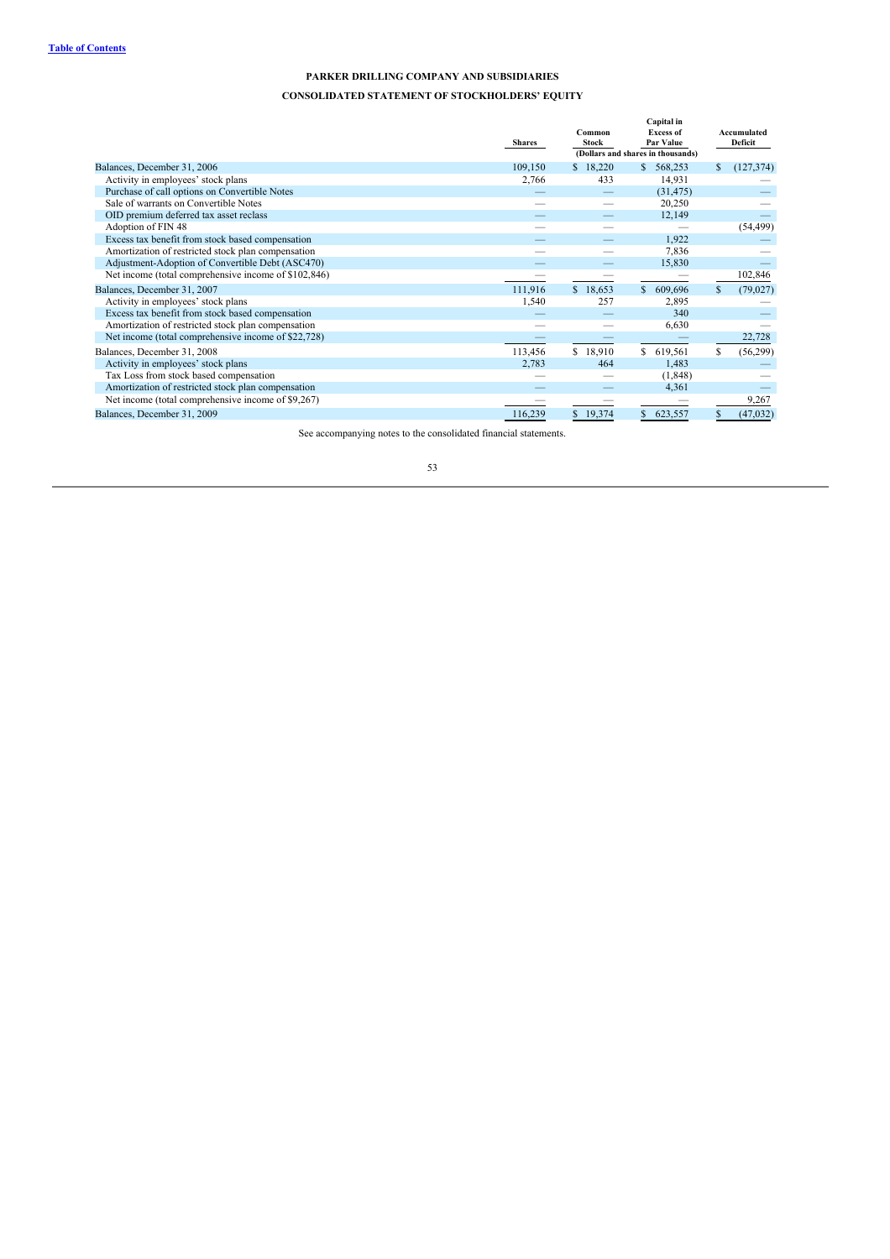# **CONSOLIDATED STATEMENT OF STOCKHOLDERS' EQUITY**

|                                                      |               | Common       | Capital in<br><b>Excess of</b>                 | Accumulated               |
|------------------------------------------------------|---------------|--------------|------------------------------------------------|---------------------------|
|                                                      | <b>Shares</b> | <b>Stock</b> | Par Value<br>(Dollars and shares in thousands) | Deficit                   |
| Balances, December 31, 2006                          | 109,150       | \$18,220     | \$568,253                                      | (127, 374)<br>S.          |
| Activity in employees' stock plans                   | 2,766         | 433          | 14,931                                         |                           |
| Purchase of call options on Convertible Notes        |               |              | (31, 475)                                      |                           |
| Sale of warrants on Convertible Notes                |               |              | 20,250                                         |                           |
| OID premium deferred tax asset reclass               |               |              | 12,149                                         |                           |
| Adoption of FIN 48                                   |               |              |                                                | (54, 499)                 |
| Excess tax benefit from stock based compensation     |               |              | 1,922                                          |                           |
| Amortization of restricted stock plan compensation   |               |              | 7,836                                          |                           |
| Adjustment-Adoption of Convertible Debt (ASC470)     |               |              | 15,830                                         |                           |
| Net income (total comprehensive income of \$102,846) |               |              |                                                | 102,846                   |
| Balances, December 31, 2007                          | 111,916       | \$18,653     | \$609,696                                      | $\mathbb{S}$<br>(79, 027) |
| Activity in employees' stock plans                   | 1,540         | 257          | 2,895                                          |                           |
| Excess tax benefit from stock based compensation     |               |              | 340                                            |                           |
| Amortization of restricted stock plan compensation   |               |              | 6,630                                          |                           |
| Net income (total comprehensive income of \$22,728)  |               |              |                                                | 22,728                    |
| Balances, December 31, 2008                          | 113,456       | \$18,910     | \$ 619,561                                     | S<br>(56, 299)            |
| Activity in employees' stock plans                   | 2,783         | 464          | 1,483                                          |                           |
| Tax Loss from stock based compensation               |               |              | (1, 848)                                       |                           |
| Amortization of restricted stock plan compensation   |               |              | 4,361                                          |                           |
| Net income (total comprehensive income of \$9,267)   |               |              |                                                | 9,267                     |
| Balances, December 31, 2009                          | 116,239       | 19,374       | 623,557                                        | (47, 032)                 |

See accompanying notes to the consolidated financial statements.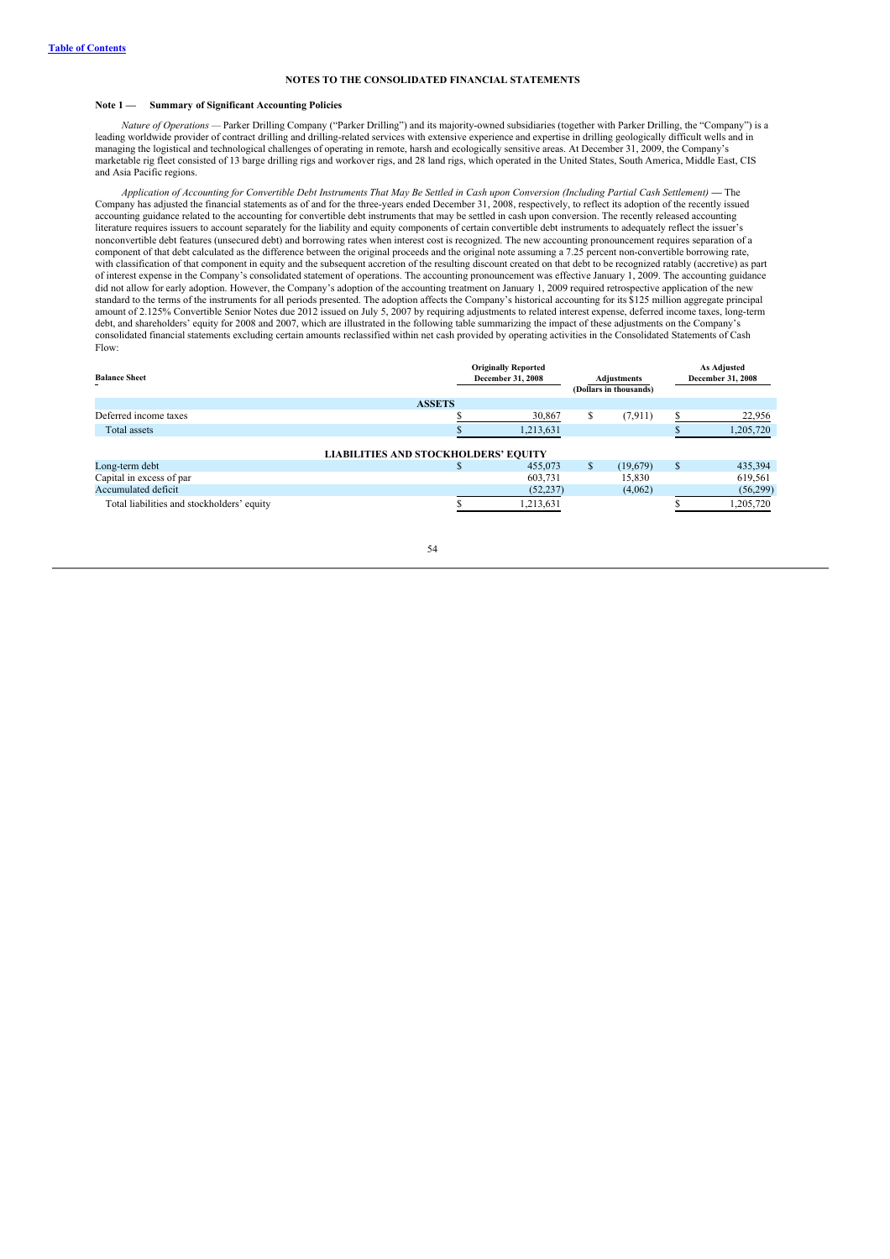## **NOTES TO THE CONSOLIDATED FINANCIAL STATEMENTS**

#### **Note 1 — Summary of Significant Accounting Policies**

*Nature of Operations —* Parker Drilling Company ("Parker Drilling") and its majority-owned subsidiaries (together with Parker Drilling, the "Company") is a leading worldwide provider of contract drilling and drilling-related services with extensive experience and expertise in drilling geologically difficult wells and in managing the logistical and technological challenges of operating in remote, harsh and ecologically sensitive areas. At December 31, 2009, the Company's marketable rig fleet consisted of 13 barge drilling rigs and workover rigs, and 28 land rigs, which operated in the United States, South America, Middle East, CIS and Asia Pacific regions.

Application of Accounting for Convertible Debt Instruments That May Be Settled in Cash upon Conversion (Including Partial Cash Settlement) - The Company has adjusted the financial statements as of and for the three-years ended December 31, 2008, respectively, to reflect its adoption of the recently issued accounting guidance related to the accounting for convertible debt instruments that may be settled in cash upon conversion. The recently released accounting literature requires issuers to account separately for the liability and equity components of certain convertible debt instruments to adequately reflect the issuer's<br>nonconvertible debt features (unsecured debt) and borrowi component of that debt calculated as the difference between the original proceeds and the original note assuming a 7.25 percent non-convertible borrowing rate, with classification of that component in equity and the subsequent accretion of the resulting discount created on that debt to be recognized ratably (accretive) as part of interest expense in the Company's consolidated statement of operations. The accounting pronouncement was effective January 1, 2009. The accounting guidance did not allow for early adoption. However, the Company's adoption of the accounting treatment on January 1, 2009 required retrospective application of the new standard to the terms of the instruments for all periods presented. The adoption affects the Company's historical accounting for its \$125 million aggregate principal amount of 2.125% Convertible Senior Notes due 2012 issued on July 5, 2007 by requiring adjustments to related interest expense, deferred income taxes, long-term debt, and shareholders' equity for 2008 and 2007, which are illustrated in the following table summarizing the impact of these adjustments on the Company's consolidated financial statements excluding certain amounts reclassified within net cash provided by operating activities in the Consolidated Statements of Cash Flow:

| <b>Balance Sheet</b>                        | <b>Originally Reported</b> |               |                                       |    | <b>As Adjusted</b>       |  |  |
|---------------------------------------------|----------------------------|---------------|---------------------------------------|----|--------------------------|--|--|
|                                             | <b>December 31, 2008</b>   |               | Adjustments<br>(Dollars in thousands) |    | <b>December 31, 2008</b> |  |  |
| <b>ASSETS</b>                               |                            |               |                                       |    |                          |  |  |
| Deferred income taxes                       | 30,867                     | \$            | (7,911)                               | S  | 22,956                   |  |  |
| Total assets                                | 1,213,631                  |               |                                       |    | 1,205,720                |  |  |
|                                             |                            |               |                                       |    |                          |  |  |
| <b>LIABILITIES AND STOCKHOLDERS' EQUITY</b> |                            |               |                                       |    |                          |  |  |
| Long-term debt                              | 455,073                    | <sup>\$</sup> | (19,679)                              | \$ | 435,394                  |  |  |
| Capital in excess of par                    | 603.731                    |               | 15.830                                |    | 619.561                  |  |  |
| Accumulated deficit                         | (52, 237)                  |               | (4,062)                               |    | (56, 299)                |  |  |
| Total liabilities and stockholders' equity  | 1,213,631                  |               |                                       |    | 1,205,720                |  |  |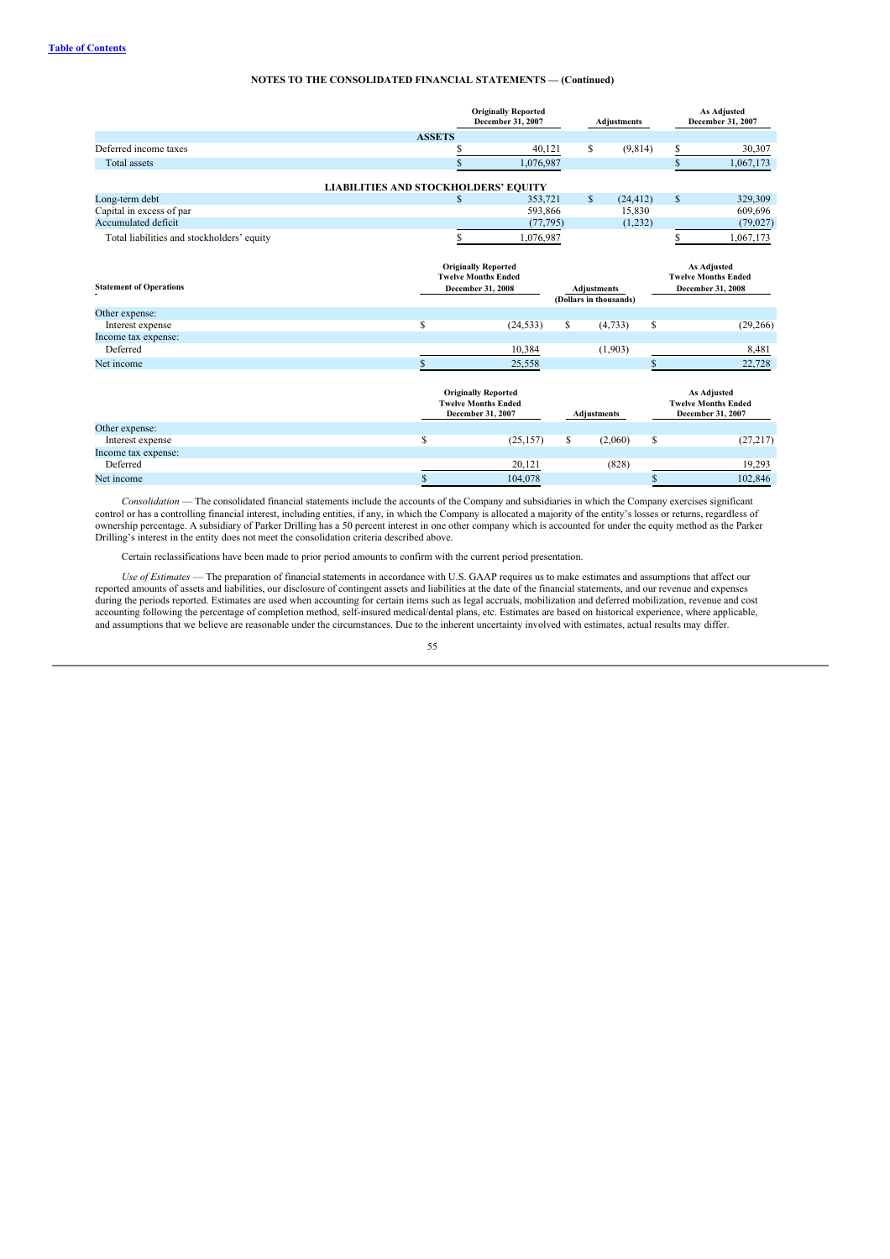|                                            |                                             |                                                                                                                        | <b>Originally Reported</b><br>December 31, 2007 | Adjustments |                                                                       | <b>As Adjusted</b><br>December 31, 2007 |                                                                       |           |
|--------------------------------------------|---------------------------------------------|------------------------------------------------------------------------------------------------------------------------|-------------------------------------------------|-------------|-----------------------------------------------------------------------|-----------------------------------------|-----------------------------------------------------------------------|-----------|
|                                            |                                             | <b>ASSETS</b>                                                                                                          |                                                 |             |                                                                       |                                         |                                                                       |           |
| Deferred income taxes                      |                                             | \$                                                                                                                     | 40,121                                          |             | S                                                                     | (9,814)                                 | \$                                                                    | 30,307    |
| <b>Total</b> assets                        |                                             | \$                                                                                                                     | 1,076,987                                       |             |                                                                       |                                         | \$                                                                    | 1,067,173 |
|                                            | <b>LIABILITIES AND STOCKHOLDERS' EQUITY</b> |                                                                                                                        |                                                 |             |                                                                       |                                         |                                                                       |           |
| Long-term debt                             |                                             | $\mathbf{s}$                                                                                                           | 353,721                                         |             | $\mathbf{s}$                                                          | (24, 412)                               | $\mathbb{S}$                                                          | 329,309   |
| Capital in excess of par                   |                                             |                                                                                                                        | 593,866                                         |             |                                                                       | 15,830                                  |                                                                       | 609,696   |
| Accumulated deficit                        |                                             |                                                                                                                        | (77, 795)                                       |             |                                                                       | (1,232)                                 |                                                                       | (79, 027) |
| Total liabilities and stockholders' equity |                                             | \$.                                                                                                                    | 1,076,987                                       |             |                                                                       |                                         | \$                                                                    | 1,067,173 |
| <b>Statement of Operations</b>             |                                             | <b>Originally Reported</b><br><b>Twelve Months Ended</b><br>December 31, 2008<br>Adjustments<br>(Dollars in thousands) |                                                 |             | <b>As Adjusted</b><br><b>Twelve Months Ended</b><br>December 31, 2008 |                                         |                                                                       |           |
| Other expense:                             |                                             |                                                                                                                        |                                                 |             |                                                                       |                                         |                                                                       |           |
| Interest expense                           | \$                                          |                                                                                                                        | (24, 533)                                       | \$          | (4,733)                                                               | \$                                      |                                                                       | (29, 266) |
| Income tax expense:                        |                                             |                                                                                                                        |                                                 |             |                                                                       |                                         |                                                                       |           |
| Deferred                                   |                                             |                                                                                                                        | 10,384                                          |             | (1,903)                                                               |                                         |                                                                       | 8,481     |
| Net income                                 |                                             |                                                                                                                        | 25,558                                          |             |                                                                       | $\mathbf{s}$                            |                                                                       | 22,728    |
|                                            |                                             | <b>Originally Reported</b><br><b>Twelve Months Ended</b><br>December 31, 2007                                          |                                                 | Adjustments |                                                                       |                                         | <b>As Adjusted</b><br><b>Twelve Months Ended</b><br>December 31, 2007 |           |
| Other expense:                             |                                             |                                                                                                                        |                                                 |             |                                                                       |                                         |                                                                       |           |
| Interest expense                           | \$                                          |                                                                                                                        | (25, 157)                                       | \$          | (2,060)                                                               | S                                       |                                                                       | (27,217)  |
| Income tax expense:                        |                                             |                                                                                                                        |                                                 |             |                                                                       |                                         |                                                                       |           |
| Deferred                                   |                                             |                                                                                                                        | 20,121                                          |             | (828)                                                                 |                                         |                                                                       | 19,293    |
| Net income                                 | \$                                          |                                                                                                                        | 104,078                                         |             |                                                                       | \$                                      |                                                                       | 102,846   |

Consolidation — The consolidated financial statements include the accounts of the Company and subsidiaries in which the Company exercises significant control or has a controlling financial interest, including entities, if Drilling's interest in the entity does not meet the consolidation criteria described above.

Certain reclassifications have been made to prior period amounts to confirm with the current period presentation.

Use of Estimates — The preparation of financial statements in accordance with U.S. GAAP requires us to make estimates and assumptions that affect our reported amounts of assets and liabilities, our disclosure of contingent during the periods reported. Estimates are used when accounting for certain items such as legal accruals, mobilization and deferred mobilization, revenue and cost accounting following the percentage of completion method, self-insured medical/dental plans, etc. Estimates are based on historical experience, where applicable, and assumptions that we believe are reasonable under the circumstances. Due to the inherent uncertainty involved with estimates, actual results may differ.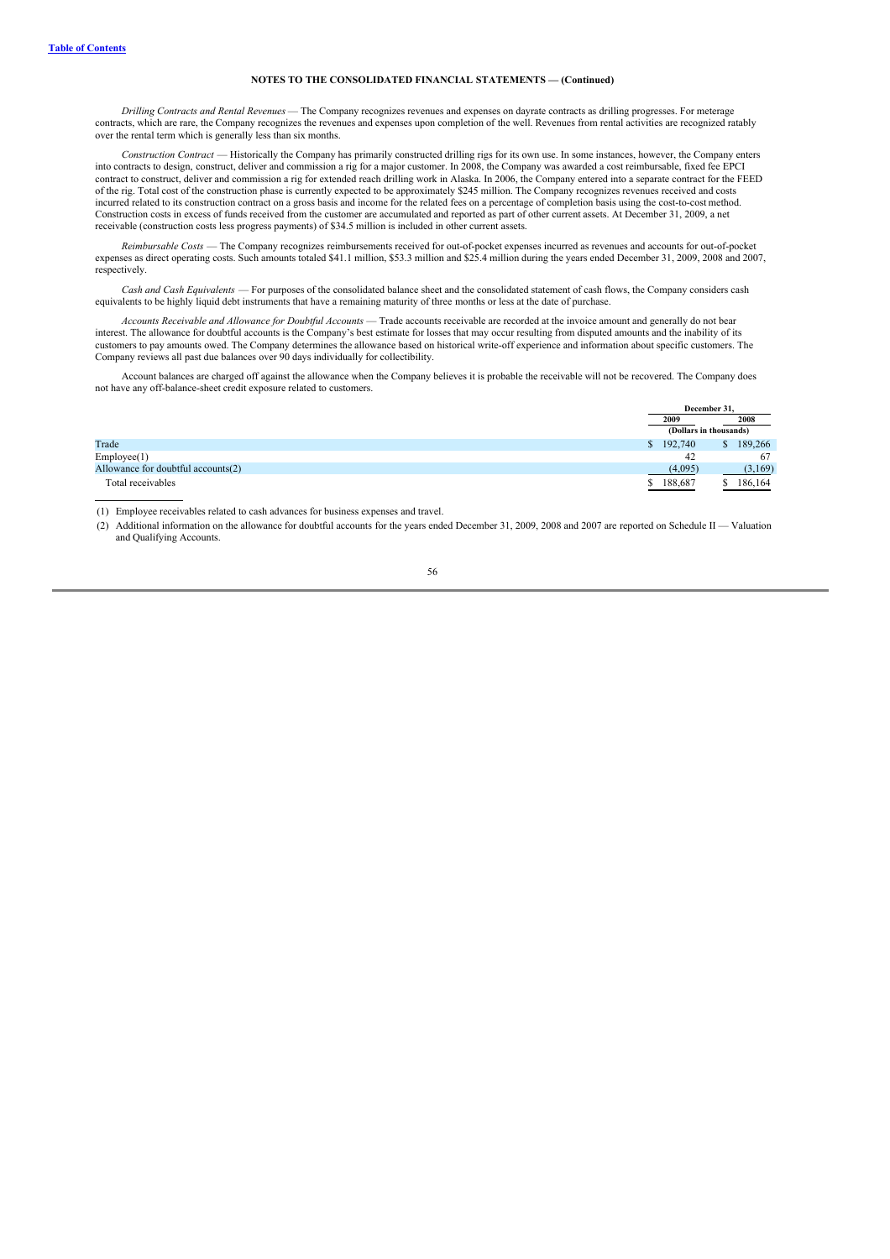*Drilling Contracts and Rental Revenues* — The Company recognizes revenues and expenses on dayrate contracts as drilling progresses. For meterage contracts, which are rare, the Company recognizes the revenues and expenses upon completion of the well. Revenues from rental activities are recognized ratably over the rental term which is generally less than six months.

*Construction Contract* — Historically the Company has primarily constructed drilling rigs for its own use. In some instances, however, the Company enters into contracts to design, construct, deliver and commission a rig for a major customer. In 2008, the Company was awarded a cost reimbursable, fixed fee EPCI contract to construct, deliver and commission a rig for extended reach drilling work in Alaska. In 2006, the Company entered into a separate contract for the FEED of the rig. Total cost of the construction phase is currently expected to be approximately \$245 million. The Company recognizes revenues received and costs incurred related to its construction contract on a gross basis and income for the related fees on a percentage of completion basis using the cost-to-cost method. Construction costs in excess of funds received from the customer are accumulated and reported as part of other current assets. At December 31, 2009, a net receivable (construction costs less progress payments) of \$34.5 million is included in other current assets.

Reimbursable Costs — The Company recognizes reimbursements received for out-of-pocket expenses incurred as revenues and accounts for out-of-pocket expenses as direct operating costs. Such amounts totaled \$41.1 million, \$53 respectively.

*Cash and Cash Equivalents* — For purposes of the consolidated balance sheet and the consolidated statement of cash flows, the Company considers cash equivalents to be highly liquid debt instruments that have a remaining maturity of three months or less at the date of purchase.

*Accounts Receivable and Allowance for Doubtful Accounts* — Trade accounts receivable are recorded at the invoice amount and generally do not bear interest. The allowance for doubtful accounts is the Company's best estimate for losses that may occur resulting from disputed amounts and the inability of its customers to pay amounts owed. The Company determines the allowance based on historical write-off experience and information about specific customers. The Company reviews all past due balances over 90 days individually for collectibility.

Account balances are charged off against the allowance when the Company believes it is probable the receivable will not be recovered. The Company does not have any off-balance-sheet credit exposure related to customers.

|                                    | December 31.           |     |         |
|------------------------------------|------------------------|-----|---------|
|                                    | 2009                   |     | 2008    |
|                                    | (Dollars in thousands) |     |         |
| Trade                              | \$192,740              | \$. | 189,266 |
| Employee(1)                        | 42                     |     | 67      |
| Allowance for doubtful accounts(2) | (4,095)                |     | (3,169) |
| Total receivables                  | 188,687                |     | 186,164 |

(1) Employee receivables related to cash advances for business expenses and travel.

(2) Additional information on the allowance for doubtful accounts for the years ended December 31, 2009, 2008 and 2007 are reported on Schedule II — Valuation and Qualifying Accounts.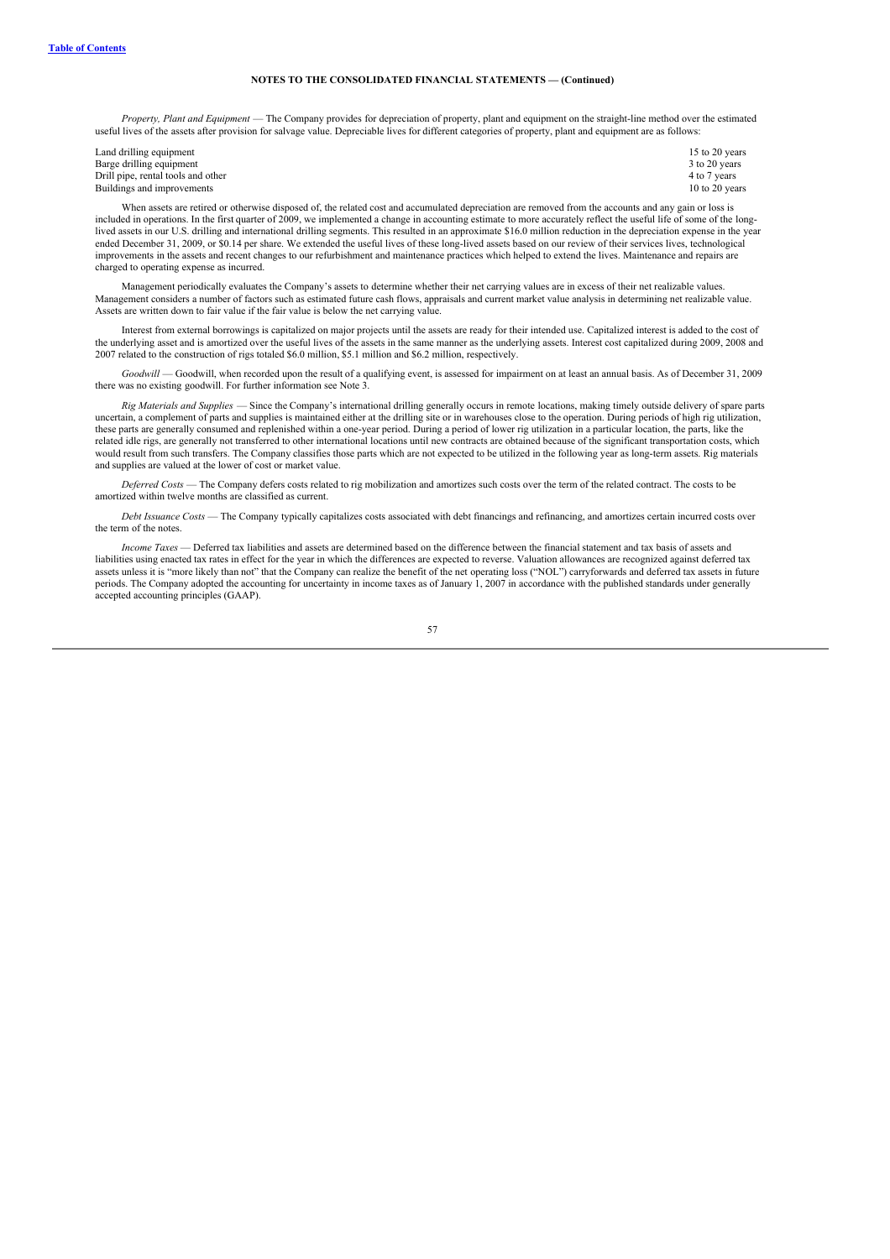*Property, Plant and Equipment* — The Company provides for depreciation of property, plant and equipment on the straight-line method over the estimated useful lives of the assets after provision for salvage value. Depreciable lives for different categories of property, plant and equipment are as follows:

| Land drilling equipment            | 15 to 20 years |
|------------------------------------|----------------|
| Barge drilling equipment           | 3 to 20 years  |
| Drill pipe, rental tools and other | 4 to 7 years   |
| Buildings and improvements         | 10 to 20 years |

When assets are retired or otherwise disposed of, the related cost and accumulated depreciation are removed from the accounts and any gain or loss is included in operations. In the first quarter of 2009, we implemented a change in accounting estimate to more accurately reflect the useful life of some of the longlived assets in our U.S. drilling and international drilling segments. This resulted in an approximate \$16.0 million reduction in the depreciation expense in the year ended December 31, 2009, or \$0.14 per share. We extended the useful lives of these long-lived assets based on our review of their services lives, technological improvements in the assets and recent changes to our refurbishment and maintenance practices which helped to extend the lives. Maintenance and repairs are charged to operating expense as incurred.

Management periodically evaluates the Company's assets to determine whether their net carrying values are in excess of their net realizable values. Management considers a number of factors such as estimated future cash flows, appraisals and current market value analysis in determining net realizable value. Assets are written down to fair value if the fair value is below the net carrying value.

Interest from external borrowings is capitalized on major projects until the assets are ready for their intended use. Capitalized interest is added to the cost of the underlying asset and is amortized over the useful lives of the assets in the same manner as the underlying assets. Interest cost capitalized during 2009, 2008 and 2007 related to the construction of rigs totaled \$6.0 million, \$5.1 million and \$6.2 million, respectively.

*Goodwill* — Goodwill, when recorded upon the result of a qualifying event, is assessed for impairment on at least an annual basis. As of December 31, 2009 there was no existing goodwill. For further information see Note 3.

*Rig Materials and Supplies* — Since the Company's international drilling generally occurs in remote locations, making timely outside delivery of spare parts uncertain, a complement of parts and supplies is maintained either at the drilling site or in warehouses close to the operation. During periods of high rig utilization, these parts are generally consumed and replenished within a one-year period. During a period of lower rig utilization in a particular location, the parts, like the related idle rigs, are generally not transferred to other international locations until new contracts are obtained because of the significant transportation costs, which would result from such transfers. The Company classifies those parts which are not expected to be utilized in the following year as long-term assets. Rig materials and supplies are valued at the lower of cost or market value.

*Deferred Costs* — The Company defers costs related to rig mobilization and amortizes such costs over the term of the related contract. The costs to be amortized within twelve months are classified as current.

*Debt Issuance Costs* — The Company typically capitalizes costs associated with debt financings and refinancing, and amortizes certain incurred costs over the term of the notes.

Income Taxes — Deferred tax liabilities and assets are determined based on the difference between the financial statement and tax basis of assets and liabilities using enacted tax rates in effect for the year in which the assets unless it is "more likely than not" that the Company can realize the benefit of the net operating loss ("NOL") carryforwards and deferred tax assets in future periods. The Company adopted the accounting for uncertainty in income taxes as of January 1, 2007 in accordance with the published standards under generally accepted accounting principles (GAAP).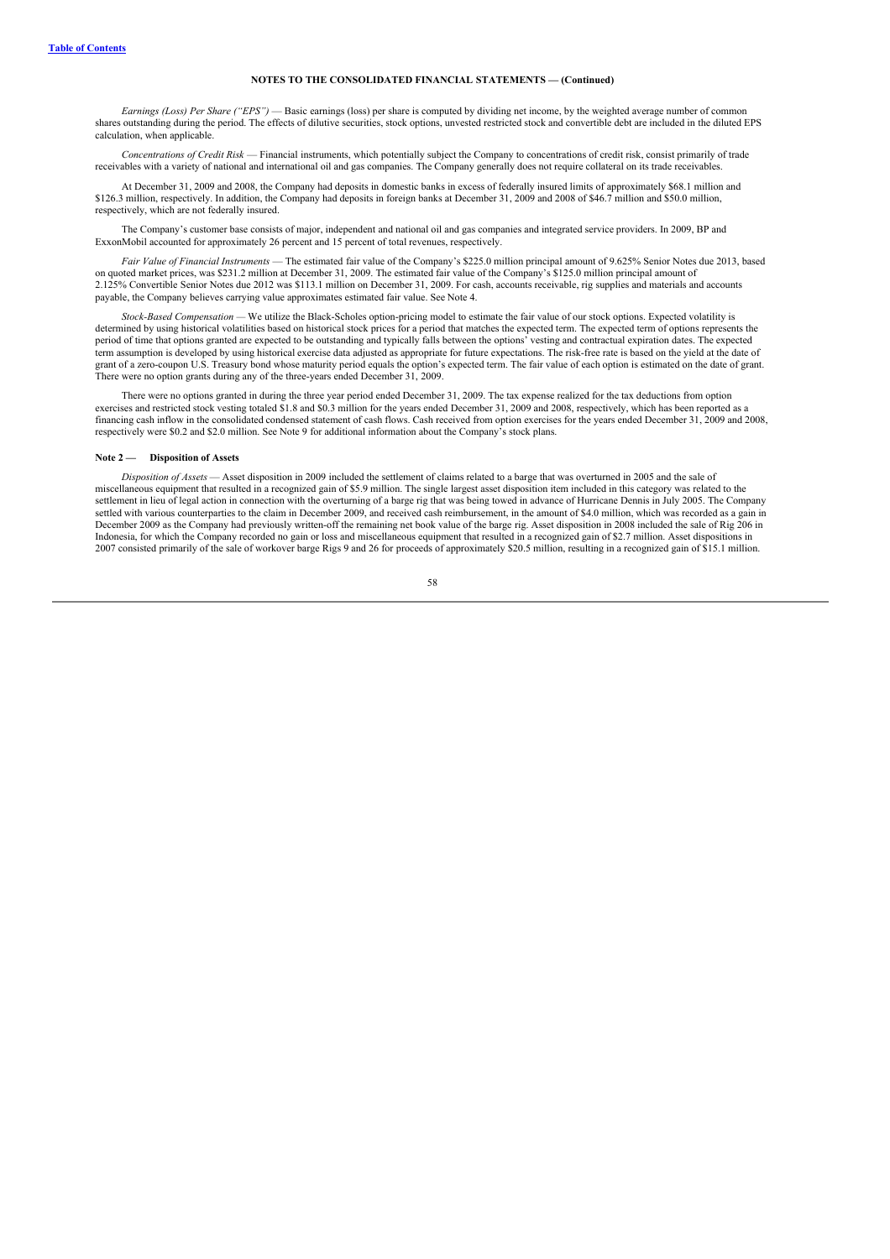*Earnings (Loss) Per Share ("EPS")* — Basic earnings (loss) per share is computed by dividing net income, by the weighted average number of common shares outstanding during the period. The effects of dilutive securities, stock options, unvested restricted stock and convertible debt are included in the diluted EPS calculation, when applicable.

*Concentrations of Credit Risk* — Financial instruments, which potentially subject the Company to concentrations of credit risk, consist primarily of trade receivables with a variety of national and international oil and gas companies. The Company generally does not require collateral on its trade receivables.

At December 31, 2009 and 2008, the Company had deposits in domestic banks in excess of federally insured limits of approximately \$68.1 million and \$126.3 million, respectively. In addition, the Company had deposits in foreign banks at December 31, 2009 and 2008 of \$46.7 million and \$50.0 million, respectively, which are not federally insured.

The Company's customer base consists of major, independent and national oil and gas companies and integrated service providers. In 2009, BP and ExxonMobil accounted for approximately 26 percent and 15 percent of total revenues, respectively.

*Fair Value of Financial Instruments* — The estimated fair value of the Company's \$225.0 million principal amount of 9.625% Senior Notes due 2013, based on quoted market prices, was \$231.2 million at December 31, 2009. The estimated fair value of the Company's \$125.0 million principal amount of 2.125% Convertible Senior Notes due 2012 was \$113.1 million on December 31, 2009. For cash, accounts receivable, rig supplies and materials and accounts payable, the Company believes carrying value approximates estimated fair value. See Note 4.

*Stock-Based Compensation —* We utilize the Black-Scholes option-pricing model to estimate the fair value of our stock options. Expected volatility is determined by using historical volatilities based on historical stock prices for a period that matches the expected term. The expected term of options represents the period of time that options granted are expected to be o term assumption is developed by using historical exercise data adjusted as appropriate for future expectations. The risk-free rate is based on the yield at the date of grant of a zero-coupon U.S. Treasury bond whose maturity period equals the option's expected term. The fair value of each option is estimated on the date of grant. There were no option grants during any of the three-years ended December 31, 2009.

There were no options granted in during the three year period ended December 31, 2009. The tax expense realized for the tax deductions from option exercises and restricted stock vesting totaled \$1.8 and \$0.3 million for the years ended December 31, 2009 and 2008, respectively, which has been reported as a financing cash inflow in the consolidated condensed statement of cash flows. Cash received from option exercises for the years ended December 31, 2009 and 2008, respectively were \$0.2 and \$2.0 million. See Note 9 for additional information about the Company's stock plans.

#### **Note 2 — Disposition of Assets**

*Disposition of Assets* — Asset disposition in 2009 included the settlement of claims related to a barge that was overturned in 2005 and the sale of miscellaneous equipment that resulted in a recognized gain of \$5.9 million. The single largest asset disposition item included in this category was related to the settlement in lieu of legal action in connection with the overturning of a barge rig that was being towed in advance of Hurricane Dennis in July 2005. The Company settled with various counterparties to the claim in December 2009, and received cash reimbursement, in the amount of \$4.0 million, which was recorded as a gain in December 2009 as the Company had previously written-off the remaining net book value of the barge rig. Asset disposition in 2008 included the sale of Rig 206 in Indonesia, for which the Company recorded no gain or loss and miscellaneous equipment that resulted in a recognized gain of \$2.7 million. Asset dispositions in 2007 consisted primarily of the sale of workover barge Rigs 9 and 26 for proceeds of approximately \$20.5 million, resulting in a recognized gain of \$15.1 million.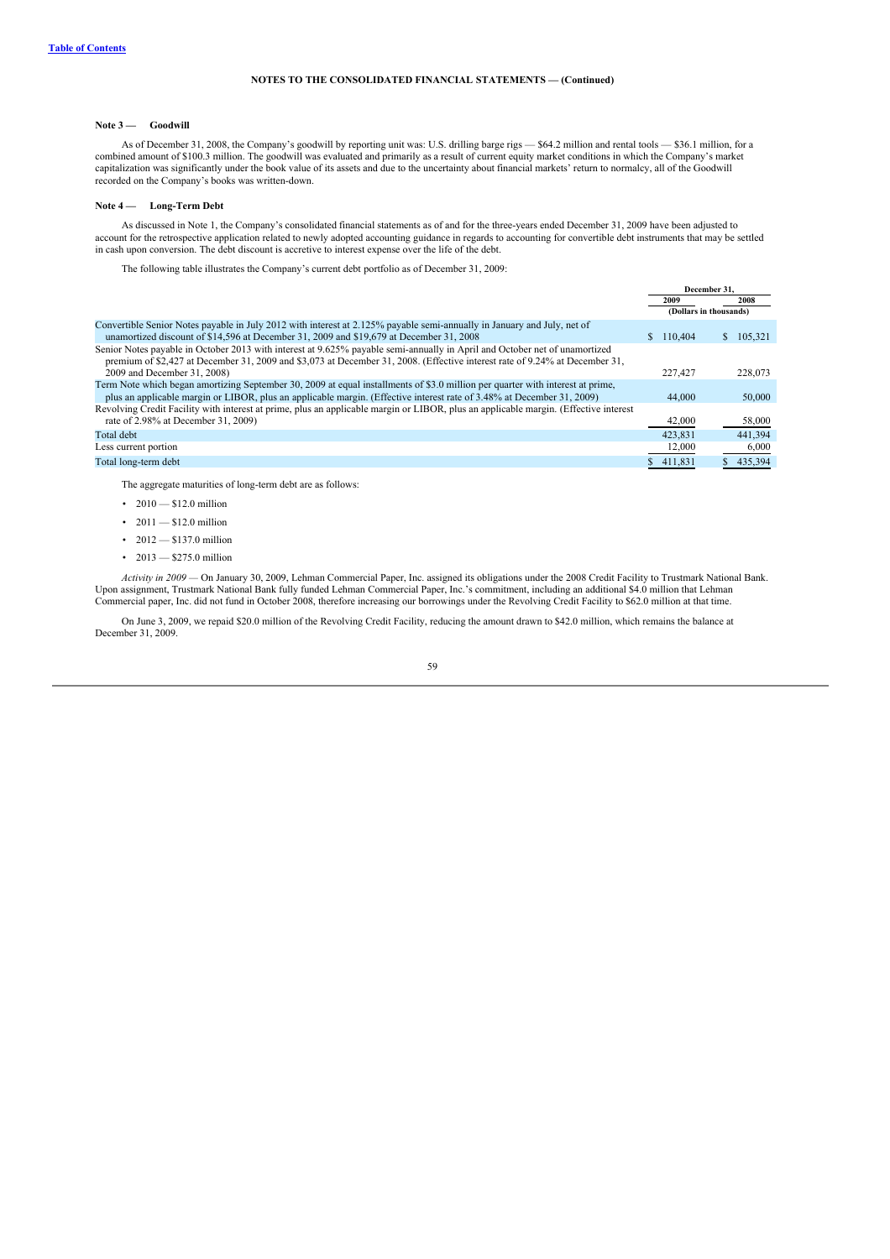### **Note 3 — Goodwill**

As of December 31, 2008, the Company's goodwill by reporting unit was: U.S. drilling barge rigs — \$64.2 million and rental tools — \$36.1 million, for a combined amount of \$100.3 million. The goodwill was evaluated and prim recorded on the Company's books was written-down.

## **Note 4 — Long-Term Debt**

As discussed in Note 1, the Company's consolidated financial statements as of and for the three-years ended December 31, 2009 have been adjusted to account for the retrospective application related to newly adopted accounting guidance in regards to accounting for convertible debt instruments that may be settled in cash upon conversion. The debt discount is accretive to interest expense over the life of the debt.

The following table illustrates the Company's current debt portfolio as of December 31, 2009:

|                                                                                                                                                                                                                                                           | December 31. |                        |  |
|-----------------------------------------------------------------------------------------------------------------------------------------------------------------------------------------------------------------------------------------------------------|--------------|------------------------|--|
|                                                                                                                                                                                                                                                           | 2009         | 2008                   |  |
|                                                                                                                                                                                                                                                           |              | (Dollars in thousands) |  |
| Convertible Senior Notes payable in July 2012 with interest at 2.125% payable semi-annually in January and July, net of                                                                                                                                   |              |                        |  |
| unamortized discount of \$14,596 at December 31, 2009 and \$19,679 at December 31, 2008                                                                                                                                                                   | 110,404      | 105.321<br>\$.         |  |
| Senior Notes payable in October 2013 with interest at 9.625% payable semi-annually in April and October net of unamortized<br>premium of \$2,427 at December 31, 2009 and \$3,073 at December 31, 2008. (Effective interest rate of 9.24% at December 31, |              |                        |  |
| 2009 and December 31, 2008)                                                                                                                                                                                                                               | 227,427      | 228,073                |  |
| Term Note which began amortizing September 30, 2009 at equal installments of \$3.0 million per quarter with interest at prime,                                                                                                                            |              |                        |  |
| plus an applicable margin or LIBOR, plus an applicable margin. (Effective interest rate of 3.48% at December 31, 2009)                                                                                                                                    | 44,000       | 50,000                 |  |
| Revolving Credit Facility with interest at prime, plus an applicable margin or LIBOR, plus an applicable margin. (Effective interest                                                                                                                      |              |                        |  |
| rate of 2.98% at December 31, 2009)                                                                                                                                                                                                                       | 42,000       | 58,000                 |  |
| Total debt                                                                                                                                                                                                                                                | 423.831      | 441.394                |  |
| Less current portion                                                                                                                                                                                                                                      | 12,000       | 6,000                  |  |
| Total long-term debt                                                                                                                                                                                                                                      | 411,831      | 435,394                |  |
|                                                                                                                                                                                                                                                           |              |                        |  |

The aggregate maturities of long-term debt are as follows:

- 2010  $$12.0$  million
- $\cdot$  2011 \$12.0 million
- 2012 \$137.0 million
- 2013 \$275.0 million

*Activity in 2009 —* On January 30, 2009, Lehman Commercial Paper, Inc. assigned its obligations under the 2008 Credit Facility to Trustmark National Bank. Upon assignment, Trustmark National Bank fully funded Lehman Commercial Paper, Inc.'s commitment, including an additional \$4.0 million that Lehman Commercial paper, Inc. did not fund in October 2008, therefore increasing our borrowings under the Revolving Credit Facility to \$62.0 million at that time.

On June 3, 2009, we repaid \$20.0 million of the Revolving Credit Facility, reducing the amount drawn to \$42.0 million, which remains the balance at December 31, 2009.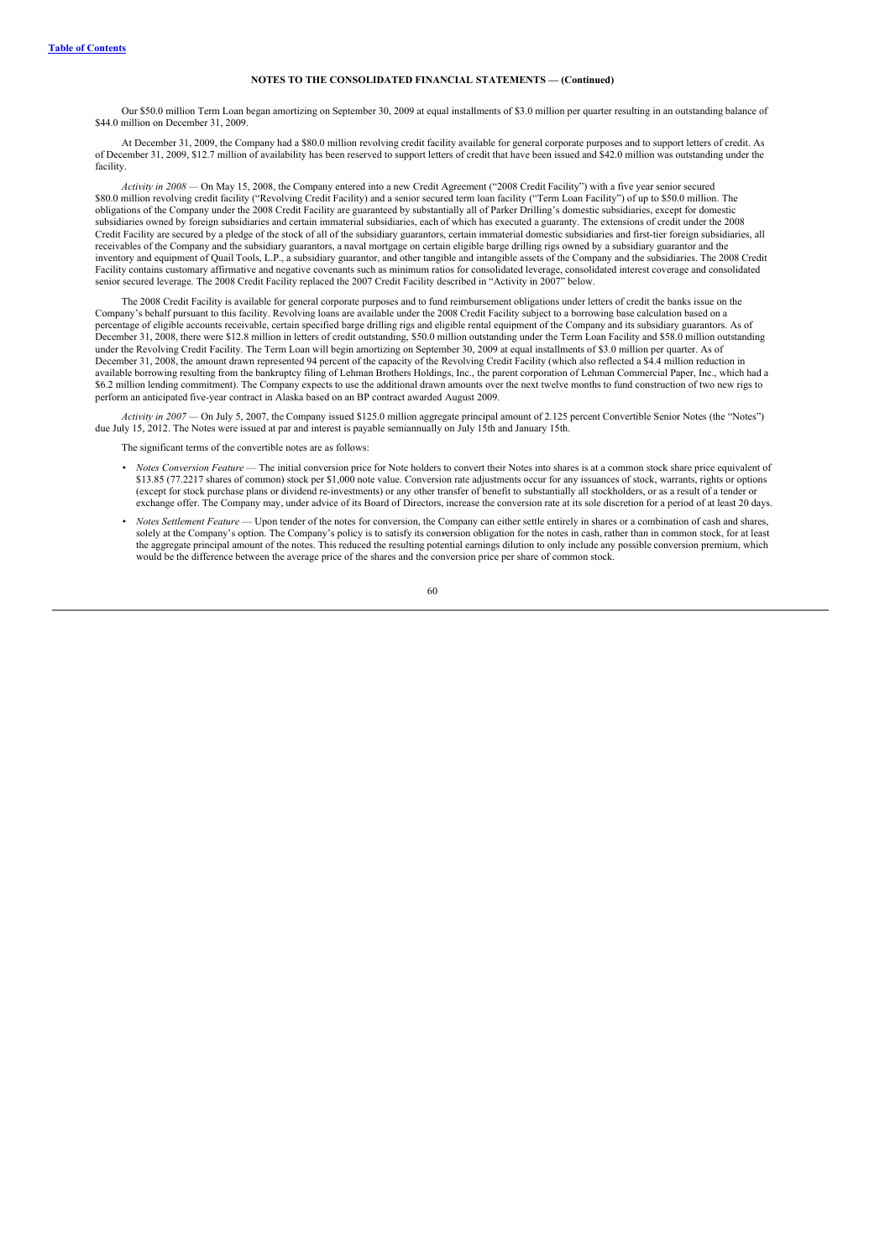Our \$50.0 million Term Loan began amortizing on September 30, 2009 at equal installments of \$3.0 million per quarter resulting in an outstanding balance of \$44.0 million on December 31, 2009.

At December 31, 2009, the Company had a \$80.0 million revolving credit facility available for general corporate purposes and to support letters of credit. As of December 31, 2009, \$12.7 million of availability has been reserved to support letters of credit that have been issued and \$42.0 million was outstanding under the facility.

*Activity in 2008 —* On May 15, 2008, the Company entered into a new Credit Agreement ("2008 Credit Facility") with a five year senior secured \$80.0 million revolving credit facility ("Revolving Credit Facility) and a senior secured term loan facility ("Term Loan Facility") of up to \$50.0 million. The obligations of the Company under the 2008 Credit Facility are guaranteed by substantially all of Parker Drilling's domestic subsidiaries, except for domestic subsidiaries owned by foreign subsidiaries and certain immaterial subsidiaries, each of which has executed a guaranty. The extensions of credit under the 2008 Credit Facility are secured by a pledge of the stock of all of the subsidiary guarantors, certain immaterial domestic subsidiaries and first-tier foreign subsidiaries, all receivables of the Company and the subsidiary guarantors, a naval mortgage on certain eligible barge drilling rigs owned by a subsidiary guarantor and the inventory and equipment of Quail Tools, L.P., a subsidiary guarantor, and other tangible and intangible assets of the Company and the subsidiaries. The 2008 Credit Facility contains customary affirmative and negative covenants such as minimum ratios for consolidated leverage, consolidated interest coverage and consolidated senior secured leverage. The 2008 Credit Facility replaced the 2007 Credit Facility described in "Activity in 2007" below.

The 2008 Credit Facility is available for general corporate purposes and to fund reimbursement obligations under letters of credit the banks issue on the Company's behalf pursuant to this facility. Revolving loans are available under the 2008 Credit Facility subject to a borrowing base calculation based on a percentage of eligible accounts receivable, certain specified barge drilling rigs and eligible rental equipment of the Company and its subsidiary guarantors. As of December 31, 2008, there were \$12.8 million in letters of credit outstanding, \$50.0 million outstanding under the Term Loan Facility and \$58.0 million outstanding under the Revolving Credit Facility. The Term Loan will begin amortizing on September 30, 2009 at equal installments of \$3.0 million per quarter. As of December 31, 2008, the amount drawn represented 94 percent of the capacity of the Revolving Credit Facility (which also reflected a \$4.4 million reduction in available borrowing resulting from the bankruptcy filing of Lehman Brothers Holdings, Inc., the parent corporation of Lehman Commercial Paper, Inc., which had a \$6.2 million lending commitment). The Company expects to use the additional drawn amounts over the next twelve months to fund construction of two new rigs to perform an anticipated five-year contract in Alaska based on an BP contract awarded August 2009.

Activity in 2007 — On July 5, 2007, the Company issued \$125.0 million aggregate principal amount of 2.125 percent Convertible Senior Notes (the "Notes") due July 15, 2012. The Notes were issued at par and interest is payab

The significant terms of the convertible notes are as follows:

- *Notes Conversion Feature* The initial conversion price for Note holders to convert their Notes into shares is at a common stock share price equivalent of \$13.85 (77.2217 shares of common) stock per \$1,000 note value. Conversion rate adjustments occur for any issuances of stock, warrants, rights or options (except for stock purchase plans or dividend re-investments) or any other transfer of benefit to substantially all stockholders, or as a result of a tender or exchange offer. The Company may, under advice of its Board of Directors, increase the conversion rate at its sole discretion for a period of at least 20 days.
- *Notes Settlement Feature* Upon tender of the notes for conversion, the Company can either settle entirely in shares or a combination of cash and shares, solely at the Company's option. The Company's policy is to satisfy its conversion obligation for the notes in cash, rather than in common stock, for at least the aggregate principal amount of the notes. This reduced the resulting potential earnings dilution to only include any possible conversion premium, which would be the difference between the average price of the shares and the conversion price per share of common stock.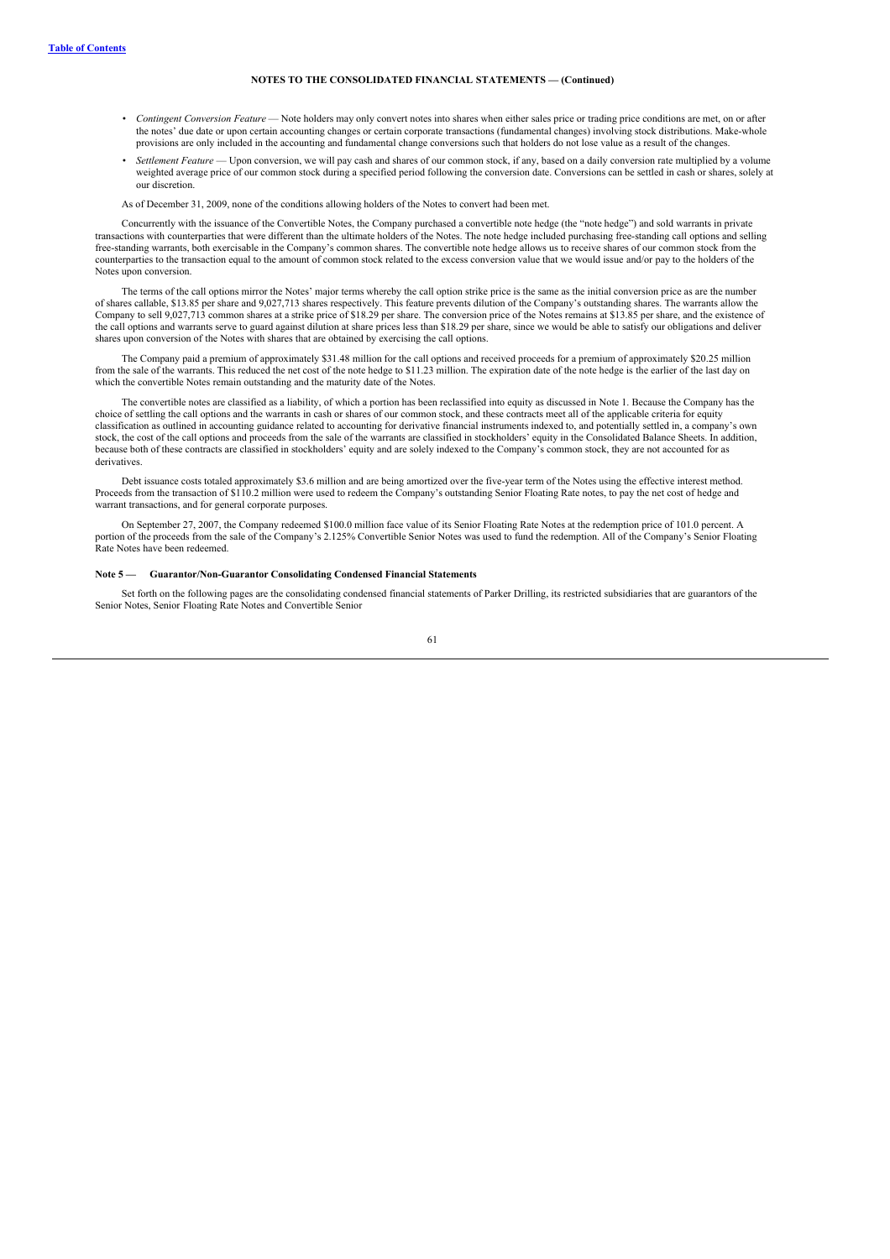- *Contingent Conversion Feature* Note holders may only convert notes into shares when either sales price or trading price conditions are met, on or after the notes' due date or upon certain accounting changes or certain corporate transactions (fundamental changes) involving stock distributions. Make-whole provisions are only included in the accounting and fundamental change conversions such that holders do not lose value as a result of the changes.
- Settlement Feature Upon conversion, we will pay cash and shares of our common stock, if any, based on a daily conversion rate multiplied by a volume weighted average price of our common stock during a specified period our discretion.
- As of December 31, 2009, none of the conditions allowing holders of the Notes to convert had been met.

Concurrently with the issuance of the Convertible Notes, the Company purchased a convertible note hedge (the "note hedge") and sold warrants in private transactions with counterparties that were different than the ultimate holders of the Notes. The note hedge included purchasing free-standing call options and selling free-standing warrants, both exercisable in the Company's common shares. The convertible note hedge allows us to receive shares of our common stock from the counterparties to the transaction equal to the amount of common stock related to the excess conversion value that we would issue and/or pay to the holders of the Notes upon conversion.

The terms of the call options mirror the Notes' major terms whereby the call option strike price is the same as the initial conversion price as are the number of shares callable, \$13.85 per share and 9,027,713 shares respectively. This feature prevents dilution of the Company's outstanding shares. The warrants allow the Company to sell 9,027,713 common shares at a strike price of \$18.29 per share. The conversion price of the Notes remains at \$13.85 per share, and the existence of the call options and warrants serve to guard against dilution at share prices less than \$18.29 per share, since we would be able to satisfy our obligations and deliver shares upon conversion of the Notes with shares that are obtained by exercising the call options.

The Company paid a premium of approximately \$31.48 million for the call options and received proceeds for a premium of approximately \$20.25 million from the sale of the warrants. This reduced the net cost of the note hedge to \$11.23 million. The expiration date of the note hedge is the earlier of the last day on which the convertible Notes remain outstanding and the maturity date of the Notes.

The convertible notes are classified as a liability, of which a portion has been reclassified into equity as discussed in Note 1. Because the Company has the choice of settling the call options and the warrants in cash or shares of our common stock, and these contracts meet all of the applicable criteria for equity classification as outlined in accounting guidance related to accounting for derivative financial instruments indexed to, and potentially settled in, a company's own stock, the cost of the call options and proceeds from the sale of the warrants are classified in stockholders' equity in the Consolidated Balance Sheets. In addition, because both of these contracts are classified in stock derivatives.

Debt issuance costs totaled approximately \$3.6 million and are being amortized over the five-year term of the Notes using the effective interest method. Proceeds from the transaction of \$110.2 million were used to redeem the Company's outstanding Senior Floating Rate notes, to pay the net cost of hedge and warrant transactions, and for general corporate purposes.

On September 27, 2007, the Company redeemed \$100.0 million face value of its Senior Floating Rate Notes at the redemption price of 101.0 percent. A portion of the proceeds from the sale of the Company's 2.125% Convertible Senior Notes was used to fund the redemption. All of the Company's Senior Floating Rate Notes have been redeemed.

#### **Note 5 — Guarantor/Non-Guarantor Consolidating Condensed Financial Statements**

Set forth on the following pages are the consolidating condensed financial statements of Parker Drilling, its restricted subsidiaries that are guarantors of the Senior Notes, Senior Floating Rate Notes and Convertible Seni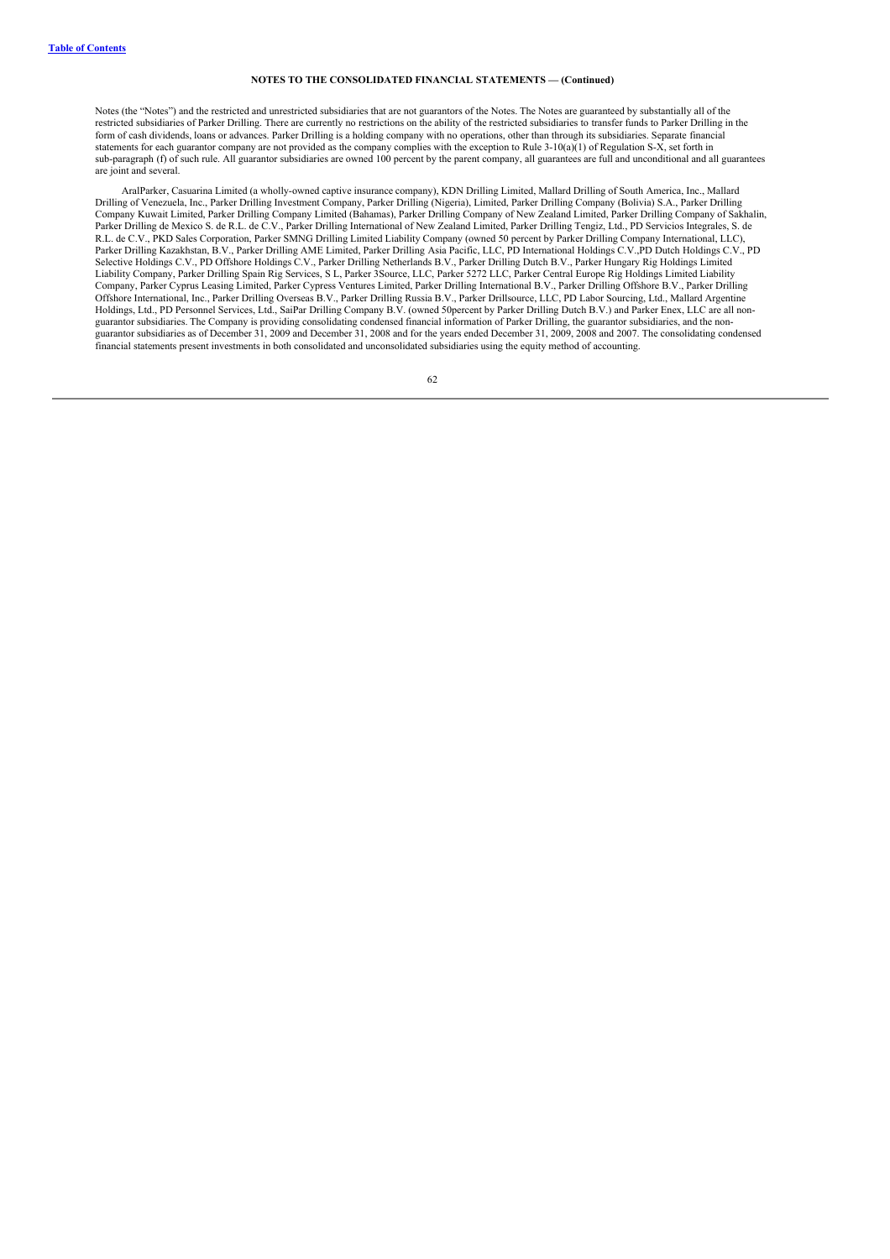Notes (the "Notes") and the restricted and unrestricted subsidiaries that are not guarantors of the Notes. The Notes are guaranteed by substantially all of the restricted subsidiaries of Parker Drilling. There are currently no restrictions on the ability of the restricted subsidiaries to transfer funds to Parker Drilling in the form of cash dividends, loans or advances. Parker Drilling is a holding company with no operations, other than through its subsidiaries. Separate financial statements for each guarantor company are not provided as the company complies with the exception to Rule 3-10(a)(1) of Regulation S-X, set forth in sub-paragraph (f) of such rule. All guarantor subsidiaries are owned 100 percent by the parent company, all guarantees are full and unconditional and all guarantees are joint and several.

AralParker, Casuarina Limited (a wholly-owned captive insurance company), KDN Drilling Limited, Mallard Drilling of South America, Inc., Mallard Drilling of Venezuela, Inc., Parker Drilling Investment Company, Parker Drilling (Nigeria), Limited, Parker Drilling Company (Bolivia) S.A., Parker Drilling Company Kuwait Limited, Parker Drilling Company Limited (Bahamas), Parker Drilling Company of New Zealand Limited, Parker Drilling Company of Sakhalin, Parker Drilling de Mexico S. de R.L. de C.V., Parker Drilling International of New Zealand Limited, Parker Drilling Tengiz, Ltd., PD Servicios Integrales, S. de R.L. de C.V., PKD Sales Corporation, Parker SMNG Drilling Limited Liability Company (owned 50 percent by Parker Drilling Company International, LLC), Parker Drilling Kazakhstan, B.V., Parker Drilling AME Limited, Parker Drilling Asia Pacific, LLC, PD International Holdings C.V.,PD Dutch Holdings C.V., PD Selective Holdings C.V., PD Offshore Holdings C.V., Parker Drilling Netherlands B.V., Parker Drilling Dutch B.V., Parker Hungary Rig Holdings Limited Liability Company, Parker Drilling Spain Rig Services, S L, Parker 3Source, LLC, Parker 5272 LLC, Parker Central Europe Rig Holdings Limited Liability<br>Company, Parker Cyprus Leasing Limited, Parker Cypress Ventures Limited Offshore International, Inc., Parker Drilling Overseas B.V., Parker Drilling Russia B.V., Parker Drillsource, LLC, PD Labor Sourcing, Ltd., Mallard Argentine Holdings, Ltd., PD Personnel Services, Ltd., SaiPar Drilling Company B.V. (owned 50percent by Parker Drilling Dutch B.V.) and Parker Enex, LLC are all nonguarantor subsidiaries. The Company is providing consolidating condensed financial information of Parker Drilling, the guarantor subsidiaries, and the nonguarantor subsidiaries as of December 31, 2009 and December 31, 2008 and for the years ended December 31, 2009, 2008 and 2007. The consolidating condensed financial statements present investments in both consolidated and u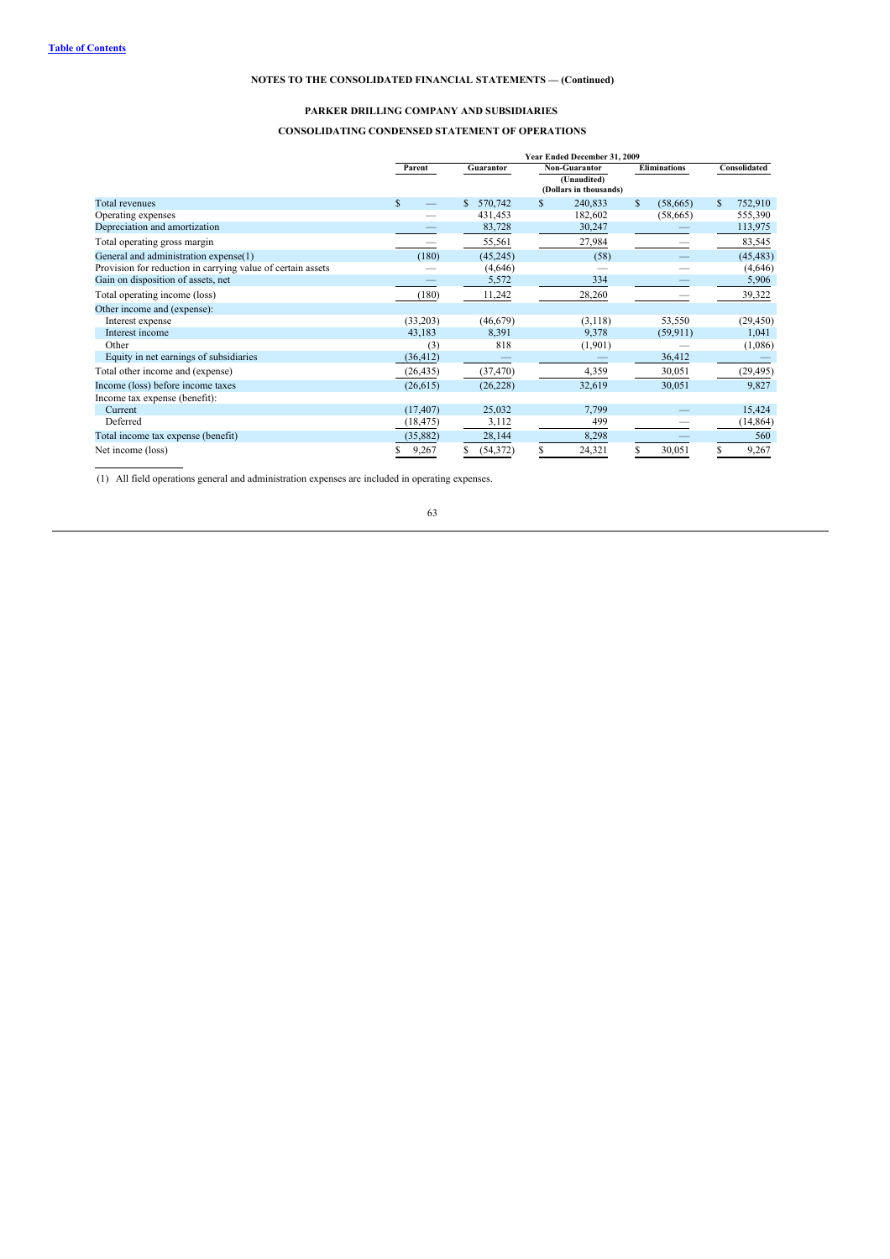# **PARKER DRILLING COMPANY AND SUBSIDIARIES**

## **CONSOLIDATING CONDENSED STATEMENT OF OPERATIONS**

|                                                             | Year Ended December 31, 2009 |               |                                                        |                           |               |  |  |
|-------------------------------------------------------------|------------------------------|---------------|--------------------------------------------------------|---------------------------|---------------|--|--|
|                                                             | Parent                       | Guarantor     | Non-Guarantor<br>(Unaudited)<br>(Dollars in thousands) | <b>Eliminations</b>       | Consolidated  |  |  |
| <b>Total revenues</b>                                       | \$                           | 570,742<br>S. | \$<br>240,833                                          | <sup>\$</sup><br>(58,665) | \$<br>752,910 |  |  |
| Operating expenses                                          |                              | 431,453       | 182,602                                                | (58,665)                  | 555,390       |  |  |
| Depreciation and amortization                               |                              | 83,728        | 30,247                                                 |                           | 113,975       |  |  |
| Total operating gross margin                                |                              | 55,561        | 27,984                                                 |                           | 83,545        |  |  |
| General and administration expense(1)                       | (180)                        | (45,245)      | (58)                                                   |                           | (45, 483)     |  |  |
| Provision for reduction in carrying value of certain assets |                              | (4,646)       |                                                        |                           | (4,646)       |  |  |
| Gain on disposition of assets, net                          |                              | 5,572         | 334                                                    |                           | 5,906         |  |  |
| Total operating income (loss)                               | (180)                        | 11,242        | 28,260                                                 |                           | 39,322        |  |  |
| Other income and (expense):                                 |                              |               |                                                        |                           |               |  |  |
| Interest expense                                            | (33,203)                     | (46, 679)     | (3,118)                                                | 53,550                    | (29, 450)     |  |  |
| Interest income                                             | 43,183                       | 8,391         | 9,378                                                  | (59.911)                  | 1,041         |  |  |
| Other                                                       | (3)                          | 818           | (1,901)                                                |                           | (1,086)       |  |  |
| Equity in net earnings of subsidiaries                      | (36, 412)                    |               |                                                        | 36,412                    |               |  |  |
| Total other income and (expense)                            | (26, 435)                    | (37, 470)     | 4,359                                                  | 30,051                    | (29, 495)     |  |  |
| Income (loss) before income taxes                           | (26,615)                     | (26, 228)     | 32,619                                                 | 30,051                    | 9,827         |  |  |
| Income tax expense (benefit):                               |                              |               |                                                        |                           |               |  |  |
| Current                                                     | (17, 407)                    | 25,032        | 7,799                                                  |                           | 15,424        |  |  |
| Deferred                                                    | (18, 475)                    | 3,112         | 499                                                    |                           | (14, 864)     |  |  |
| Total income tax expense (benefit)                          | (35, 882)                    | 28,144        | 8,298                                                  |                           | 560           |  |  |
| Net income (loss)                                           | 9,267                        | (54, 372)     | 24,321                                                 | 30,051                    | 9,267         |  |  |

(1) All field operations general and administration expenses are included in operating expenses.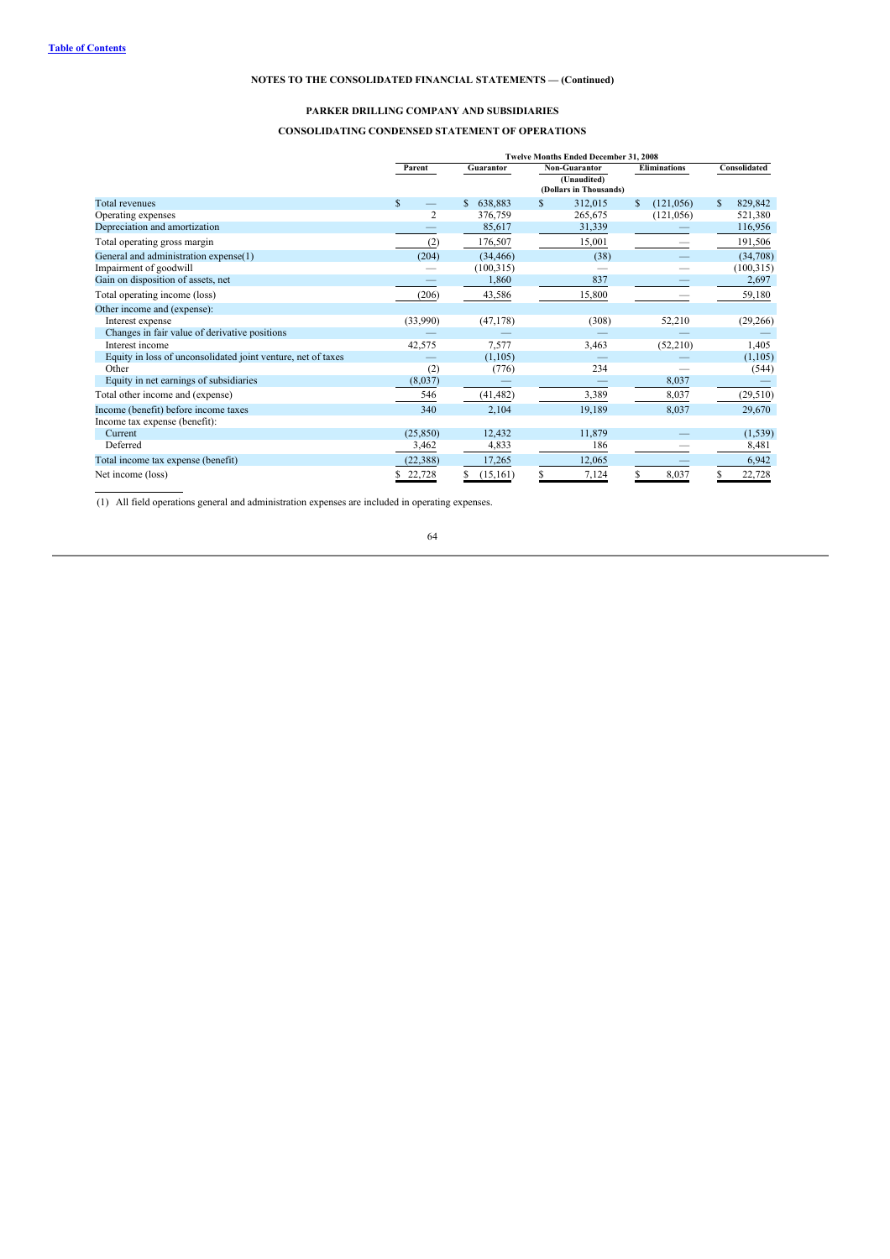# **PARKER DRILLING COMPANY AND SUBSIDIARIES**

## **CONSOLIDATING CONDENSED STATEMENT OF OPERATIONS**

|                                                              | <b>Twelve Months Ended December 31, 2008</b> |               |                                                        |                     |               |  |  |
|--------------------------------------------------------------|----------------------------------------------|---------------|--------------------------------------------------------|---------------------|---------------|--|--|
|                                                              | Parent                                       | Guarantor     | Non-Guarantor<br>(Unaudited)<br>(Dollars in Thousands) | <b>Eliminations</b> | Consolidated  |  |  |
| <b>Total revenues</b>                                        | \$                                           | 638,883<br>S. | \$<br>312,015                                          | \$<br>(121, 056)    | \$<br>829,842 |  |  |
| Operating expenses                                           | $\overline{2}$                               | 376,759       | 265,675                                                | (121, 056)          | 521,380       |  |  |
| Depreciation and amortization                                |                                              | 85,617        | 31,339                                                 |                     | 116,956       |  |  |
| Total operating gross margin                                 | (2)                                          | 176,507       | 15,001                                                 |                     | 191,506       |  |  |
| General and administration expense(1)                        | (204)                                        | (34, 466)     | (38)                                                   |                     | (34,708)      |  |  |
| Impairment of goodwill                                       |                                              | (100, 315)    |                                                        |                     | (100, 315)    |  |  |
| Gain on disposition of assets, net                           |                                              | 1,860         | 837                                                    |                     | 2,697         |  |  |
| Total operating income (loss)                                | (206)                                        | 43,586        | 15,800                                                 |                     | 59,180        |  |  |
| Other income and (expense):                                  |                                              |               |                                                        |                     |               |  |  |
| Interest expense                                             | (33,990)                                     | (47, 178)     | (308)                                                  | 52,210              | (29, 266)     |  |  |
| Changes in fair value of derivative positions                |                                              |               |                                                        |                     |               |  |  |
| Interest income                                              | 42,575                                       | 7,577         | 3,463                                                  | (52,210)            | 1,405         |  |  |
| Equity in loss of unconsolidated joint venture, net of taxes |                                              | (1,105)       |                                                        |                     | (1,105)       |  |  |
| Other                                                        | (2)                                          | (776)         | 234                                                    |                     | (544)         |  |  |
| Equity in net earnings of subsidiaries                       | (8,037)                                      |               |                                                        | 8,037               |               |  |  |
| Total other income and (expense)                             | 546                                          | (41, 482)     | 3,389                                                  | 8,037               | (29, 510)     |  |  |
| Income (benefit) before income taxes                         | 340                                          | 2,104         | 19,189                                                 | 8,037               | 29,670        |  |  |
| Income tax expense (benefit):                                |                                              |               |                                                        |                     |               |  |  |
| Current                                                      | (25, 850)                                    | 12,432        | 11,879                                                 |                     | (1, 539)      |  |  |
| Deferred                                                     | 3,462                                        | 4,833         | 186                                                    |                     | 8,481         |  |  |
| Total income tax expense (benefit)                           | (22, 388)                                    | 17,265        | 12,065                                                 |                     | 6,942         |  |  |
| Net income (loss)                                            | 22,728                                       | (15, 161)     | 7,124                                                  | 8,037               | 22,728        |  |  |

(1) All field operations general and administration expenses are included in operating expenses.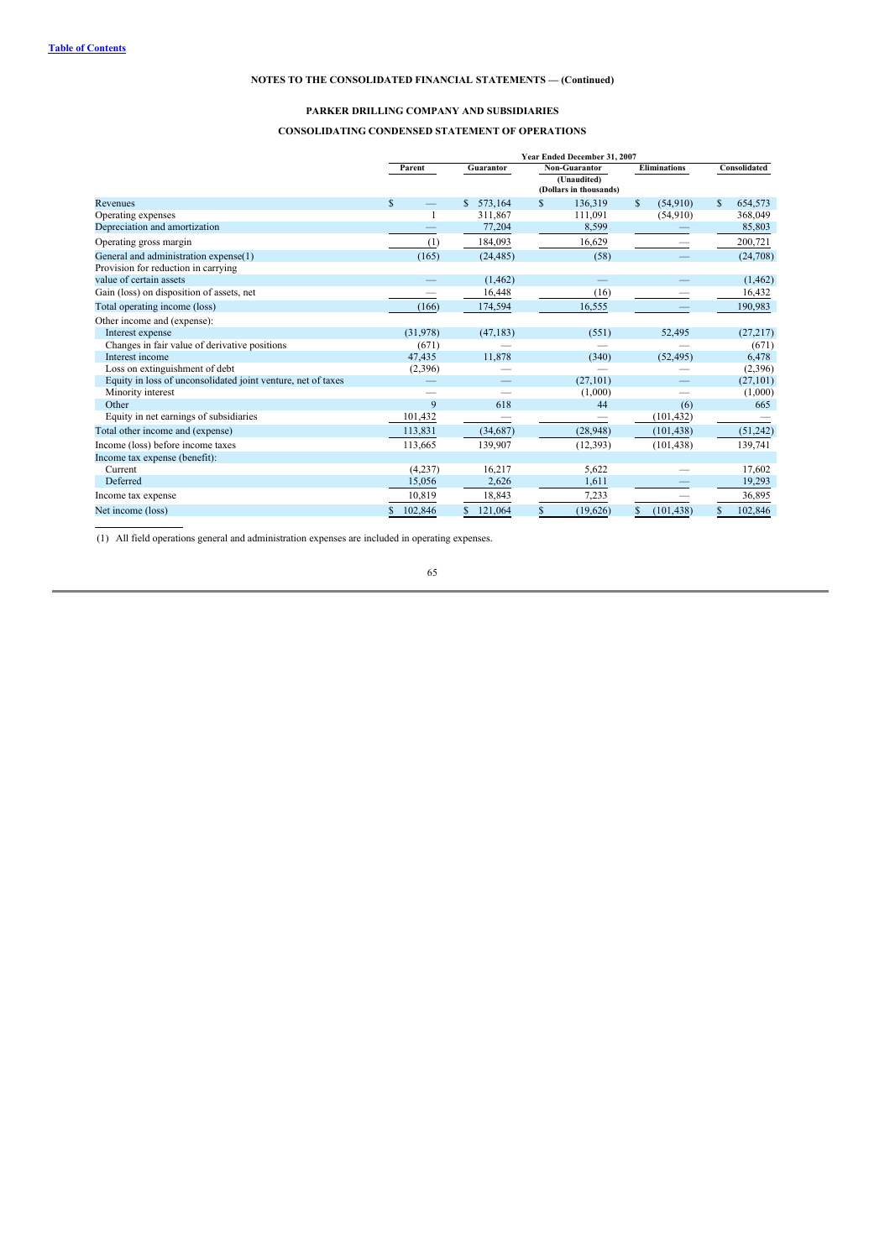# **PARKER DRILLING COMPANY AND SUBSIDIARIES**

# **CONSOLIDATING CONDENSED STATEMENT OF OPERATIONS**

|                                                              | Year Ended December 31, 2007 |               |                                       |                          |               |  |  |
|--------------------------------------------------------------|------------------------------|---------------|---------------------------------------|--------------------------|---------------|--|--|
|                                                              | Parent                       | Guarantor     | <b>Non-Guarantor</b>                  | <b>Eliminations</b>      | Consolidated  |  |  |
|                                                              |                              |               | (Unaudited)<br>(Dollars in thousands) |                          |               |  |  |
| Revenues                                                     | \$.                          | 573.164<br>S. | 136,319<br>\$.                        | $\mathbf{s}$<br>(54.910) | 654,573<br>\$ |  |  |
| Operating expenses                                           |                              | 311,867       | 111,091                               | (54,910)                 | 368,049       |  |  |
| Depreciation and amortization                                |                              | 77,204        | 8,599                                 |                          | 85,803        |  |  |
| Operating gross margin                                       | (1)                          | 184,093       | 16,629                                |                          | 200,721       |  |  |
| General and administration expense(1)                        | (165)                        | (24, 485)     | (58)                                  |                          | (24,708)      |  |  |
| Provision for reduction in carrying                          |                              |               |                                       |                          |               |  |  |
| value of certain assets                                      |                              | (1, 462)      |                                       |                          | (1, 462)      |  |  |
| Gain (loss) on disposition of assets, net                    |                              | 16,448        | (16)                                  |                          | 16,432        |  |  |
| Total operating income (loss)                                | (166)                        | 174,594       | 16,555                                |                          | 190,983       |  |  |
| Other income and (expense):                                  |                              |               |                                       |                          |               |  |  |
| Interest expense                                             | (31,978)                     | (47, 183)     | (551)                                 | 52,495                   | (27, 217)     |  |  |
| Changes in fair value of derivative positions                | (671)                        |               |                                       |                          | (671)         |  |  |
| Interest income                                              | 47,435                       | 11,878        | (340)                                 | (52, 495)                | 6,478         |  |  |
| Loss on extinguishment of debt                               | (2,396)                      |               |                                       |                          | (2,396)       |  |  |
| Equity in loss of unconsolidated joint venture, net of taxes |                              |               | (27, 101)                             |                          | (27, 101)     |  |  |
| Minority interest                                            |                              |               | (1,000)                               |                          | (1,000)       |  |  |
| Other                                                        | 9                            | 618           | 44                                    | (6)                      | 665           |  |  |
| Equity in net earnings of subsidiaries                       | 101,432                      |               |                                       | (101, 432)               |               |  |  |
| Total other income and (expense)                             | 113,831                      | (34, 687)     | (28, 948)                             | (101, 438)               | (51, 242)     |  |  |
| Income (loss) before income taxes                            | 113,665                      | 139,907       | (12, 393)                             | (101, 438)               | 139,741       |  |  |
| Income tax expense (benefit):                                |                              |               |                                       |                          |               |  |  |
| Current                                                      | (4,237)                      | 16,217        | 5,622                                 |                          | 17,602        |  |  |
| Deferred                                                     | 15,056                       | 2,626         | 1,611                                 |                          | 19,293        |  |  |
| Income tax expense                                           | 10,819                       | 18,843        | 7,233                                 |                          | 36,895        |  |  |
| Net income (loss)                                            | 102,846                      | 121,064       | \$<br>(19,626)                        | (101, 438)<br>\$         | 102,846<br>\$ |  |  |

(1) All field operations general and administration expenses are included in operating expenses.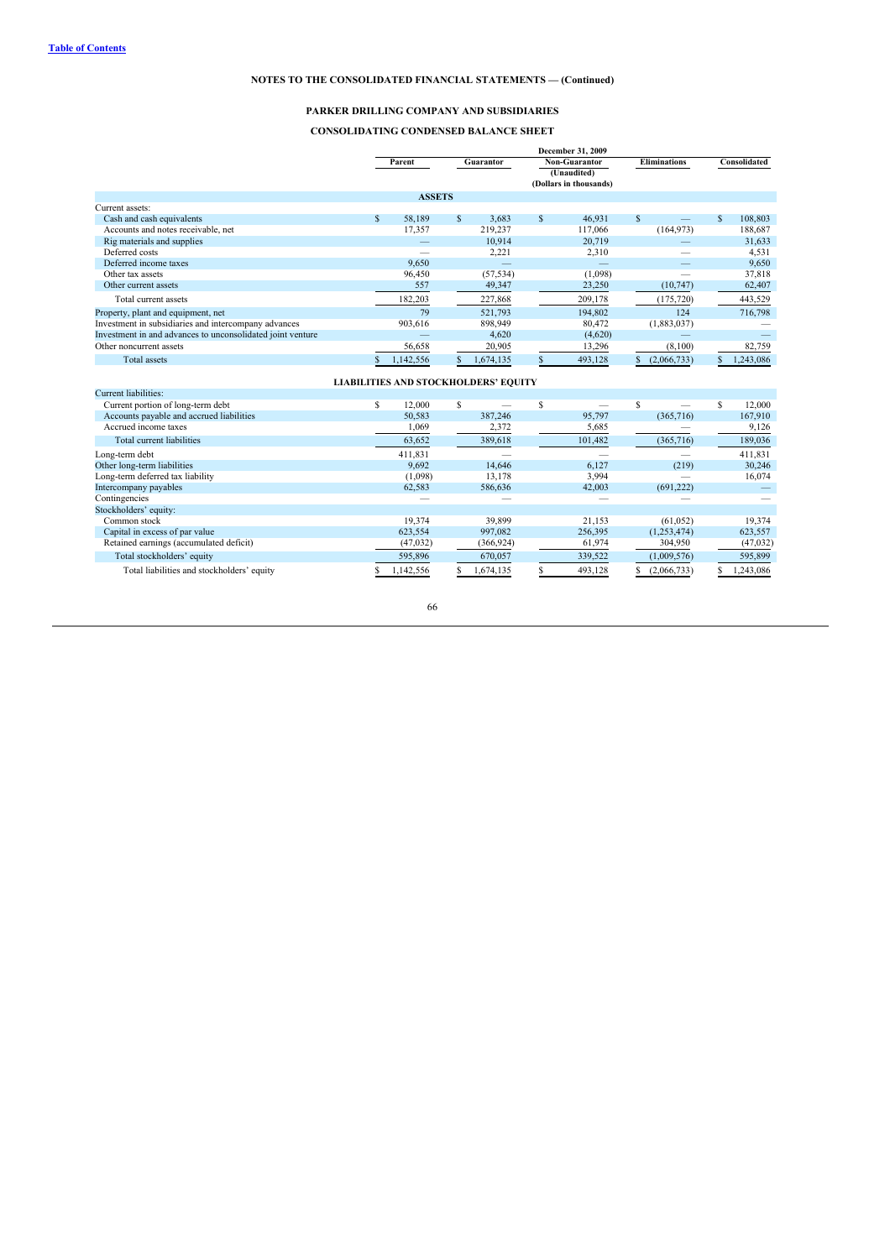# **PARKER DRILLING COMPANY AND SUBSIDIARIES**

**CONSOLIDATING CONDENSED BALANCE SHEET**

|                                                            |              |               |    |                                             |             | December 31, 2009                                      |    |                     |              |              |
|------------------------------------------------------------|--------------|---------------|----|---------------------------------------------|-------------|--------------------------------------------------------|----|---------------------|--------------|--------------|
|                                                            |              | Parent        |    | Guarantor                                   |             | Non-Guarantor<br>(Unaudited)<br>(Dollars in thousands) |    | <b>Eliminations</b> |              | Consolidated |
|                                                            |              | <b>ASSETS</b> |    |                                             |             |                                                        |    |                     |              |              |
| Current assets:                                            |              |               |    |                                             |             |                                                        |    |                     |              |              |
| Cash and cash equivalents                                  | $\mathbb{S}$ | 58,189        | \$ | 3.683                                       | $\mathbf S$ | 46.931                                                 | \$ |                     | $\mathbf{s}$ | 108,803      |
| Accounts and notes receivable, net                         |              | 17,357        |    | 219,237                                     |             | 117,066                                                |    | (164, 973)          |              | 188,687      |
| Rig materials and supplies                                 |              |               |    | 10,914                                      |             | 20,719                                                 |    |                     |              | 31,633       |
| Deferred costs                                             |              |               |    | 2,221                                       |             | 2,310                                                  |    |                     |              | 4,531        |
| Deferred income taxes                                      |              | 9.650         |    |                                             |             |                                                        |    |                     |              | 9,650        |
| Other tax assets                                           |              | 96,450        |    | (57, 534)                                   |             | (1,098)                                                |    |                     |              | 37,818       |
| Other current assets                                       |              | 557           |    | 49,347                                      |             | 23,250                                                 |    | (10, 747)           |              | 62,407       |
| Total current assets                                       |              | 182,203       |    | 227,868                                     |             | 209.178                                                |    | (175, 720)          |              | 443,529      |
| Property, plant and equipment, net                         |              | 79            |    | 521,793                                     |             | 194,802                                                |    | 124                 |              | 716,798      |
| Investment in subsidiaries and intercompany advances       |              | 903.616       |    | 898,949                                     |             | 80,472                                                 |    | (1,883,037)         |              |              |
| Investment in and advances to unconsolidated joint venture |              |               |    | 4,620                                       |             | (4,620)                                                |    |                     |              |              |
| Other noncurrent assets                                    |              | 56,658        |    | 20,905                                      |             | 13,296                                                 |    | (8,100)             |              | 82.759       |
| <b>Total</b> assets                                        |              | 1,142,556     |    | 1,674,135                                   | \$          | 493,128                                                | \$ | (2,066,733)         | \$           | 1,243,086    |
|                                                            |              |               |    | <b>LIABILITIES AND STOCKHOLDERS' EQUITY</b> |             |                                                        |    |                     |              |              |
| Current liabilities:                                       |              |               |    |                                             |             |                                                        |    |                     |              |              |
| Current portion of long-term debt                          | S.           | 12,000        | S. |                                             | S           |                                                        | S  |                     | S            | 12,000       |
| Accounts payable and accrued liabilities                   |              | 50,583        |    | 387,246                                     |             | 95,797                                                 |    | (365, 716)          |              | 167,910      |
| Accrued income taxes                                       |              | 1,069         |    | 2,372                                       |             | 5,685                                                  |    |                     |              | 9,126        |
| Total current liabilities                                  |              | 63,652        |    | 389,618                                     |             | 101,482                                                |    | (365, 716)          |              | 189,036      |
| Long-term debt                                             |              | 411,831       |    | -                                           |             |                                                        |    |                     |              | 411,831      |
| Other long-term liabilities                                |              | 9,692         |    | 14,646                                      |             | 6,127                                                  |    | (219)               |              | 30,246       |
| Long-term deferred tax liability                           |              | (1,098)       |    | 13,178                                      |             | 3.994                                                  |    |                     |              | 16,074       |
| Intercompany payables                                      |              | 62,583        |    | 586,636                                     |             | 42,003                                                 |    | (691, 222)          |              |              |
| Contingencies                                              |              |               |    |                                             |             |                                                        |    |                     |              |              |
| Stockholders' equity:                                      |              |               |    |                                             |             |                                                        |    |                     |              |              |
| Common stock                                               |              | 19,374        |    | 39,899                                      |             | 21,153                                                 |    | (61,052)            |              | 19,374       |
| Capital in excess of par value                             |              | 623,554       |    | 997,082                                     |             | 256,395                                                |    | (1,253,474)         |              | 623,557      |
| Retained earnings (accumulated deficit)                    |              | (47, 032)     |    | (366, 924)                                  |             | 61,974                                                 |    | 304,950             |              | (47, 032)    |
| Total stockholders' equity                                 |              | 595,896       |    | 670,057                                     |             | 339,522                                                |    | (1,009,576)         |              | 595,899      |
| Total liabilities and stockholders' equity                 | \$           | 1,142,556     | \$ | 1,674,135                                   | \$          | 493.128                                                | \$ | (2,066,733)         | \$           | 1,243,086    |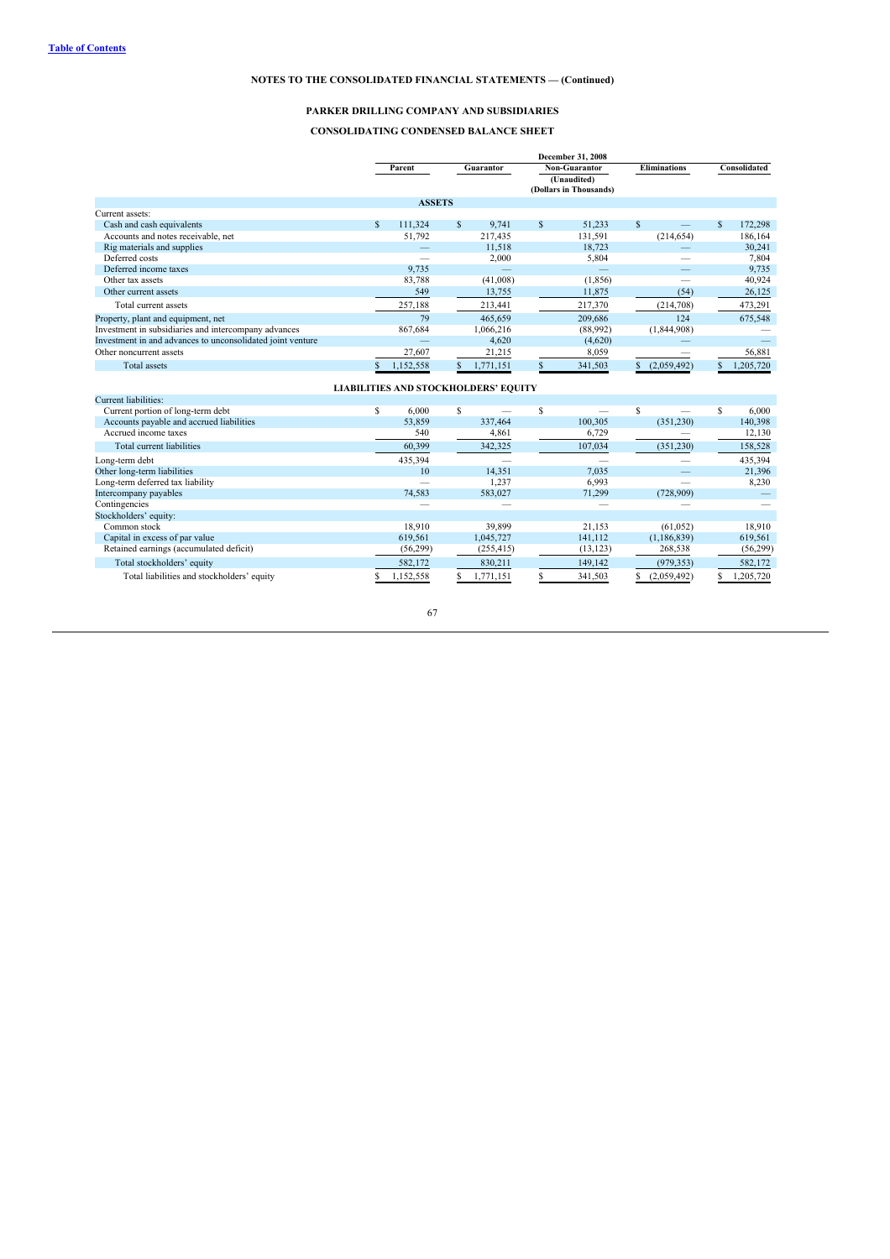# **PARKER DRILLING COMPANY AND SUBSIDIARIES**

**CONSOLIDATING CONDENSED BALANCE SHEET**

|                                                            |    |                                             |             |            |              | December 31, 2008                                      |    |                     |                    |              |
|------------------------------------------------------------|----|---------------------------------------------|-------------|------------|--------------|--------------------------------------------------------|----|---------------------|--------------------|--------------|
|                                                            |    | Parent                                      |             | Guarantor  |              | Non-Guarantor<br>(Unaudited)<br>(Dollars in Thousands) |    | <b>Eliminations</b> |                    | Consolidated |
|                                                            |    | <b>ASSETS</b>                               |             |            |              |                                                        |    |                     |                    |              |
| Current assets:                                            |    |                                             |             |            |              |                                                        |    |                     |                    |              |
| Cash and cash equivalents                                  | \$ | 111,324                                     | $\mathbf S$ | 9,741      | $\mathbb{S}$ | 51,233                                                 | \$ |                     | \$                 | 172,298      |
| Accounts and notes receivable, net                         |    | 51,792                                      |             | 217,435    |              | 131,591                                                |    | (214, 654)          |                    | 186,164      |
| Rig materials and supplies                                 |    |                                             |             | 11,518     |              | 18,723                                                 |    |                     |                    | 30.241       |
| Deferred costs                                             |    |                                             |             | 2,000      |              | 5,804                                                  |    |                     |                    | 7,804        |
| Deferred income taxes                                      |    | 9.735                                       |             |            |              |                                                        |    |                     |                    | 9,735        |
| Other tax assets                                           |    | 83,788                                      |             | (41,008)   |              | (1, 856)                                               |    | -                   |                    | 40,924       |
| Other current assets                                       |    | 549                                         |             | 13,755     |              | 11,875                                                 |    | (54)                |                    | 26,125       |
| Total current assets                                       |    | 257,188                                     |             | 213,441    |              | 217,370                                                |    | (214,708)           |                    | 473,291      |
| Property, plant and equipment, net                         |    | 79                                          |             | 465,659    |              | 209,686                                                |    | 124                 |                    | 675,548      |
| Investment in subsidiaries and intercompany advances       |    | 867,684                                     |             | 1,066,216  |              | (88,992)                                               |    | (1, 844, 908)       |                    |              |
| Investment in and advances to unconsolidated joint venture |    |                                             |             | 4,620      |              | (4,620)                                                |    |                     |                    |              |
| Other noncurrent assets                                    |    | 27,607                                      |             | 21,215     |              | 8,059                                                  |    |                     |                    | 56,881       |
| Total assets                                               |    | 1,152,558                                   |             | 1,771,151  | \$           | 341,503                                                | \$ | (2,059,492)         | \$                 | 1,205,720    |
|                                                            |    |                                             |             |            |              |                                                        |    |                     |                    |              |
|                                                            |    | <b>LIABILITIES AND STOCKHOLDERS' EQUITY</b> |             |            |              |                                                        |    |                     |                    |              |
| Current liabilities:                                       |    |                                             |             |            |              |                                                        |    |                     |                    |              |
| Current portion of long-term debt                          | S  | 6.000                                       | S           |            | \$           |                                                        | S  |                     | $\mathbf{\hat{S}}$ | 6,000        |
| Accounts payable and accrued liabilities                   |    | 53,859                                      |             | 337,464    |              | 100,305                                                |    | (351, 230)          |                    | 140,398      |
| Accrued income taxes                                       |    | 540                                         |             | 4,861      |              | 6,729                                                  |    |                     |                    | 12,130       |
| <b>Total current liabilities</b>                           |    | 60,399                                      |             | 342,325    |              | 107,034                                                |    | (351, 230)          |                    | 158,528      |
| Long-term debt                                             |    | 435,394                                     |             |            |              |                                                        |    |                     |                    | 435,394      |
| Other long-term liabilities                                |    | 10                                          |             | 14,351     |              | 7.035                                                  |    |                     |                    | 21,396       |
| Long-term deferred tax liability                           |    | a.                                          |             | 1,237      |              | 6,993                                                  |    |                     |                    | 8,230        |
| Intercompany payables                                      |    | 74.583                                      |             | 583,027    |              | 71,299                                                 |    | (728,909)           |                    |              |
| Contingencies                                              |    |                                             |             |            |              |                                                        |    |                     |                    |              |
| Stockholders' equity:                                      |    |                                             |             |            |              |                                                        |    |                     |                    |              |
| Common stock                                               |    | 18,910                                      |             | 39,899     |              | 21,153                                                 |    | (61,052)            |                    | 18,910       |
| Capital in excess of par value                             |    | 619,561                                     |             | 1,045,727  |              | 141,112                                                |    | (1, 186, 839)       |                    | 619,561      |
| Retained earnings (accumulated deficit)                    |    | (56,299)                                    |             | (255, 415) |              | (13, 123)                                              |    | 268,538             |                    | (56, 299)    |
| Total stockholders' equity                                 |    | 582,172                                     |             | 830,211    |              | 149,142                                                |    | (979, 353)          |                    | 582,172      |
| Total liabilities and stockholders' equity                 |    | 1,152,558                                   |             | 1,771,151  | \$           | 341,503                                                |    | (2,059,492)         | \$                 | 1,205,720    |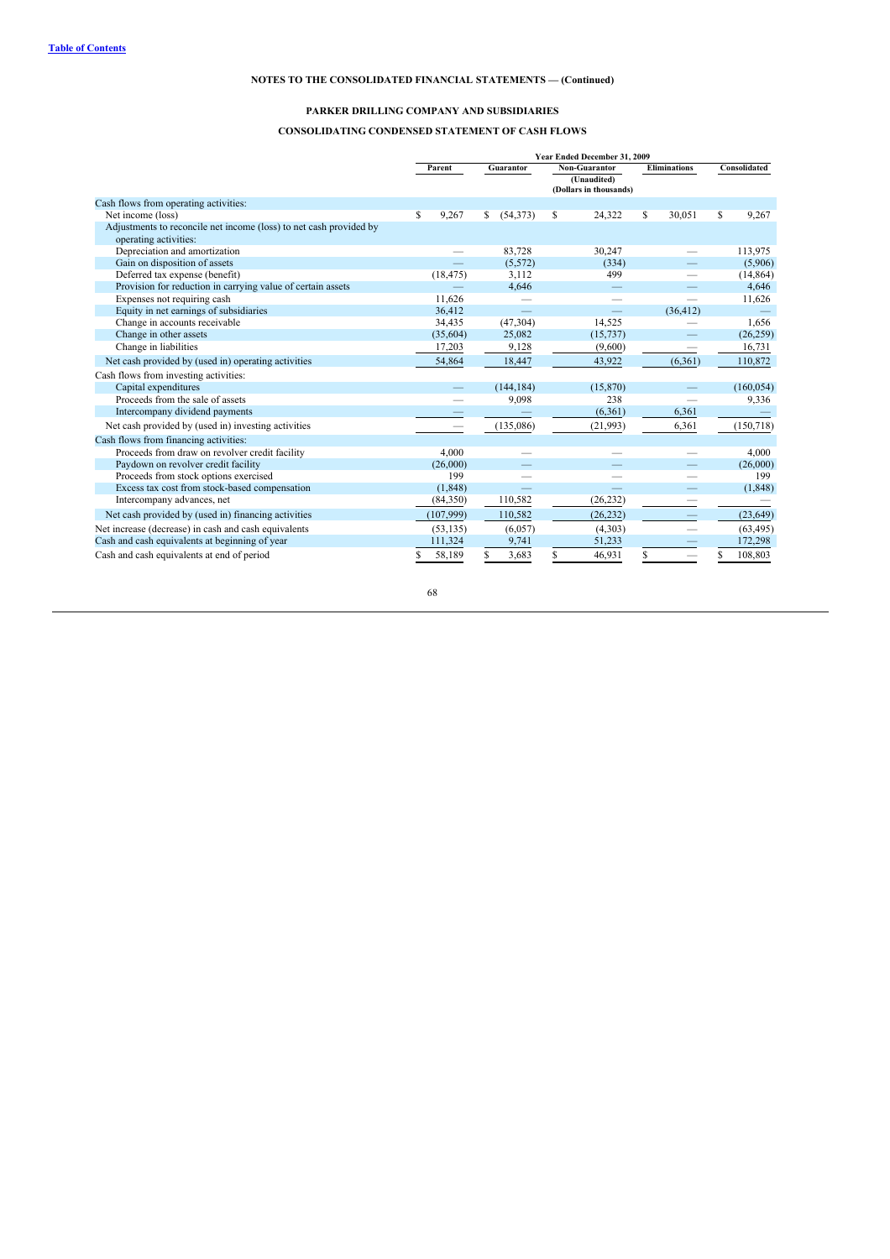# **PARKER DRILLING COMPANY AND SUBSIDIARIES**

# **CONSOLIDATING CONDENSED STATEMENT OF CASH FLOWS**

|                                                                                             |              |                 | Year Ended December 31, 2009                           |                     |              |
|---------------------------------------------------------------------------------------------|--------------|-----------------|--------------------------------------------------------|---------------------|--------------|
|                                                                                             | Parent       | Guarantor       | Non-Guarantor<br>(Unaudited)<br>(Dollars in thousands) | <b>Eliminations</b> | Consolidated |
| Cash flows from operating activities:                                                       |              |                 |                                                        |                     |              |
| Net income (loss)                                                                           | S<br>9,267   | (54, 373)<br>\$ | 24,322<br>s                                            | \$<br>30,051        | 9,267<br>s   |
| Adjustments to reconcile net income (loss) to net cash provided by<br>operating activities: |              |                 |                                                        |                     |              |
| Depreciation and amortization                                                               |              | 83,728          | 30,247                                                 |                     | 113,975      |
| Gain on disposition of assets                                                               |              | (5,572)         | (334)                                                  |                     | (5,906)      |
| Deferred tax expense (benefit)                                                              | (18, 475)    | 3,112           | 499                                                    |                     | (14, 864)    |
| Provision for reduction in carrying value of certain assets                                 |              | 4,646           |                                                        |                     | 4,646        |
| Expenses not requiring cash                                                                 | 11,626       |                 |                                                        |                     | 11,626       |
| Equity in net earnings of subsidiaries                                                      | 36,412       |                 | $\qquad \qquad -$                                      | (36, 412)           |              |
| Change in accounts receivable                                                               | 34,435       | (47, 304)       | 14.525                                                 |                     | 1,656        |
| Change in other assets                                                                      | (35,604)     | 25,082          | (15, 737)                                              |                     | (26, 259)    |
| Change in liabilities                                                                       | 17,203       | 9,128           | (9,600)                                                |                     | 16,731       |
| Net cash provided by (used in) operating activities                                         | 54,864       | 18,447          | 43,922                                                 | (6,361)             | 110,872      |
| Cash flows from investing activities:                                                       |              |                 |                                                        |                     |              |
| Capital expenditures                                                                        |              | (144, 184)      | (15, 870)                                              |                     | (160, 054)   |
| Proceeds from the sale of assets                                                            |              | 9,098           | 238                                                    |                     | 9,336        |
| Intercompany dividend payments                                                              |              |                 | (6,361)                                                | 6,361               |              |
| Net cash provided by (used in) investing activities                                         |              | (135,086)       | (21,993)                                               | 6,361               | (150, 718)   |
| Cash flows from financing activities:                                                       |              |                 |                                                        |                     |              |
| Proceeds from draw on revolver credit facility                                              | 4.000        |                 |                                                        |                     | 4.000        |
| Paydown on revolver credit facility                                                         | (26,000)     |                 |                                                        |                     | (26,000)     |
| Proceeds from stock options exercised                                                       | 199          |                 |                                                        |                     | 199          |
| Excess tax cost from stock-based compensation                                               | (1, 848)     |                 |                                                        |                     | (1, 848)     |
| Intercompany advances, net                                                                  | (84,350)     | 110,582         | (26, 232)                                              |                     |              |
| Net cash provided by (used in) financing activities                                         | (107,999)    | 110,582         | (26, 232)                                              |                     | (23, 649)    |
| Net increase (decrease) in cash and cash equivalents                                        | (53, 135)    | (6,057)         | (4,303)                                                |                     | (63, 495)    |
| Cash and cash equivalents at beginning of year                                              | 111,324      | 9,741           | 51,233                                                 |                     | 172,298      |
| Cash and cash equivalents at end of period                                                  | 58,189<br>\$ | \$<br>3,683     | S<br>46,931                                            | \$                  | S<br>108,803 |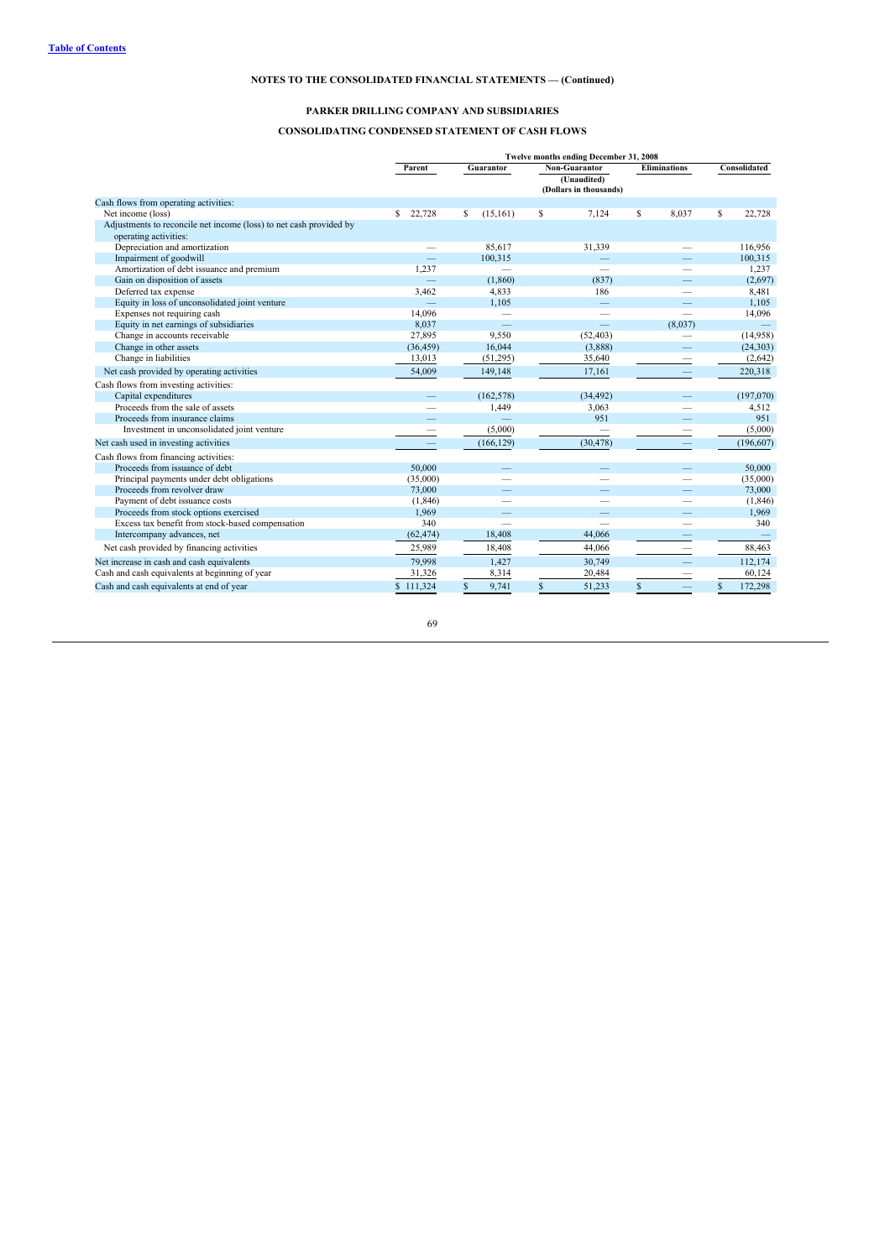# **PARKER DRILLING COMPANY AND SUBSIDIARIES**

# **CONSOLIDATING CONDENSED STATEMENT OF CASH FLOWS**

|                                                                    |             |                 | Twelve months ending December 31, 2008                 |                     |               |
|--------------------------------------------------------------------|-------------|-----------------|--------------------------------------------------------|---------------------|---------------|
|                                                                    | Parent      | Guarantor       | Non-Guarantor<br>(Unaudited)<br>(Dollars in thousands) | <b>Eliminations</b> | Consolidated  |
| Cash flows from operating activities:                              |             |                 |                                                        |                     |               |
| Net income (loss)                                                  | s<br>22,728 | \$<br>(15, 161) | S<br>7,124                                             | S<br>8,037          | S<br>22,728   |
| Adjustments to reconcile net income (loss) to net cash provided by |             |                 |                                                        |                     |               |
| operating activities:                                              |             |                 |                                                        |                     |               |
| Depreciation and amortization                                      |             | 85,617          | 31,339                                                 |                     | 116,956       |
| Impairment of goodwill                                             |             | 100,315         |                                                        |                     | 100,315       |
| Amortization of debt issuance and premium                          | 1,237       |                 |                                                        |                     | 1,237         |
| Gain on disposition of assets                                      |             | (1,860)         | (837)                                                  |                     | (2,697)       |
| Deferred tax expense                                               | 3,462       | 4,833           | 186                                                    |                     | 8,481         |
| Equity in loss of unconsolidated joint venture                     |             | 1,105           |                                                        |                     | 1,105         |
| Expenses not requiring cash                                        | 14,096      |                 |                                                        |                     | 14,096        |
| Equity in net earnings of subsidiaries                             | 8,037       | $\qquad \qquad$ |                                                        | (8.037)             |               |
| Change in accounts receivable                                      | 27,895      | 9,550           | (52, 403)                                              |                     | (14,958)      |
| Change in other assets                                             | (36, 459)   | 16,044          | (3,888)                                                |                     | (24, 303)     |
| Change in liabilities                                              | 13.013      | (51,295)        | 35,640                                                 |                     | (2,642)       |
| Net cash provided by operating activities                          | 54,009      | 149,148         | 17,161                                                 |                     | 220,318       |
| Cash flows from investing activities:                              |             |                 |                                                        |                     |               |
| Capital expenditures                                               |             | (162, 578)      | (34, 492)                                              |                     | (197.070)     |
| Proceeds from the sale of assets                                   |             | 1,449           | 3,063                                                  |                     | 4,512         |
| Proceeds from insurance claims                                     |             |                 | 951                                                    |                     | 951           |
| Investment in unconsolidated joint venture                         |             | (5,000)         |                                                        |                     | (5,000)       |
| Net cash used in investing activities                              |             | (166, 129)      | (30, 478)                                              |                     | (196, 607)    |
| Cash flows from financing activities:                              |             |                 |                                                        |                     |               |
| Proceeds from issuance of debt                                     | 50,000      |                 |                                                        |                     | 50,000        |
| Principal payments under debt obligations                          | (35,000)    |                 |                                                        |                     | (35,000)      |
| Proceeds from revolver draw                                        | 73,000      | --              |                                                        |                     | 73,000        |
| Payment of debt issuance costs                                     | (1, 846)    |                 |                                                        |                     | (1, 846)      |
| Proceeds from stock options exercised                              | 1,969       |                 |                                                        |                     | 1,969         |
| Excess tax benefit from stock-based compensation                   | 340         |                 |                                                        |                     | 340           |
| Intercompany advances, net                                         | (62, 474)   | 18,408          | 44,066                                                 |                     |               |
| Net cash provided by financing activities                          | 25,989      | 18,408          | 44,066                                                 |                     | 88,463        |
| Net increase in cash and cash equivalents                          | 79,998      | 1,427           | 30,749                                                 |                     | 112,174       |
| Cash and cash equivalents at beginning of year                     | 31,326      | 8,314           | 20,484                                                 |                     | 60,124        |
| Cash and cash equivalents at end of year                           | \$111.324   | 9,741<br>\$     | \$<br>51.233                                           | $\mathbf S$         | 172,298<br>\$ |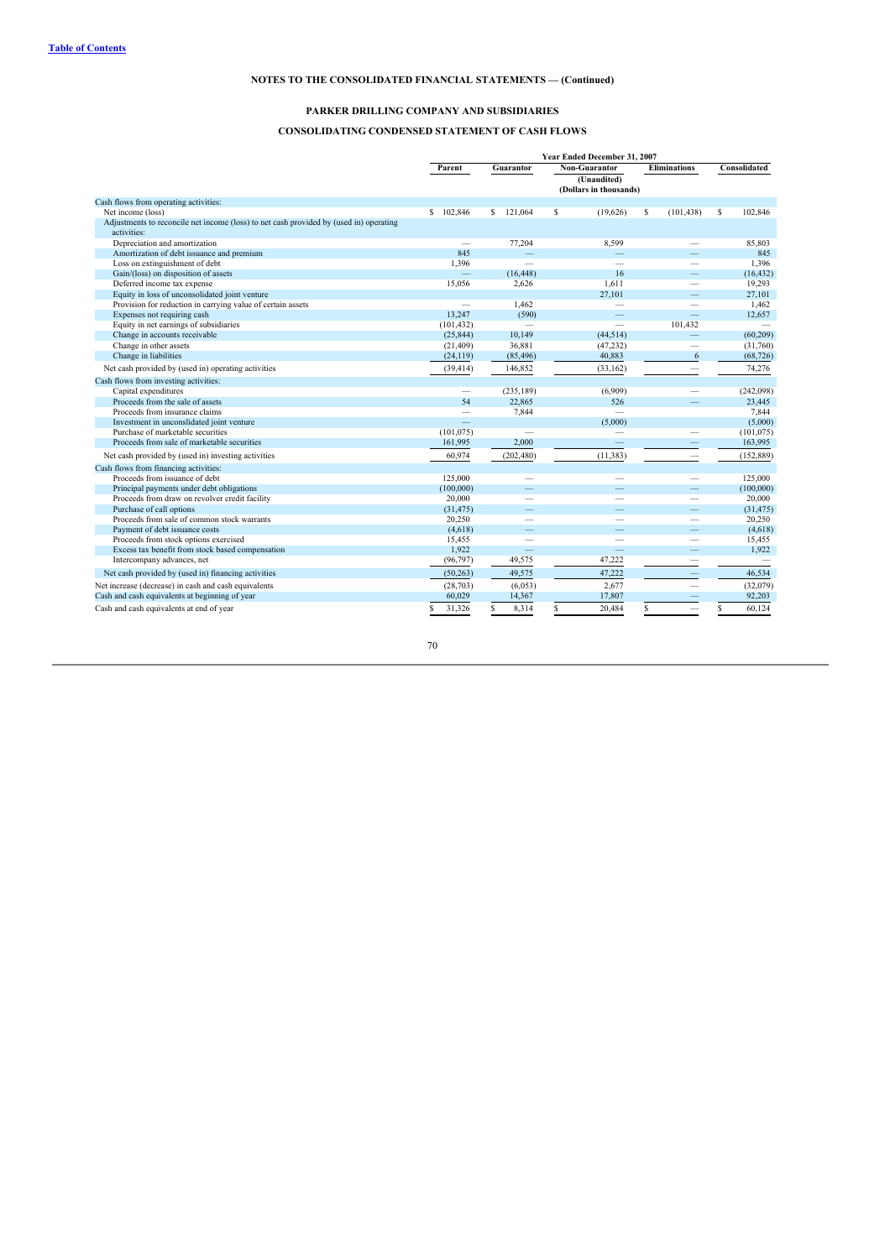# **PARKER DRILLING COMPANY AND SUBSIDIARIES**

# **CONSOLIDATING CONDENSED STATEMENT OF CASH FLOWS**

|                                                                                        | Year Ended December 31, 2007 |                          |                          |                               |              |  |  |  |
|----------------------------------------------------------------------------------------|------------------------------|--------------------------|--------------------------|-------------------------------|--------------|--|--|--|
|                                                                                        | Parent                       | Guarantor                | Non-Guarantor            | <b>Eliminations</b>           | Consolidated |  |  |  |
|                                                                                        |                              |                          | (Unaudited)              |                               |              |  |  |  |
|                                                                                        |                              |                          | (Dollars in thousands)   |                               |              |  |  |  |
| Cash flows from operating activities:                                                  |                              |                          |                          |                               |              |  |  |  |
| Net income (loss)                                                                      | \$102,846                    | 121,064<br>S.            | \$<br>(19,626)           | (101, 438)<br>\$              | 102,846<br>S |  |  |  |
| Adjustments to reconcile net income (loss) to net cash provided by (used in) operating |                              |                          |                          |                               |              |  |  |  |
| activities:                                                                            |                              |                          |                          |                               |              |  |  |  |
| Depreciation and amortization                                                          |                              | 77,204                   | 8,599                    |                               | 85,803       |  |  |  |
| Amortization of debt issuance and premium                                              | 845                          |                          | ÷                        |                               | 845          |  |  |  |
| Loss on extinguishment of debt                                                         | 1,396                        |                          |                          |                               | 1.396        |  |  |  |
| Gain/(loss) on disposition of assets                                                   |                              | (16, 448)                | 16                       |                               | (16, 432)    |  |  |  |
| Deferred income tax expense                                                            | 15,056                       | 2,626                    | 1,611                    |                               | 19,293       |  |  |  |
| Equity in loss of unconsolidated joint venture                                         |                              |                          | 27.101                   |                               | 27,101       |  |  |  |
| Provision for reduction in carrying value of certain assets                            |                              | 1,462                    |                          | $\overline{\phantom{a}}$      | 1,462        |  |  |  |
| Expenses not requiring cash                                                            | 13,247                       | (590)                    | $\overline{\phantom{a}}$ |                               | 12,657       |  |  |  |
| Equity in net earnings of subsidiaries                                                 | (101, 432)                   |                          |                          | 101,432                       |              |  |  |  |
| Change in accounts receivable                                                          | (25, 844)                    | 10,149                   | (44, 514)                |                               | (60, 209)    |  |  |  |
| Change in other assets                                                                 | (21, 409)                    | 36,881                   | (47, 232)                | $\overline{\phantom{0}}$      | (31,760)     |  |  |  |
| Change in liabilities                                                                  | (24, 119)                    | (85, 496)                | 40,883                   | 6                             | (68, 726)    |  |  |  |
| Net cash provided by (used in) operating activities                                    | (39, 414)                    | 146,852                  | (33, 162)                |                               | 74,276       |  |  |  |
| Cash flows from investing activities:                                                  |                              |                          |                          |                               |              |  |  |  |
| Capital expenditures                                                                   | $\overline{\phantom{0}}$     | (235, 189)               | (6,909)                  | $\overline{\phantom{a}}$      | (242,098)    |  |  |  |
| Proceeds from the sale of assets                                                       | 54                           | 22,865                   | 526                      |                               | 23,445       |  |  |  |
| Proceeds from insurance claims                                                         |                              | 7,844                    |                          |                               | 7,844        |  |  |  |
| Investment in unconslidated joint venture                                              |                              |                          | (5,000)                  |                               | (5,000)      |  |  |  |
| Purchase of marketable securities                                                      | (101, 075)                   |                          |                          |                               | (101, 075)   |  |  |  |
| Proceeds from sale of marketable securities                                            | 161,995                      | 2,000                    |                          |                               | 163,995      |  |  |  |
| Net cash provided by (used in) investing activities                                    | 60,974                       | (202, 480)               | (11, 383)                |                               | (152, 889)   |  |  |  |
| Cash flows from financing activities:                                                  |                              |                          |                          |                               |              |  |  |  |
| Proceeds from issuance of debt                                                         | 125,000                      |                          |                          |                               | 125,000      |  |  |  |
| Principal payments under debt obligations                                              | (100,000)                    |                          |                          |                               | (100,000)    |  |  |  |
| Proceeds from draw on revolver credit facility                                         | 20,000                       |                          |                          |                               | 20,000       |  |  |  |
| Purchase of call options                                                               | (31, 475)                    |                          |                          |                               | (31, 475)    |  |  |  |
| Proceeds from sale of common stock warrants                                            | 20,250                       |                          |                          |                               | 20,250       |  |  |  |
| Payment of debt issuance costs                                                         | (4,618)                      | -                        |                          |                               | (4,618)      |  |  |  |
| Proceeds from stock options exercised                                                  | 15,455                       | $\overline{\phantom{0}}$ | $\overline{\phantom{a}}$ |                               | 15,455       |  |  |  |
| Excess tax benefit from stock based compensation                                       | 1,922                        | ÷,                       | ÷.                       |                               | 1,922        |  |  |  |
| Intercompany advances, net                                                             | (96, 797)                    | 49,575                   | 47,222                   |                               |              |  |  |  |
| Net cash provided by (used in) financing activities                                    | (50, 263)                    | 49,575                   | 47,222                   |                               | 46,534       |  |  |  |
| Net increase (decrease) in cash and cash equivalents                                   | (28, 703)                    | (6,053)                  | 2,677                    |                               | (32,079)     |  |  |  |
| Cash and cash equivalents at beginning of year                                         | 60,029                       | 14,367                   | 17,807                   |                               | 92,203       |  |  |  |
| Cash and cash equivalents at end of year                                               | 31,326<br>S                  | 8,314<br>S.              | \$<br>20,484             | Ŝ<br>$\overline{\phantom{a}}$ | 60,124<br>S  |  |  |  |
|                                                                                        |                              |                          |                          |                               |              |  |  |  |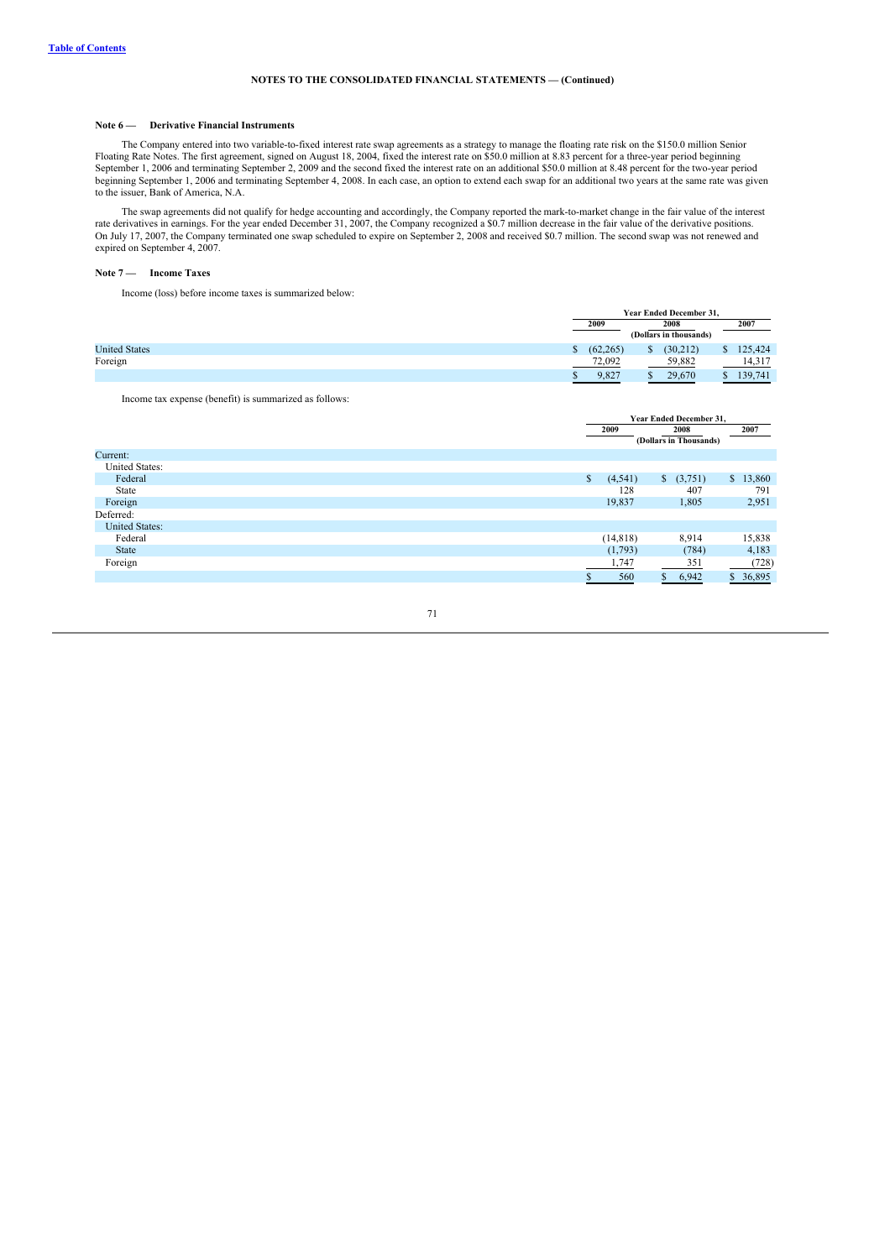#### **Note 6 — Derivative Financial Instruments**

The Company entered into two variable-to-fixed interest rate swap agreements as a strategy to manage the floating rate risk on the \$150.0 million Senior<br>Floating Rate Notes. The first agreement, signed on August 18, 2004, beginning September 1, 2006 and terminating September 4, 2008. In each case, an option to extend each swap for an additional two years at the same rate was given to the issuer, Bank of America, N.A.

The swap agreements did not qualify for hedge accounting and accordingly, the Company reported the mark-to-market change in the fair value of the interest<br>rate derivatives in earnings. For the year ended December 31, 2007, expired on September 4, 2007.

## **Note 7 — Income Taxes**

Income (loss) before income taxes is summarized below:

|                      |           | Year Ended December 31.<br>2007<br>2009<br>2008<br>(Dollars in thousands) |         |  |  |
|----------------------|-----------|---------------------------------------------------------------------------|---------|--|--|
|                      |           |                                                                           |         |  |  |
|                      |           |                                                                           |         |  |  |
| <b>United States</b> | (62, 265) | (30.212)                                                                  | 125,424 |  |  |
| Foreign              | 72,092    | 59.882                                                                    | 14,317  |  |  |
|                      | 9,827     | 29,670                                                                    | 139.741 |  |  |

Income tax expense (benefit) is summarized as follows:

|                       | Year Ended December 31, |                         |           |  |
|-----------------------|-------------------------|-------------------------|-----------|--|
|                       | 2009                    | 2008                    | 2007      |  |
|                       |                         | (Dollars in Thousands)  |           |  |
| Current:              |                         |                         |           |  |
| <b>United States:</b> |                         |                         |           |  |
| Federal               | \$<br>(4, 541)          | $\mathbb{S}$<br>(3,751) | \$13,860  |  |
| State                 | 128                     | 407                     | 791       |  |
| Foreign               | 19,837                  | 1,805                   | 2,951     |  |
| Deferred:             |                         |                         |           |  |
| <b>United States:</b> |                         |                         |           |  |
| Federal               | (14, 818)               | 8,914                   | 15,838    |  |
| <b>State</b>          | (1,793)                 | (784)                   | 4,183     |  |
| Foreign               | 1,747                   | 351                     | (728)     |  |
|                       | 560                     | 6,942<br>\$             | \$ 36,895 |  |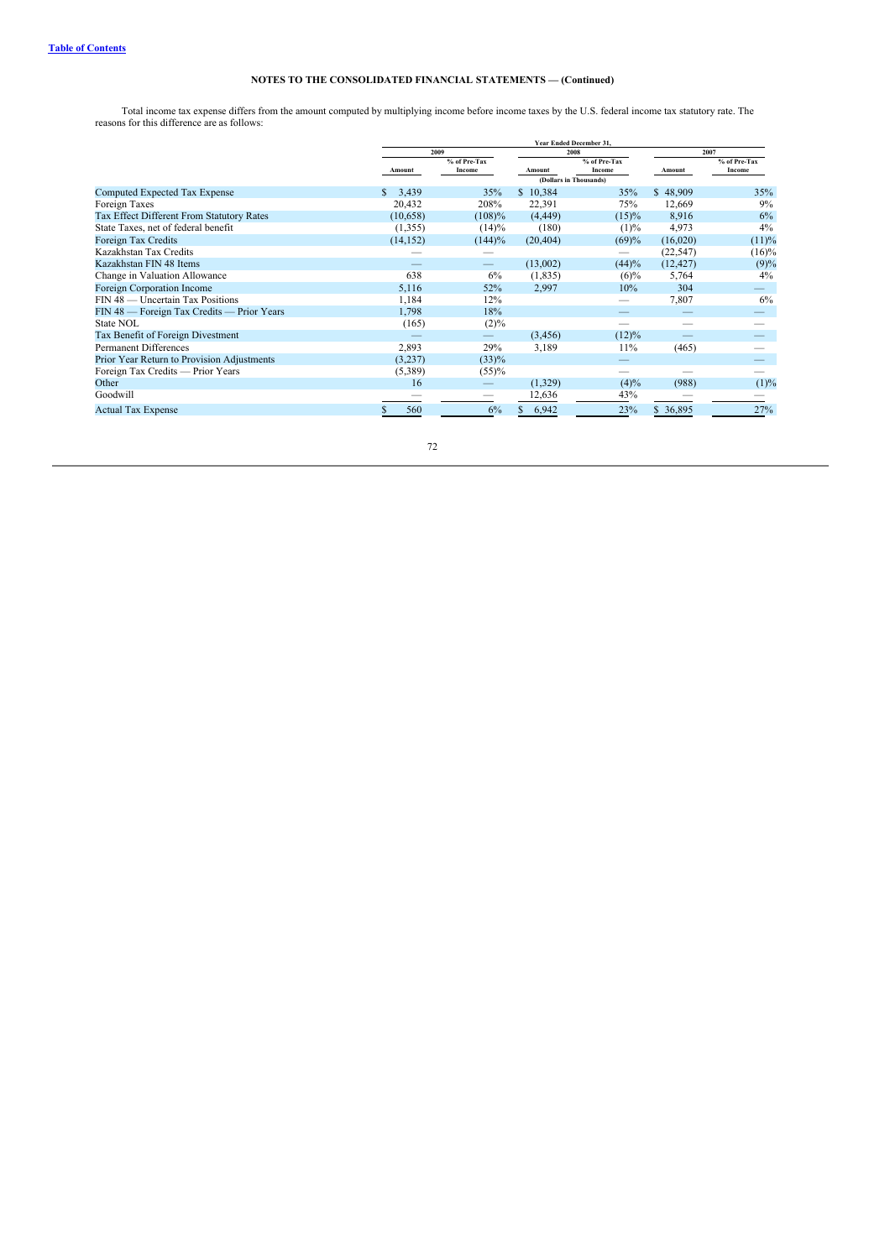Total income tax expense differs from the amount computed by multiplying income before income taxes by the U.S. federal income tax statutory rate. The reasons for this difference are as follows:

|                                            | Year Ended December 31, |                        |                        |                        |           |                        |  |  |  |
|--------------------------------------------|-------------------------|------------------------|------------------------|------------------------|-----------|------------------------|--|--|--|
|                                            | 2009                    |                        | 2008                   |                        | 2007      |                        |  |  |  |
|                                            | Amount                  | % of Pre-Tax<br>Income | Amount                 | % of Pre-Tax<br>Income | Amount    | % of Pre-Tax<br>Income |  |  |  |
|                                            |                         |                        | (Dollars in Thousands) |                        |           |                        |  |  |  |
| Computed Expected Tax Expense              | 3,439<br>S.             | 35%                    | \$10,384               | 35%                    | \$48,909  | 35%                    |  |  |  |
| Foreign Taxes                              | 20.432                  | 208%                   | 22,391                 | 75%                    | 12,669    | 9%                     |  |  |  |
| Tax Effect Different From Statutory Rates  | (10,658)                | $(108)\%$              | (4, 449)               | $(15)\%$               | 8,916     | 6%                     |  |  |  |
| State Taxes, net of federal benefit        | (1,355)                 | (14)%                  | (180)                  | $(1)\%$                | 4,973     | 4%                     |  |  |  |
| Foreign Tax Credits                        | (14, 152)               | (144)%                 | (20, 404)              | (69)%                  | (16,020)  | (11)%                  |  |  |  |
| Kazakhstan Tax Credits                     |                         |                        |                        |                        | (22, 547) | $(16)\%$               |  |  |  |
| Kazakhstan FIN 48 Items                    |                         |                        | (13,002)               | (44)%                  | (12, 427) | (9)%                   |  |  |  |
| Change in Valuation Allowance              | 638                     | 6%                     | (1, 835)               | $(6)\%$                | 5,764     | 4%                     |  |  |  |
| Foreign Corporation Income                 | 5,116                   | 52%                    | 2,997                  | 10%                    | 304       |                        |  |  |  |
| FIN 48 — Uncertain Tax Positions           | 1,184                   | 12%                    |                        |                        | 7,807     | 6%                     |  |  |  |
| FIN 48 - Foreign Tax Credits - Prior Years | 1,798                   | 18%                    |                        |                        |           |                        |  |  |  |
| State NOL                                  | (165)                   | $(2)\%$                |                        |                        |           |                        |  |  |  |
| Tax Benefit of Foreign Divestment          |                         |                        | (3, 456)               | $(12)\%$               |           |                        |  |  |  |
| <b>Permanent Differences</b>               | 2,893                   | 29%                    | 3,189                  | 11%                    | (465)     |                        |  |  |  |
| Prior Year Return to Provision Adjustments | (3,237)                 | (33)%                  |                        |                        |           |                        |  |  |  |
| Foreign Tax Credits — Prior Years          | (5,389)                 | (55)%                  |                        |                        |           |                        |  |  |  |
| Other                                      | 16                      |                        | (1,329)                | $(4)\%$                | (988)     | (1)%                   |  |  |  |
| Goodwill                                   |                         | __                     | 12,636                 | 43%                    |           |                        |  |  |  |
| <b>Actual Tax Expense</b>                  | 560                     | 6%                     | 6,942                  | 23%                    | \$ 36,895 | 27%                    |  |  |  |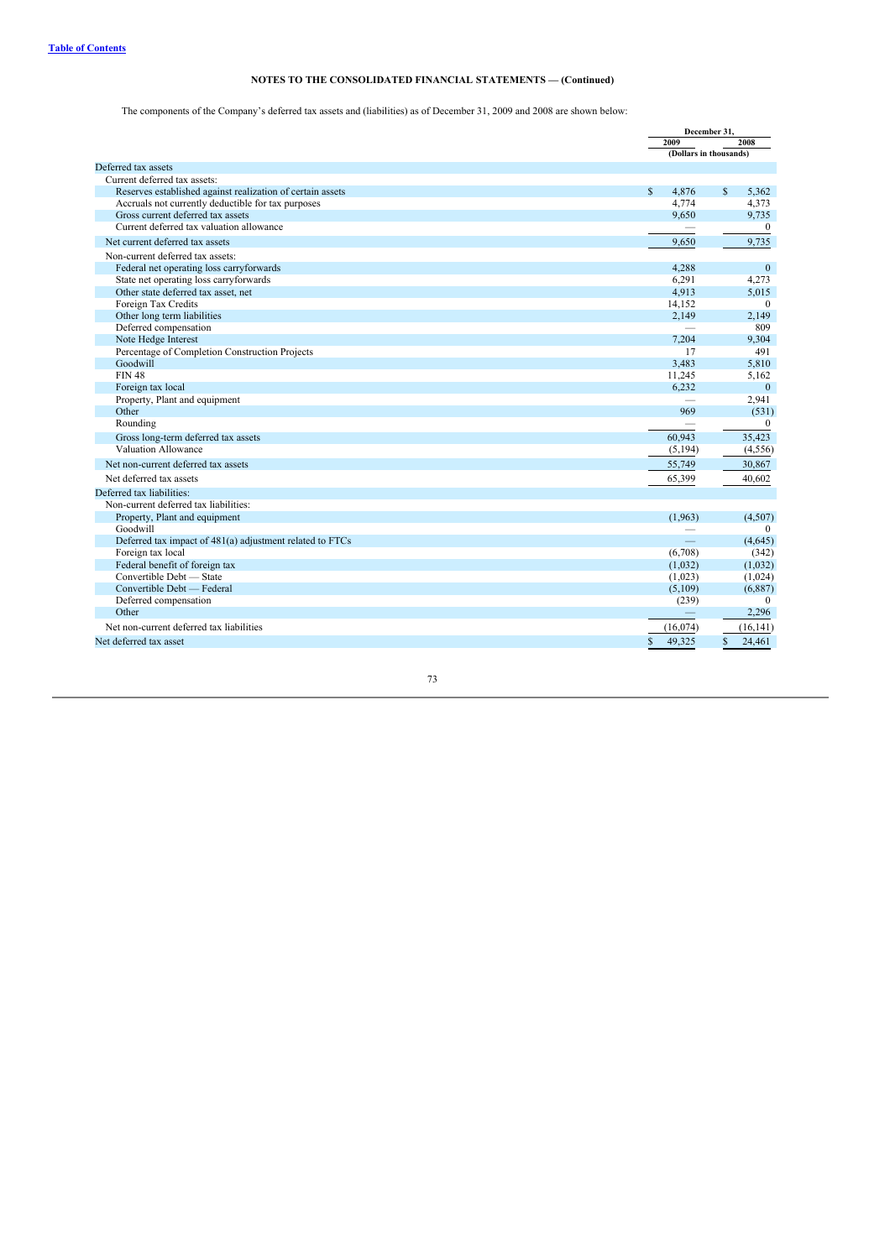# The components of the Company's deferred tax assets and (liabilities) as of December 31, 2009 and 2008 are shown below:

|                                                            | December 31,           |                        |
|------------------------------------------------------------|------------------------|------------------------|
|                                                            | 2009                   | 2008                   |
|                                                            | (Dollars in thousands) |                        |
| Deferred tax assets                                        |                        |                        |
| Current deferred tax assets:                               |                        |                        |
| Reserves established against realization of certain assets | $\mathbb{S}$<br>4,876  | S.<br>5,362            |
| Accruals not currently deductible for tax purposes         | 4,774                  | 4,373                  |
| Gross current deferred tax assets                          | 9,650                  | 9,735                  |
| Current deferred tax valuation allowance                   |                        | $\mathbf{0}$           |
| Net current deferred tax assets                            | 9.650                  | 9,735                  |
| Non-current deferred tax assets:                           |                        |                        |
| Federal net operating loss carryforwards                   | 4,288                  | $\mathbf{0}$           |
| State net operating loss carryforwards                     | 6,291                  | 4,273                  |
| Other state deferred tax asset, net                        | 4,913                  | 5,015                  |
| Foreign Tax Credits                                        | 14,152                 | $\Omega$               |
| Other long term liabilities                                | 2,149                  | 2,149                  |
| Deferred compensation                                      |                        | 809                    |
| Note Hedge Interest                                        | 7,204                  | 9,304                  |
| Percentage of Completion Construction Projects             | 17                     | 491                    |
| Goodwill                                                   | 3.483                  | 5,810                  |
| <b>FIN48</b>                                               | 11,245                 | 5,162                  |
| Foreign tax local                                          | 6,232                  | $\Omega$               |
| Property, Plant and equipment                              |                        | 2,941                  |
| Other                                                      | 969                    | (531)                  |
| Rounding                                                   |                        | $\theta$               |
| Gross long-term deferred tax assets                        | 60,943                 | 35,423                 |
| Valuation Allowance                                        | (5,194)                | (4, 556)               |
| Net non-current deferred tax assets                        | 55,749                 | 30,867                 |
| Net deferred tax assets                                    | 65,399                 | 40.602                 |
| Deferred tax liabilities:                                  |                        |                        |
| Non-current deferred tax liabilities:                      |                        |                        |
| Property, Plant and equipment                              | (1,963)                | (4,507)                |
| Goodwill                                                   |                        | $\theta$               |
| Deferred tax impact of 481(a) adjustment related to FTCs   |                        | (4,645)                |
| Foreign tax local                                          | (6,708)                | (342)                  |
| Federal benefit of foreign tax                             | (1,032)                | (1,032)                |
| Convertible Debt — State                                   | (1,023)                | (1,024)                |
| Convertible Debt — Federal                                 | (5,109)                | (6,887)                |
| Deferred compensation                                      | (239)                  | $\mathbf{0}$           |
| Other                                                      |                        | 2,296                  |
| Net non-current deferred tax liabilities                   | (16,074)               | (16, 141)              |
| Net deferred tax asset                                     | \$<br>49,325           | $\mathbb{S}$<br>24,461 |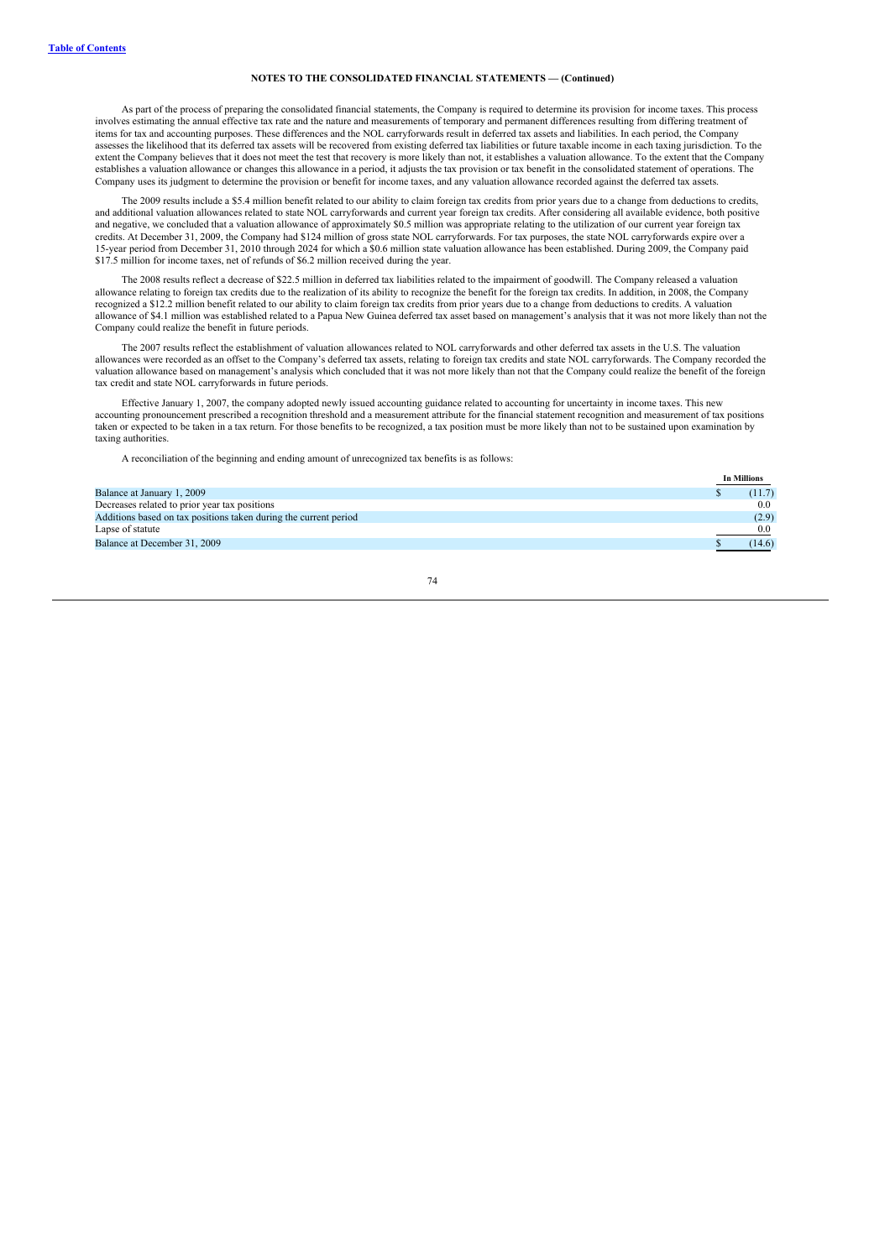As part of the process of preparing the consolidated financial statements, the Company is required to determine its provision for income taxes. This process involves estimating the annual effective tax rate and the nature and measurements of temporary and permanent differences resulting from differing treatment of items for tax and accounting purposes. These differences and the NOL carryforwards result in deferred tax assets and liabilities. In each period, the Company assesses the likelihood that its deferred tax assets will be recovered from existing deferred tax liabilities or future taxable income in each taxing jurisdiction. To the extent the Company believes that it does not meet the test that recovery is more likely than not, it establishes a valuation allowance. To the extent that the Company establishes a valuation allowance or changes this allowance in a period, it adjusts the tax provision or tax benefit in the consolidated statement of operations. The Company uses its judgment to determine the provision or benefit for income taxes, and any valuation allowance recorded against the deferred tax assets.

The 2009 results include a \$5.4 million benefit related to our ability to claim foreign tax credits from prior years due to a change from deductions to credits, and additional valuation allowances related to state NOL carryforwards and current year foreign tax credits. After considering all available evidence, both positive and negative, we concluded that a valuation allowance of approximately \$0.5 million was appropriate relating to the utilization of our current year foreign tax credits. At December 31, 2009, the Company had \$124 million of gross state NOL carryforwards. For tax purposes, the state NOL carryforwards expire over a 15-year period from December 31, 2010 through 2024 for which a \$0.6 million state valuation allowance has been established. During 2009, the Company paid \$17.5 million for income taxes, net of refunds of \$6.2 million received during the year.

The 2008 results reflect a decrease of \$22.5 million in deferred tax liabilities related to the impairment of goodwill. The Company released a valuation allowance relating to foreign tax credits due to the realization of its ability to recognize the benefit for the foreign tax credits. In addition, in 2008, the Company recognized a \$12.2 million benefit related to our ability to claim foreign tax credits from prior years due to a change from deductions to credits. A valuation allowance of \$4.1 million was established related to a Papua New Guinea deferred tax asset based on management's analysis that it was not more likely than not the Company could realize the benefit in future periods.

The 2007 results reflect the establishment of valuation allowances related to NOL carryforwards and other deferred tax assets in the U.S. The valuation allowances were recorded as an offset to the Company's deferred tax assets, relating to foreign tax credits and state NOL carryforwards. The Company recorded the valuation allowance based on management's analysis which concluded that it was not more likely than not that the Company could realize the benefit of the foreign tax credit and state NOL carryforwards in future periods.

Effective January 1, 2007, the company adopted newly issued accounting guidance related to accounting for uncertainty in income taxes. This new accounting pronouncement prescribed a recognition threshold and a measurement attribute for the financial statement recognition and measurement of tax positions taken or expected to be taken in a tax return. For those benefits to be recognized, a tax position must be more likely than not to be sustained upon examination by taxing authorities.

A reconciliation of the beginning and ending amount of unrecognized tax benefits is as follows:

|                                                                  | <b>In Millions</b> |        |
|------------------------------------------------------------------|--------------------|--------|
| Balance at January 1, 2009                                       |                    | (11.7) |
| Decreases related to prior year tax positions                    |                    | 0.0    |
| Additions based on tax positions taken during the current period |                    | (2.9)  |
| Lapse of statute                                                 |                    | 0.0    |
| Balance at December 31, 2009                                     |                    | (14.6) |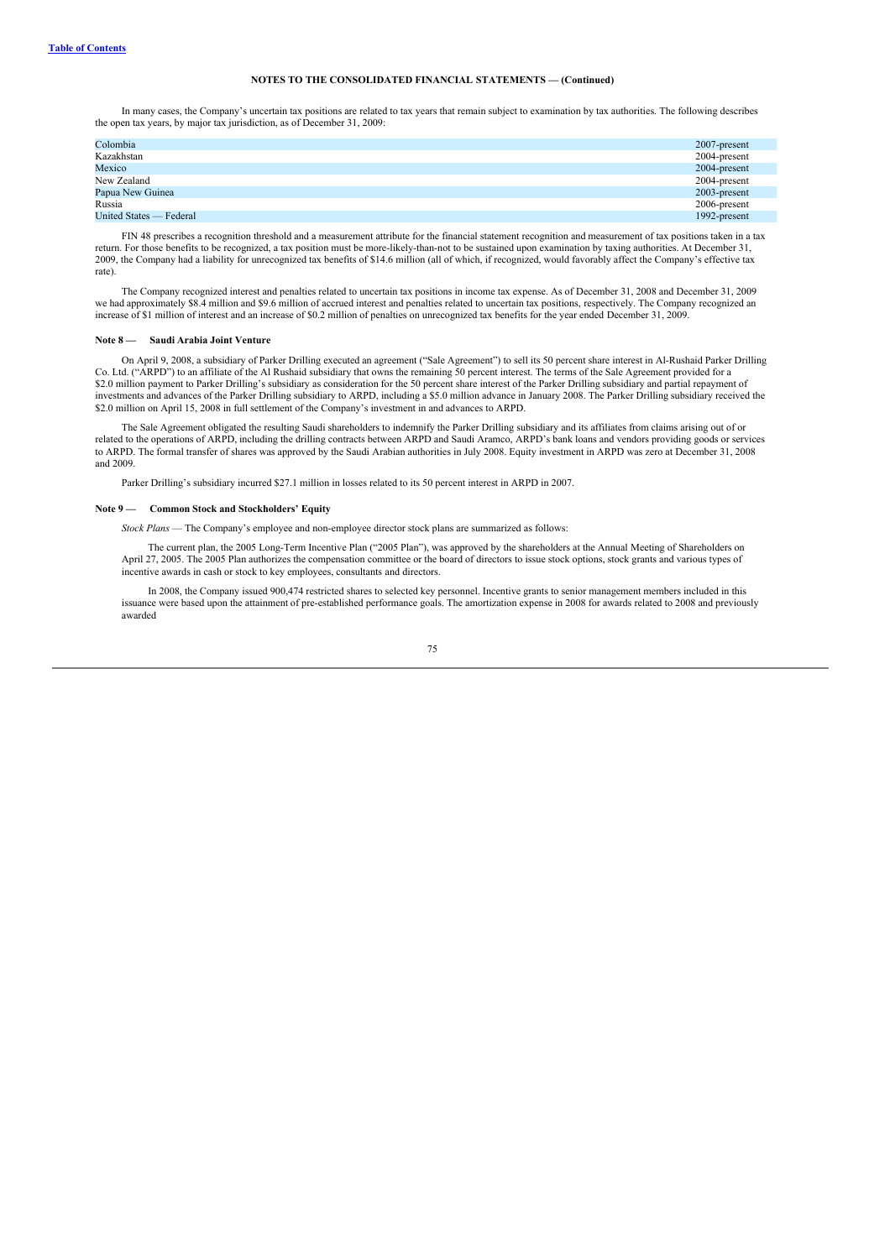In many cases, the Company's uncertain tax positions are related to tax years that remain subject to examination by tax authorities. The following describes the open tax years, by major tax jurisdiction, as of December 31, 2009:

| Colombia                | $2007$ -present |
|-------------------------|-----------------|
| Kazakhstan              | $2004$ -present |
| Mexico                  | 2004-present    |
| New Zealand             | $2004$ -present |
| Papua New Guinea        | $2003$ -present |
| Russia                  | $2006$ -present |
| United States — Federal | 1992-present    |
|                         |                 |

FIN 48 prescribes a recognition threshold and a measurement attribute for the financial statement recognition and measurement of tax positions taken in a tax return. For those benefits to be recognized, a tax position must be more-likely-than-not to be sustained upon examination by taxing authorities. At December 31, 2009, the Company had a liability for unrecognized tax benefits of \$14.6 million (all of which, if recognized, would favorably affect the Company's effective tax rate).

The Company recognized interest and penalties related to uncertain tax positions in income tax expense. As of December 31, 2008 and December 31, 2009 we had approximately \$8.4 million and \$9.6 million of accrued interest and penalties related to uncertain tax positions, respectively. The Company recognized an increase of \$1 million of interest and an increase of \$0.2 million of penalties on unrecognized tax benefits for the year ended December 31, 2009.

#### **Note 8 — Saudi Arabia Joint Venture**

On April 9, 2008, a subsidiary of Parker Drilling executed an agreement ("Sale Agreement") to sell its 50 percent share interest in Al-Rushaid Parker Drilling Co. Ltd. ("ARPD") to an affiliate of the Al Rushaid subsidiary that owns the remaining 50 percent interest. The terms of the Sale Agreement provided for a \$2.0 million payment to Parker Drilling's subsidiary as consideration for the 50 percent share interest of the Parker Drilling subsidiary and partial repayment of investments and advances of the Parker Drilling subsidiary to ARPD, including a \$5.0 million advance in January 2008. The Parker Drilling subsidiary received the \$2.0 million on April 15, 2008 in full settlement of the Company's investment in and advances to ARPD.

The Sale Agreement obligated the resulting Saudi shareholders to indemnify the Parker Drilling subsidiary and its affiliates from claims arising out of or related to the operations of ARPD, including the drilling contracts between ARPD and Saudi Aramco, ARPD's bank loans and vendors providing goods or services to ARPD. The formal transfer of shares was approved by the Saudi Arabian authorities in July 2008. Equity investment in ARPD was zero at December 31, 2008 and 2009.

Parker Drilling's subsidiary incurred \$27.1 million in losses related to its 50 percent interest in ARPD in 2007.

#### **Note 9 — Common Stock and Stockholders' Equity**

*Stock Plans* — The Company's employee and non-employee director stock plans are summarized as follows:

The current plan, the 2005 Long-Term Incentive Plan ("2005 Plan"), was approved by the shareholders at the Annual Meeting of Shareholders on April 27, 2005. The 2005 Plan authorizes the compensation committee or the board incentive awards in cash or stock to key employees, consultants and directors.

In 2008, the Company issued 900,474 restricted shares to selected key personnel. Incentive grants to senior management members included in this issuance were based upon the attainment of pre-established performance goals. The amortization expense in 2008 for awards related to 2008 and previously awarded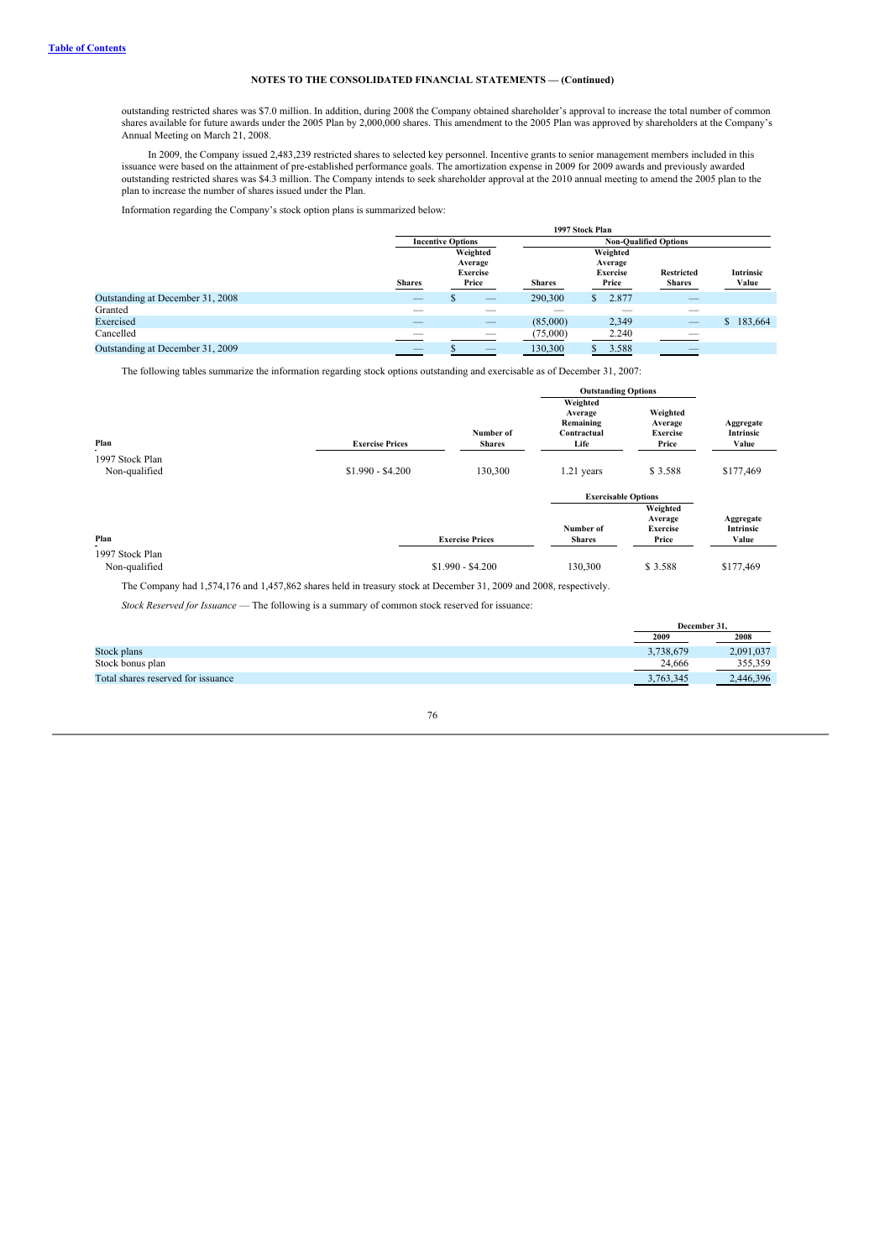outstanding restricted shares was \$7.0 million. In addition, during 2008 the Company obtained shareholder's approval to increase the total number of common shares available for future awards under the 2005 Plan by 2,000,000 shares. This amendment to the 2005 Plan was approved by shareholders at the Company's Annual Meeting on March 21, 2008.

In 2009, the Company issued 2,483,239 restricted shares to selected key personnel. Incentive grants to senior management members included in this issuance were based on the attainment of pre-established performance goals. The amortization expense in 2009 for 2009 awards and previously awarded<br>outstanding restricted shares was \$4.3 million. The Company intends to see plan to increase the number of shares issued under the Plan.

Information regarding the Company's stock option plans is summarized below:

|                                  |               |                                                 |                                           |               | 1997 Stock Plan                                 |       |                                    |                    |
|----------------------------------|---------------|-------------------------------------------------|-------------------------------------------|---------------|-------------------------------------------------|-------|------------------------------------|--------------------|
|                                  |               | <b>Incentive Options</b>                        |                                           |               |                                                 |       | <b>Non-Qualified Options</b>       |                    |
|                                  | <b>Shares</b> | Weighted<br>Average<br><b>Exercise</b><br>Price |                                           | <b>Shares</b> | Weighted<br>Average<br><b>Exercise</b><br>Price |       | <b>Restricted</b><br><b>Shares</b> | Intrinsic<br>Value |
| Outstanding at December 31, 2008 | _             |                                                 |                                           | 290,300       | S.                                              | 2.877 |                                    |                    |
| Granted                          |               |                                                 |                                           |               |                                                 |       |                                    |                    |
| Exercised                        | __            |                                                 | $\qquad \qquad \overline{\qquad \qquad }$ | (85,000)      |                                                 | 2,349 |                                    | 183,664<br>S       |
| Cancelled                        |               |                                                 |                                           | (75,000)      |                                                 | 2.240 |                                    |                    |
| Outstanding at December 31, 2009 |               |                                                 |                                           | 130,300       |                                                 | 3.588 |                                    |                    |
|                                  |               |                                                 |                                           |               |                                                 |       |                                    |                    |

The following tables summarize the information regarding stock options outstanding and exercisable as of December 31, 2007:

|                                  |                        |                            | <b>Outstanding Options</b>                              |                                                 |                                 |  |  |  |  |
|----------------------------------|------------------------|----------------------------|---------------------------------------------------------|-------------------------------------------------|---------------------------------|--|--|--|--|
| Plan                             | <b>Exercise Prices</b> | Number of<br><b>Shares</b> | Weighted<br>Average<br>Remaining<br>Contractual<br>Life | Weighted<br>Average<br>Exercise<br>Price        | Aggregate<br>Intrinsic<br>Value |  |  |  |  |
| 1997 Stock Plan<br>Non-qualified | $$1.990 - $4.200$      | 130,300                    | $1.21$ years                                            | \$3.588                                         | \$177,469                       |  |  |  |  |
|                                  |                        |                            | <b>Exercisable Options</b>                              |                                                 |                                 |  |  |  |  |
| Plan<br>-                        |                        | <b>Exercise Prices</b>     | Number of<br><b>Shares</b>                              | Weighted<br>Average<br><b>Exercise</b><br>Price | Aggregate<br>Intrinsic<br>Value |  |  |  |  |
| 1997 Stock Plan<br>Non-qualified |                        | $$1.990 - $4.200$          | 130,300                                                 | \$3.588                                         | \$177,469                       |  |  |  |  |

The Company had 1,574,176 and 1,457,862 shares held in treasury stock at December 31, 2009 and 2008, respectively.

*Stock Reserved for Issuance* — The following is a summary of common stock reserved for issuance:

|                                    |           | December 31. |
|------------------------------------|-----------|--------------|
|                                    | 2009      | 2008         |
| Stock plans                        | 3.738.679 | 2.091.037    |
| Stock bonus plan                   | 24.666    | 355,359      |
| Total shares reserved for issuance | 3,763,345 | 2.446.396    |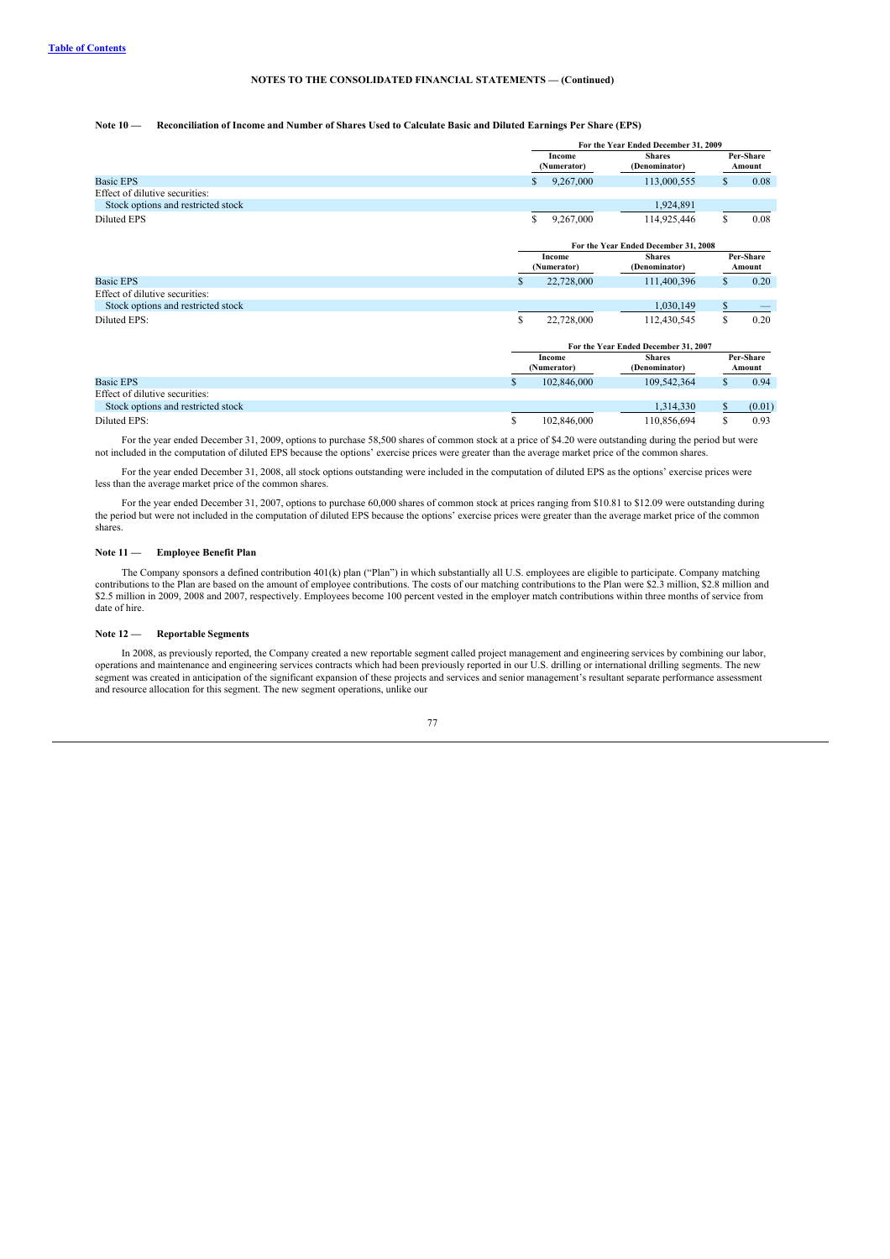### Note 10 - Reconciliation of Income and Number of Shares Used to Calculate Basic and Diluted Earnings Per Share (EPS)

|                                    |    | For the Year Ended December 31, 2009 |                                      |    |                     |  |  |  |
|------------------------------------|----|--------------------------------------|--------------------------------------|----|---------------------|--|--|--|
|                                    |    | Income<br>(Numerator)                | <b>Shares</b><br>(Denominator)       |    | Per-Share<br>Amount |  |  |  |
| <b>Basic EPS</b>                   |    | 9,267,000<br>\$                      | 113,000,555                          | S. | 0.08                |  |  |  |
| Effect of dilutive securities:     |    |                                      |                                      |    |                     |  |  |  |
| Stock options and restricted stock |    |                                      | 1,924,891                            |    |                     |  |  |  |
| Diluted EPS                        |    | \$<br>9,267,000                      | 114,925,446                          | S. | 0.08                |  |  |  |
|                                    |    |                                      | For the Year Ended December 31, 2008 |    |                     |  |  |  |
|                                    |    | Income                               | <b>Shares</b>                        |    | Per-Share           |  |  |  |
|                                    |    | (Numerator)                          | (Denominator)                        |    | Amount              |  |  |  |
| <b>Basic EPS</b>                   | \$ | 22,728,000                           | 111,400,396                          | s  | 0.20                |  |  |  |
| Effect of dilutive securities:     |    |                                      |                                      |    |                     |  |  |  |
| Stock options and restricted stock |    |                                      | 1,030,149                            |    |                     |  |  |  |
| Diluted EPS:                       | \$ | 22,728,000                           | 112,430,545                          | S  | 0.20                |  |  |  |
|                                    |    |                                      | For the Year Ended December 31, 2007 |    |                     |  |  |  |
|                                    |    | Income<br>(Numerator)                | <b>Shares</b><br>(Denominator)       |    | Per-Share<br>Amount |  |  |  |
| <b>Basic EPS</b>                   | \$ | 102,846,000                          | 109,542,364                          | \$ | 0.94                |  |  |  |
| Effect of dilutive securities:     |    |                                      |                                      |    |                     |  |  |  |
| Stock options and restricted stock |    |                                      | 1,314,330                            |    | (0.01)              |  |  |  |
| Diluted EPS:                       | S  | 102,846,000                          | 110,856,694                          | S  | 0.93                |  |  |  |

For the year ended December 31, 2009, options to purchase 58,500 shares of common stock at a price of \$4.20 were outstanding during the period but were not included in the computation of diluted EPS because the options' exercise prices were greater than the average market price of the common shares.

For the year ended December 31, 2008, all stock options outstanding were included in the computation of diluted EPS as the options' exercise prices were less than the average market price of the common shares.

For the year ended December 31, 2007, options to purchase 60,000 shares of common stock at prices ranging from \$10.81 to \$12.09 were outstanding during the period but were not included in the computation of diluted EPS because the options' exercise prices were greater than the average market price of the common shares.

#### **Note 11 — Employee Benefit Plan**

The Company sponsors a defined contribution 401(k) plan ("Plan") in which substantially all U.S. employees are eligible to participate. Company matching<br>contributions to the Plan are based on the amount of employee contrib \$2.5 million in 2009, 2008 and 2007, respectively. Employees become 100 percent vested in the employer match contributions within three months of service from date of hire.

### **Note 12 — Reportable Segments**

In 2008, as previously reported, the Company created a new reportable segment called project management and engineering services by combining our labor, operations and maintenance and engineering services contracts which had been previously reported in our U.S. drilling or international drilling segments. The new segment was created in anticipation of the significant expansion of these projects and services and senior management's resultant separate performance assessment and resource allocation for this segment. The new segment operations, unlike our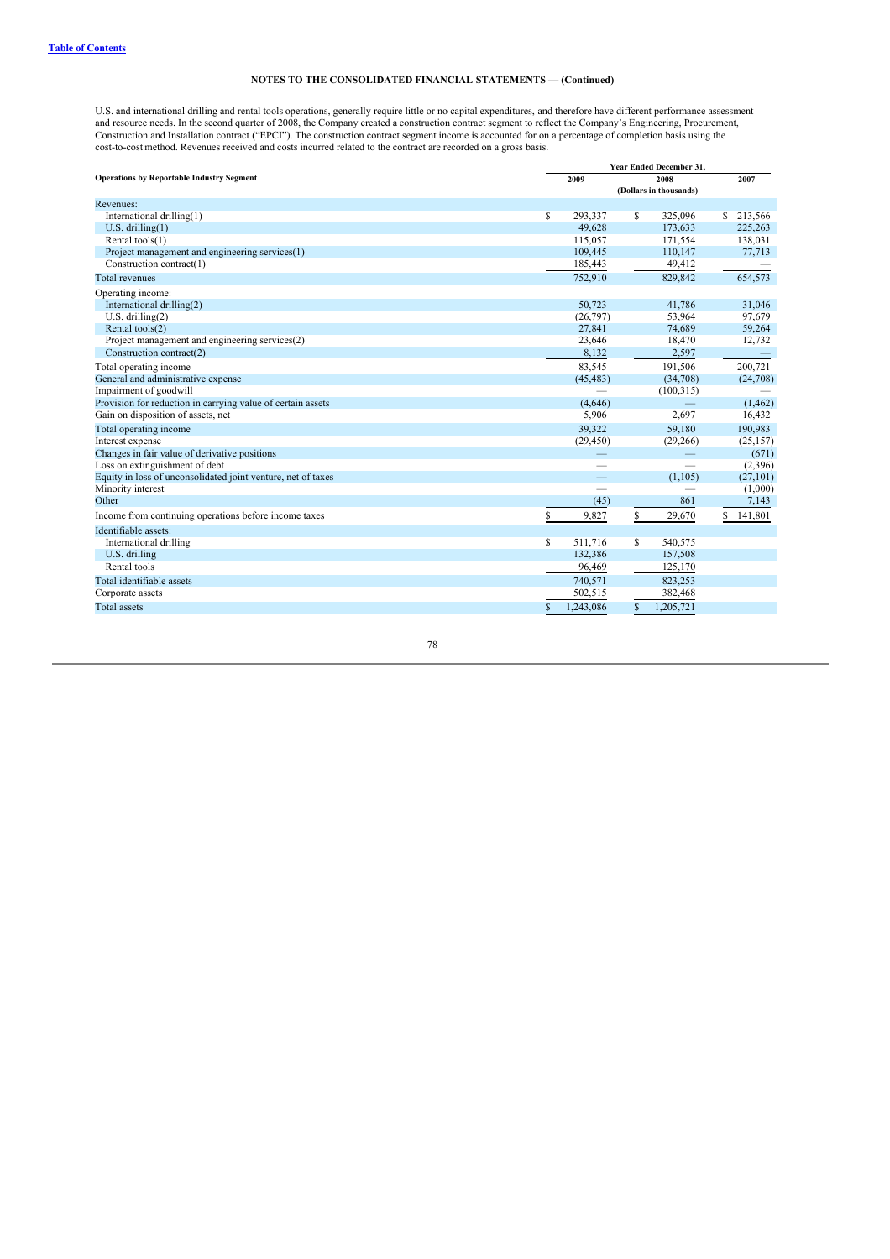U.S. and international drilling and rental tools operations, generally require little or no capital expenditures, and therefore have different performance assessment and resource needs. In the second quarter of 2008, the C

|                                                              | Year Ended December 31, |           |              |                        |    |           |  |  |  |
|--------------------------------------------------------------|-------------------------|-----------|--------------|------------------------|----|-----------|--|--|--|
| <b>Operations by Reportable Industry Segment</b>             |                         | 2009      | 2008         |                        |    | 2007      |  |  |  |
|                                                              |                         |           |              | (Dollars in thousands) |    |           |  |  |  |
| Revenues:                                                    |                         |           |              |                        |    |           |  |  |  |
| International drilling(1)                                    | S                       | 293,337   | \$           | 325,096                | S. | 213,566   |  |  |  |
| U.S. drilling $(1)$                                          |                         | 49.628    |              | 173.633                |    | 225,263   |  |  |  |
| Rental tools(1)                                              |                         | 115,057   |              | 171,554                |    | 138,031   |  |  |  |
| Project management and engineering services(1)               |                         | 109,445   |              | 110,147                |    | 77,713    |  |  |  |
| Construction contract(1)                                     |                         | 185,443   |              | 49,412                 |    |           |  |  |  |
| <b>Total revenues</b>                                        |                         | 752,910   |              | 829,842                |    | 654,573   |  |  |  |
| Operating income:                                            |                         |           |              |                        |    |           |  |  |  |
| International drilling $(2)$                                 |                         | 50,723    |              | 41,786                 |    | 31,046    |  |  |  |
| $U.S.$ drilling $(2)$                                        |                         | (26,797)  |              | 53,964                 |    | 97,679    |  |  |  |
| Rental tools $(2)$                                           |                         | 27,841    |              | 74.689                 |    | 59,264    |  |  |  |
| Project management and engineering services(2)               |                         | 23,646    |              | 18,470                 |    | 12,732    |  |  |  |
| Construction contract(2)                                     |                         | 8,132     |              | 2,597                  |    |           |  |  |  |
| Total operating income                                       |                         | 83,545    |              | 191,506                |    | 200,721   |  |  |  |
| General and administrative expense                           |                         | (45, 483) |              | (34,708)               |    | (24,708)  |  |  |  |
| Impairment of goodwill                                       |                         |           |              | (100, 315)             |    |           |  |  |  |
| Provision for reduction in carrying value of certain assets  |                         | (4,646)   |              |                        |    | (1, 462)  |  |  |  |
| Gain on disposition of assets, net                           |                         | 5,906     |              | 2,697                  |    | 16,432    |  |  |  |
| Total operating income                                       |                         | 39,322    |              | 59,180                 |    | 190,983   |  |  |  |
| Interest expense                                             |                         | (29, 450) |              | (29, 266)              |    | (25, 157) |  |  |  |
| Changes in fair value of derivative positions                |                         |           |              |                        |    | (671)     |  |  |  |
| Loss on extinguishment of debt                               |                         |           |              |                        |    | (2,396)   |  |  |  |
| Equity in loss of unconsolidated joint venture, net of taxes |                         |           |              | (1,105)                |    | (27, 101) |  |  |  |
| Minority interest                                            |                         |           |              |                        |    | (1,000)   |  |  |  |
| Other                                                        |                         | (45)      |              | 861                    |    | 7,143     |  |  |  |
| Income from continuing operations before income taxes        | S                       | 9,827     | s            | 29,670                 | s  | 141,801   |  |  |  |
| Identifiable assets:                                         |                         |           |              |                        |    |           |  |  |  |
| International drilling                                       | S                       | 511,716   | S            | 540,575                |    |           |  |  |  |
| U.S. drilling                                                |                         | 132,386   |              | 157,508                |    |           |  |  |  |
| Rental tools                                                 |                         | 96,469    |              | 125,170                |    |           |  |  |  |
| Total identifiable assets                                    |                         | 740,571   |              | 823,253                |    |           |  |  |  |
| Corporate assets                                             |                         | 502,515   |              | 382,468                |    |           |  |  |  |
| <b>Total assets</b>                                          | \$                      | 1,243,086 | $\mathbf{s}$ | 1,205,721              |    |           |  |  |  |
|                                                              |                         |           |              |                        |    |           |  |  |  |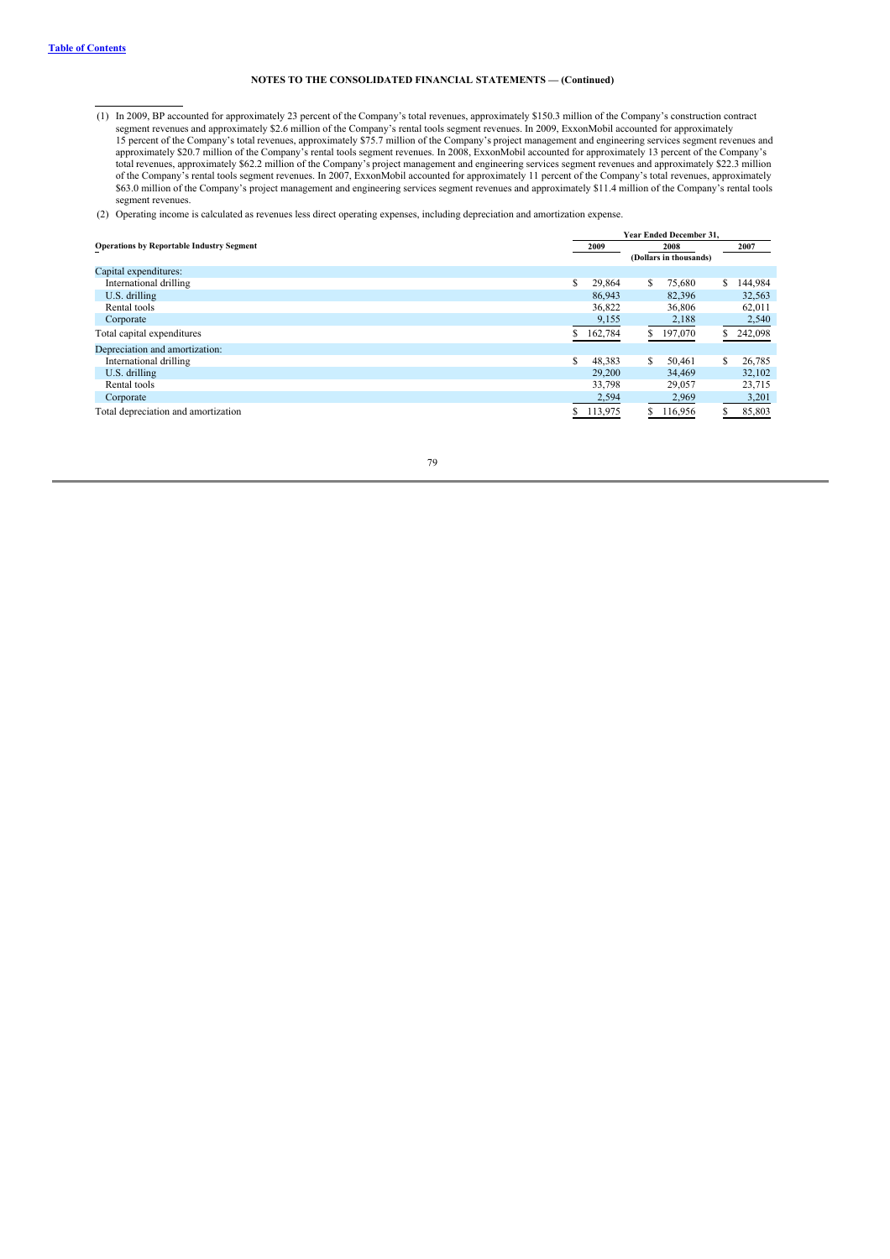(1) In 2009, BP accounted for approximately 23 percent of the Company's total revenues, approximately \$150.3 million of the Company's construction contract segment revenues and approximately \$2.6 million of the Company's rental tools segment revenues. In 2009, ExxonMobil accounted for approximately<br>15 percent of the Company's total revenues, approximately \$75.7 million of the \$63.0 million of the Company's project management and engineering services segment revenues and approximately \$11.4 million of the Company's rental tools segment revenues.

(2) Operating income is calculated as revenues less direct operating expenses, including depreciation and amortization expense.

|                                                  | Year Ended December 31, |         |      |                        |    |         |  |  |  |
|--------------------------------------------------|-------------------------|---------|------|------------------------|----|---------|--|--|--|
| <b>Operations by Reportable Industry Segment</b> |                         | 2009    | 2008 |                        |    | 2007    |  |  |  |
|                                                  |                         |         |      | (Dollars in thousands) |    |         |  |  |  |
| Capital expenditures:                            |                         |         |      |                        |    |         |  |  |  |
| International drilling                           | \$                      | 29,864  | S.   | 75,680                 | S. | 144,984 |  |  |  |
| U.S. drilling                                    |                         | 86,943  |      | 82,396                 |    | 32,563  |  |  |  |
| Rental tools                                     |                         | 36,822  |      | 36,806                 |    | 62,011  |  |  |  |
| Corporate                                        |                         | 9,155   |      | 2,188                  |    | 2,540   |  |  |  |
| Total capital expenditures                       | \$                      | 162,784 | S.   | 197,070                |    | 242,098 |  |  |  |
| Depreciation and amortization:                   |                         |         |      |                        |    |         |  |  |  |
| International drilling                           | \$                      | 48,383  | S.   | 50,461                 | \$ | 26,785  |  |  |  |
| U.S. drilling                                    |                         | 29,200  |      | 34,469                 |    | 32,102  |  |  |  |
| Rental tools                                     |                         | 33,798  |      | 29,057                 |    | 23,715  |  |  |  |
| Corporate                                        |                         | 2,594   |      | 2,969                  |    | 3,201   |  |  |  |
| Total depreciation and amortization              |                         | 113,975 |      | 116,956                |    | 85,803  |  |  |  |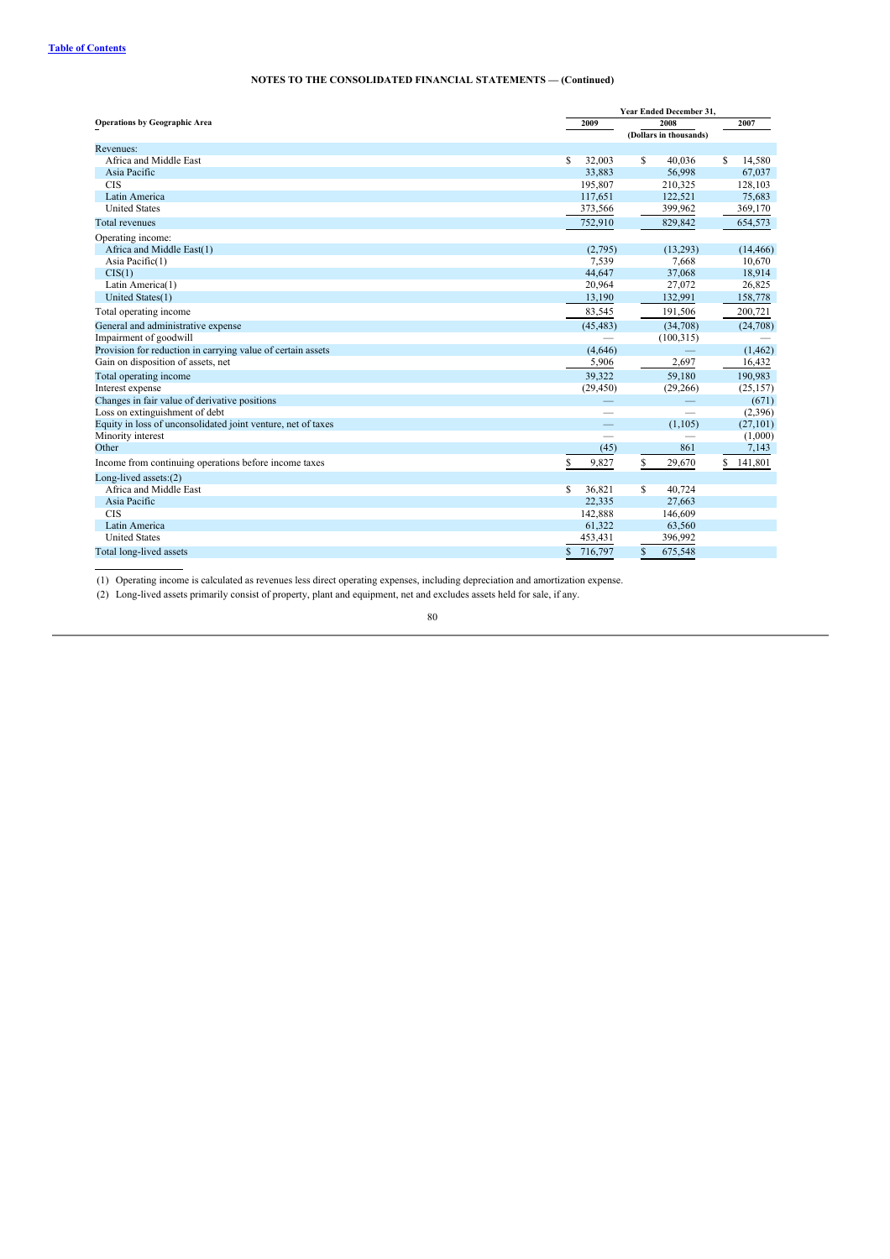|                                                              | Year Ended December 31, |                          |    |                        |      |           |  |
|--------------------------------------------------------------|-------------------------|--------------------------|----|------------------------|------|-----------|--|
| <b>Operations by Geographic Area</b>                         |                         | 2009                     |    | 2008                   | 2007 |           |  |
|                                                              |                         |                          |    | (Dollars in thousands) |      |           |  |
| Revenues:                                                    |                         |                          |    |                        |      |           |  |
| Africa and Middle East                                       | S                       | 32,003                   | \$ | 40.036                 | S.   | 14,580    |  |
| Asia Pacific                                                 |                         | 33,883                   |    | 56,998                 |      | 67,037    |  |
| <b>CIS</b>                                                   |                         | 195,807                  |    | 210,325                |      | 128,103   |  |
| Latin America                                                |                         | 117,651                  |    | 122,521                |      | 75,683    |  |
| <b>United States</b>                                         |                         | 373,566                  |    | 399,962                |      | 369,170   |  |
| <b>Total revenues</b>                                        |                         | 752,910                  |    | 829,842                |      | 654,573   |  |
| Operating income:                                            |                         |                          |    |                        |      |           |  |
| Africa and Middle East(1)                                    |                         | (2,795)                  |    | (13,293)               |      | (14, 466) |  |
| Asia Pacific(1)                                              |                         | 7,539                    |    | 7,668                  |      | 10,670    |  |
| CIS(1)                                                       |                         | 44,647                   |    | 37,068                 |      | 18,914    |  |
| Latin America(1)                                             |                         | 20,964                   |    | 27,072                 |      | 26,825    |  |
| United States(1)                                             |                         | 13,190                   |    | 132,991                |      | 158,778   |  |
| Total operating income                                       |                         | 83,545                   |    | 191,506                |      | 200,721   |  |
| General and administrative expense                           |                         | (45, 483)                |    | (34,708)               |      | (24,708)  |  |
| Impairment of goodwill                                       |                         |                          |    | (100,315)              |      |           |  |
| Provision for reduction in carrying value of certain assets  |                         | (4,646)                  |    |                        |      | (1, 462)  |  |
| Gain on disposition of assets, net                           |                         | 5,906                    |    | 2,697                  |      | 16,432    |  |
| Total operating income                                       |                         | 39,322                   |    | 59,180                 |      | 190,983   |  |
| Interest expense                                             |                         | (29, 450)                |    | (29, 266)              |      | (25, 157) |  |
| Changes in fair value of derivative positions                |                         |                          |    |                        |      | (671)     |  |
| Loss on extinguishment of debt                               |                         |                          |    |                        |      | (2,396)   |  |
| Equity in loss of unconsolidated joint venture, net of taxes |                         |                          |    | (1,105)                |      | (27, 101) |  |
| Minority interest                                            |                         | $\overline{\phantom{0}}$ |    |                        |      | (1,000)   |  |
| Other                                                        |                         | (45)                     |    | 861                    |      | 7,143     |  |
| Income from continuing operations before income taxes        |                         | 9,827                    | S  | 29,670                 | S    | 141,801   |  |
| Long-lived assets: $(2)$                                     |                         |                          |    |                        |      |           |  |
| Africa and Middle East                                       | \$                      | 36,821                   | S  | 40,724                 |      |           |  |
| Asia Pacific                                                 |                         | 22,335                   |    | 27,663                 |      |           |  |
| <b>CIS</b>                                                   |                         | 142,888                  |    | 146,609                |      |           |  |
| Latin America                                                |                         | 61,322                   |    | 63,560                 |      |           |  |
| <b>United States</b>                                         |                         | 453,431                  |    | 396,992                |      |           |  |
| Total long-lived assets                                      | \$                      | 716,797                  | \$ | 675,548                |      |           |  |

(1) Operating income is calculated as revenues less direct operating expenses, including depreciation and amortization expense.

(2) Long-lived assets primarily consist of property, plant and equipment, net and excludes assets held for sale, if any.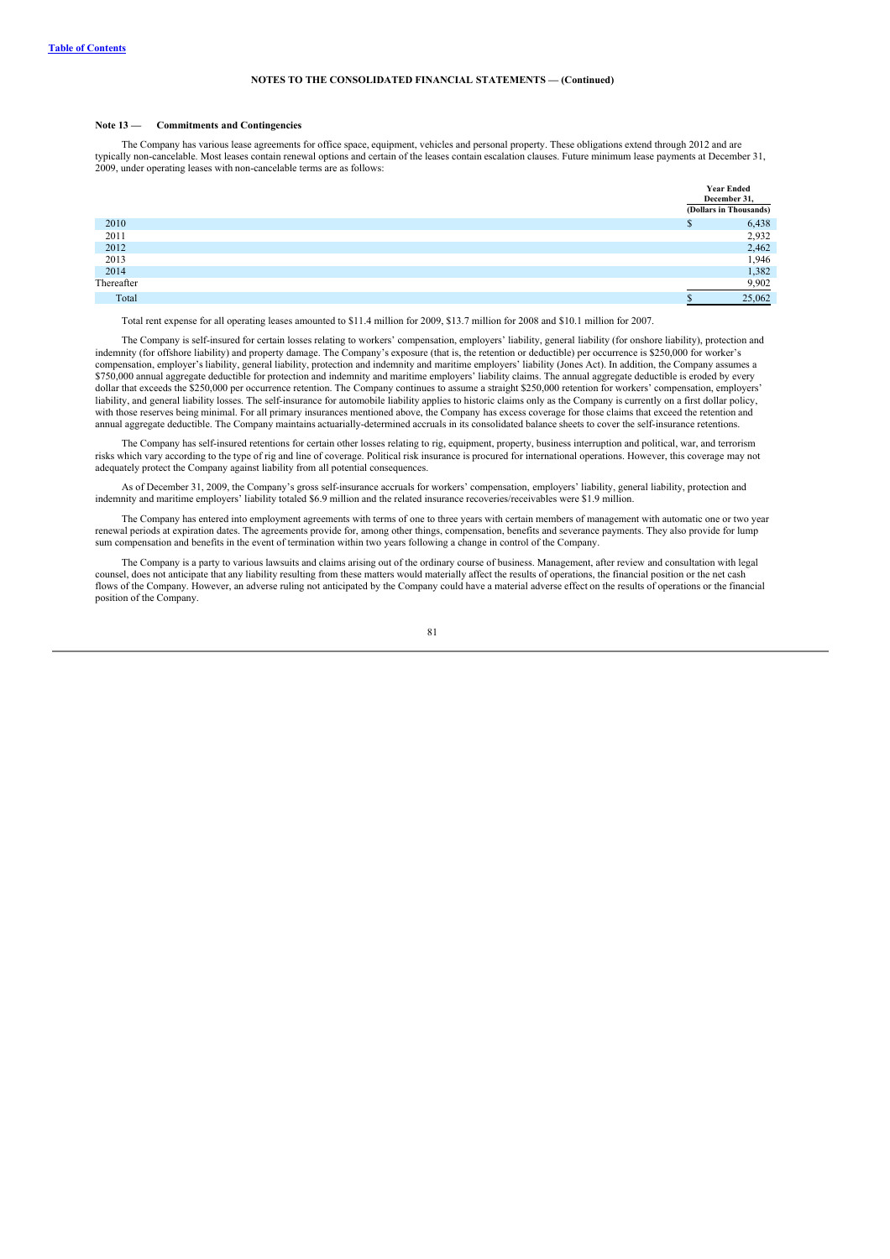#### **Note 13 — Commitments and Contingencies**

The Company has various lease agreements for office space, equipment, vehicles and personal property. These obligations extend through 2012 and are typically non-cancelable. Most leases contain renewal options and certain of the leases contain escalation clauses. Future minimum lease payments at December 31, 2009, under operating leases with non-cancelable terms are as follows:

|            |         | <b>Year Ended</b>      |
|------------|---------|------------------------|
|            |         | December 31,           |
|            |         | (Dollars in Thousands) |
| 2010       | ¢<br>ΨD | 6,438                  |
| 2011       |         | 2,932                  |
| 2012       |         | 2,462                  |
| 2013       |         | 1,946                  |
| 2014       |         | 1,382                  |
| Thereafter |         | 9,902                  |
| Total      |         | 25,062                 |

Total rent expense for all operating leases amounted to \$11.4 million for 2009, \$13.7 million for 2008 and \$10.1 million for 2007.

The Company is self-insured for certain losses relating to workers' compensation, employers' liability, general liability (for onshore liability), protection and indemnity (for offshore liability) and property damage. The Company's exposure (that is, the retention or deductible) per occurrence is \$250,000 for worker's compensation, employer's liability, general liability, protection and indemnity and maritime employers' liability (Jones Act). In addition, the Company assumes a \$750,000 annual aggregate deductible for protection and indemnity and maritime employers' liability claims. The annual aggregate deductible is eroded by every dollar that exceeds the \$250,000 per occurrence retention. The Company continues to assume a straight \$250,000 retention for workers' compensation, employers' liability, and general liability losses. The self-insurance for automobile liability applies to historic claims only as the Company is currently on a first dollar policy, with those reserves being minimal. For all primary insurances mentioned above, the Company has excess coverage for those claims that exceed the retention and annual aggregate deductible. The Company maintains actuarially-determined accruals in its consolidated balance sheets to cover the self-insurance retentions.

The Company has self-insured retentions for certain other losses relating to rig, equipment, property, business interruption and political, war, and terrorism risks which vary according to the type of rig and line of coverage. Political risk insurance is procured for international operations. However, this coverage may not adequately protect the Company against liability from all potential consequences.

As of December 31, 2009, the Company's gross self-insurance accruals for workers' compensation, employers' liability, general liability, protection and indemnity and maritime employers' liability totaled \$6.9 million and the related insurance recoveries/receivables were \$1.9 million.

The Company has entered into employment agreements with terms of one to three years with certain members of management with automatic one or two year renewal periods at expiration dates. The agreements provide for, among other things, compensation, benefits and severance payments. They also provide for lump sum compensation and benefits in the event of termination within two years following a change in control of the Company.

The Company is a party to various lawsuits and claims arising out of the ordinary course of business. Management, after review and consultation with legal counsel, does not anticipate that any liability resulting from these matters would materially affect the results of operations, the financial position or the net cash flows of the Company. However, an adverse ruling not anticipated by the Company could have a material adverse effect on the results of operations or the financial position of the Company.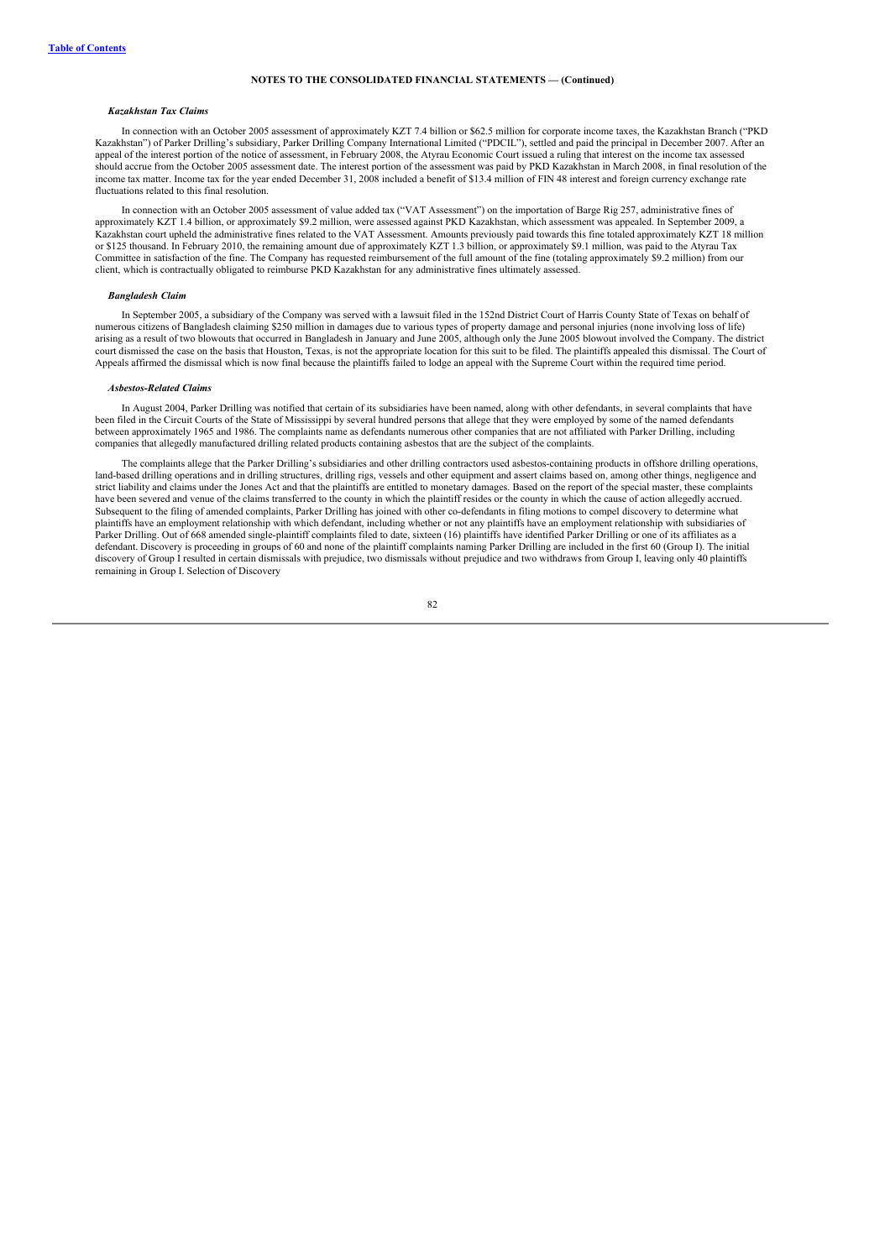#### *Kazakhstan Tax Claims*

In connection with an October 2005 assessment of approximately KZT 7.4 billion or \$62.5 million for corporate income taxes, the Kazakhstan Branch ("PKD Kazakhstan") of Parker Drilling's subsidiary, Parker Drilling Company International Limited ("PDCIL"), settled and paid the principal in December 2007. After an appeal of the interest portion of the notice of assessment, in February 2008, the Atyrau Economic Court issued a ruling that interest on the income tax assessed should accrue from the October 2005 assessment date. The interest portion of the assessment was paid by PKD Kazakhstan in March 2008, in final resolution of the income tax matter. Income tax for the year ended December 31, 2008 included a benefit of \$13.4 million of FIN 48 interest and foreign currency exchange rate fluctuations related to this final resolution.

In connection with an October 2005 assessment of value added tax ("VAT Assessment") on the importation of Barge Rig 257, administrative fines of approximately KZT 1.4 billion, or approximately \$9.2 million, were assessed against PKD Kazakhstan, which assessment was appealed. In September 2009, a Kazakhstan court upheld the administrative fines related to the VAT Assessment. Amounts previously paid towards this fine totaled approximately KZT 18 million or \$125 thousand. In February 2010, the remaining amount due of approximately KZT 1.3 billion, or approximately \$9.1 million, was paid to the Atyrau Tax Committee in satisfaction of the fine. The Company has requested reimbursement of the full amount of the fine (totaling approximately \$9.2 million) from our client, which is contractually obligated to reimburse PKD Kazakhstan for any administrative fines ultimately assessed.

#### *Bangladesh Claim*

In September 2005, a subsidiary of the Company was served with a lawsuit filed in the 152nd District Court of Harris County State of Texas on behalf of numerous citizens of Bangladesh claiming \$250 million in damages due to various types of property damage and personal injuries (none involving loss of life) arising as a result of two blowouts that occurred in Bangladesh in January and June 2005, although only the June 2005 blowout involved the Company. The district court dismissed the case on the basis that Houston, Texas, is not the appropriate location for this suit to be filed. The plaintiffs appealed this dismissal. The Court of Appeals affirmed the dismissal which is now final because the plaintiffs failed to lodge an appeal with the Supreme Court within the required time period.

#### *Asbestos-Related Claims*

In August 2004, Parker Drilling was notified that certain of its subsidiaries have been named, along with other defendants, in several complaints that have been filed in the Circuit Courts of the State of Mississippi by several hundred persons that allege that they were employed by some of the named defendants between approximately 1965 and 1986. The complaints name as defendants numerous other companies that are not affiliated with Parker Drilling, including companies that allegedly manufactured drilling related products containing asbestos that are the subject of the complaints.

The complaints allege that the Parker Drilling's subsidiaries and other drilling contractors used asbestos-containing products in offshore drilling operations, land-based drilling operations and in drilling structures, drilling rigs, vessels and other equipment and assert claims based on, among other things, negligence and strict liability and claims under the Jones Act and that the plaintiffs are entitled to monetary damages. Based on the report of the special master, these complaints have been severed and venue of the claims transferred to the county in which the plaintiff resides or the county in which the cause of action allegedly accrued. Subsequent to the filing of amended complaints, Parker Drilling has joined with other co-defendants in filing motions to compel discovery to determine what plaintiffs have an employment relationship with which defendant, including whether or not any plaintiffs have an employment relationship with subsidiaries of<br>Parker Drilling. Out of 668 amended single-plaintiff complaints defendant. Discovery is proceeding in groups of 60 and none of the plaintiff complaints naming Parker Drilling are included in the first 60 (Group I). The initial discovery of Group I resulted in certain dismissals with prejudice, two dismissals without prejudice and two withdraws from Group I, leaving only 40 plaintiffs remaining in Group I. Selection of Discovery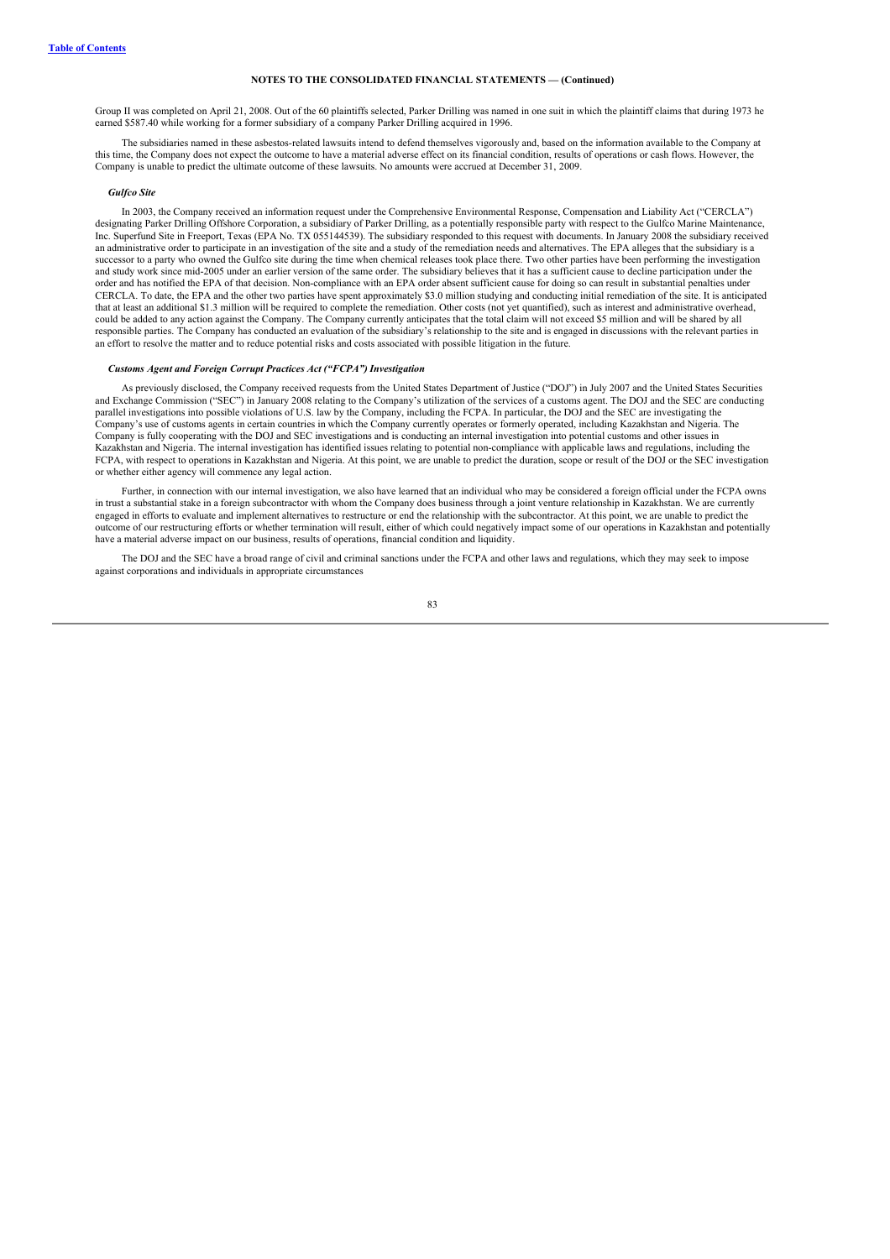Group II was completed on April 21, 2008. Out of the 60 plaintiffs selected, Parker Drilling was named in one suit in which the plaintiff claims that during 1973 he earned \$587.40 while working for a former subsidiary of a company Parker Drilling acquired in 1996.

The subsidiaries named in these asbestos-related lawsuits intend to defend themselves vigorously and, based on the information available to the Company at this time, the Company does not expect the outcome to have a material adverse effect on its financial condition, results of operations or cash flows. However, the Company is unable to predict the ultimate outcome of these lawsuits. No amounts were accrued at December 31, 2009.

#### *Gulfco Site*

In 2003, the Company received an information request under the Comprehensive Environmental Response, Compensation and Liability Act ("CERCLA") designating Parker Drilling Offshore Corporation, a subsidiary of Parker Drilling, as a potentially responsible party with respect to the Gulfco Marine Maintenance, Inc. Superfund Site in Freeport, Texas (EPA No. TX 055144539). The subsidiary responded to this request with documents. In January 2008 the subsidiary received an administrative order to participate in an investigation of the site and a study of the remediation needs and alternatives. The EPA alleges that the subsidiary is a successor to a party who owned the Gulfco site during the time when chemical releases took place there. Two other parties have been performing the investigation and study work since mid-2005 under an earlier version of the same order. The subsidiary believes that it has a sufficient cause to decline participation under the order and has notified the EPA of that decision. Non-compliance with an EPA order absent sufficient cause for doing so can result in substantial penalties under CERCLA. To date, the EPA and the other two parties have spent approximately \$3.0 million studying and conducting initial remediation of the site. It is anticipated<br>that at least an additional \$1.3 million will be required could be added to any action against the Company. The Company currently anticipates that the total claim will not exceed \$5 million and will be shared by all responsible parties. The Company has conducted an evaluation of the subsidiary's relationship to the site and is engaged in discussions with the relevant parties in an effort to resolve the matter and to reduce potential risks and costs associated with possible litigation in the future.

### *Customs Agent and Foreign Corrupt Practices Act ("FCPA") Investigation*

As previously disclosed, the Company received requests from the United States Department of Justice ("DOJ") in July 2007 and the United States Securities and Exchange Commission ("SEC") in January 2008 relating to the Company's utilization of the services of a customs agent. The DOJ and the SEC are conducting parallel investigations into possible violations of U.S. law by the Company, including the FCPA. In particular, the DOJ and the SEC are investigating the Company's use of customs agents in certain countries in which the Co Company is fully cooperating with the DOJ and SEC investigations and is conducting an internal investigation into potential customs and other issues in Kazakhstan and Nigeria. The internal investigation has identified issues relating to potential non-compliance with applicable laws and regulations, including the FCPA, with respect to operations in Kazakhstan and Nigeria. At this point, we are unable to predict the duration, scope or result of the DOJ or the SEC investigation or whether either agency will commence any legal action.

Further, in connection with our internal investigation, we also have learned that an individual who may be considered a foreign official under the FCPA owns in trust a substantial stake in a foreign subcontractor with whom the Company does business through a joint venture relationship in Kazakhstan. We are currently engaged in efforts to evaluate and implement alternatives to restructure or end the relationship with the subcontractor. At this point, we are unable to predict the outcome of our restructuring efforts or whether termination will result, either of which could negatively impact some of our operations in Kazakhstan and potentially have a material adverse impact on our business, results of operations, financial condition and liquidity.

The DOJ and the SEC have a broad range of civil and criminal sanctions under the FCPA and other laws and regulations, which they may seek to impose against corporations and individuals in appropriate circumstances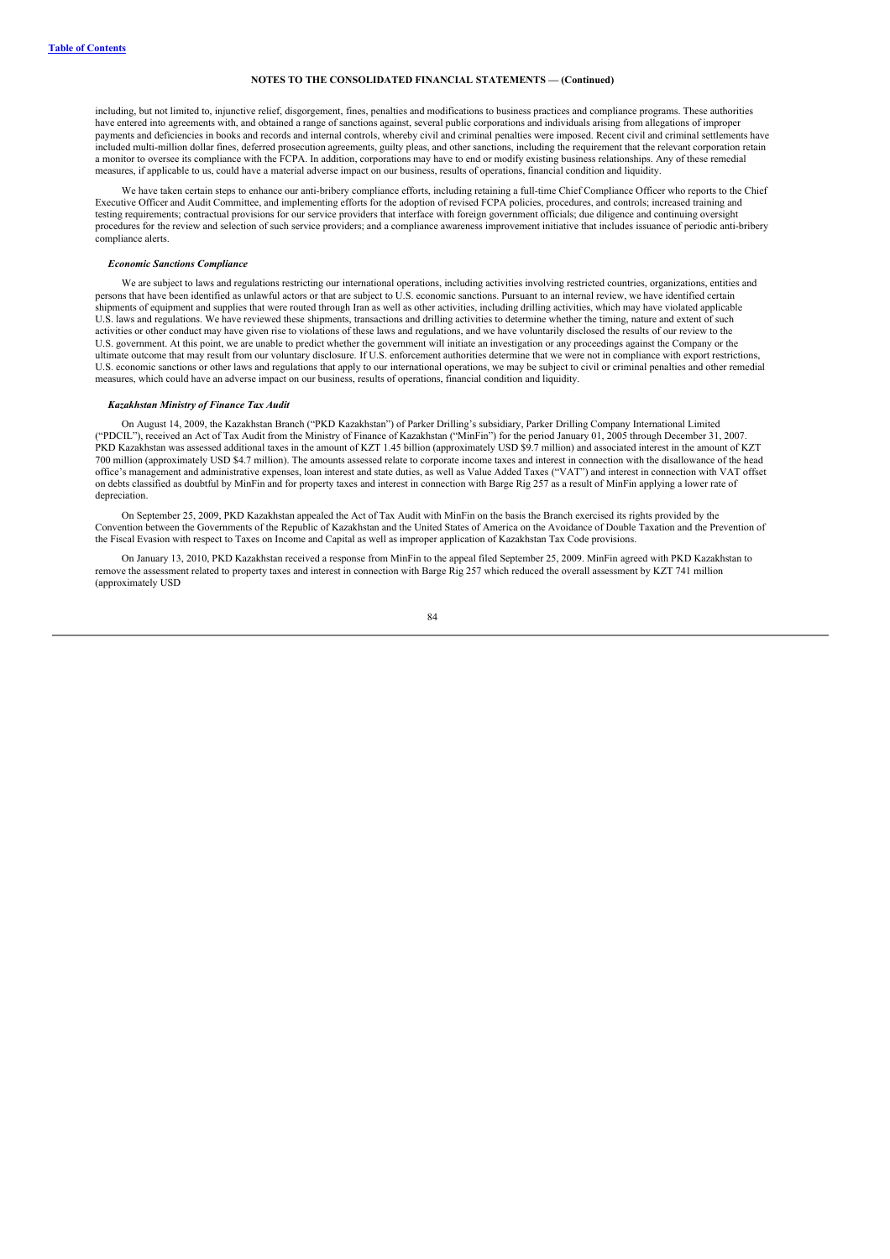including, but not limited to, injunctive relief, disgorgement, fines, penalties and modifications to business practices and compliance programs. These authorities have entered into agreements with, and obtained a range of sanctions against, several public corporations and individuals arising from allegations of improper payments and deficiencies in books and records and internal controls, whereby civil and criminal penalties were imposed. Recent civil and criminal settlements have<br>included multi-million dollar fines, deferred prosecution a monitor to oversee its compliance with the FCPA. In addition, corporations may have to end or modify existing business relationships. Any of these remedial measures, if applicable to us, could have a material adverse impact on our business, results of operations, financial condition and liquidity.

We have taken certain steps to enhance our anti-bribery compliance efforts, including retaining a full-time Chief Compliance Officer who reports to the Chief Executive Officer and Audit Committee, and implementing efforts for the adoption of revised FCPA policies, procedures, and controls; increased training and testing requirements; contractual provisions for our service providers that interface with foreign government officials; due diligence and continuing oversight procedures for the review and selection of such service providers; and a compliance awareness improvement initiative that includes issuance of periodic anti-bribery compliance alerts.

#### *Economic Sanctions Compliance*

We are subject to laws and regulations restricting our international operations, including activities involving restricted countries, organizations, entities and persons that have been identified as unlawful actors or that are subject to U.S. economic sanctions. Pursuant to an internal review, we have identified certain shipments of equipment and supplies that were routed through Iran as well as other activities, including drilling activities, which may have violated applicable U.S. laws and regulations. We have reviewed these shipments, transactions and drilling activities to determine whether the timing, nature and extent of such activities or other conduct may have given rise to violations of these laws and regulations, and we have voluntarily disclosed the results of our review to the U.S. government. At this point, we are unable to predict whether the government will initiate an investigation or any proceedings against the Company or the ultimate outcome that may result from our voluntary disclosure. If U.S. enforcement authorities determine that we were not in compliance with export restrictions, U.S. economic sanctions or other laws and regulations that apply to our international operations, we may be subject to civil or criminal penalties and other remedial measures, which could have an adverse impact on our business, results of operations, financial condition and liquidity.

#### *Kazakhstan Ministry of Finance Tax Audit*

On August 14, 2009, the Kazakhstan Branch ("PKD Kazakhstan") of Parker Drilling's subsidiary, Parker Drilling Company International Limited ("PDCIL"), received an Act of Tax Audit from the Ministry of Finance of Kazakhstan ("MinFin") for the period January 01, 2005 through December 31, 2007. PKD Kazakhstan was assessed additional taxes in the amount of KZT 1.45 billion (approximately USD \$9.7 million) and associated interest in the amount of KZT 700 million (approximately USD \$4.7 million). The amounts assessed relate to corporate income taxes and interest in connection with the disallowance of the head office's management and administrative expenses, loan interest and state duties, as well as Value Added Taxes ("VAT") and interest in connection with VAT offset on debts classified as doubtful by MinFin and for property taxes and interest in connection with Barge Rig 257 as a result of MinFin applying a lower rate of depreciation.

On September 25, 2009, PKD Kazakhstan appealed the Act of Tax Audit with MinFin on the basis the Branch exercised its rights provided by the Convention between the Governments of the Republic of Kazakhstan and the United States of America on the Avoidance of Double Taxation and the Prevention of the Fiscal Evasion with respect to Taxes on Income and Capital as well as improper application of Kazakhstan Tax Code provisions.

On January 13, 2010, PKD Kazakhstan received a response from MinFin to the appeal filed September 25, 2009. MinFin agreed with PKD Kazakhstan to remove the assessment related to property taxes and interest in connection with Barge Rig 257 which reduced the overall assessment by KZT 741 million (approximately USD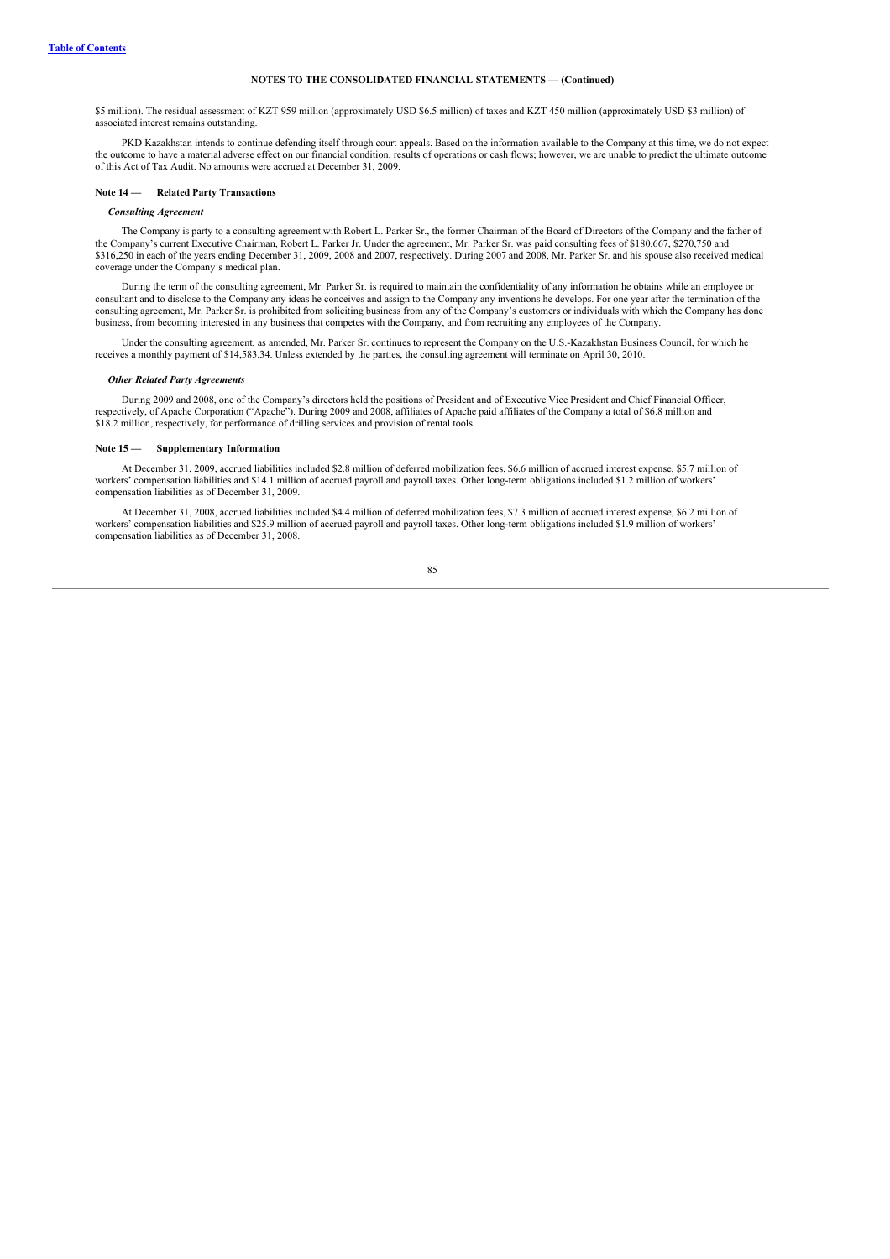\$5 million). The residual assessment of KZT 959 million (approximately USD \$6.5 million) of taxes and KZT 450 million (approximately USD \$3 million) of associated interest remains outstanding.

PKD Kazakhstan intends to continue defending itself through court appeals. Based on the information available to the Company at this time, we do not expect the outcome to have a material adverse effect on our financial condition, results of operations or cash flows; however, we are unable to predict the ultimate outcome of this Act of Tax Audit. No amounts were accrued at December 31, 2009.

#### **Note 14 — Related Party Transactions**

#### *Consulting Agreement*

The Company is party to a consulting agreement with Robert L. Parker Sr., the former Chairman of the Board of Directors of the Company and the father of the Company's current Executive Chairman, Robert L. Parker Jr. Under the agreement, Mr. Parker Sr. was paid consulting fees of \$180,667, \$270,750 and \$316,250 in each of the years ending December 31, 2009, 2008 and 2007, respectively. During 2007 and 2008, Mr. Parker Sr. and his spouse also received medical coverage under the Company's medical plan.

During the term of the consulting agreement, Mr. Parker Sr. is required to maintain the confidentiality of any information he obtains while an employee or consultant and to disclose to the Company any ideas he conceives and assign to the Company any inventions he develops. For one year after the termination of the consulting agreement, Mr. Parker Sr. is prohibited from soliciting business from any of the Company's customers or individuals with which the Company has done business, from becoming interested in any business that competes with the Company, and from recruiting any employees of the Company.

Under the consulting agreement, as amended, Mr. Parker Sr. continues to represent the Company on the U.S.-Kazakhstan Business Council, for which he receives a monthly payment of \$14,583.34. Unless extended by the parties, the consulting agreement will terminate on April 30, 2010.

#### *Other Related Party Agreements*

During 2009 and 2008, one of the Company's directors held the positions of President and of Executive Vice President and Chief Financial Officer, respectively, of Apache Corporation ("Apache"). During 2009 and 2008, affiliates of Apache paid affiliates of the Company a total of \$6.8 million and \$18.2 million, respectively, for performance of drilling services and provision of rental tools.

### **Note 15 — Supplementary Information**

At December 31, 2009, accrued liabilities included \$2.8 million of deferred mobilization fees, \$6.6 million of accrued interest expense, \$5.7 million of workers' compensation liabilities and \$14.1 million of accrued payroll and payroll taxes. Other long-term obligations included \$1.2 million of workers' compensation liabilities as of December 31, 2009.

At December 31, 2008, accrued liabilities included \$4.4 million of deferred mobilization fees, \$7.3 million of accrued interest expense, \$6.2 million of workers' compensation liabilities and \$25.9 million of accrued payroll and payroll taxes. Other long-term obligations included \$1.9 million of workers' compensation liabilities as of December 31, 2008.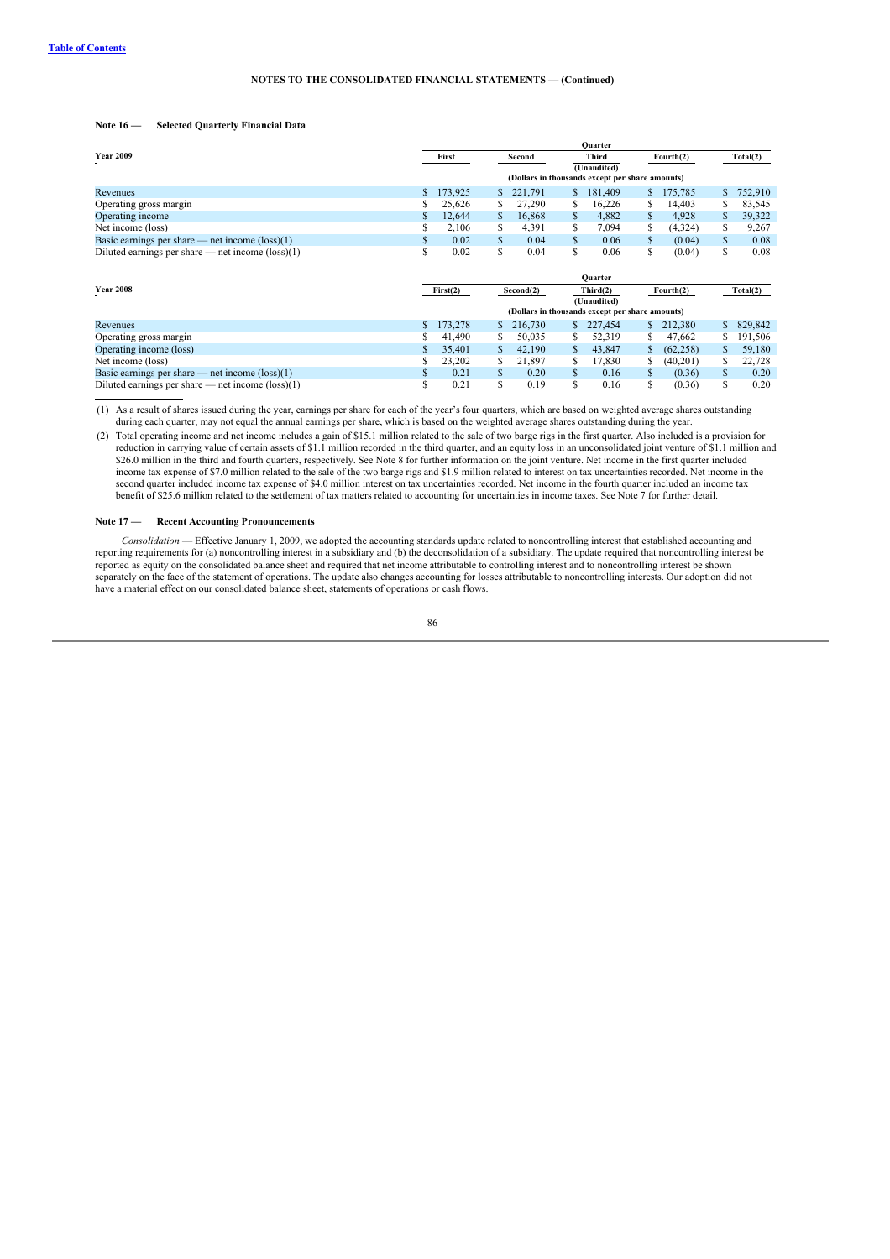### **Note 16 — Selected Quarterly Financial Data**

|                                                            | Ouarter |         |                 |                                                 |    |             |          |         |     |         |
|------------------------------------------------------------|---------|---------|-----------------|-------------------------------------------------|----|-------------|----------|---------|-----|---------|
| <b>Year 2009</b>                                           |         | First   | Third<br>Second |                                                 |    | Fourth(2)   | Total(2) |         |     |         |
|                                                            |         |         |                 |                                                 |    | (Unaudited) |          |         |     |         |
|                                                            |         |         |                 | (Dollars in thousands except per share amounts) |    |             |          |         |     |         |
| Revenues                                                   | \$      | 173,925 |                 | \$221,791                                       | S. | 181.409     | \$       | 175,785 | \$. | 752,910 |
| Operating gross margin                                     |         | 25.626  |                 | 27.290                                          |    | 16.226      | S        | 14.403  | S   | 83,545  |
| Operating income                                           | S       | 12.644  | S               | 16.868                                          | \$ | 4,882       |          | 4.928   | S   | 39,322  |
| Net income (loss)                                          | ٠D      | 2.106   | S               | 4.391                                           |    | 7,094       |          | (4,324) |     | 9,267   |
| Basic earnings per share — net income $(\text{loss})(1)$   | D       | 0.02    | S               | 0.04                                            |    | 0.06        |          | (0.04)  |     | 0.08    |
| Diluted earnings per share — net income $(\text{loss})(1)$ |         | 0.02    |                 | 0.04                                            |    | 0.06        |          | (0.04)  |     | 0.08    |

|                                                            | <b>Quarter</b>                                  |    |           |  |             |    |           |    |          |
|------------------------------------------------------------|-------------------------------------------------|----|-----------|--|-------------|----|-----------|----|----------|
| <b>Year 2008</b>                                           | First(2)                                        |    | Second(2) |  | Third(2)    |    | Fourth(2) |    | Total(2) |
|                                                            |                                                 |    |           |  | (Unaudited) |    |           |    |          |
|                                                            | (Dollars in thousands except per share amounts) |    |           |  |             |    |           |    |          |
| Revenues                                                   | 173,278                                         |    | \$216,730 |  | \$227,454   |    | \$212,380 | S. | 829,842  |
| Operating gross margin                                     | 41,490                                          |    | 50,035    |  | 52.319      |    | 47,662    | S. | 191.506  |
| Operating income (loss)                                    | 35,401                                          | D  | 42,190    |  | 43.847      | S. | (62, 258) |    | 59,180   |
| Net income (loss)                                          | 23.202                                          |    | 21.897    |  | 17,830      |    | (40,201)  |    | 22,728   |
| Basic earnings per share — net income $(\text{loss})(1)$   | 0.21                                            | \$ | 0.20      |  | 0.16        |    | (0.36)    |    | 0.20     |
| Diluted earnings per share — net income $(\text{loss})(1)$ | 0.21                                            |    | 0.19      |  | 0.16        |    | (0.36)    |    | 0.20     |

(1) As a result of shares issued during the year, earnings per share for each of the year's four quarters, which are based on weighted average shares outstanding during each quarter, may not equal the annual earnings per share, which is based on the weighted average shares outstanding during the year.

(2) Total operating income and net income includes a gain of \$15.1 million related to the sale of two barge rigs in the first quarter. Also included is a provision for reduction in carrying value of certain assets of \$1.1 million recorded in the third quarter, and an equity loss in an unconsolidated joint venture of \$1.1 million and \$26.0 million in the third and fourth quarters, respectively. See Note 8 for further information on the joint venture. Net income in the first quarter included income tax expense of \$7.0 million related to the sale of the two barge rigs and \$1.9 million related to interest on tax uncertainties recorded. Net income in the<br>second quarter included income tax expense of \$4.0 million benefit of \$25.6 million related to the settlement of tax matters related to accounting for uncertainties in income taxes. See Note 7 for further detail.

#### **Note 17 — Recent Accounting Pronouncements**

*Consolidation* — Effective January 1, 2009, we adopted the accounting standards update related to noncontrolling interest that established accounting and reporting requirements for (a) noncontrolling interest in a subsidiary and (b) the deconsolidation of a subsidiary. The update required that noncontrolling interest be reported as equity on the consolidated balance sheet and required that net income attributable to controlling interest and to noncontrolling interest be shown separately on the face of the statement of operations. The update also changes accounting for losses attributable to noncontrolling interests. Our adoption did not<br>have a material effect on our consolidated balance sheet,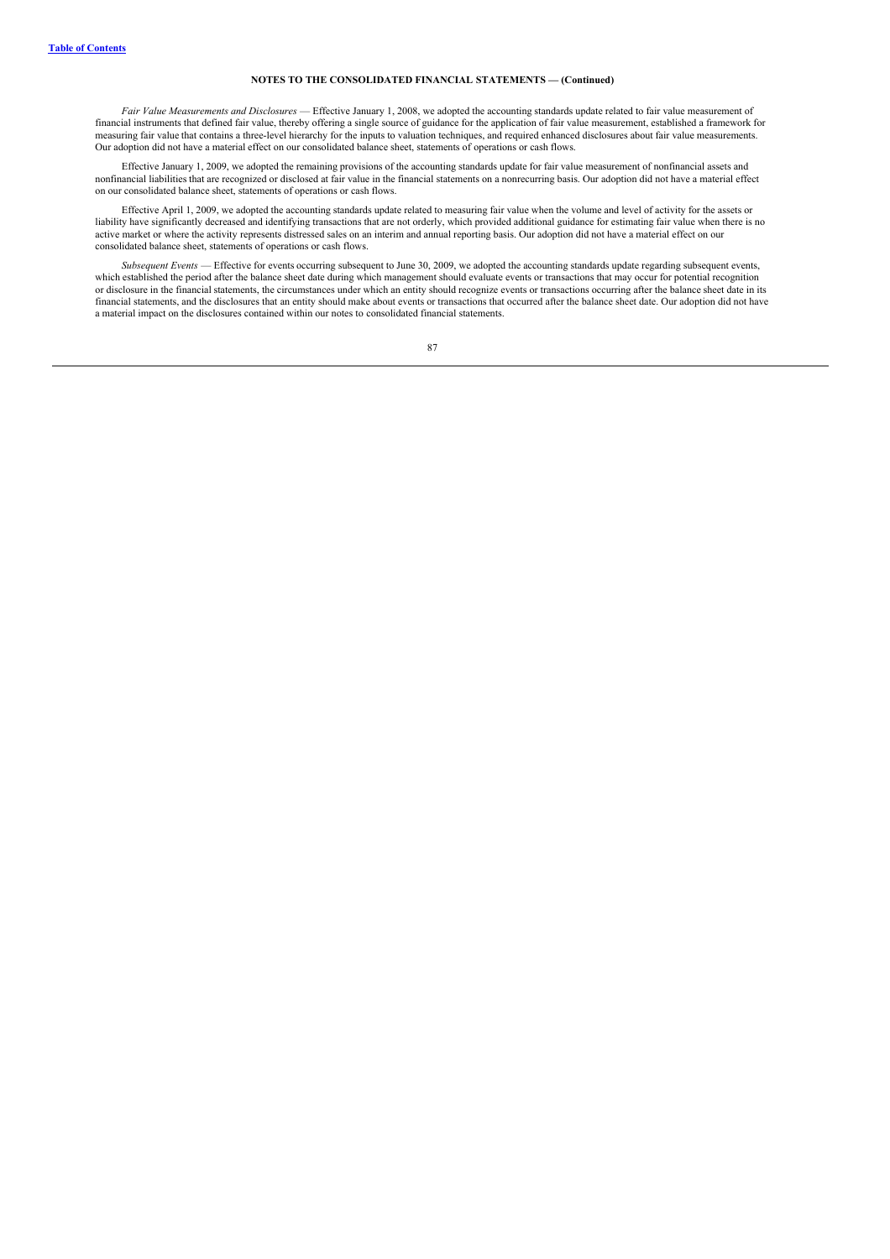*Fair Value Measurements and Disclosures* — Effective January 1, 2008, we adopted the accounting standards update related to fair value measurement of financial instruments that defined fair value, thereby offering a single source of guidance for the application of fair value measurement, established a framework for measuring fair value that contains a three-level hierarchy for the inputs to valuation techniques, and required enhanced disclosures about fair value measurements. Our adoption did not have a material effect on our consolidated balance sheet, statements of operations or cash flows.

Effective January 1, 2009, we adopted the remaining provisions of the accounting standards update for fair value measurement of nonfinancial assets and nonfinancial liabilities that are recognized or disclosed at fair value in the financial statements on a nonrecurring basis. Our adoption did not have a material effect on our consolidated balance sheet, statements of operations or cash flows.

Effective April 1, 2009, we adopted the accounting standards update related to measuring fair value when the volume and level of activity for the assets or liability have significantly decreased and identifying transactions that are not orderly, which provided additional guidance for estimating fair value when there is no active market or where the activity represents distressed sales on an interim and annual reporting basis. Our adoption did not have a material effect on our consolidated balance sheet, statements of operations or cash flows.

*Subsequent Events* — Effective for events occurring subsequent to June 30, 2009, we adopted the accounting standards update regarding subsequent events, which established the period after the balance sheet date during which management should evaluate events or transactions that may occur for potential recognition or disclosure in the financial statements, the circumstances under which an entity should recognize events or transactions occurring after the balance sheet date in its financial statements, and the disclosures that an entity should make about events or transactions that occurred after the balance sheet date. Our adoption did not have a material impact on the disclosures contained within our notes to consolidated financial statements.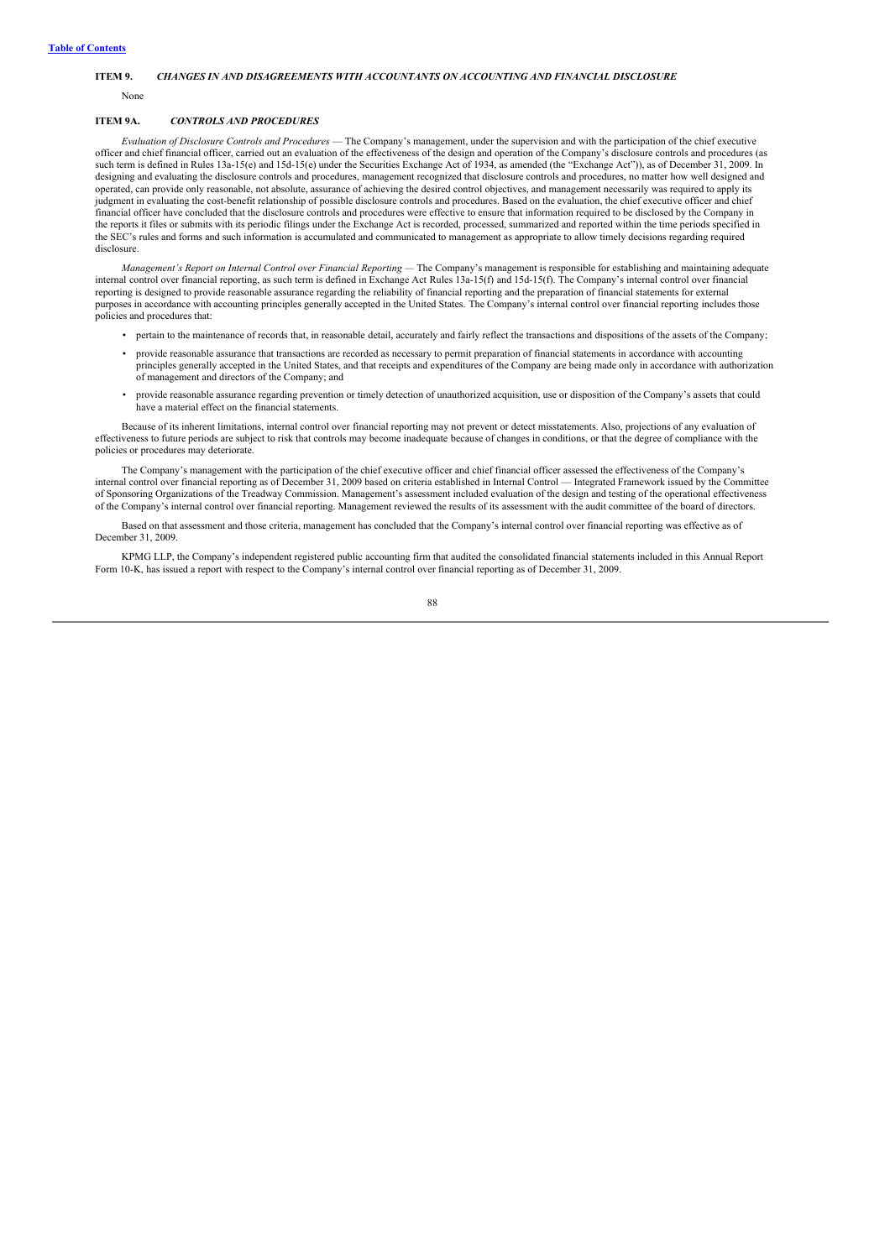### **ITEM 9.** *CHANGES IN AND DISAGREEMENTS WITH ACCOUNTANTS ON ACCOUNTING AND FINANCIAL DISCLOSURE*

### None

## **ITEM 9A.** *CONTROLS AND PROCEDURES*

*Evaluation of Disclosure Controls and Procedures* — The Company's management, under the supervision and with the participation of the chief executive officer and chief financial officer, carried out an evaluation of the effectiveness of the design and operation of the Company's disclosure controls and procedures (as<br>such term is defined in Rules 13a-15(e) and 15d-15(e) designing and evaluating the disclosure controls and procedures, management recognized that disclosure controls and procedures, no matter how well designed and operated, can provide only reasonable, not absolute, assurance of achieving the desired control objectives, and management necessarily was required to apply its judgment in evaluating the cost-benefit relationship of possible disclosure controls and procedures. Based on the evaluation, the chief executive officer and chief financial officer have concluded that the disclosure controls and procedures were effective to ensure that information required to be disclosed by the Company in the reports it files or submits with its periodic filings under the Exchange Act is recorded, processed, summarized and reported within the time periods specified in the SEC's rules and forms and such information is accumulated and communicated to management as appropriate to allow timely decisions regarding required disclosure.

*Management's Report on Internal Control over Financial Reporting —* The Company's management is responsible for establishing and maintaining adequate internal control over financial reporting, as such term is defined in Exchange Act Rules 13a-15(f) and 15d-15(f). The Company's internal control over financial reporting is designed to provide reasonable assurance regarding the reliability of financial reporting and the preparation of financial statements for external purposes in accordance with accounting principles generally accepted in the United States. The Company's internal control over financial reporting includes those policies and procedures that:

- pertain to the maintenance of records that, in reasonable detail, accurately and fairly reflect the transactions and dispositions of the assets of the Company;
- provide reasonable assurance that transactions are recorded as necessary to permit preparation of financial statements in accordance with accounting principles generally accepted in the United States, and that receipts and expenditures of the Company are being made only in accordance with authorization of management and directors of the Company; and
- provide reasonable assurance regarding prevention or timely detection of unauthorized acquisition, use or disposition of the Company's assets that could have a material effect on the financial statements.

Because of its inherent limitations, internal control over financial reporting may not prevent or detect misstatements. Also, projections of any evaluation of effectiveness to future periods are subject to risk that controls may become inadequate because of changes in conditions, or that the degree of compliance with the policies or procedures may deteriorate.

The Company's management with the participation of the chief executive officer and chief financial officer assessed the effectiveness of the Company's internal control over financial reporting as of December 31, 2009 based on criteria established in Internal Control — Integrated Framework issued by the Committee of Sponsoring Organizations of the Treadway Commission. Management's assessment included evaluation of the design and testing of the operational effectiveness of the Company's internal control over financial reporting. Management reviewed the results of its assessment with the audit committee of the board of directors.

Based on that assessment and those criteria, management has concluded that the Company's internal control over financial reporting was effective as of December 31, 2009.

KPMG LLP, the Company's independent registered public accounting firm that audited the consolidated financial statements included in this Annual Report Form 10-K, has issued a report with respect to the Company's internal control over financial reporting as of December 31, 2009.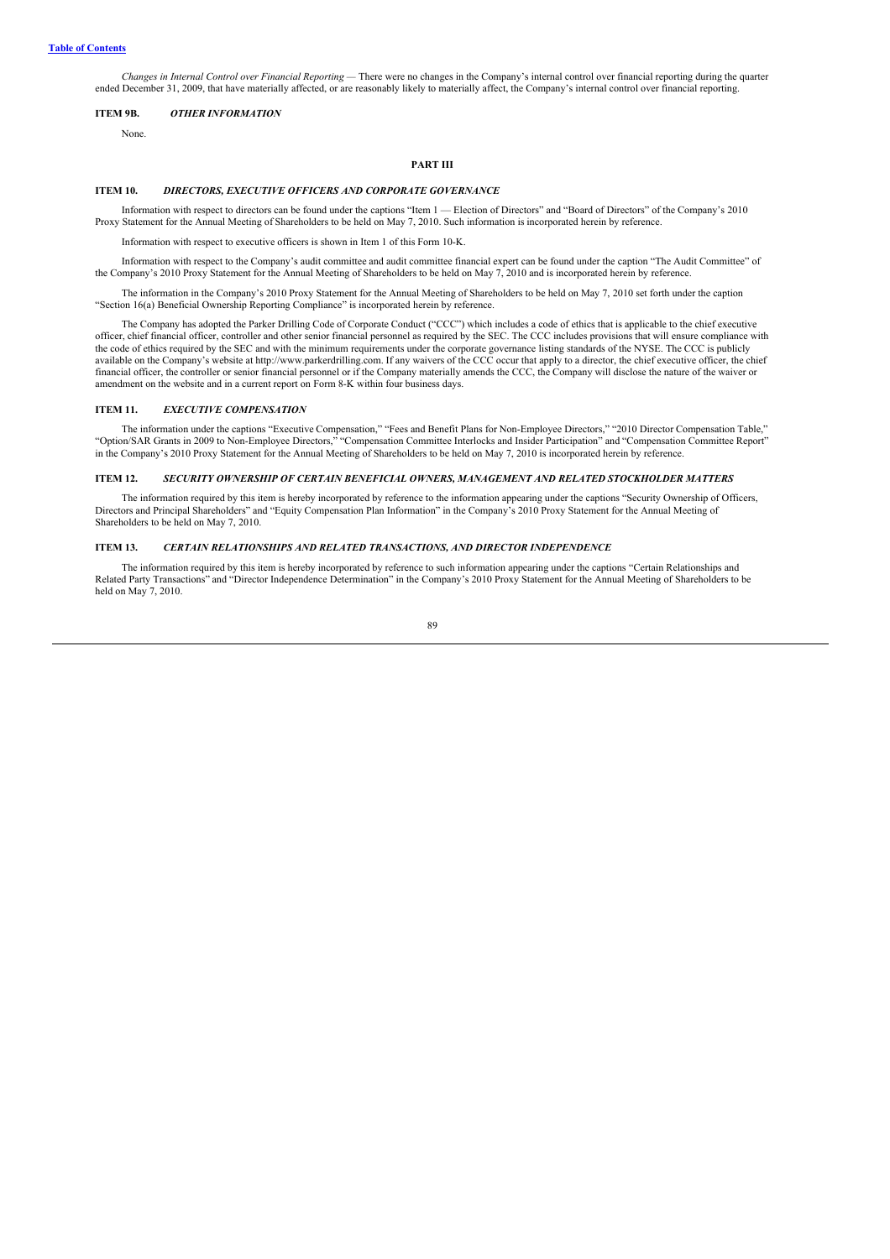*Changes in Internal Control over Financial Reporting —* There were no changes in the Company's internal control over financial reporting during the quarter ended December 31, 2009, that have materially affected, or are reasonably likely to materially affect, the Company's internal control over financial reporting.

#### **ITEM 9B.** *OTHER INFORMATION*

None.

## **PART III**

#### **ITEM 10.** *DIRECTORS, EXECUTIVE OFFICERS AND CORPORATE GOVERNANCE*

Information with respect to directors can be found under the captions "Item 1 — Election of Directors" and "Board of Directors" of the Company's 2010 Proxy Statement for the Annual Meeting of Shareholders to be held on May 7, 2010. Such information is incorporated herein by reference.

Information with respect to executive officers is shown in Item 1 of this Form 10-K.

Information with respect to the Company's audit committee and audit committee financial expert can be found under the caption "The Audit Committee" of the Company's 2010 Proxy Statement for the Annual Meeting of Shareholders to be held on May 7, 2010 and is incorporated herein by reference.

The information in the Company's 2010 Proxy Statement for the Annual Meeting of Shareholders to be held on May 7, 2010 set forth under the caption "Section 16(a) Beneficial Ownership Reporting Compliance" is incorporated herein by reference.

The Company has adopted the Parker Drilling Code of Corporate Conduct ("CCC") which includes a code of ethics that is applicable to the chief executive officer, chief financial officer, controller and other senior financial personnel as required by the SEC. The CCC includes provisions that will ensure compliance with the code of ethics required by the SEC and with the minimum requirements under the corporate governance listing standards of the NYSE. The CCC is publicly available on the Company's website at http://www.parkerdrilling.com. If any waivers of the CCC occur that apply to a director, the chief executive officer, the chief financial officer, the controller or senior financial personnel or if the Company materially amends the CCC, the Company will disclose the nature of the waiver or amendment on the website and in a current report on Form 8-K within four business days.

#### **ITEM 11.** *EXECUTIVE COMPENSATION*

"The information under the captions "Executive Compensation," "Fees and Benefit Plans for Non-Employee Directors," "2010 Director Compensation Table,"<br>"Option/SAR Grants in 2009 to Non-Employee Directors," "Compensation Co in the Company's 2010 Proxy Statement for the Annual Meeting of Shareholders to be held on May 7, 2010 is incorporated herein by reference.

#### **ITEM 12.** *SECURITY OWNERSHIP OF CERTAIN BENEFICIAL OWNERS, MANAGEMENT AND RELATED STOCKHOLDER MATTERS*

The information required by this item is hereby incorporated by reference to the information appearing under the captions "Security Ownership of Officers, Directors and Principal Shareholders" and "Equity Compensation Plan Information" in the Company's 2010 Proxy Statement for the Annual Meeting of Shareholders to be held on May 7, 2010.

#### **ITEM 13.** *CERTAIN RELATIONSHIPS AND RELATED TRANSACTIONS, AND DIRECTOR INDEPENDENCE*

The information required by this item is hereby incorporated by reference to such information appearing under the captions "Certain Relationships and Related Party Transactions" and "Director Independence Determination" in the Company's 2010 Proxy Statement for the Annual Meeting of Shareholders to be held on May 7, 2010.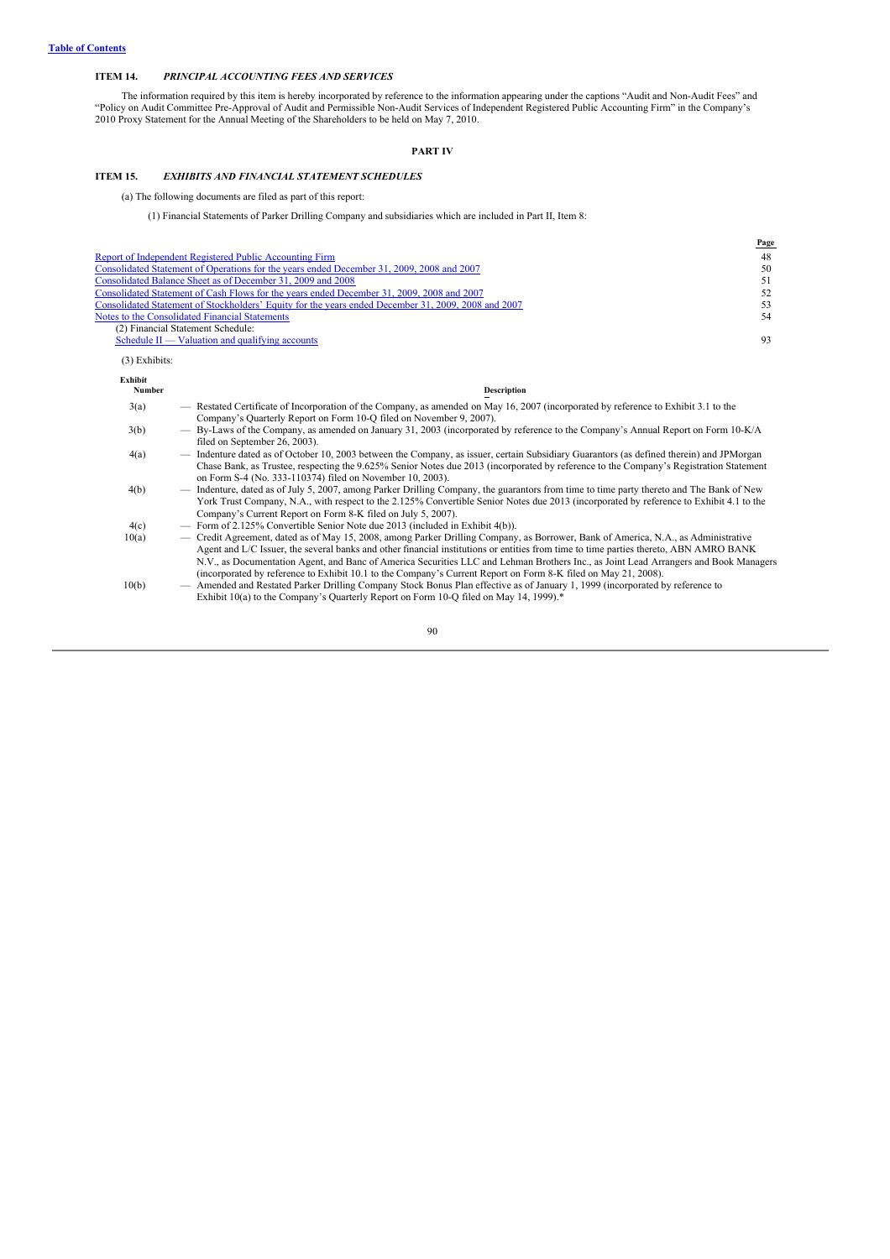#### **ITEM 14.** *PRINCIPAL ACCOUNTING FEES AND SERVICES*

The information required by this item is hereby incorporated by reference to the information appearing under the captions "Audit and Non-Audit Fees" and "Policy on Audit Committee Pre-Approval of Audit and Permissible Non-Audit Services of Independent Registered Public Accounting Firm" in the Company's 2010 Proxy Statement for the Annual Meeting of the Shareholders to be held on May 7, 2010.

### **PART IV**

### **ITEM 15.** *EXHIBITS AND FINANCIAL STATEMENT SCHEDULES*

(a) The following documents are filed as part of this report:

(1) Financial Statements of Parker Drilling Company and subsidiaries which are included in Part II, Item 8:

|                                                                                                     | Page |
|-----------------------------------------------------------------------------------------------------|------|
| Report of Independent Registered Public Accounting Firm                                             | 48   |
| Consolidated Statement of Operations for the years ended December 31, 2009, 2008 and 2007           | 50   |
| Consolidated Balance Sheet as of December 31, 2009 and 2008                                         |      |
| Consolidated Statement of Cash Flows for the years ended December 31, 2009, 2008 and 2007           | 52   |
| Consolidated Statement of Stockholders' Equity for the years ended December 31, 2009, 2008 and 2007 |      |
| Notes to the Consolidated Financial Statements                                                      | 54   |
| (2) Financial Statement Schedule:                                                                   |      |
| Schedule $II$ — Valuation and qualifying accounts                                                   | 93   |
|                                                                                                     |      |

(3) Exhibits:

**Exhibit**

### **Number Description**

- 3(a) Restated Certificate of Incorporation of the Company, as amended on May 16, 2007 (incorporated by reference to Exhibit 3.1 to the Company's Quarterly Report on Form 10-Q filed on November 9, 2007). 3(b) — By-Laws of the Company, as amended on January 31, 2003 (incorporated by reference to the Company's Annual Report on Form 10-K/A filed on September 26, 2003). 4(a) — Indenture dated as of October 10, 2003 between the Company, as issuer, certain Subsidiary Guarantors (as defined therein) and JPMorgan Chase Bank, as Trustee, respecting the 9.625% Senior Notes due 2013 (incorporated by reference to the Company's Registration Statement on Form S-4 (No. 333-110374) filed on November 10, 2003).
- 4(b) Indenture, dated as of July 5, 2007, among Parker Drilling Company, the guarantors from time to time party thereto and The Bank of New York Trust Company, N.A., with respect to the 2.125% Convertible Senior Notes due 2013 (incorporated by reference to Exhibit 4.1 to the Company's Current Report on Form 8-K filed on July 5, 2007).
- 4(c) Form of 2.125% Convertible Senior Note due 2013 (included in Exhibit 4(b)).
- 10(a) Credit Agreement, dated as of May 15, 2008, among Parker Drilling Company, as Borrower, Bank of America, N.A., as Administrative Agent and L/C Issuer, the several banks and other financial institutions or entities from time to time parties thereto, ABN AMRO BANK N.V., as Documentation Agent, and Banc of America Securities LLC and Lehman Brothers Inc., as Joint Lead Arrangers and Book Managers (incorporated by reference to Exhibit 10.1 to the Company's Current Report on Form 8-K filed on May 21, 2008).
- 10(b) Amended and Restated Parker Drilling Company Stock Bonus Plan effective as of January 1, 1999 (incorporated by reference to Exhibit 10(a) to the Company's Quarterly Report on Form 10-Q filed on May 14, 1999).\*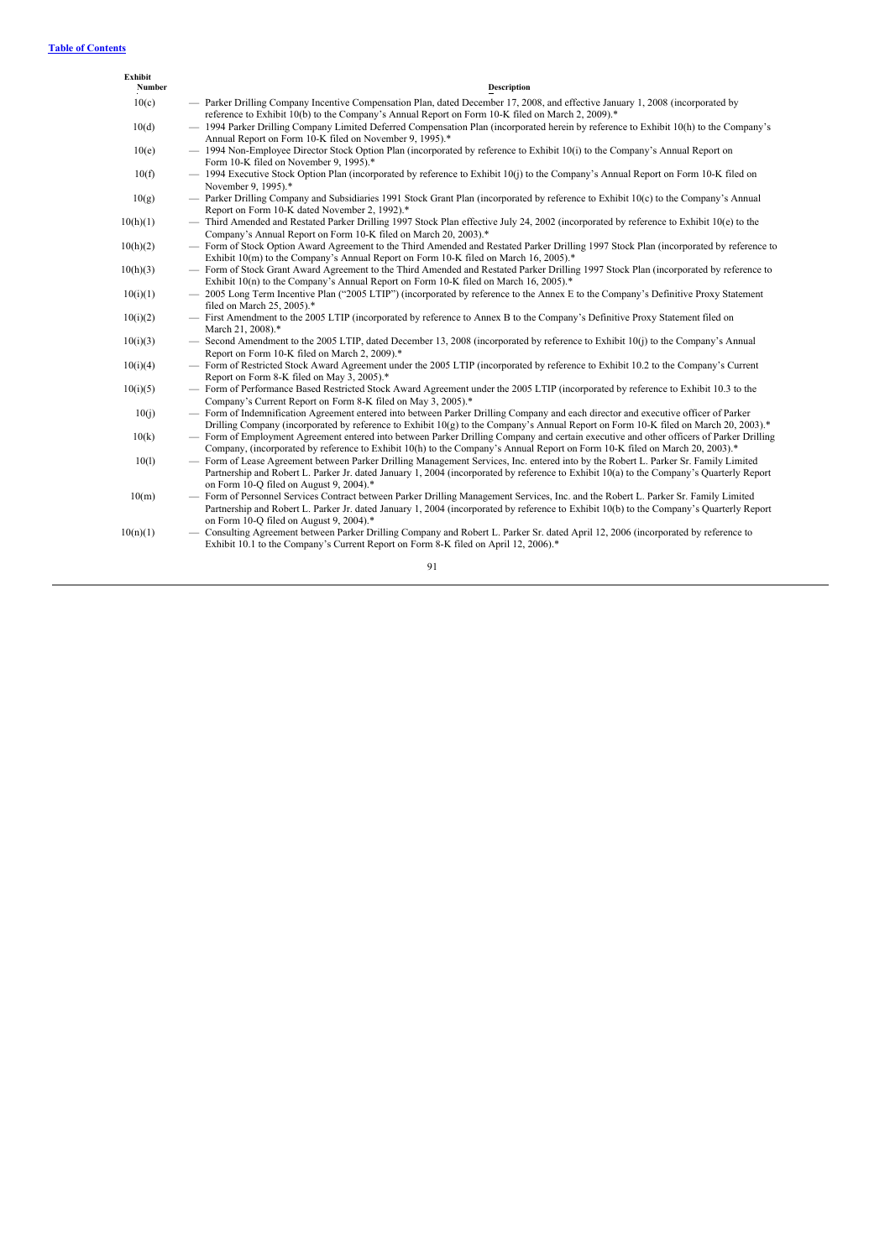# **Table of Contents**

| Exhibit<br>Number | Description                                                                                                                                                                                                                                                                                                                                                           |
|-------------------|-----------------------------------------------------------------------------------------------------------------------------------------------------------------------------------------------------------------------------------------------------------------------------------------------------------------------------------------------------------------------|
| 10(c)             | - Parker Drilling Company Incentive Compensation Plan, dated December 17, 2008, and effective January 1, 2008 (incorporated by                                                                                                                                                                                                                                        |
| 10(d)             | reference to Exhibit 10(b) to the Company's Annual Report on Form 10-K filed on March 2, 2009). <sup>*</sup><br>- 1994 Parker Drilling Company Limited Deferred Compensation Plan (incorporated herein by reference to Exhibit 10(h) to the Company's<br>Annual Report on Form 10-K filed on November 9, 1995).*                                                      |
| 10(e)             | $-$ 1994 Non-Employee Director Stock Option Plan (incorporated by reference to Exhibit 10(i) to the Company's Annual Report on<br>Form 10-K filed on November 9, 1995).*                                                                                                                                                                                              |
| 10(f)             | $-$ 1994 Executive Stock Option Plan (incorporated by reference to Exhibit 10(j) to the Company's Annual Report on Form 10-K filed on<br>November 9, 1995).*                                                                                                                                                                                                          |
| 10(g)             | - Parker Drilling Company and Subsidiaries 1991 Stock Grant Plan (incorporated by reference to Exhibit $10(c)$ to the Company's Annual<br>Report on Form 10-K dated November 2, 1992).*                                                                                                                                                                               |
| 10(h)(1)          | — Third Amended and Restated Parker Drilling 1997 Stock Plan effective July 24, 2002 (incorporated by reference to Exhibit 10(e) to the<br>Company's Annual Report on Form 10-K filed on March 20, 2003).*                                                                                                                                                            |
| 10(h)(2)          | - Form of Stock Option Award Agreement to the Third Amended and Restated Parker Drilling 1997 Stock Plan (incorporated by reference to<br>Exhibit 10(m) to the Company's Annual Report on Form 10-K filed on March 16, 2005). <sup>*</sup>                                                                                                                            |
| 10(h)(3)          | - Form of Stock Grant Award Agreement to the Third Amended and Restated Parker Drilling 1997 Stock Plan (incorporated by reference to<br>Exhibit $10(n)$ to the Company's Annual Report on Form 10-K filed on March 16, 2005). <sup>*</sup>                                                                                                                           |
| 10(i)(1)          | - 2005 Long Term Incentive Plan ("2005 LTIP") (incorporated by reference to the Annex E to the Company's Definitive Proxy Statement<br>filed on March 25, 2005).*                                                                                                                                                                                                     |
| 10(i)(2)          | - First Amendment to the 2005 LTIP (incorporated by reference to Annex B to the Company's Definitive Proxy Statement filed on<br>March 21, 2008).*                                                                                                                                                                                                                    |
| 10(i)(3)          | - Second Amendment to the 2005 LTIP, dated December 13, 2008 (incorporated by reference to Exhibit 10(j) to the Company's Annual<br>Report on Form 10-K filed on March 2, 2009).*                                                                                                                                                                                     |
| 10(i)(4)          | - Form of Restricted Stock Award Agreement under the 2005 LTIP (incorporated by reference to Exhibit 10.2 to the Company's Current<br>Report on Form 8-K filed on May 3, 2005).*                                                                                                                                                                                      |
| 10(i)(5)          | - Form of Performance Based Restricted Stock Award Agreement under the 2005 LTIP (incorporated by reference to Exhibit 10.3 to the<br>Company's Current Report on Form 8-K filed on May 3, 2005). <sup>*</sup>                                                                                                                                                        |
| 10(i)             | - Form of Indemnification Agreement entered into between Parker Drilling Company and each director and executive officer of Parker<br>Drilling Company (incorporated by reference to Exhibit $10(g)$ to the Company's Annual Report on Form 10-K filed on March 20, 2003). <sup>*</sup>                                                                               |
| 10(k)             | - Form of Employment Agreement entered into between Parker Drilling Company and certain executive and other officers of Parker Drilling<br>Company, (incorporated by reference to Exhibit 10(h) to the Company's Annual Report on Form 10-K filed on March 20, 2003).*                                                                                                |
| 10(1)             | - Form of Lease Agreement between Parker Drilling Management Services, Inc. entered into by the Robert L. Parker Sr. Family Limited<br>Partnership and Robert L. Parker Jr. dated January 1, 2004 (incorporated by reference to Exhibit 10(a) to the Company's Quarterly Report                                                                                       |
| 10(m)             | on Form 10-O filed on August 9, 2004).*<br>- Form of Personnel Services Contract between Parker Drilling Management Services, Inc. and the Robert L. Parker Sr. Family Limited<br>Partnership and Robert L. Parker Jr. dated January 1, 2004 (incorporated by reference to Exhibit 10(b) to the Company's Quarterly Report<br>on Form 10-O filed on August 9, 2004).* |
| 10(n)(1)          | — Consulting Agreement between Parker Drilling Company and Robert L. Parker Sr. dated April 12, 2006 (incorporated by reference to<br>Exhibit 10.1 to the Company's Current Report on Form 8-K filed on April 12, 2006).*                                                                                                                                             |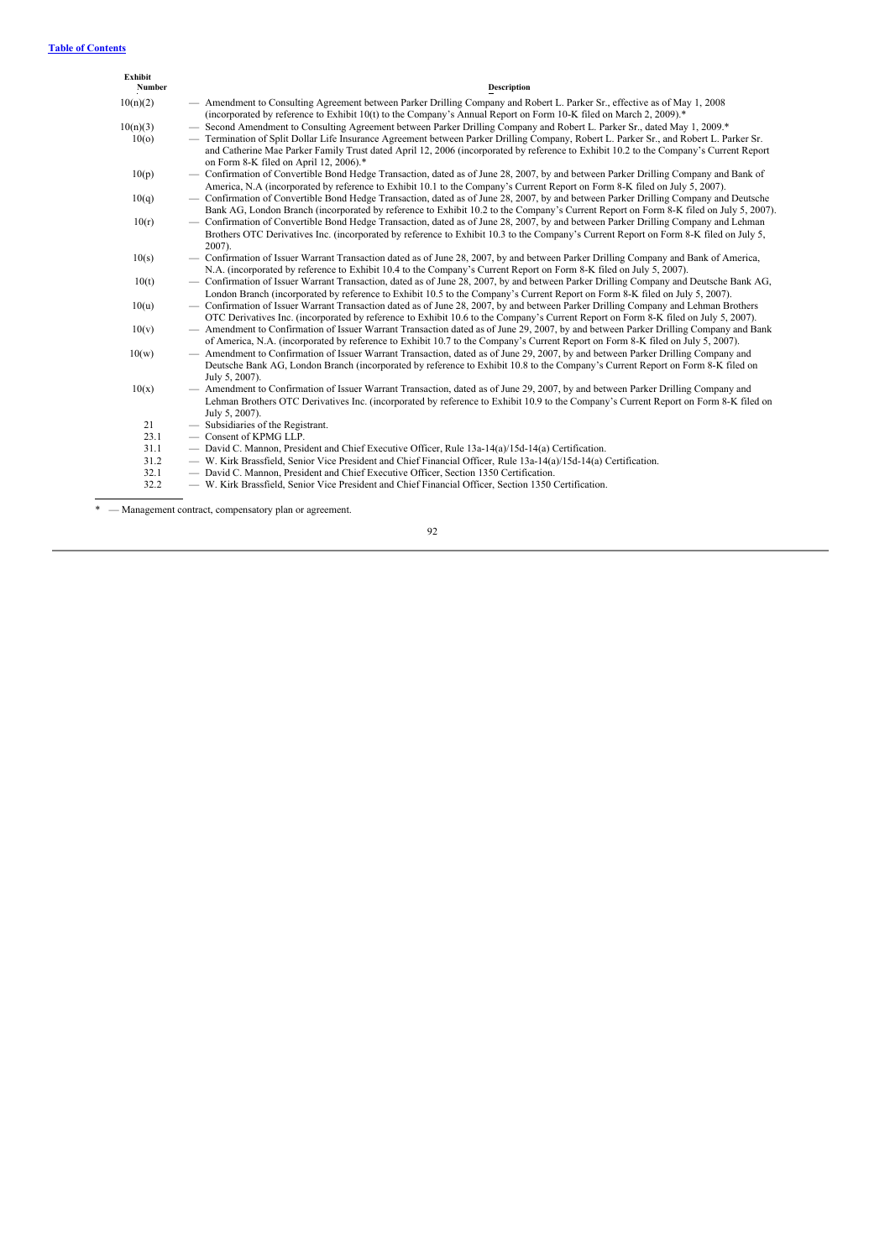# **Table of Contents**

| Exhibit<br>Number | Description                                                                                                                                                                                                                                                                                                               |
|-------------------|---------------------------------------------------------------------------------------------------------------------------------------------------------------------------------------------------------------------------------------------------------------------------------------------------------------------------|
|                   |                                                                                                                                                                                                                                                                                                                           |
| 10(n)(2)          | — Amendment to Consulting Agreement between Parker Drilling Company and Robert L. Parker Sr., effective as of May 1, 2008                                                                                                                                                                                                 |
|                   | (incorporated by reference to Exhibit 10(t) to the Company's Annual Report on Form 10-K filed on March 2, 2009). <sup>*</sup>                                                                                                                                                                                             |
| 10(n)(3)          | - Second Amendment to Consulting Agreement between Parker Drilling Company and Robert L. Parker Sr., dated May 1, 2009.*                                                                                                                                                                                                  |
| 10 <sub>(o)</sub> | - Termination of Split Dollar Life Insurance Agreement between Parker Drilling Company, Robert L. Parker Sr., and Robert L. Parker Sr.<br>and Catherine Mae Parker Family Trust dated April 12, 2006 (incorporated by reference to Exhibit 10.2 to the Company's Current Report<br>on Form 8-K filed on April 12, 2006).* |
| 10(p)             | — Confirmation of Convertible Bond Hedge Transaction, dated as of June 28, 2007, by and between Parker Drilling Company and Bank of<br>America, N.A (incorporated by reference to Exhibit 10.1 to the Company's Current Report on Form 8-K filed on July 5, 2007).                                                        |
| 10(q)             | — Confirmation of Convertible Bond Hedge Transaction, dated as of June 28, 2007, by and between Parker Drilling Company and Deutsche                                                                                                                                                                                      |
|                   | Bank AG, London Branch (incorporated by reference to Exhibit 10.2 to the Company's Current Report on Form 8-K filed on July 5, 2007).                                                                                                                                                                                     |
| 10(r)             | — Confirmation of Convertible Bond Hedge Transaction, dated as of June 28, 2007, by and between Parker Drilling Company and Lehman                                                                                                                                                                                        |
|                   | Brothers OTC Derivatives Inc. (incorporated by reference to Exhibit 10.3 to the Company's Current Report on Form 8-K filed on July 5,<br>2007).                                                                                                                                                                           |
| 10(s)             | - Confirmation of Issuer Warrant Transaction dated as of June 28, 2007, by and between Parker Drilling Company and Bank of America,                                                                                                                                                                                       |
|                   | N.A. (incorporated by reference to Exhibit 10.4 to the Company's Current Report on Form 8-K filed on July 5, 2007).                                                                                                                                                                                                       |
| 10(t)             | — Confirmation of Issuer Warrant Transaction, dated as of June 28, 2007, by and between Parker Drilling Company and Deutsche Bank AG,<br>London Branch (incorporated by reference to Exhibit 10.5 to the Company's Current Report on Form 8-K filed on July 5, 2007).                                                     |
| 10(u)             | — Confirmation of Issuer Warrant Transaction dated as of June 28, 2007, by and between Parker Drilling Company and Lehman Brothers<br>OTC Derivatives Inc. (incorporated by reference to Exhibit 10.6 to the Company's Current Report on Form 8-K filed on July 5, 2007).                                                 |
| 10(v)             | — Amendment to Confirmation of Issuer Warrant Transaction dated as of June 29, 2007, by and between Parker Drilling Company and Bank<br>of America, N.A. (incorporated by reference to Exhibit 10.7 to the Company's Current Report on Form 8-K filed on July 5, 2007).                                                   |
| 10(w)             | — Amendment to Confirmation of Issuer Warrant Transaction, dated as of June 29, 2007, by and between Parker Drilling Company and<br>Deutsche Bank AG, London Branch (incorporated by reference to Exhibit 10.8 to the Company's Current Report on Form 8-K filed on<br>July 5, 2007).                                     |
| 10(x)             | - Amendment to Confirmation of Issuer Warrant Transaction, dated as of June 29, 2007, by and between Parker Drilling Company and<br>Lehman Brothers OTC Derivatives Inc. (incorporated by reference to Exhibit 10.9 to the Company's Current Report on Form 8-K filed on<br>July 5, 2007).                                |
| 21                | - Subsidiaries of the Registrant.                                                                                                                                                                                                                                                                                         |
| 23.1              | - Consent of KPMG LLP.                                                                                                                                                                                                                                                                                                    |
| 31.1              | — David C. Mannon, President and Chief Executive Officer, Rule 13a-14(a)/15d-14(a) Certification.                                                                                                                                                                                                                         |
| 31.2              | — W. Kirk Brassfield, Senior Vice President and Chief Financial Officer, Rule $13a-14(a)/15d-14(a)$ Certification.                                                                                                                                                                                                        |
| 32.1              | - David C. Mannon, President and Chief Executive Officer, Section 1350 Certification.                                                                                                                                                                                                                                     |
| 32.2              | - W. Kirk Brassfield, Senior Vice President and Chief Financial Officer, Section 1350 Certification.                                                                                                                                                                                                                      |

\* — Management contract, compensatory plan or agreement.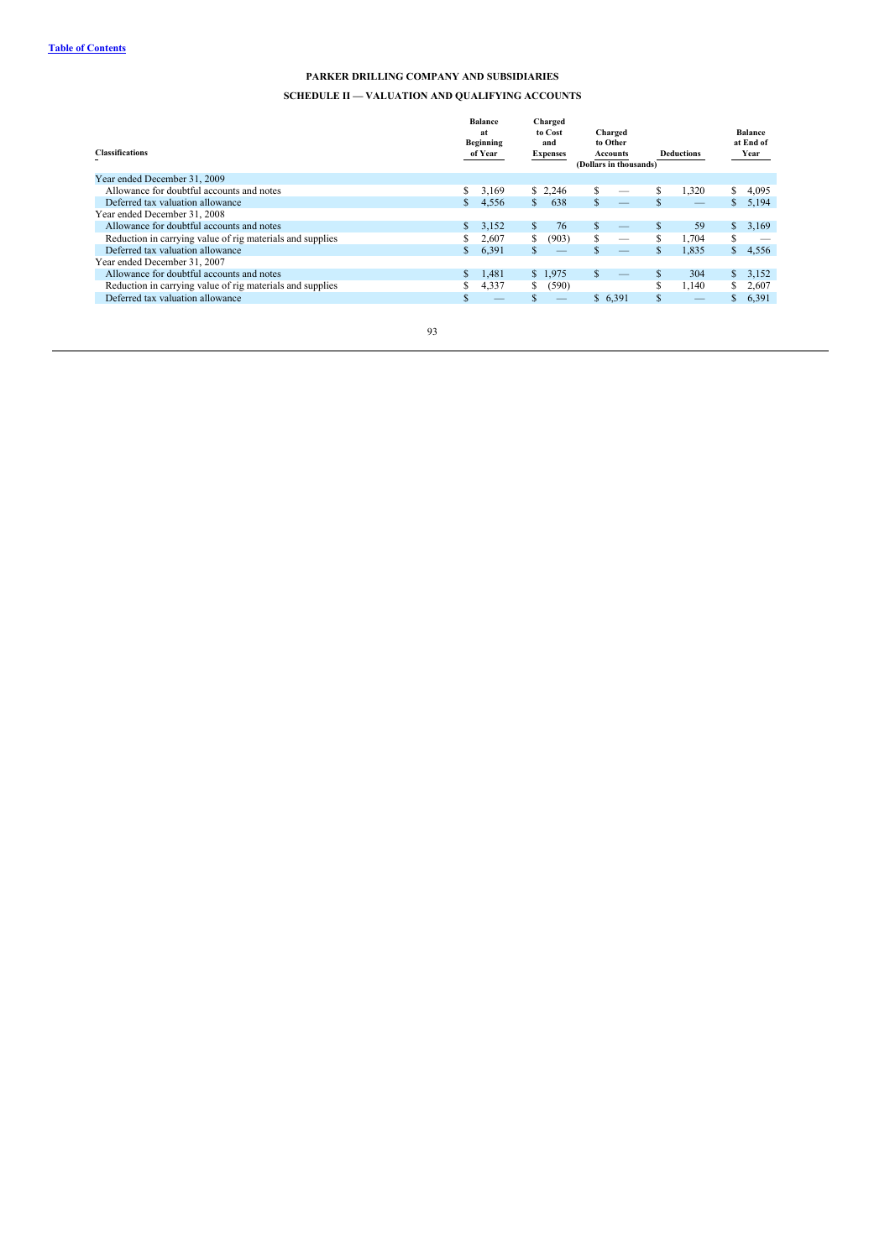## **PARKER DRILLING COMPANY AND SUBSIDIARIES**

## **SCHEDULE II — VALUATION AND QUALIFYING ACCOUNTS**

| <b>Classifications</b>                                    | <b>Balance</b><br>at<br>Beginning<br>of Year | Charged<br>to Cost<br>and<br><b>Expenses</b> | Charged<br>to Other<br><b>Accounts</b><br>(Dollars in thousands) | <b>Deductions</b>              | <b>Balance</b><br>at End of<br>Year |
|-----------------------------------------------------------|----------------------------------------------|----------------------------------------------|------------------------------------------------------------------|--------------------------------|-------------------------------------|
| Year ended December 31, 2009                              |                                              |                                              |                                                                  |                                |                                     |
| Allowance for doubtful accounts and notes                 | 3,169<br>s                                   | \$2,246                                      | S.                                                               | S<br>1,320                     | 4,095<br>S.                         |
| Deferred tax valuation allowance                          | 4,556<br>S.                                  | 638<br>\$                                    |                                                                  | $\qquad \qquad \longleftarrow$ | 5.194<br>S.                         |
| Year ended December 31, 2008                              |                                              |                                              |                                                                  |                                |                                     |
| Allowance for doubtful accounts and notes                 | 3,152<br>S.                                  | 76<br>\$                                     | $\qquad \qquad -$                                                | 59                             | \$<br>3,169                         |
| Reduction in carrying value of rig materials and supplies | 2,607                                        | \$<br>(903)                                  |                                                                  | \$.<br>1.704                   | \$                                  |
| Deferred tax valuation allowance                          | 6,391<br>S.                                  | \$.                                          |                                                                  | 1.835<br>S.                    | $\mathbf{s}$<br>4,556               |
| Year ended December 31, 2007                              |                                              |                                              |                                                                  |                                |                                     |
| Allowance for doubtful accounts and notes                 | 1,481                                        | \$1,975                                      | S.<br>$\overline{\phantom{a}}$                                   | 304                            | \$3,152                             |
| Reduction in carrying value of rig materials and supplies | 4,337                                        | (590)<br>\$                                  |                                                                  | S<br>1.140                     | S.<br>2,607                         |
| Deferred tax valuation allowance                          | S.                                           | --                                           | \$6,391                                                          | S                              | 6,391<br>S.                         |
|                                                           |                                              |                                              |                                                                  |                                |                                     |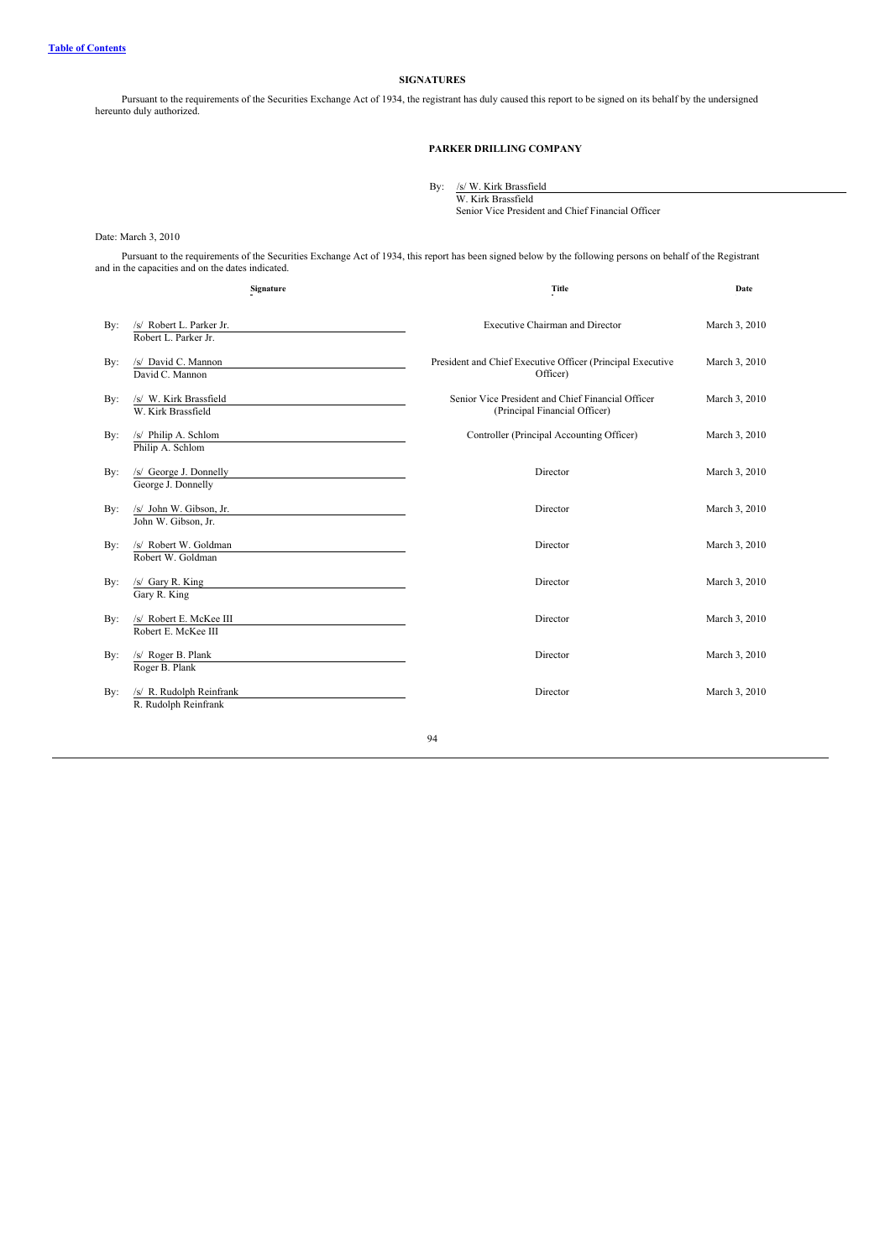## **SIGNATURES**

Pursuant to the requirements of the Securities Exchange Act of 1934, the registrant has duly caused this report to be signed on its behalf by the undersigned hereunto duly authorized.

## **PARKER DRILLING COMPANY**

By: /s/ W. Kirk Brassfield

W. Kirk Brassfield Senior Vice President and Chief Financial Officer

Date: March 3, 2010

Pursuant to the requirements of the Securities Exchange Act of 1934, this report has been signed below by the following persons on behalf of the Registrant and in the capacities and on the dates indicated.

|     | Signature                                        | <b>Title</b>                                                                       | Date          |
|-----|--------------------------------------------------|------------------------------------------------------------------------------------|---------------|
| By: | /s/ Robert L. Parker Jr.<br>Robert L. Parker Jr. | <b>Executive Chairman and Director</b>                                             | March 3, 2010 |
| By: | /s/ David C. Mannon<br>David C. Mannon           | President and Chief Executive Officer (Principal Executive<br>Officer)             | March 3, 2010 |
| By: | /s/ W. Kirk Brassfield<br>W. Kirk Brassfield     | Senior Vice President and Chief Financial Officer<br>(Principal Financial Officer) | March 3, 2010 |
| By: | /s/ Philip A. Schlom<br>Philip A. Schlom         | Controller (Principal Accounting Officer)                                          | March 3, 2010 |
| By: | /s/ George J. Donnelly<br>George J. Donnelly     | Director                                                                           | March 3, 2010 |
| By: | /s/ John W. Gibson, Jr.<br>John W. Gibson, Jr.   | Director                                                                           | March 3, 2010 |
| By: | /s/ Robert W. Goldman<br>Robert W. Goldman       | Director                                                                           | March 3, 2010 |
| By: | /s/ Gary R. King<br>Gary R. King                 | Director                                                                           | March 3, 2010 |
| By: | /s/ Robert E. McKee III<br>Robert E. McKee III   | Director                                                                           | March 3, 2010 |
| By: | /s/ Roger B. Plank<br>Roger B. Plank             | Director                                                                           | March 3, 2010 |
| By: | /s/ R. Rudolph Reinfrank<br>R. Rudolph Reinfrank | Director                                                                           | March 3, 2010 |
|     |                                                  |                                                                                    |               |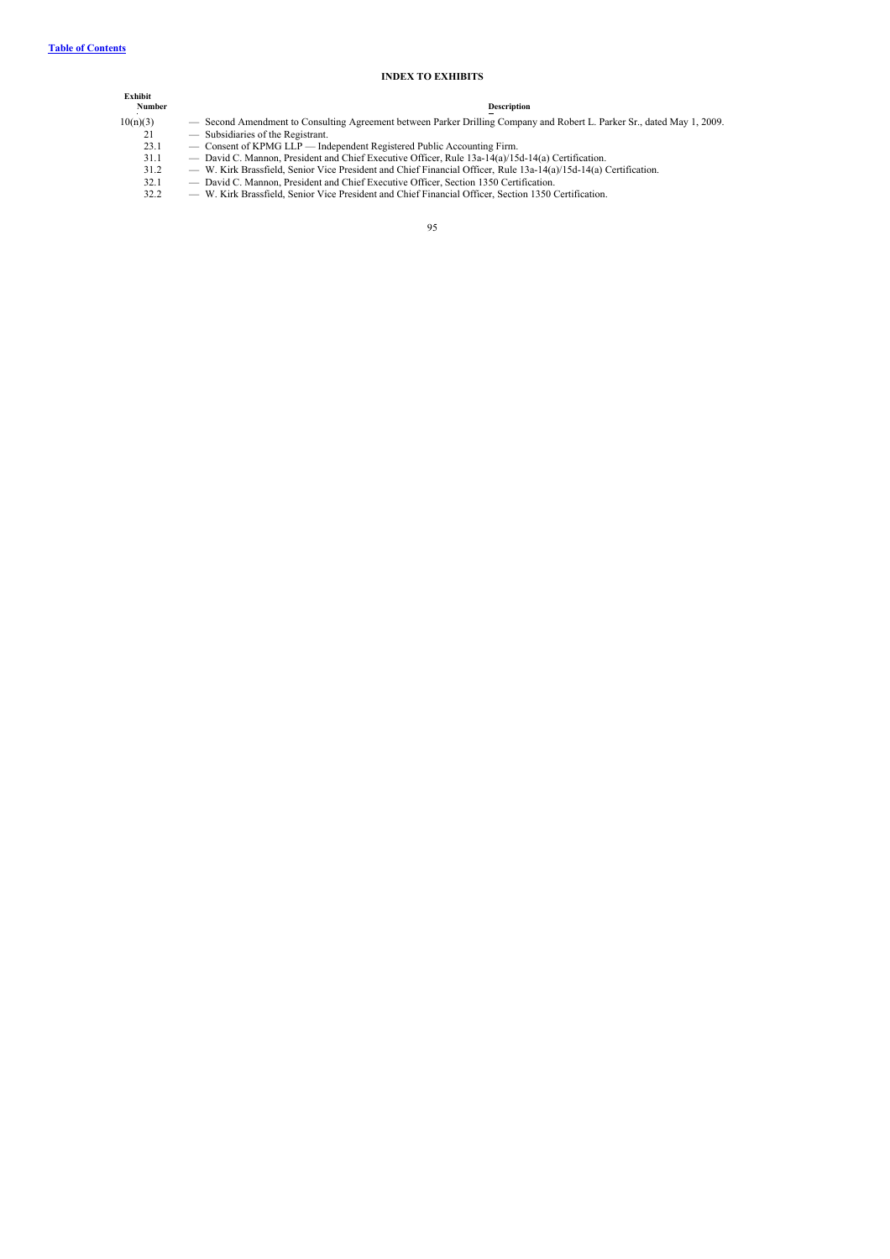## **INDEX TO EXHIBITS**

| Exhibit<br>Number | <b>Description</b>                                                                                                      |
|-------------------|-------------------------------------------------------------------------------------------------------------------------|
| 10(n)(3)          | - Second Amendment to Consulting Agreement between Parker Drilling Company and Robert L. Parker Sr., dated May 1, 2009. |
| 21                | - Subsidiaries of the Registrant.                                                                                       |
| 23.1              | — Consent of KPMG LLP — Independent Registered Public Accounting Firm.                                                  |
| 31.1              | — David C. Mannon, President and Chief Executive Officer, Rule 13a-14(a)/15d-14(a) Certification.                       |
| 31.2              | — W. Kirk Brassfield, Senior Vice President and Chief Financial Officer, Rule $13a-14(a)/15d-14(a)$ Certification.      |
| 32.1              | — David C. Mannon, President and Chief Executive Officer, Section 1350 Certification.                                   |
| 32.2              | - W. Kirk Brassfield, Senior Vice President and Chief Financial Officer, Section 1350 Certification.                    |

- 
-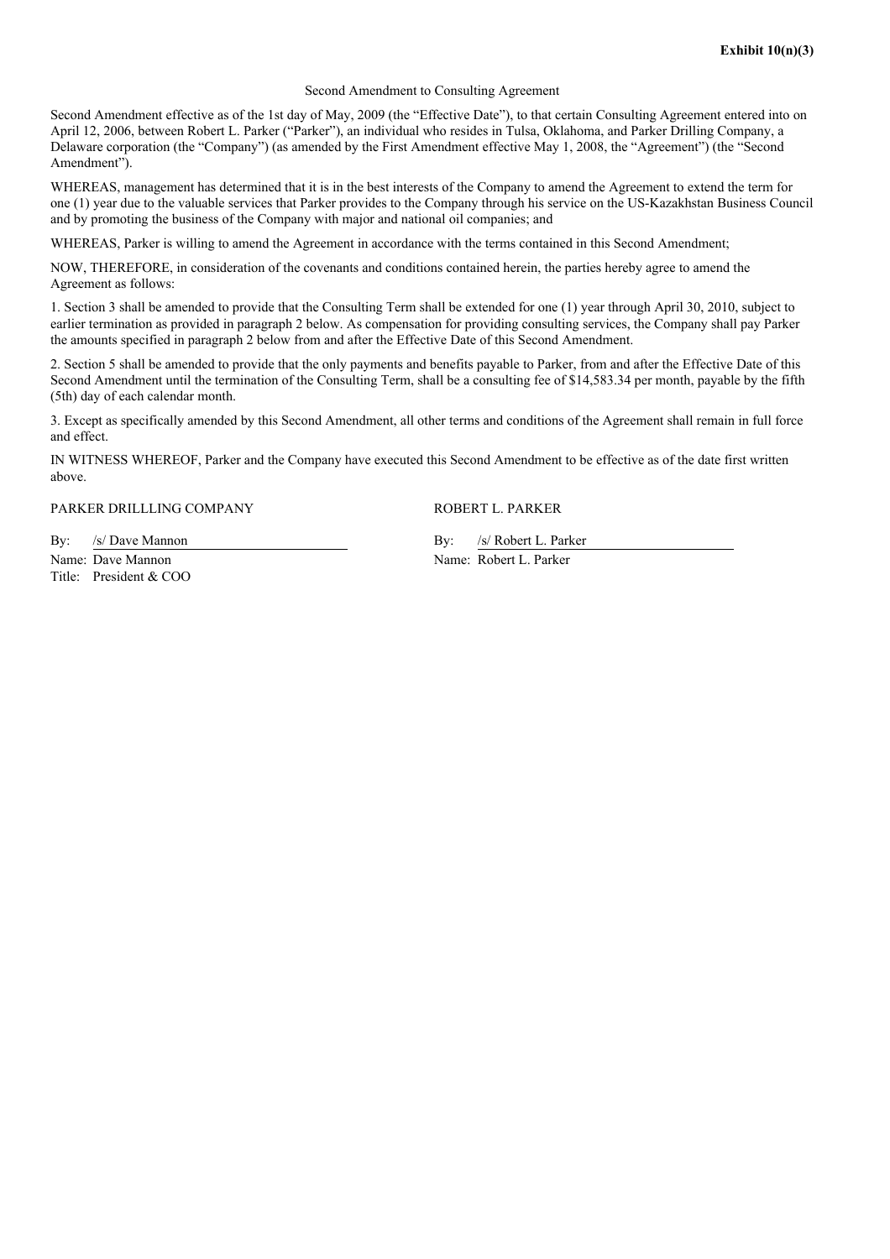## Second Amendment to Consulting Agreement

Second Amendment effective as of the 1st day of May, 2009 (the "Effective Date"), to that certain Consulting Agreement entered into on April 12, 2006, between Robert L. Parker ("Parker"), an individual who resides in Tulsa, Oklahoma, and Parker Drilling Company, a Delaware corporation (the "Company") (as amended by the First Amendment effective May 1, 2008, the "Agreement") (the "Second Amendment").

WHEREAS, management has determined that it is in the best interests of the Company to amend the Agreement to extend the term for one (1) year due to the valuable services that Parker provides to the Company through his service on the US-Kazakhstan Business Council and by promoting the business of the Company with major and national oil companies; and

WHEREAS, Parker is willing to amend the Agreement in accordance with the terms contained in this Second Amendment;

NOW, THEREFORE, in consideration of the covenants and conditions contained herein, the parties hereby agree to amend the Agreement as follows:

1. Section 3 shall be amended to provide that the Consulting Term shall be extended for one (1) year through April 30, 2010, subject to earlier termination as provided in paragraph 2 below. As compensation for providing consulting services, the Company shall pay Parker the amounts specified in paragraph 2 below from and after the Effective Date of this Second Amendment.

2. Section 5 shall be amended to provide that the only payments and benefits payable to Parker, from and after the Effective Date of this Second Amendment until the termination of the Consulting Term, shall be a consulting fee of \$14,583.34 per month, payable by the fifth (5th) day of each calendar month.

3. Except as specifically amended by this Second Amendment, all other terms and conditions of the Agreement shall remain in full force and effect.

IN WITNESS WHEREOF, Parker and the Company have executed this Second Amendment to be effective as of the date first written above.

PARKER DRILLLING COMPANY ROBERT L. PARKER

By: /s/ Dave Mannon By: /s/ Robert L. Parker

Title: President & COO

Name: Dave Mannon Name: Robert L. Parker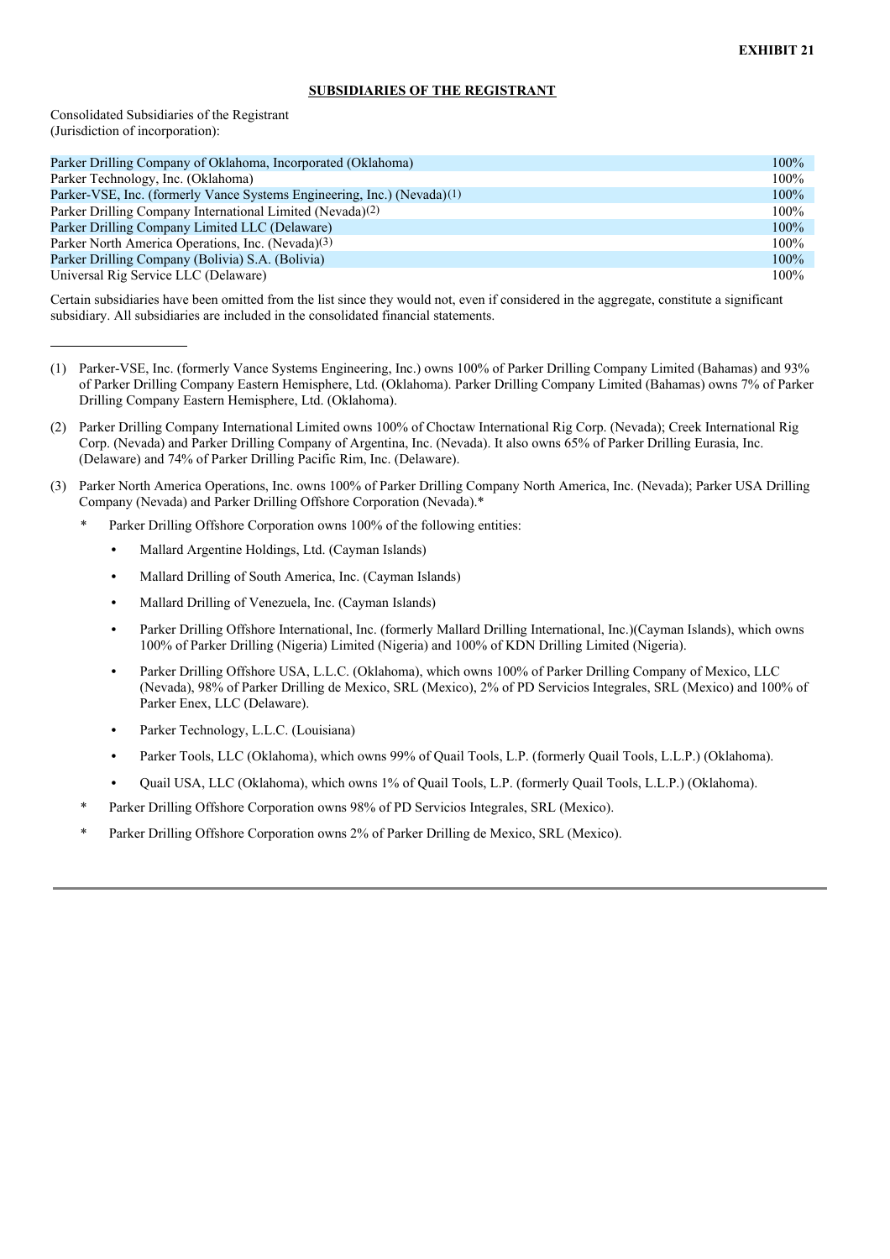# **SUBSIDIARIES OF THE REGISTRANT**

Consolidated Subsidiaries of the Registrant (Jurisdiction of incorporation):

| Parker Drilling Company of Oklahoma, Incorporated (Oklahoma)                        | $100\%$ |
|-------------------------------------------------------------------------------------|---------|
| Parker Technology, Inc. (Oklahoma)                                                  | $100\%$ |
| Parker-VSE, Inc. (formerly Vance Systems Engineering, Inc.) (Nevada) <sup>(1)</sup> | $100\%$ |
| Parker Drilling Company International Limited (Nevada) <sup>(2)</sup>               | $100\%$ |
| Parker Drilling Company Limited LLC (Delaware)                                      | $100\%$ |
| Parker North America Operations, Inc. (Nevada) <sup>(3)</sup>                       | $100\%$ |
| Parker Drilling Company (Bolivia) S.A. (Bolivia)                                    | $100\%$ |
| Universal Rig Service LLC (Delaware)                                                | $100\%$ |

Certain subsidiaries have been omitted from the list since they would not, even if considered in the aggregate, constitute a significant subsidiary. All subsidiaries are included in the consolidated financial statements.

- (1) Parker-VSE, Inc. (formerly Vance Systems Engineering, Inc.) owns 100% of Parker Drilling Company Limited (Bahamas) and 93% of Parker Drilling Company Eastern Hemisphere, Ltd. (Oklahoma). Parker Drilling Company Limited (Bahamas) owns 7% of Parker Drilling Company Eastern Hemisphere, Ltd. (Oklahoma).
- (2) Parker Drilling Company International Limited owns 100% of Choctaw International Rig Corp. (Nevada); Creek International Rig Corp. (Nevada) and Parker Drilling Company of Argentina, Inc. (Nevada). It also owns 65% of Parker Drilling Eurasia, Inc. (Delaware) and 74% of Parker Drilling Pacific Rim, Inc. (Delaware).
- (3) Parker North America Operations, Inc. owns 100% of Parker Drilling Company North America, Inc. (Nevada); Parker USA Drilling Company (Nevada) and Parker Drilling Offshore Corporation (Nevada).\*
	- Parker Drilling Offshore Corporation owns 100% of the following entities:
		- **•** Mallard Argentine Holdings, Ltd. (Cayman Islands)
		- **•** Mallard Drilling of South America, Inc. (Cayman Islands)
		- **•** Mallard Drilling of Venezuela, Inc. (Cayman Islands)
		- **•** Parker Drilling Offshore International, Inc. (formerly Mallard Drilling International, Inc.)(Cayman Islands), which owns 100% of Parker Drilling (Nigeria) Limited (Nigeria) and 100% of KDN Drilling Limited (Nigeria).
		- **•** Parker Drilling Offshore USA, L.L.C. (Oklahoma), which owns 100% of Parker Drilling Company of Mexico, LLC (Nevada), 98% of Parker Drilling de Mexico, SRL (Mexico), 2% of PD Servicios Integrales, SRL (Mexico) and 100% of Parker Enex, LLC (Delaware).
		- **•** Parker Technology, L.L.C. (Louisiana)
		- **•** Parker Tools, LLC (Oklahoma), which owns 99% of Quail Tools, L.P. (formerly Quail Tools, L.L.P.) (Oklahoma).
		- **•** Quail USA, LLC (Oklahoma), which owns 1% of Quail Tools, L.P. (formerly Quail Tools, L.L.P.) (Oklahoma).
	- Parker Drilling Offshore Corporation owns 98% of PD Servicios Integrales, SRL (Mexico).
	- Parker Drilling Offshore Corporation owns 2% of Parker Drilling de Mexico, SRL (Mexico).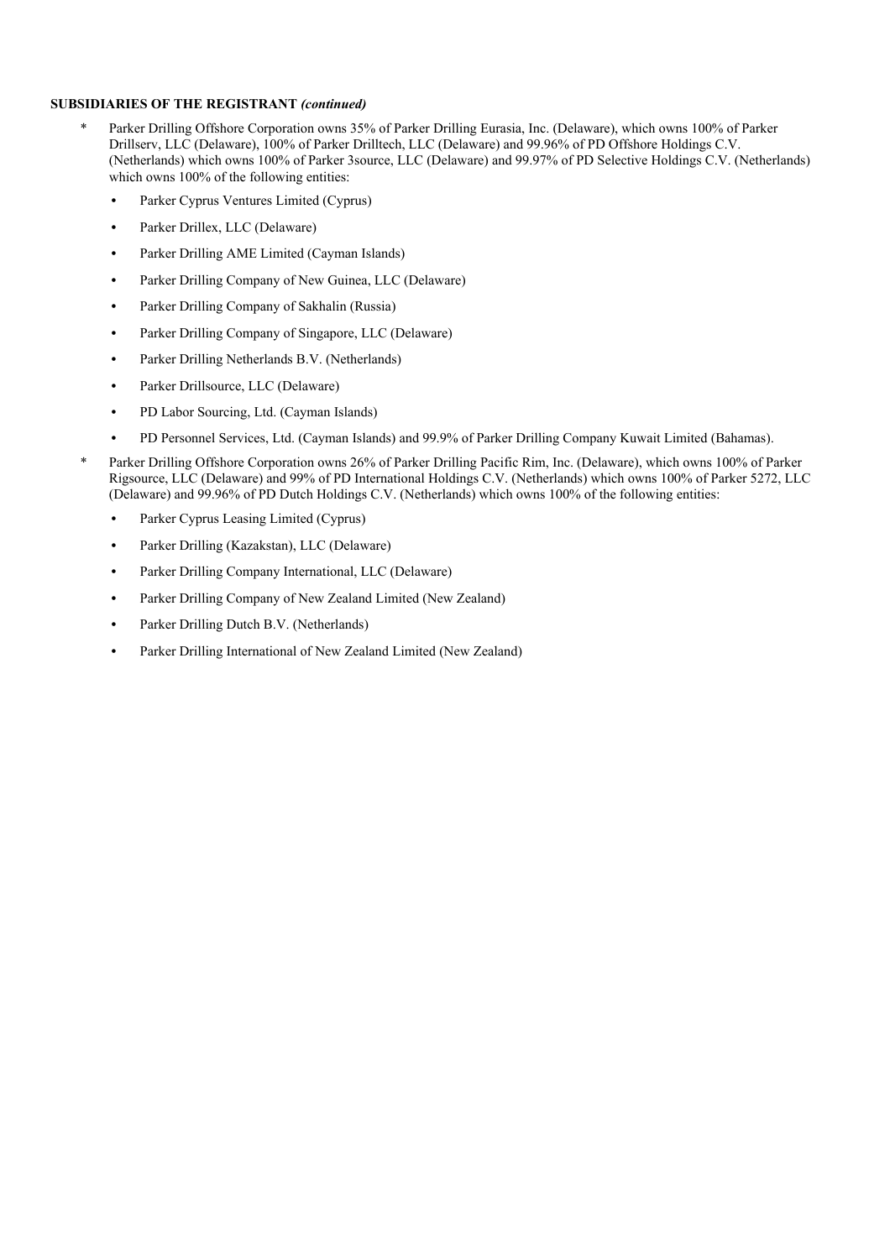## **SUBSIDIARIES OF THE REGISTRANT** *(continued)*

- Parker Drilling Offshore Corporation owns 35% of Parker Drilling Eurasia, Inc. (Delaware), which owns 100% of Parker Drillserv, LLC (Delaware), 100% of Parker Drilltech, LLC (Delaware) and 99.96% of PD Offshore Holdings C.V. (Netherlands) which owns 100% of Parker 3source, LLC (Delaware) and 99.97% of PD Selective Holdings C.V. (Netherlands) which owns 100% of the following entities:
	- **•** Parker Cyprus Ventures Limited (Cyprus)
	- **•** Parker Drillex, LLC (Delaware)
	- **•** Parker Drilling AME Limited (Cayman Islands)
	- **•** Parker Drilling Company of New Guinea, LLC (Delaware)
	- **•** Parker Drilling Company of Sakhalin (Russia)
	- **•** Parker Drilling Company of Singapore, LLC (Delaware)
	- **•** Parker Drilling Netherlands B.V. (Netherlands)
	- **•** Parker Drillsource, LLC (Delaware)
	- **•** PD Labor Sourcing, Ltd. (Cayman Islands)
	- **•** PD Personnel Services, Ltd. (Cayman Islands) and 99.9% of Parker Drilling Company Kuwait Limited (Bahamas).
- Parker Drilling Offshore Corporation owns 26% of Parker Drilling Pacific Rim, Inc. (Delaware), which owns 100% of Parker Rigsource, LLC (Delaware) and 99% of PD International Holdings C.V. (Netherlands) which owns 100% of Parker 5272, LLC (Delaware) and 99.96% of PD Dutch Holdings C.V. (Netherlands) which owns 100% of the following entities:
	- **•** Parker Cyprus Leasing Limited (Cyprus)
	- **•** Parker Drilling (Kazakstan), LLC (Delaware)
	- **•** Parker Drilling Company International, LLC (Delaware)
	- **•** Parker Drilling Company of New Zealand Limited (New Zealand)
	- **•** Parker Drilling Dutch B.V. (Netherlands)
	- **•** Parker Drilling International of New Zealand Limited (New Zealand)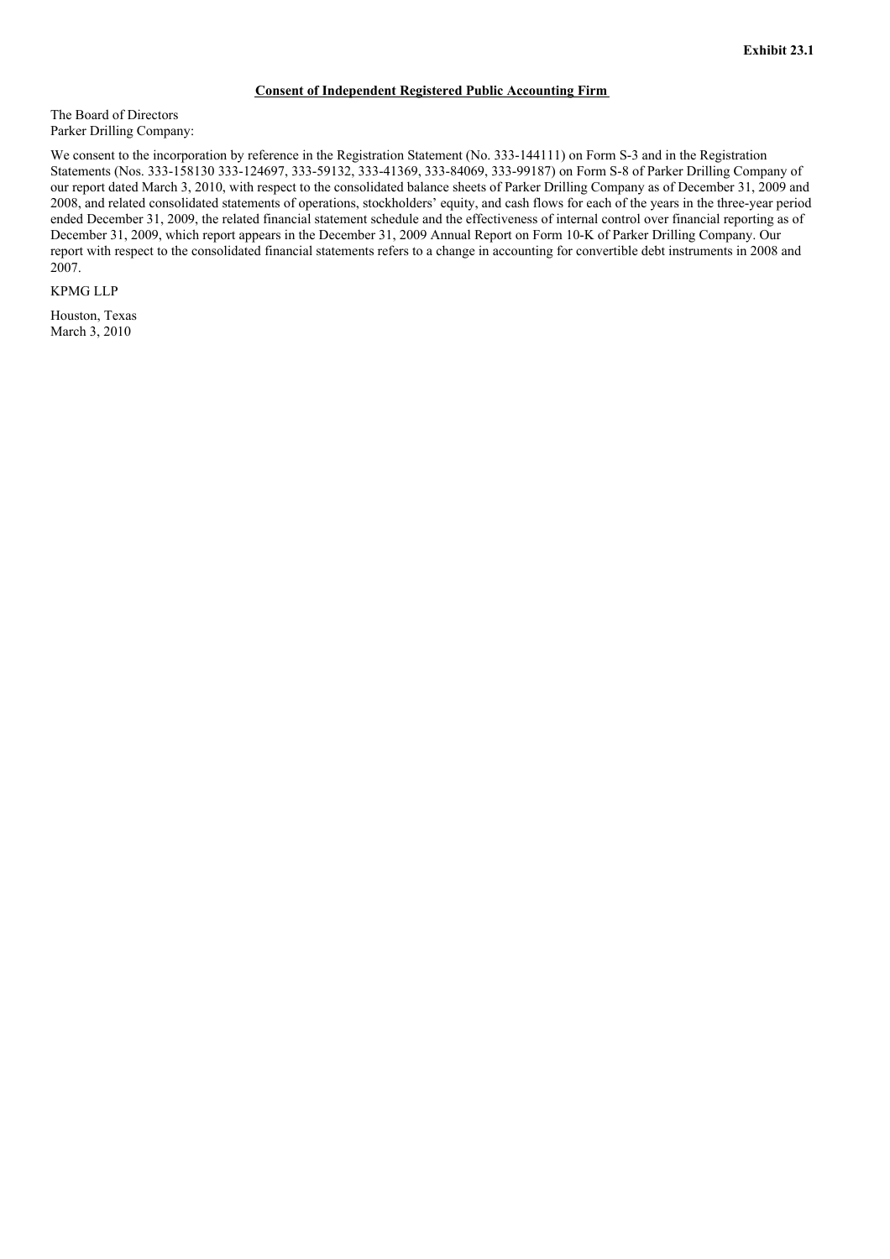# **Consent of Independent Registered Public Accounting Firm**

The Board of Directors Parker Drilling Company:

We consent to the incorporation by reference in the Registration Statement (No. 333-144111) on Form S-3 and in the Registration Statements (Nos. 333-158130 333-124697, 333-59132, 333-41369, 333-84069, 333-99187) on Form S-8 of Parker Drilling Company of our report dated March 3, 2010, with respect to the consolidated balance sheets of Parker Drilling Company as of December 31, 2009 and 2008, and related consolidated statements of operations, stockholders' equity, and cash flows for each of the years in the three-year period ended December 31, 2009, the related financial statement schedule and the effectiveness of internal control over financial reporting as of December 31, 2009, which report appears in the December 31, 2009 Annual Report on Form 10-K of Parker Drilling Company. Our report with respect to the consolidated financial statements refers to a change in accounting for convertible debt instruments in 2008 and 2007.

KPMG LLP

Houston, Texas March 3, 2010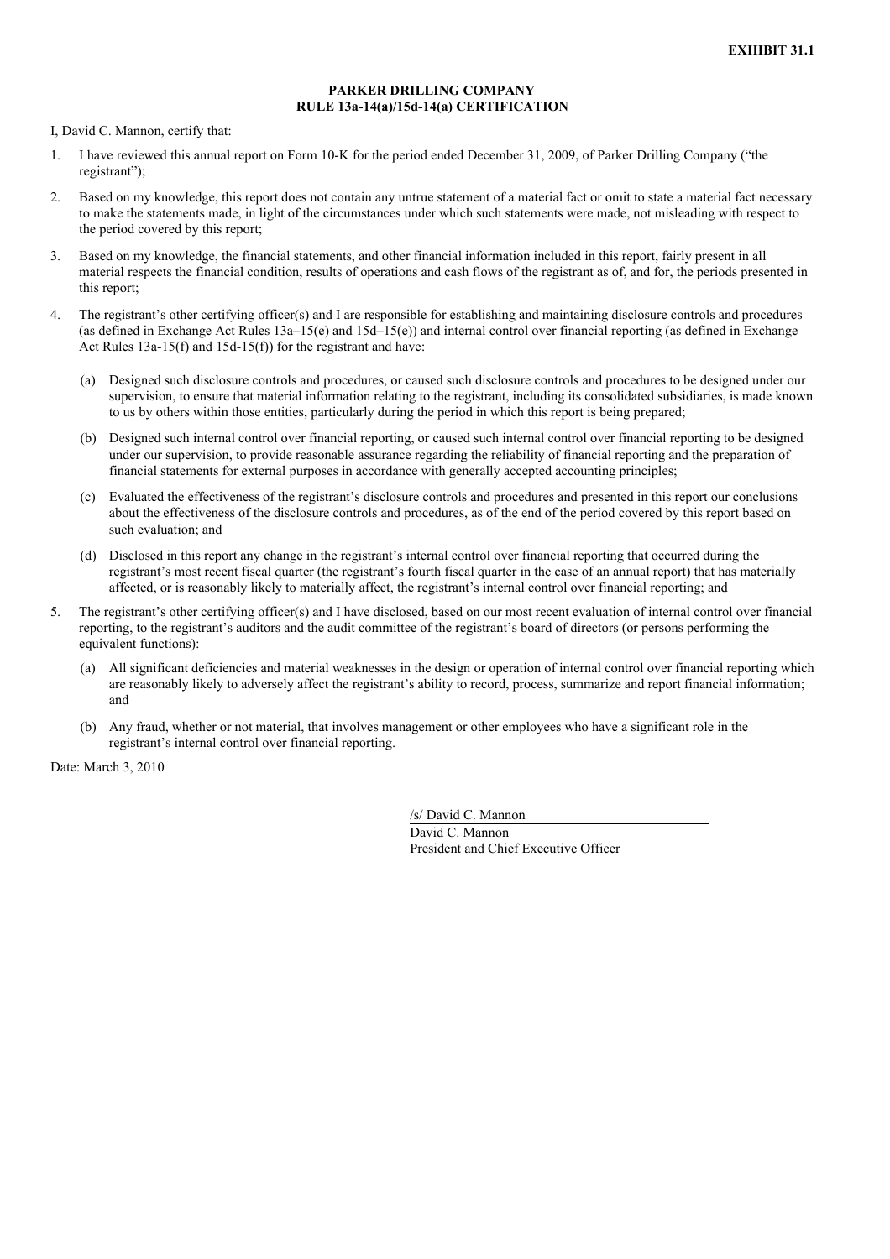## **PARKER DRILLING COMPANY RULE 13a-14(a)/15d-14(a) CERTIFICATION**

I, David C. Mannon, certify that:

- 1. I have reviewed this annual report on Form 10-K for the period ended December 31, 2009, of Parker Drilling Company ("the registrant");
- 2. Based on my knowledge, this report does not contain any untrue statement of a material fact or omit to state a material fact necessary to make the statements made, in light of the circumstances under which such statements were made, not misleading with respect to the period covered by this report;
- 3. Based on my knowledge, the financial statements, and other financial information included in this report, fairly present in all material respects the financial condition, results of operations and cash flows of the registrant as of, and for, the periods presented in this report;
- 4. The registrant's other certifying officer(s) and I are responsible for establishing and maintaining disclosure controls and procedures (as defined in Exchange Act Rules 13a–15(e) and 15d–15(e)) and internal control over financial reporting (as defined in Exchange Act Rules 13a-15(f) and 15d-15(f)) for the registrant and have:
	- (a) Designed such disclosure controls and procedures, or caused such disclosure controls and procedures to be designed under our supervision, to ensure that material information relating to the registrant, including its consolidated subsidiaries, is made known to us by others within those entities, particularly during the period in which this report is being prepared;
	- (b) Designed such internal control over financial reporting, or caused such internal control over financial reporting to be designed under our supervision, to provide reasonable assurance regarding the reliability of financial reporting and the preparation of financial statements for external purposes in accordance with generally accepted accounting principles;
	- (c) Evaluated the effectiveness of the registrant's disclosure controls and procedures and presented in this report our conclusions about the effectiveness of the disclosure controls and procedures, as of the end of the period covered by this report based on such evaluation; and
	- (d) Disclosed in this report any change in the registrant's internal control over financial reporting that occurred during the registrant's most recent fiscal quarter (the registrant's fourth fiscal quarter in the case of an annual report) that has materially affected, or is reasonably likely to materially affect, the registrant's internal control over financial reporting; and
- 5. The registrant's other certifying officer(s) and I have disclosed, based on our most recent evaluation of internal control over financial reporting, to the registrant's auditors and the audit committee of the registrant's board of directors (or persons performing the equivalent functions):
	- (a) All significant deficiencies and material weaknesses in the design or operation of internal control over financial reporting which are reasonably likely to adversely affect the registrant's ability to record, process, summarize and report financial information; and
	- (b) Any fraud, whether or not material, that involves management or other employees who have a significant role in the registrant's internal control over financial reporting.

Date: March 3, 2010

/s/ David C. Mannon David C. Mannon President and Chief Executive Officer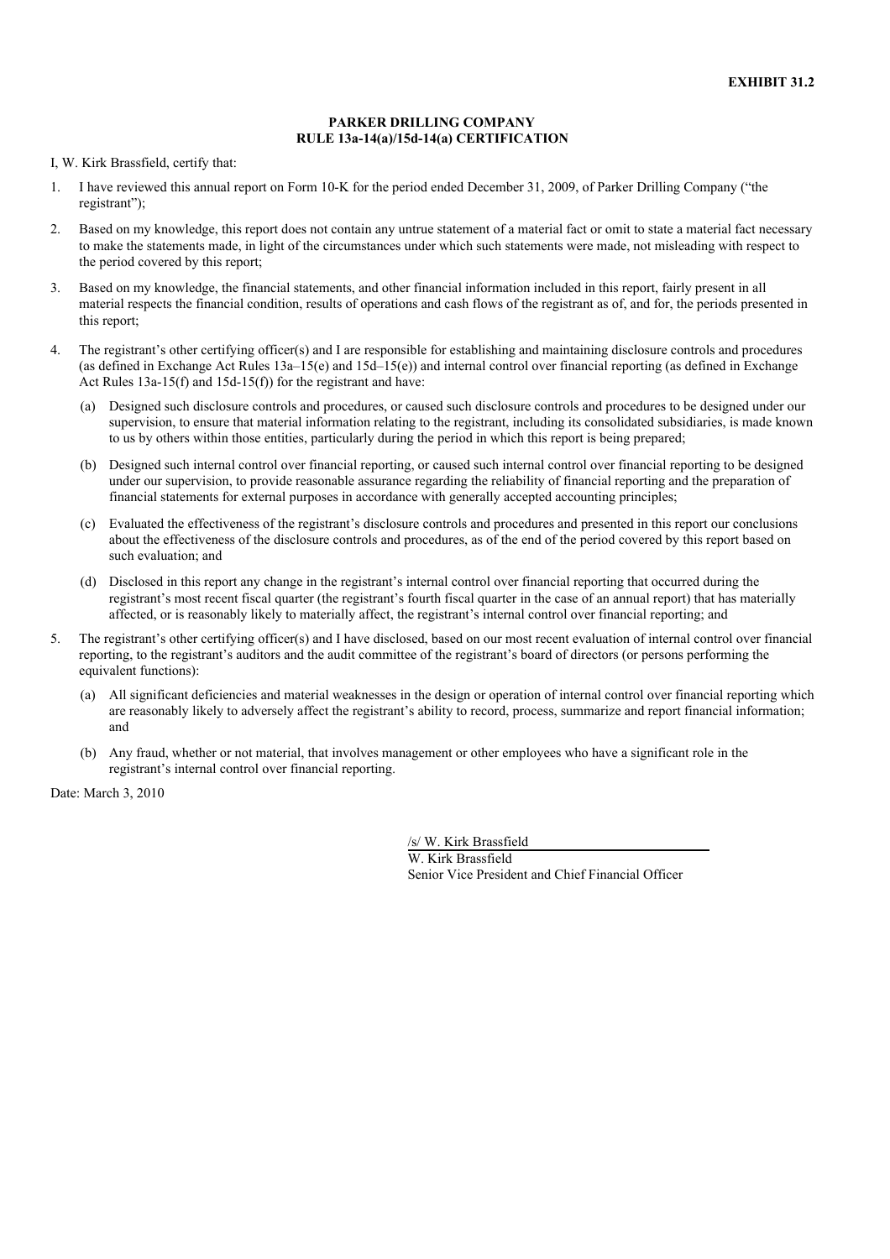## **PARKER DRILLING COMPANY RULE 13a-14(a)/15d-14(a) CERTIFICATION**

I, W. Kirk Brassfield, certify that:

- 1. I have reviewed this annual report on Form 10-K for the period ended December 31, 2009, of Parker Drilling Company ("the registrant");
- 2. Based on my knowledge, this report does not contain any untrue statement of a material fact or omit to state a material fact necessary to make the statements made, in light of the circumstances under which such statements were made, not misleading with respect to the period covered by this report;
- 3. Based on my knowledge, the financial statements, and other financial information included in this report, fairly present in all material respects the financial condition, results of operations and cash flows of the registrant as of, and for, the periods presented in this report;
- 4. The registrant's other certifying officer(s) and I are responsible for establishing and maintaining disclosure controls and procedures (as defined in Exchange Act Rules 13a–15(e) and 15d–15(e)) and internal control over financial reporting (as defined in Exchange Act Rules 13a-15(f) and 15d-15(f)) for the registrant and have:
	- (a) Designed such disclosure controls and procedures, or caused such disclosure controls and procedures to be designed under our supervision, to ensure that material information relating to the registrant, including its consolidated subsidiaries, is made known to us by others within those entities, particularly during the period in which this report is being prepared;
	- (b) Designed such internal control over financial reporting, or caused such internal control over financial reporting to be designed under our supervision, to provide reasonable assurance regarding the reliability of financial reporting and the preparation of financial statements for external purposes in accordance with generally accepted accounting principles;
	- (c) Evaluated the effectiveness of the registrant's disclosure controls and procedures and presented in this report our conclusions about the effectiveness of the disclosure controls and procedures, as of the end of the period covered by this report based on such evaluation; and
	- (d) Disclosed in this report any change in the registrant's internal control over financial reporting that occurred during the registrant's most recent fiscal quarter (the registrant's fourth fiscal quarter in the case of an annual report) that has materially affected, or is reasonably likely to materially affect, the registrant's internal control over financial reporting; and
- 5. The registrant's other certifying officer(s) and I have disclosed, based on our most recent evaluation of internal control over financial reporting, to the registrant's auditors and the audit committee of the registrant's board of directors (or persons performing the equivalent functions):
	- (a) All significant deficiencies and material weaknesses in the design or operation of internal control over financial reporting which are reasonably likely to adversely affect the registrant's ability to record, process, summarize and report financial information; and
	- (b) Any fraud, whether or not material, that involves management or other employees who have a significant role in the registrant's internal control over financial reporting.

Date: March 3, 2010

/s/ W. Kirk Brassfield W. Kirk Brassfield Senior Vice President and Chief Financial Officer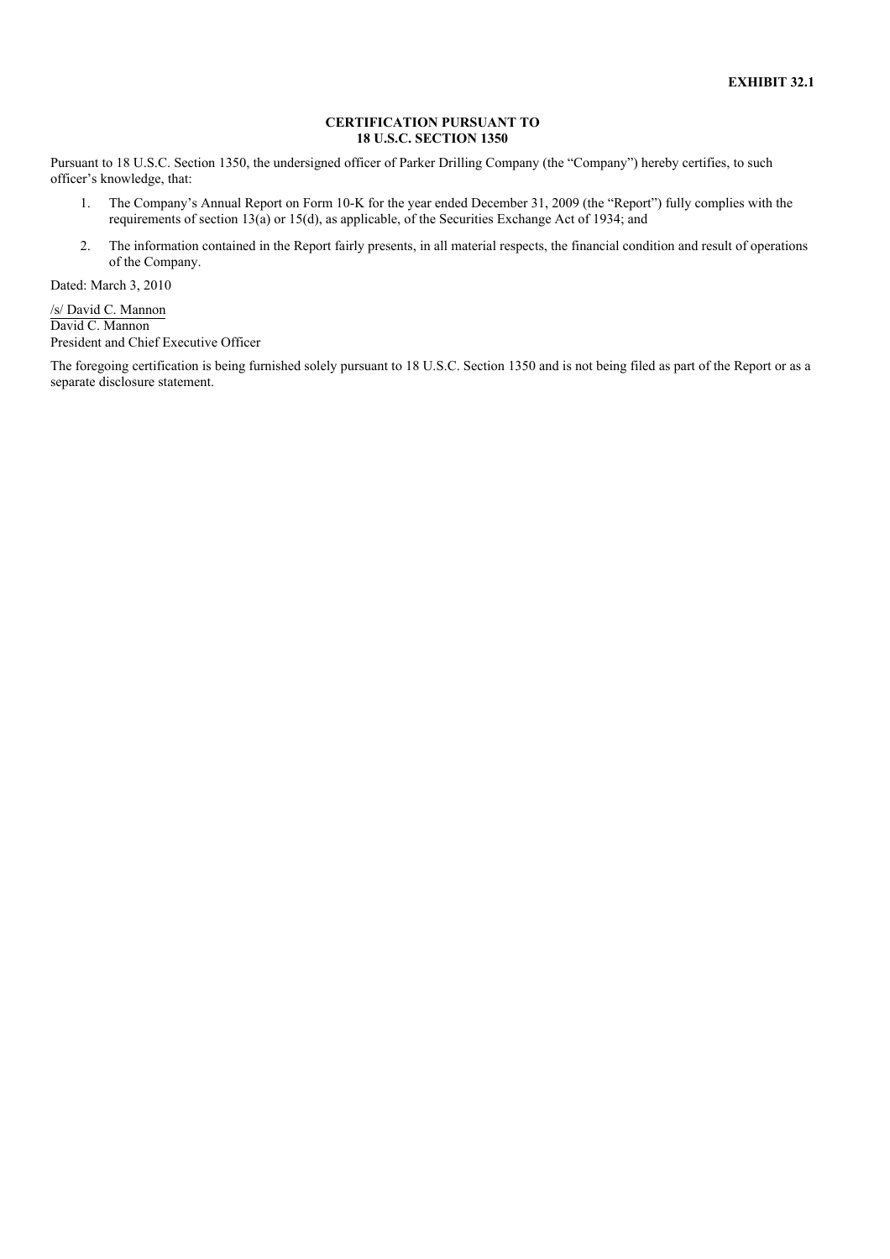## **CERTIFICATION PURSUANT TO 18 U.S.C. SECTION 1350**

Pursuant to 18 U.S.C. Section 1350, the undersigned officer of Parker Drilling Company (the "Company") hereby certifies, to such officer's knowledge, that:

- 1. The Company's Annual Report on Form 10-K for the year ended December 31, 2009 (the "Report") fully complies with the requirements of section 13(a) or 15(d), as applicable, of the Securities Exchange Act of 1934; and
- 2. The information contained in the Report fairly presents, in all material respects, the financial condition and result of operations of the Company.

Dated: March 3, 2010

## /s/ David C. Mannon David C. Mannon President and Chief Executive Officer

The foregoing certification is being furnished solely pursuant to 18 U.S.C. Section 1350 and is not being filed as part of the Report or as a separate disclosure statement.